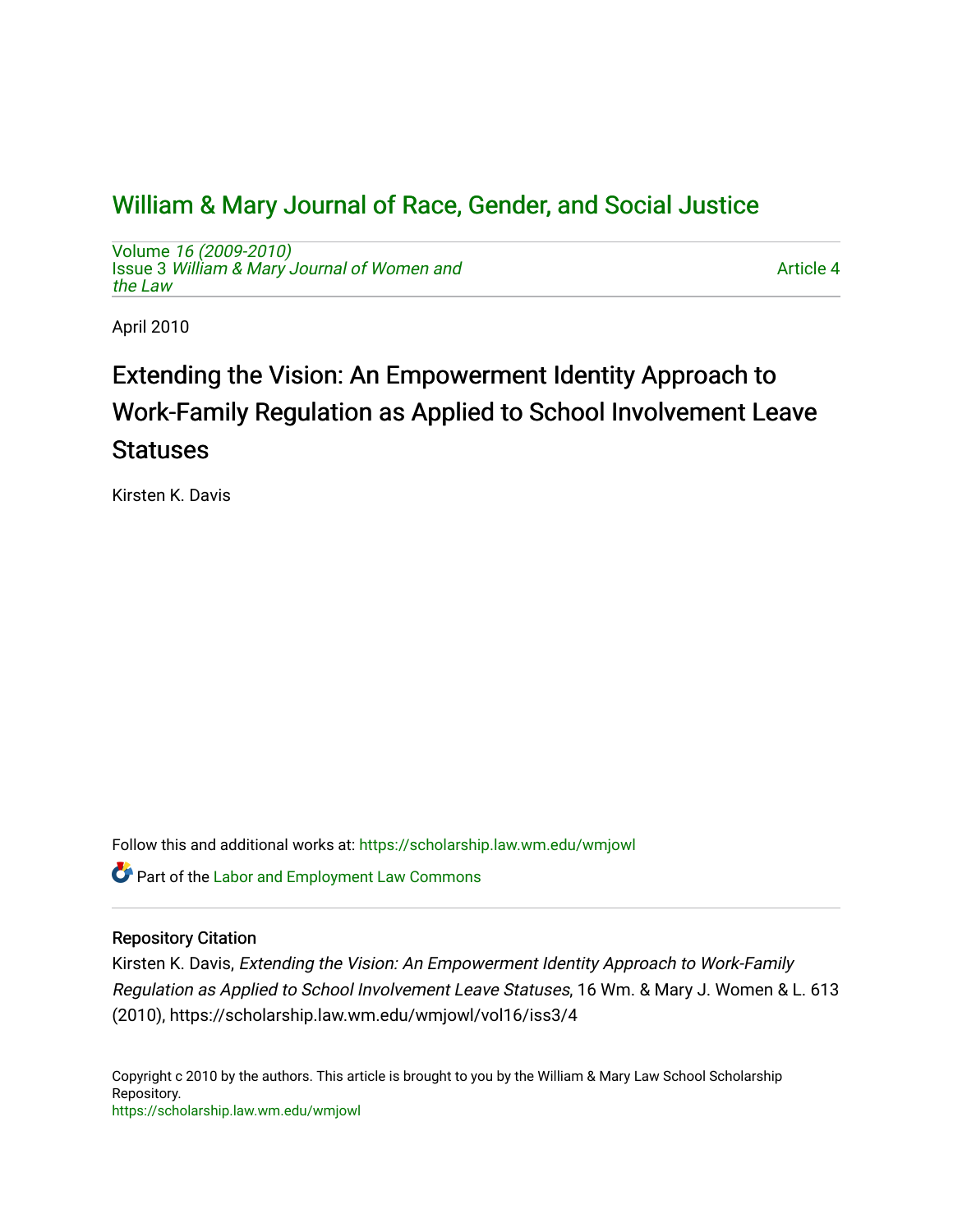## [William & Mary Journal of Race, Gender, and Social Justice](https://scholarship.law.wm.edu/wmjowl)

Volume [16 \(2009-2010\)](https://scholarship.law.wm.edu/wmjowl/vol16)  Issue 3 [William & Mary Journal of Women and](https://scholarship.law.wm.edu/wmjowl/vol16/iss3) [the Law](https://scholarship.law.wm.edu/wmjowl/vol16/iss3)

[Article 4](https://scholarship.law.wm.edu/wmjowl/vol16/iss3/4) 

April 2010

# Extending the Vision: An Empowerment Identity Approach to Work-Family Regulation as Applied to School Involvement Leave **Statuses**

Kirsten K. Davis

Follow this and additional works at: [https://scholarship.law.wm.edu/wmjowl](https://scholarship.law.wm.edu/wmjowl?utm_source=scholarship.law.wm.edu%2Fwmjowl%2Fvol16%2Fiss3%2F4&utm_medium=PDF&utm_campaign=PDFCoverPages) 

**Part of the [Labor and Employment Law Commons](http://network.bepress.com/hgg/discipline/909?utm_source=scholarship.law.wm.edu%2Fwmjowl%2Fvol16%2Fiss3%2F4&utm_medium=PDF&utm_campaign=PDFCoverPages)** 

## Repository Citation

Kirsten K. Davis, Extending the Vision: An Empowerment Identity Approach to Work-Family Regulation as Applied to School Involvement Leave Statuses, 16 Wm. & Mary J. Women & L. 613 (2010), https://scholarship.law.wm.edu/wmjowl/vol16/iss3/4

Copyright c 2010 by the authors. This article is brought to you by the William & Mary Law School Scholarship Repository. <https://scholarship.law.wm.edu/wmjowl>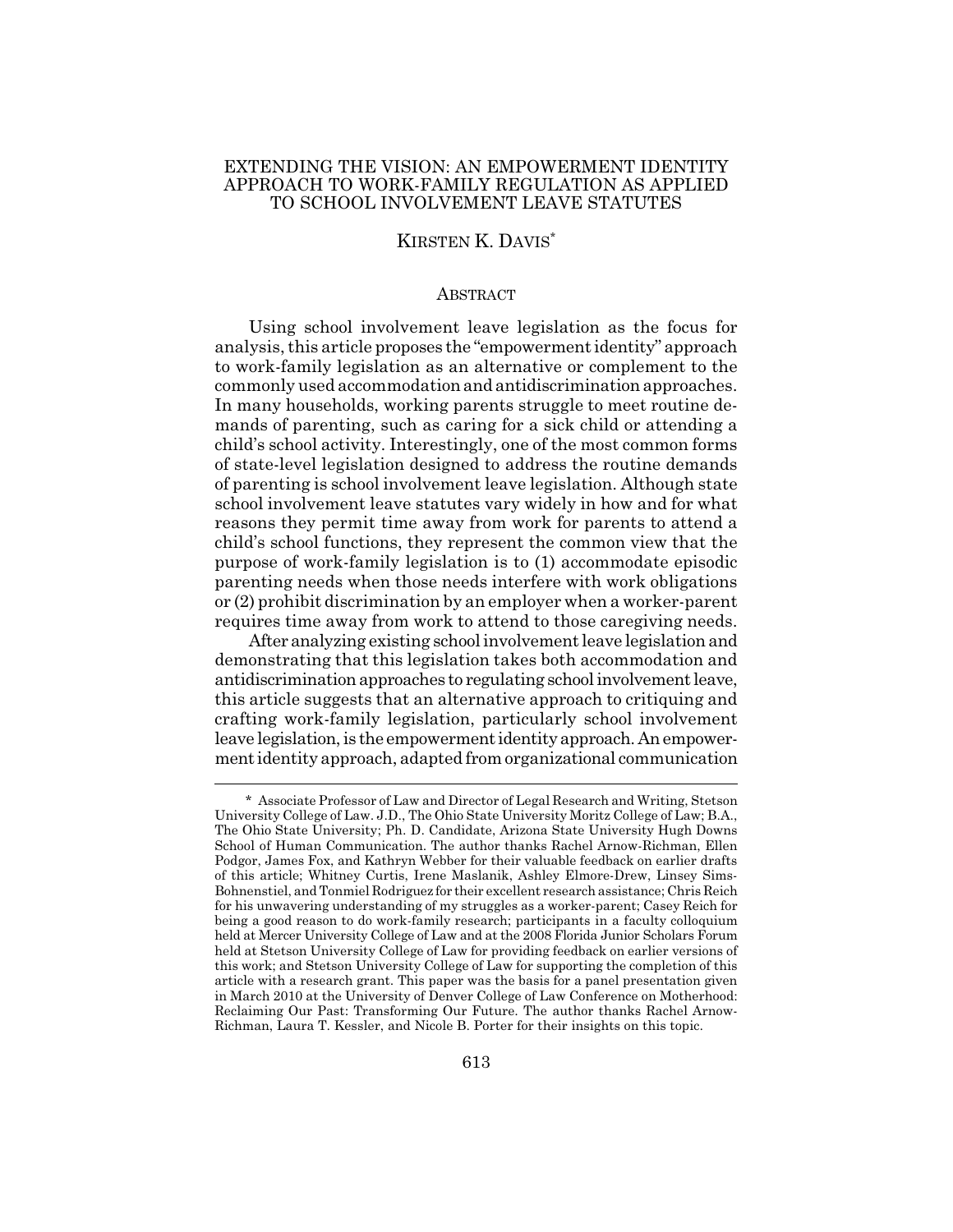#### EXTENDING THE VISION: AN EMPOWERMENT IDENTITY APPROACH TO WORK-FAMILY REGULATION AS APPLIED TO SCHOOL INVOLVEMENT LEAVE STATUTES

## KIRSTEN K. DAVIS\*

#### ABSTRACT

Using school involvement leave legislation as the focus for analysis, this article proposes the "empowerment identity" approach to work-family legislation as an alternative or complement to the commonly used accommodation and antidiscrimination approaches. In many households, working parents struggle to meet routine demands of parenting, such as caring for a sick child or attending a child's school activity. Interestingly, one of the most common forms of state-level legislation designed to address the routine demands of parenting is school involvement leave legislation. Although state school involvement leave statutes vary widely in how and for what reasons they permit time away from work for parents to attend a child's school functions, they represent the common view that the purpose of work-family legislation is to (1) accommodate episodic parenting needs when those needs interfere with work obligations or (2) prohibit discrimination by an employer when a worker-parent requires time away from work to attend to those caregiving needs.

After analyzing existing school involvement leave legislation and demonstrating that this legislation takes both accommodation and antidiscrimination approaches to regulating school involvement leave, this article suggests that an alternative approach to critiquing and crafting work-family legislation, particularly school involvement leave legislation, is the empowerment identity approach. An empowerment identity approach, adapted from organizational communication

<sup>\*</sup> Associate Professor of Law and Director of Legal Research and Writing, Stetson University College of Law. J.D., The Ohio State University Moritz College of Law; B.A., The Ohio State University; Ph. D. Candidate, Arizona State University Hugh Downs School of Human Communication. The author thanks Rachel Arnow-Richman, Ellen Podgor, James Fox, and Kathryn Webber for their valuable feedback on earlier drafts of this article; Whitney Curtis, Irene Maslanik, Ashley Elmore-Drew, Linsey Sims-Bohnenstiel, and Tonmiel Rodriguez for their excellent research assistance; Chris Reich for his unwavering understanding of my struggles as a worker-parent; Casey Reich for being a good reason to do work-family research; participants in a faculty colloquium held at Mercer University College of Law and at the 2008 Florida Junior Scholars Forum held at Stetson University College of Law for providing feedback on earlier versions of this work; and Stetson University College of Law for supporting the completion of this article with a research grant. This paper was the basis for a panel presentation given in March 2010 at the University of Denver College of Law Conference on Motherhood: Reclaiming Our Past: Transforming Our Future. The author thanks Rachel Arnow-Richman, Laura T. Kessler, and Nicole B. Porter for their insights on this topic.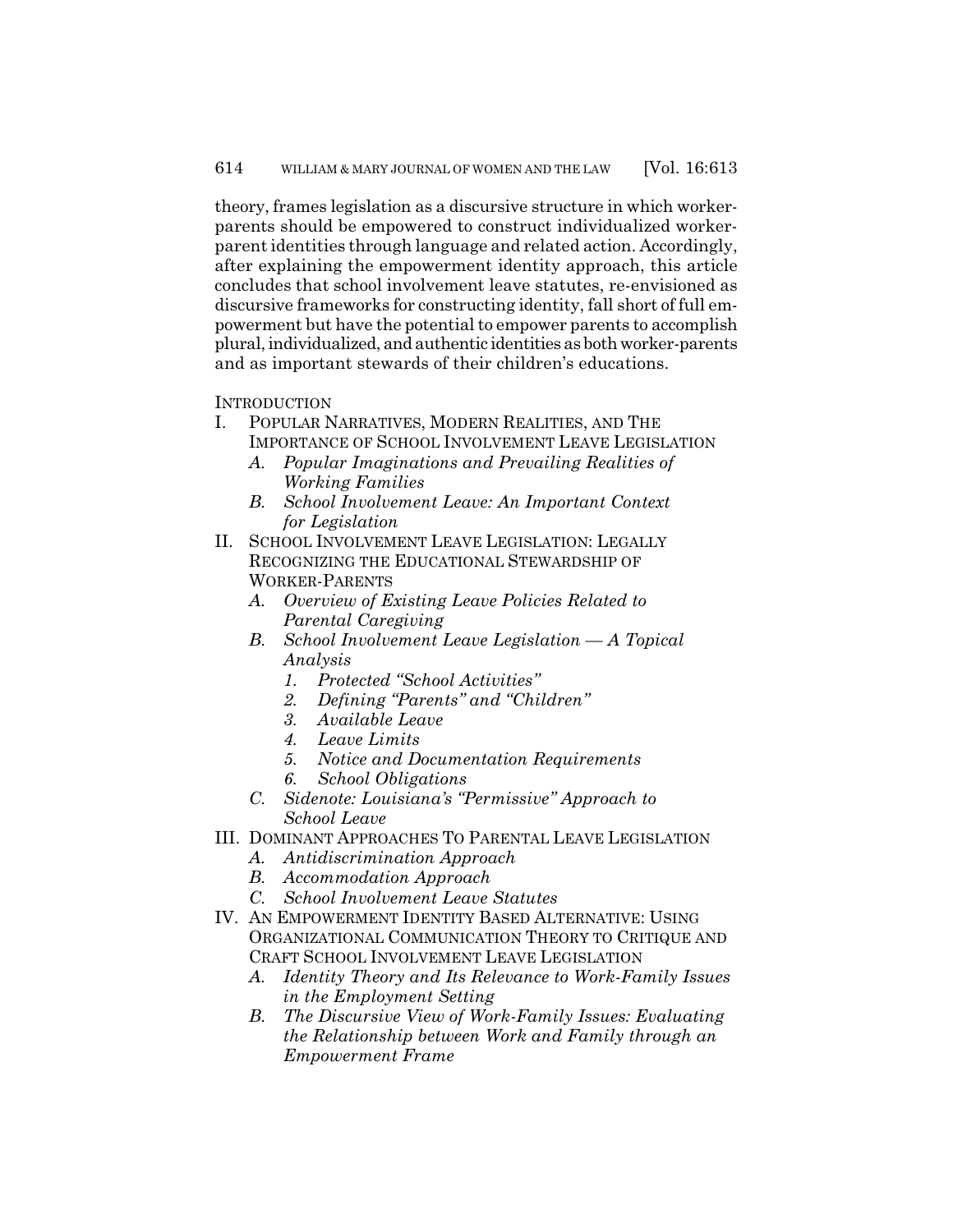theory, frames legislation as a discursive structure in which workerparents should be empowered to construct individualized workerparent identities through language and related action. Accordingly, after explaining the empowerment identity approach, this article concludes that school involvement leave statutes, re-envisioned as discursive frameworks for constructing identity, fall short of full empowerment but have the potential to empower parents to accomplish plural, individualized, and authentic identities as both worker-parents and as important stewards of their children's educations.

**INTRODUCTION** 

- I. POPULAR NARRATIVES, MODERN REALITIES, AND THE IMPORTANCE OF SCHOOL INVOLVEMENT LEAVE LEGISLATION
	- *A. Popular Imaginations and Prevailing Realities of Working Families*
	- *B. School Involvement Leave: An Important Context for Legislation*
- II. SCHOOL INVOLVEMENT LEAVE LEGISLATION: LEGALLY RECOGNIZING THE EDUCATIONAL STEWARDSHIP OF WORKER-PARENTS
	- *A. Overview of Existing Leave Policies Related to Parental Caregiving*
	- *B. School Involvement Leave Legislation A Topical Analysis*
		- *1. Protected "School Activities"*
		- *2. Defining "Parents" and "Children"*
		- *3. Available Leave*
		- *4. Leave Limits*
		- *5. Notice and Documentation Requirements*
		- *6. School Obligations*
	- *C. Sidenote: Louisiana's "Permissive" Approach to School Leave*
- III. DOMINANT APPROACHES TO PARENTAL LEAVE LEGISLATION
	- *A. Antidiscrimination Approach*
	- *B. Accommodation Approach*
	- *C. School Involvement Leave Statutes*
- IV. AN EMPOWERMENT IDENTITY BASED ALTERNATIVE: USING ORGANIZATIONAL COMMUNICATION THEORY TO CRITIQUE AND CRAFT SCHOOL INVOLVEMENT LEAVE LEGISLATION
	- *A. Identity Theory and Its Relevance to Work-Family Issues in the Employment Setting*
	- *B. The Discursive View of Work-Family Issues: Evaluating the Relationship between Work and Family through an Empowerment Frame*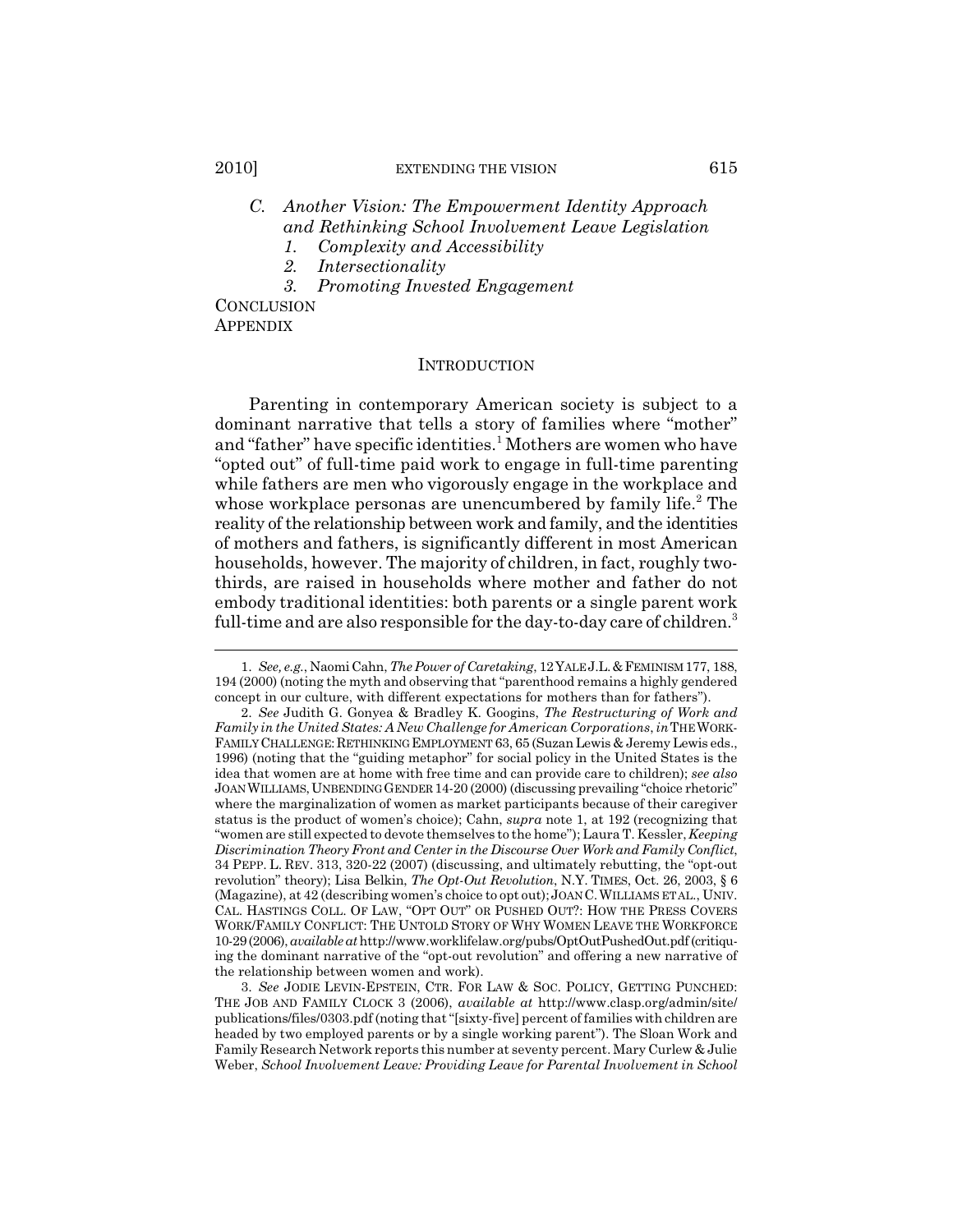#### 2010] EXTENDING THE VISION 615

- *1. Complexity and Accessibility*
- *2. Intersectionality*
- *3. Promoting Invested Engagement*

**CONCLUSION** APPENDIX

#### INTRODUCTION

Parenting in contemporary American society is subject to a dominant narrative that tells a story of families where "mother" and "father" have specific identities.<sup>1</sup> Mothers are women who have "opted out" of full-time paid work to engage in full-time parenting while fathers are men who vigorously engage in the workplace and whose workplace personas are unencumbered by family life.<sup>2</sup> The reality of the relationship between work and family, and the identities of mothers and fathers, is significantly different in most American households, however. The majority of children, in fact, roughly twothirds, are raised in households where mother and father do not embody traditional identities: both parents or a single parent work full-time and are also responsible for the day-to-day care of children.<sup>3</sup>

<sup>1.</sup> *See, e.g.*, Naomi Cahn, *The Power of Caretaking*, 12YALE J.L.&FEMINISM 177, 188, 194 (2000) (noting the myth and observing that "parenthood remains a highly gendered concept in our culture, with different expectations for mothers than for fathers").

<sup>2.</sup> *See* Judith G. Gonyea & Bradley K. Googins, *The Restructuring of Work and Family in the United States: A New Challenge for American Corporations*, *in*THE WORK-FAMILY CHALLENGE: RETHINKING EMPLOYMENT 63, 65 (Suzan Lewis & Jeremy Lewis eds., 1996) (noting that the "guiding metaphor" for social policy in the United States is the idea that women are at home with free time and can provide care to children); *see also* JOAN WILLIAMS,UNBENDING GENDER 14-20 (2000) (discussing prevailing "choice rhetoric" where the marginalization of women as market participants because of their caregiver status is the product of women's choice); Cahn, *supra* note 1, at 192 (recognizing that "women are still expected to devote themselves to the home"); Laura T. Kessler, *Keeping Discrimination Theory Front and Center in the Discourse Over Work and Family Conflict*, 34 PEPP. L. REV. 313, 320-22 (2007) (discussing, and ultimately rebutting, the "opt-out revolution" theory); Lisa Belkin, *The Opt-Out Revolution*, N.Y. TIMES, Oct. 26, 2003, § 6 (Magazine), at 42 (describing women's choice to opt out);JOAN C.WILLIAMS ET AL., UNIV. CAL. HASTINGS COLL. OF LAW, "OPT OUT" OR PUSHED OUT?: HOW THE PRESS COVERS WORK/FAMILY CONFLICT: THE UNTOLD STORY OF WHY WOMEN LEAVE THE WORKFORCE 10-29 (2006), *available at* http://www.worklifelaw.org/pubs/OptOutPushedOut.pdf (critiquing the dominant narrative of the "opt-out revolution" and offering a new narrative of the relationship between women and work).

<sup>3.</sup> *See* JODIE LEVIN-EPSTEIN, CTR. FOR LAW & SOC. POLICY, GETTING PUNCHED: THE JOB AND FAMILY CLOCK 3 (2006), *available at* http://www.clasp.org/admin/site/ publications/files/0303.pdf (noting that "[sixty-five] percent of families with children are headed by two employed parents or by a single working parent"). The Sloan Work and Family Research Network reports this number at seventy percent. Mary Curlew & Julie Weber, *School Involvement Leave: Providing Leave for Parental Involvement in School*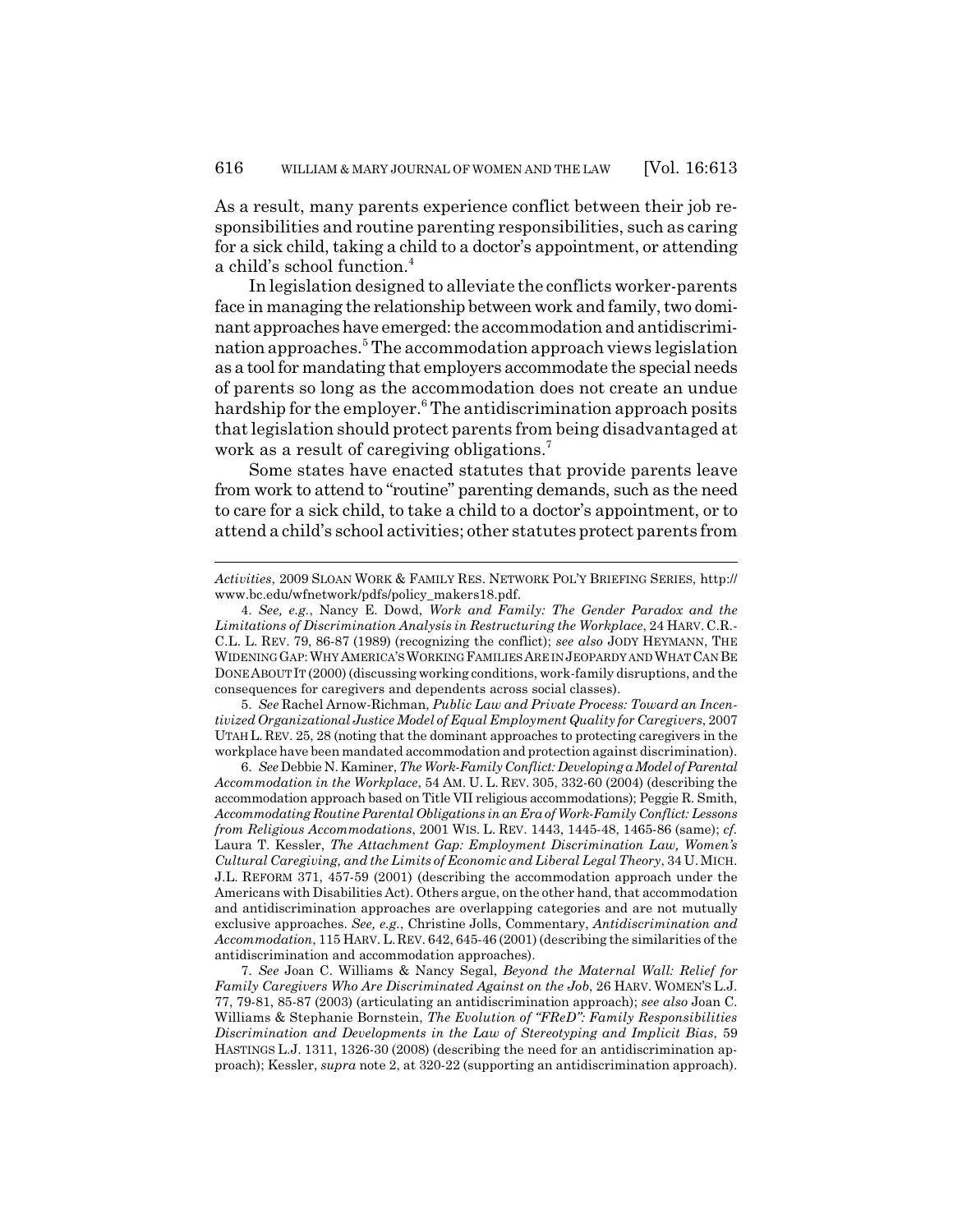As a result, many parents experience conflict between their job responsibilities and routine parenting responsibilities, such as caring for a sick child, taking a child to a doctor's appointment, or attending a child's school function.4

In legislation designed to alleviate the conflicts worker-parents face in managing the relationship between work and family, two dominant approaches have emerged: the accommodation and antidiscrimination approaches.<sup>5</sup> The accommodation approach views legislation as a tool for mandating that employers accommodate the special needs of parents so long as the accommodation does not create an undue hardship for the employer.<sup>6</sup> The antidiscrimination approach posits that legislation should protect parents from being disadvantaged at work as a result of caregiving obligations.<sup>7</sup>

Some states have enacted statutes that provide parents leave from work to attend to "routine" parenting demands, such as the need to care for a sick child, to take a child to a doctor's appointment, or to attend a child's school activities; other statutes protect parents from

5. *See* Rachel Arnow-Richman, *Public Law and Private Process: Toward an Incentivized Organizational Justice Model of Equal Employment Quality for Caregivers*, 2007 UTAH L. REV. 25, 28 (noting that the dominant approaches to protecting caregivers in the workplace have been mandated accommodation and protection against discrimination).

6. *See* Debbie N. Kaminer, *The Work-Family Conflict: Developing a Model of Parental Accommodation in the Workplace*, 54 AM. U. L. REV. 305, 332-60 (2004) (describing the accommodation approach based on Title VII religious accommodations); Peggie R. Smith, *Accommodating Routine Parental Obligations in an Era of Work-Family Conflict: Lessons from Religious Accommodations*, 2001 WIS. L. REV. 1443, 1445-48, 1465-86 (same); *cf.* Laura T. Kessler, *The Attachment Gap: Employment Discrimination Law, Women's Cultural Caregiving, and the Limits of Economic and Liberal Legal Theory*, 34 U.MICH. J.L. REFORM 371, 457-59 (2001) (describing the accommodation approach under the Americans with Disabilities Act). Others argue, on the other hand, that accommodation and antidiscrimination approaches are overlapping categories and are not mutually exclusive approaches. *See, e.g.*, Christine Jolls, Commentary, *Antidiscrimination and Accommodation*, 115 HARV. L.REV. 642, 645-46 (2001) (describing the similarities of the antidiscrimination and accommodation approaches).

7. *See* Joan C. Williams & Nancy Segal, *Beyond the Maternal Wall: Relief for Family Caregivers Who Are Discriminated Against on the Job*, 26 HARV. WOMEN'S L.J. 77, 79-81, 85-87 (2003) (articulating an antidiscrimination approach); *see also* Joan C. Williams & Stephanie Bornstein, *The Evolution of "FReD": Family Responsibilities Discrimination and Developments in the Law of Stereotyping and Implicit Bias*, 59 HASTINGS L.J. 1311, 1326-30 (2008) (describing the need for an antidiscrimination approach); Kessler, *supra* note 2, at 320-22 (supporting an antidiscrimination approach).

*Activities*, 2009 SLOAN WORK & FAMILY RES. NETWORK POL'Y BRIEFING SERIES, http:// www.bc.edu/wfnetwork/pdfs/policy\_makers18.pdf.

<sup>4.</sup> *See, e.g.*, Nancy E. Dowd, *Work and Family: The Gender Paradox and the Limitations of Discrimination Analysis in Restructuring the Workplace*, 24 HARV. C.R.- C.L. L. REV. 79, 86-87 (1989) (recognizing the conflict); *see also* JODY HEYMANN, THE WIDENING GAP:WHY AMERICA'S WORKING FAMILIES ARE IN JEOPARDY AND WHAT CAN BE DONE ABOUT IT (2000) (discussing working conditions, work-family disruptions, and the consequences for caregivers and dependents across social classes).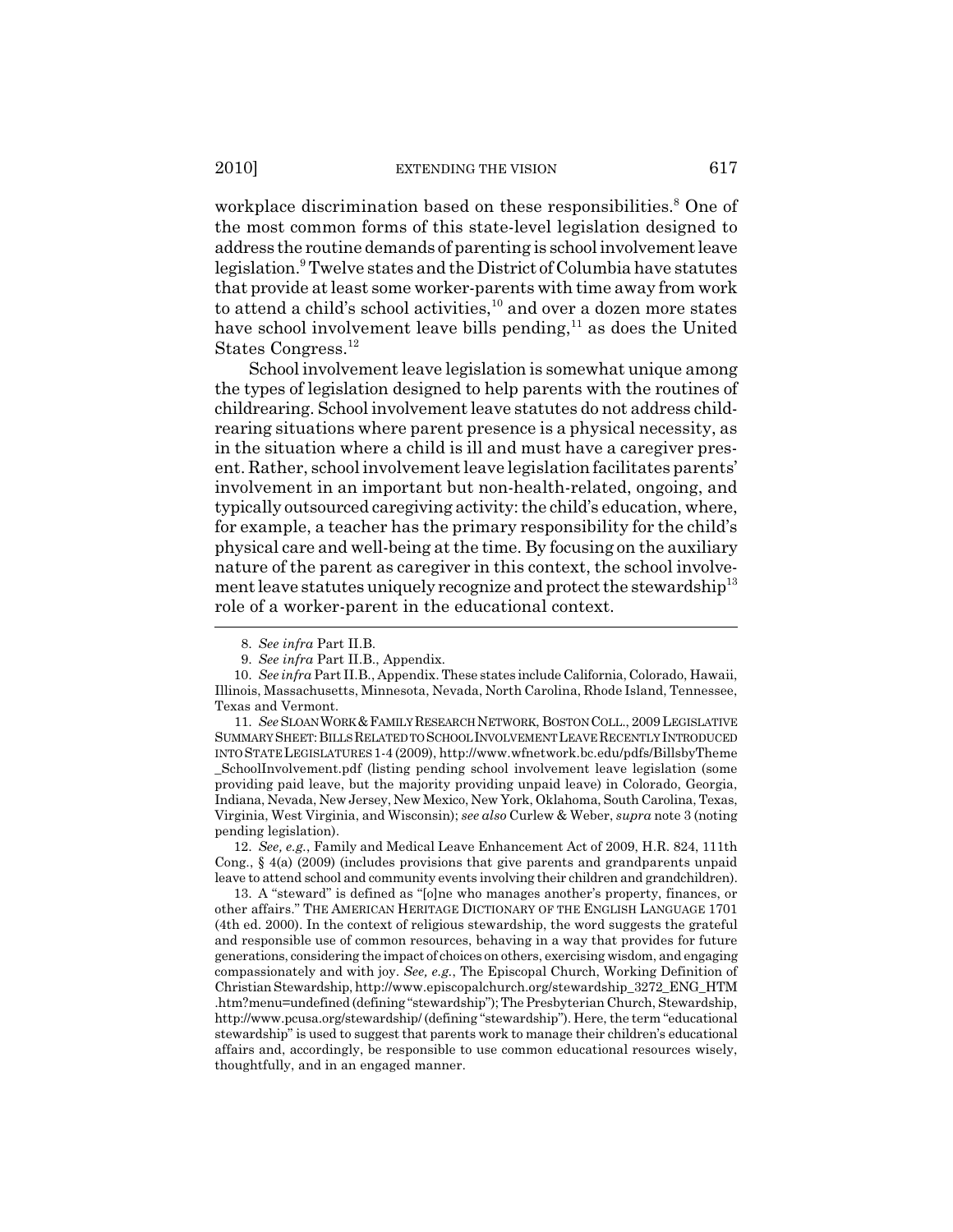workplace discrimination based on these responsibilities.<sup>8</sup> One of the most common forms of this state-level legislation designed to address the routine demands of parenting is school involvement leave legislation.<sup>9</sup> Twelve states and the District of Columbia have statutes that provide at least some worker-parents with time away from work to attend a child's school activities, $^{10}$  and over a dozen more states have school involvement leave bills pending, $^{11}$  as does the United States Congress.<sup>12</sup>

School involvement leave legislation is somewhat unique among the types of legislation designed to help parents with the routines of childrearing. School involvement leave statutes do not address childrearing situations where parent presence is a physical necessity, as in the situation where a child is ill and must have a caregiver present. Rather, school involvement leave legislation facilitates parents' involvement in an important but non-health-related, ongoing, and typically outsourced caregiving activity: the child's education, where, for example, a teacher has the primary responsibility for the child's physical care and well-being at the time. By focusing on the auxiliary nature of the parent as caregiver in this context, the school involvement leave statutes uniquely recognize and protect the stewardship<sup>13</sup> role of a worker-parent in the educational context.

11. *See* SLOAN WORK &FAMILY RESEARCH NETWORK, BOSTON COLL., 2009 LEGISLATIVE SUMMARY SHEET:BILLS RELATED TO SCHOOL INVOLVEMENT LEAVE RECENTLY INTRODUCED INTO STATE LEGISLATURES 1-4 (2009), http://www.wfnetwork.bc.edu/pdfs/BillsbyTheme \_SchoolInvolvement.pdf (listing pending school involvement leave legislation (some providing paid leave, but the majority providing unpaid leave) in Colorado, Georgia, Indiana, Nevada, New Jersey, New Mexico, New York, Oklahoma, South Carolina, Texas, Virginia, West Virginia, and Wisconsin); *see also* Curlew & Weber, *supra* note 3 (noting pending legislation).

12. *See, e.g.*, Family and Medical Leave Enhancement Act of 2009, H.R. 824, 111th Cong., § 4(a) (2009) (includes provisions that give parents and grandparents unpaid leave to attend school and community events involving their children and grandchildren).

13. A "steward" is defined as "[o]ne who manages another's property, finances, or other affairs." THE AMERICAN HERITAGE DICTIONARY OF THE ENGLISH LANGUAGE 1701 (4th ed. 2000). In the context of religious stewardship, the word suggests the grateful and responsible use of common resources, behaving in a way that provides for future generations, considering the impact of choices on others, exercising wisdom, and engaging compassionately and with joy. *See, e.g.*, The Episcopal Church, Working Definition of Christian Stewardship, http://www.episcopalchurch.org/stewardship\_3272\_ENG\_HTM .htm?menu=undefined (defining "stewardship"); The Presbyterian Church, Stewardship, http://www.pcusa.org/stewardship/ (defining "stewardship"). Here, the term "educational stewardship" is used to suggest that parents work to manage their children's educational affairs and, accordingly, be responsible to use common educational resources wisely, thoughtfully, and in an engaged manner.

<sup>8.</sup> *See infra* Part II.B.

<sup>9.</sup> *See infra* Part II.B., Appendix.

<sup>10.</sup> *See infra* Part II.B., Appendix. These states include California, Colorado, Hawaii, Illinois, Massachusetts, Minnesota, Nevada, North Carolina, Rhode Island, Tennessee, Texas and Vermont.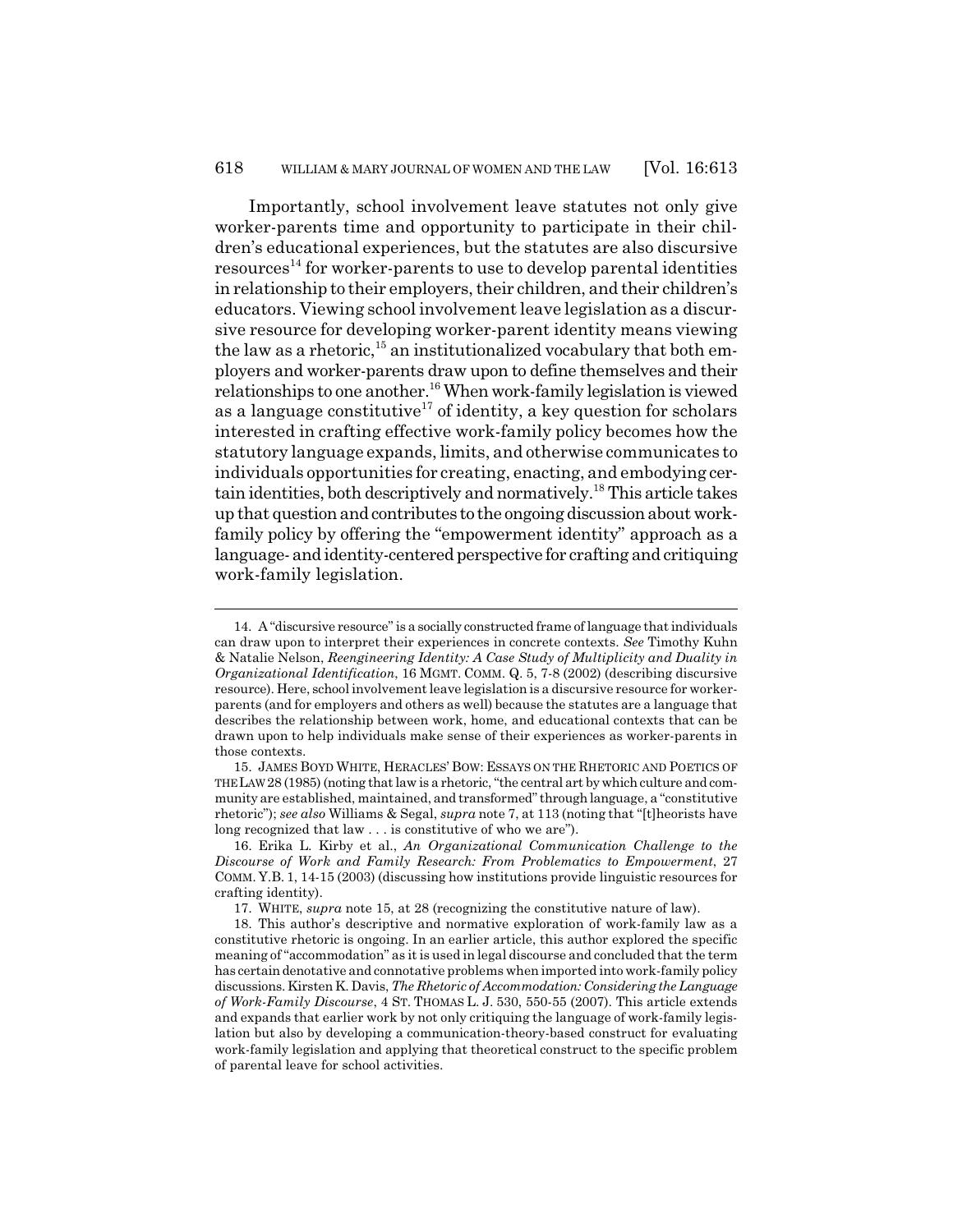Importantly, school involvement leave statutes not only give worker-parents time and opportunity to participate in their children's educational experiences, but the statutes are also discursive  $resources<sup>14</sup>$  for worker-parents to use to develop parental identities in relationship to their employers, their children, and their children's educators. Viewing school involvement leave legislation as a discursive resource for developing worker-parent identity means viewing the law as a rhetoric,<sup>15</sup> an institutionalized vocabulary that both employers and worker-parents draw upon to define themselves and their relationships to one another.<sup>16</sup> When work-family legislation is viewed as a language constitutive<sup>17</sup> of identity, a key question for scholars interested in crafting effective work-family policy becomes how the statutory language expands, limits, and otherwise communicates to individuals opportunities for creating, enacting, and embodying certain identities, both descriptively and normatively.18 This article takes up that question and contributes to the ongoing discussion about workfamily policy by offering the "empowerment identity" approach as a language- and identity-centered perspective for crafting and critiquing work-family legislation.

<sup>14.</sup> A "discursive resource" is a socially constructed frame of language that individuals can draw upon to interpret their experiences in concrete contexts. *See* Timothy Kuhn & Natalie Nelson, *Reengineering Identity: A Case Study of Multiplicity and Duality in Organizational Identification*, 16 MGMT. COMM. Q. 5, 7-8 (2002) (describing discursive resource). Here, school involvement leave legislation is a discursive resource for workerparents (and for employers and others as well) because the statutes are a language that describes the relationship between work, home, and educational contexts that can be drawn upon to help individuals make sense of their experiences as worker-parents in those contexts.

<sup>15.</sup> JAMES BOYD WHITE, HERACLES' BOW: ESSAYS ON THE RHETORIC AND POETICS OF THE LAW 28 (1985) (noting that law is a rhetoric, "the central art by which culture and community are established, maintained, and transformed" through language, a "constitutive rhetoric"); *see also* Williams & Segal, *supra* note 7, at 113 (noting that "[t]heorists have long recognized that law . . . is constitutive of who we are").

<sup>16.</sup> Erika L. Kirby et al., *An Organizational Communication Challenge to the Discourse of Work and Family Research: From Problematics to Empowerment*, 27 COMM. Y.B. 1, 14-15 (2003) (discussing how institutions provide linguistic resources for crafting identity).

<sup>17.</sup> WHITE, *supra* note 15, at 28 (recognizing the constitutive nature of law).

<sup>18.</sup> This author's descriptive and normative exploration of work-family law as a constitutive rhetoric is ongoing. In an earlier article, this author explored the specific meaning of "accommodation" as it is used in legal discourse and concluded that the term has certain denotative and connotative problems when imported into work-family policy discussions. Kirsten K. Davis, *The Rhetoric of Accommodation: Considering the Language of Work-Family Discourse*, 4 ST. THOMAS L. J. 530, 550-55 (2007). This article extends and expands that earlier work by not only critiquing the language of work-family legislation but also by developing a communication-theory-based construct for evaluating work-family legislation and applying that theoretical construct to the specific problem of parental leave for school activities.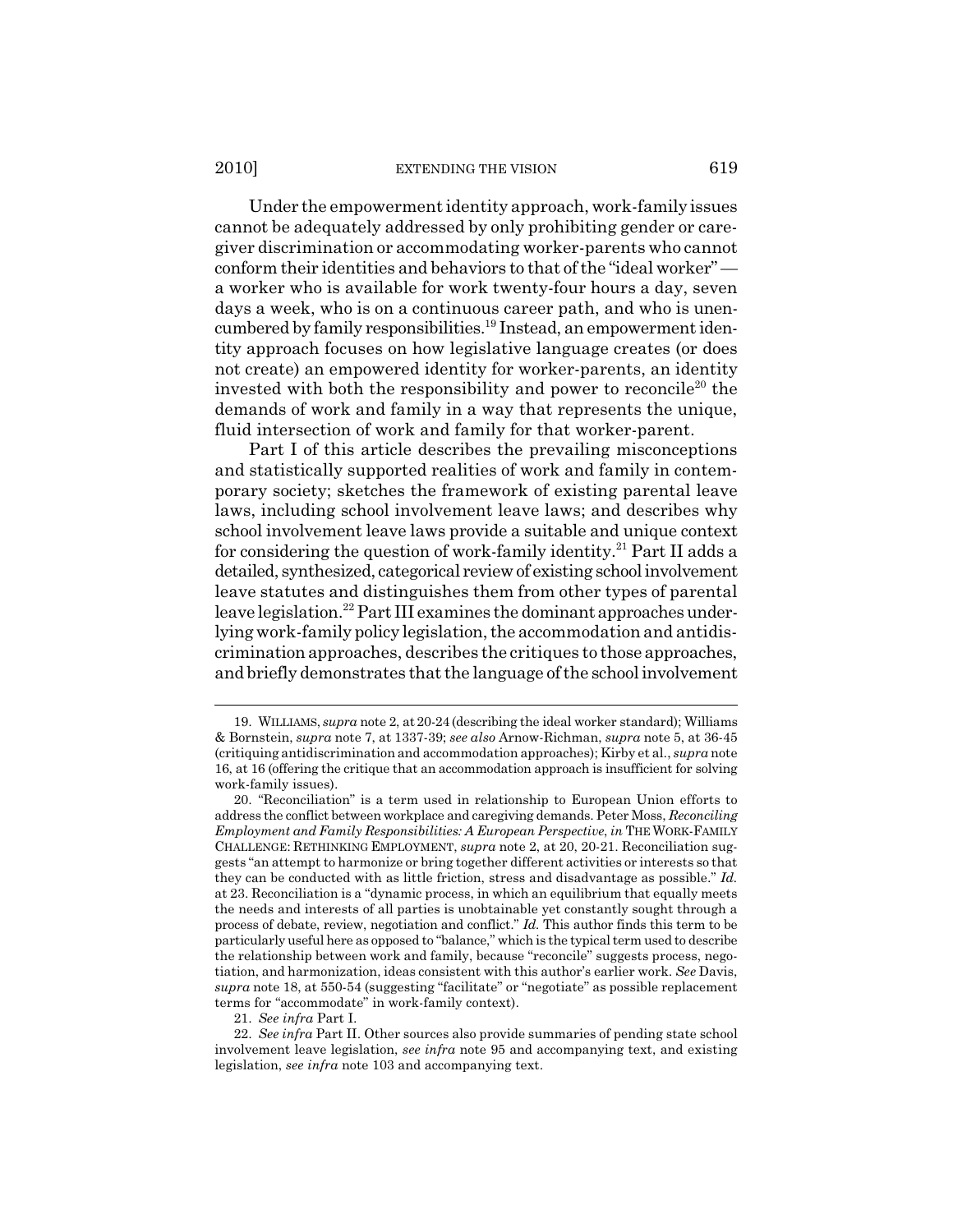#### 2010] EXTENDING THE VISION 619

Under the empowerment identity approach, work-family issues cannot be adequately addressed by only prohibiting gender or caregiver discrimination or accommodating worker-parents who cannot conform their identities and behaviors to that of the "ideal worker" a worker who is available for work twenty-four hours a day, seven days a week, who is on a continuous career path, and who is unencumbered by family responsibilities.<sup>19</sup> Instead, an empowerment identity approach focuses on how legislative language creates (or does not create) an empowered identity for worker-parents, an identity invested with both the responsibility and power to reconcile<sup>20</sup> the demands of work and family in a way that represents the unique, fluid intersection of work and family for that worker-parent.

Part I of this article describes the prevailing misconceptions and statistically supported realities of work and family in contemporary society; sketches the framework of existing parental leave laws, including school involvement leave laws; and describes why school involvement leave laws provide a suitable and unique context for considering the question of work-family identity.<sup>21</sup> Part II adds a detailed, synthesized, categorical review of existing school involvement leave statutes and distinguishes them from other types of parental leave legislation.<sup>22</sup> Part III examines the dominant approaches underlying work-family policy legislation, the accommodation and antidiscrimination approaches, describes the critiques to those approaches, and briefly demonstrates that the language of the school involvement

21. *See infra* Part I.

22. *See infra* Part II. Other sources also provide summaries of pending state school involvement leave legislation, *see infra* note 95 and accompanying text, and existing legislation, *see infra* note 103 and accompanying text.

<sup>19.</sup> WILLIAMS, *supra* note 2, at 20-24(describing the ideal worker standard); Williams & Bornstein, *supra* note 7, at 1337-39; *see also* Arnow-Richman, *supra* note 5, at 36-45 (critiquing antidiscrimination and accommodation approaches); Kirby et al., *supra* note 16, at 16 (offering the critique that an accommodation approach is insufficient for solving work-family issues).

<sup>20. &</sup>quot;Reconciliation" is a term used in relationship to European Union efforts to address the conflict between workplace and caregiving demands. Peter Moss, *Reconciling Employment and Family Responsibilities: A European Perspective*, *in* THE WORK-FAMILY CHALLENGE: RETHINKING EMPLOYMENT, *supra* note 2, at 20, 20-21. Reconciliation suggests "an attempt to harmonize or bring together different activities or interests so that they can be conducted with as little friction, stress and disadvantage as possible." *Id.* at 23. Reconciliation is a "dynamic process, in which an equilibrium that equally meets the needs and interests of all parties is unobtainable yet constantly sought through a process of debate, review, negotiation and conflict." *Id.* This author finds this term to be particularly useful here as opposed to "balance," which is the typical term used to describe the relationship between work and family, because "reconcile" suggests process, negotiation, and harmonization, ideas consistent with this author's earlier work. *See* Davis, *supra* note 18, at 550-54 (suggesting "facilitate" or "negotiate" as possible replacement terms for "accommodate" in work-family context).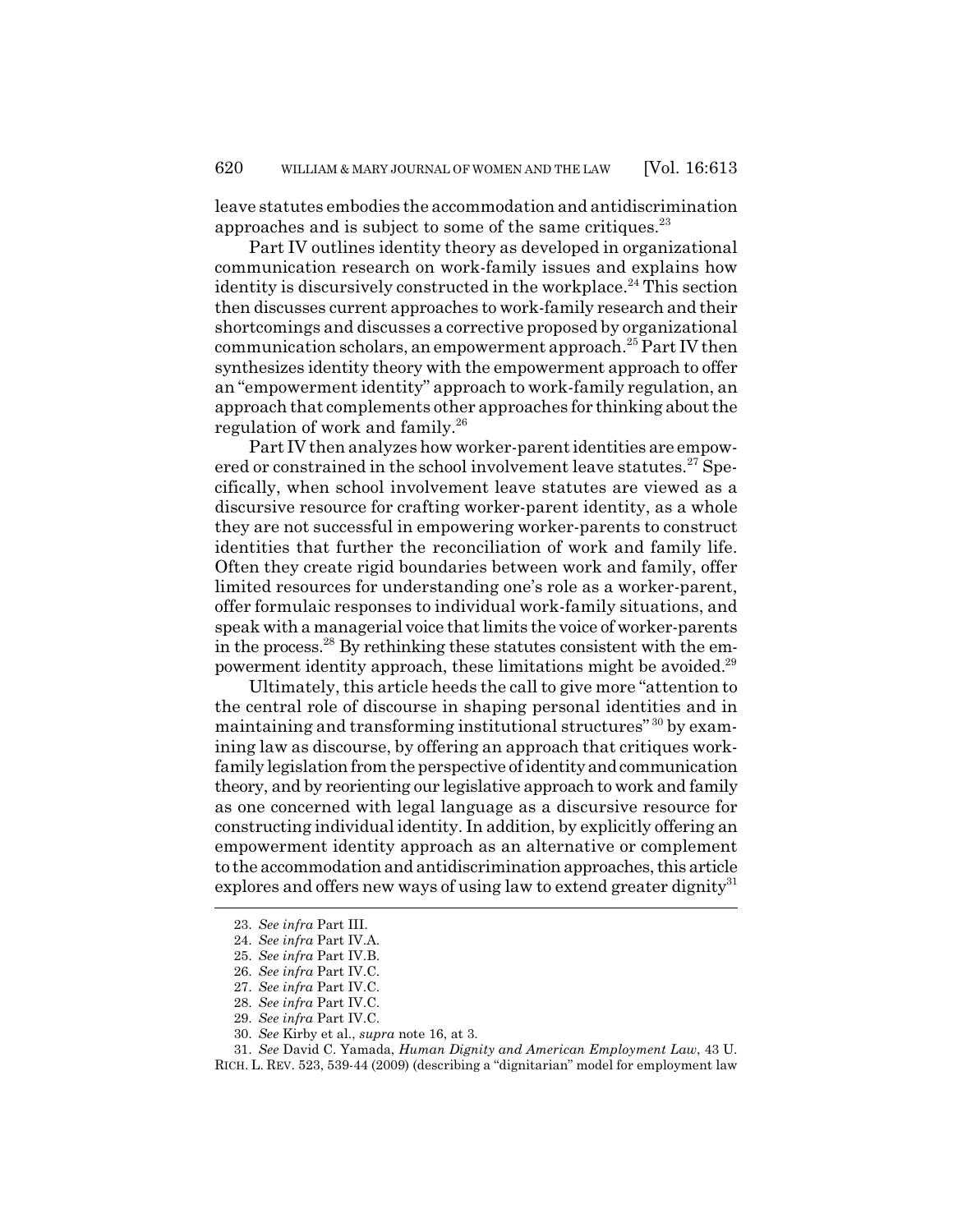leave statutes embodies the accommodation and antidiscrimination approaches and is subject to some of the same critiques.23

Part IV outlines identity theory as developed in organizational communication research on work-family issues and explains how identity is discursively constructed in the workplace.<sup>24</sup> This section then discusses current approaches to work-family research and their shortcomings and discusses a corrective proposed by organizational communication scholars, an empowerment approach.<sup>25</sup> Part IV then synthesizes identity theory with the empowerment approach to offer an "empowerment identity" approach to work-family regulation, an approach that complements other approaches for thinking about the regulation of work and family.26

Part IV then analyzes how worker-parent identities are empowered or constrained in the school involvement leave statutes. $27$  Specifically, when school involvement leave statutes are viewed as a discursive resource for crafting worker-parent identity, as a whole they are not successful in empowering worker-parents to construct identities that further the reconciliation of work and family life. Often they create rigid boundaries between work and family, offer limited resources for understanding one's role as a worker-parent, offer formulaic responses to individual work-family situations, and speak with a managerial voice that limits the voice of worker-parents in the process. $^{28}$  By rethinking these statutes consistent with the empowerment identity approach, these limitations might be avoided.<sup>29</sup>

Ultimately, this article heeds the call to give more "attention to the central role of discourse in shaping personal identities and in maintaining and transforming institutional structures" 30 by examining law as discourse, by offering an approach that critiques workfamily legislation from the perspective of identity and communication theory, and by reorienting our legislative approach to work and family as one concerned with legal language as a discursive resource for constructing individual identity. In addition, by explicitly offering an empowerment identity approach as an alternative or complement to the accommodation and antidiscrimination approaches, this article explores and offers new ways of using law to extend greater dignity<sup>31</sup>

<sup>23.</sup> *See infra* Part III.

<sup>24.</sup> *See infra* Part IV.A.

<sup>25.</sup> *See infra* Part IV.B.

<sup>26.</sup> *See infra* Part IV.C.

<sup>27.</sup> *See infra* Part IV.C.

<sup>28.</sup> *See infra* Part IV.C.

<sup>29.</sup> *See infra* Part IV.C.

<sup>30.</sup> *See* Kirby et al., *supra* note 16, at 3.

<sup>31.</sup> *See* David C. Yamada, *Human Dignity and American Employment Law*, 43 U. RICH. L. REV. 523, 539-44 (2009) (describing a "dignitarian" model for employment law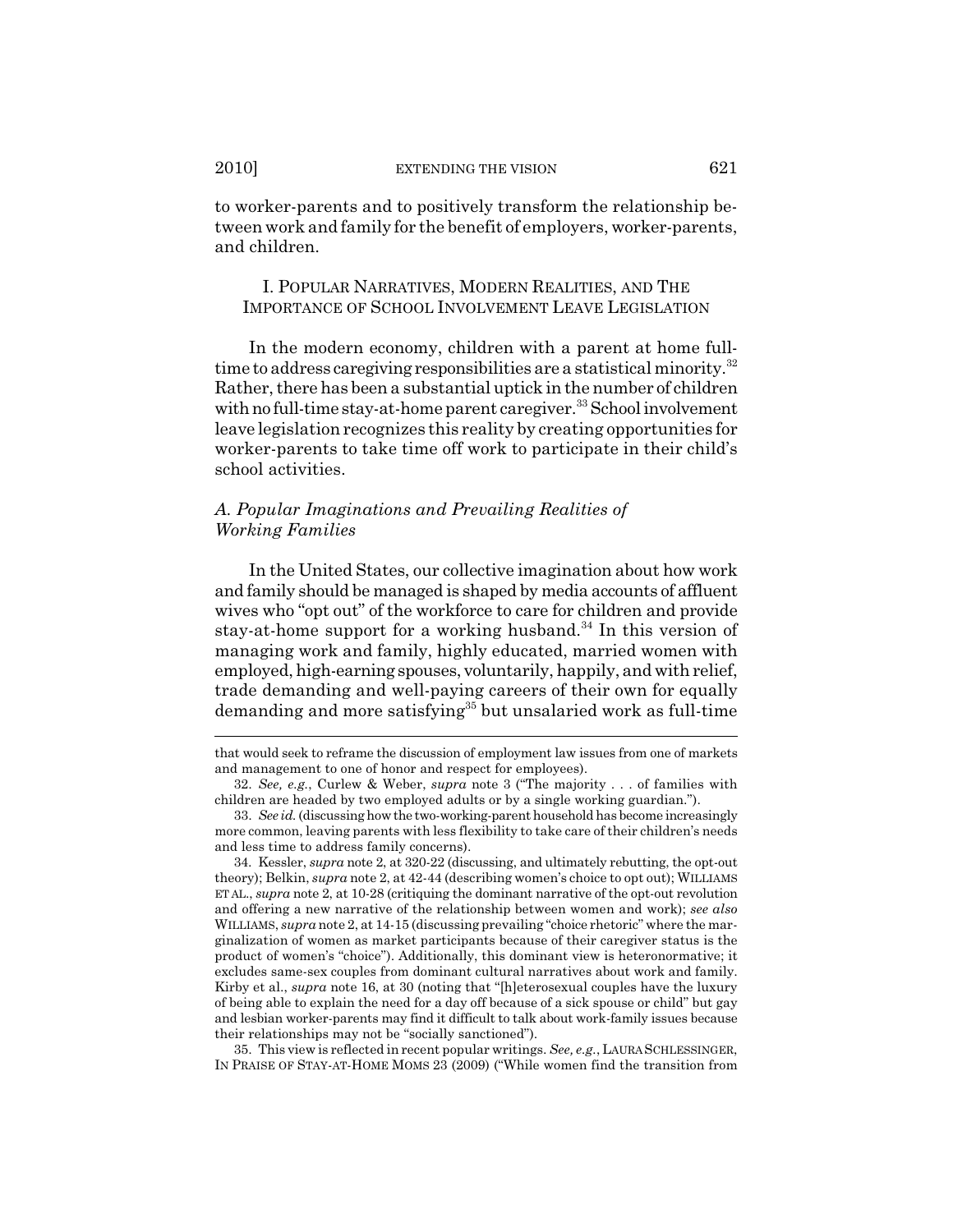to worker-parents and to positively transform the relationship between work and family for the benefit of employers, worker-parents, and children.

### I. POPULAR NARRATIVES, MODERN REALITIES, AND THE IMPORTANCE OF SCHOOL INVOLVEMENT LEAVE LEGISLATION

In the modern economy, children with a parent at home fulltime to address caregiving responsibilities are a statistical minority.<sup>32</sup> Rather, there has been a substantial uptick in the number of children with no full-time stay-at-home parent caregiver.<sup>33</sup> School involvement leave legislation recognizes this reality by creating opportunities for worker-parents to take time off work to participate in their child's school activities.

## *A. Popular Imaginations and Prevailing Realities of Working Families*

In the United States, our collective imagination about how work and family should be managed is shaped by media accounts of affluent wives who "opt out" of the workforce to care for children and provide stay-at-home support for a working husband.<sup>34</sup> In this version of managing work and family, highly educated, married women with employed, high-earning spouses, voluntarily, happily, and with relief, trade demanding and well-paying careers of their own for equally demanding and more satisfying<sup>35</sup> but unsalaried work as full-time

35. This view is reflected in recent popular writings. *See, e.g.*, LAURA SCHLESSINGER, IN PRAISE OF STAY-AT-HOME MOMS 23 (2009) ("While women find the transition from

that would seek to reframe the discussion of employment law issues from one of markets and management to one of honor and respect for employees).

<sup>32.</sup> *See, e.g.*, Curlew & Weber, *supra* note 3 ("The majority . . . of families with children are headed by two employed adults or by a single working guardian.").

<sup>33.</sup> *See id.* (discussing how the two-working-parent household has become increasingly more common, leaving parents with less flexibility to take care of their children's needs and less time to address family concerns).

<sup>34.</sup> Kessler, *supra* note 2, at 320-22 (discussing, and ultimately rebutting, the opt-out theory); Belkin, *supra* note 2, at 42-44 (describing women's choice to opt out); WILLIAMS ET AL., *supra* note 2, at 10-28 (critiquing the dominant narrative of the opt-out revolution and offering a new narrative of the relationship between women and work); *see also* WILLIAMS, *supra* note 2, at 14-15 (discussing prevailing "choice rhetoric" where the marginalization of women as market participants because of their caregiver status is the product of women's "choice"). Additionally, this dominant view is heteronormative; it excludes same-sex couples from dominant cultural narratives about work and family. Kirby et al., *supra* note 16, at 30 (noting that "[h]eterosexual couples have the luxury of being able to explain the need for a day off because of a sick spouse or child" but gay and lesbian worker-parents may find it difficult to talk about work-family issues because their relationships may not be "socially sanctioned").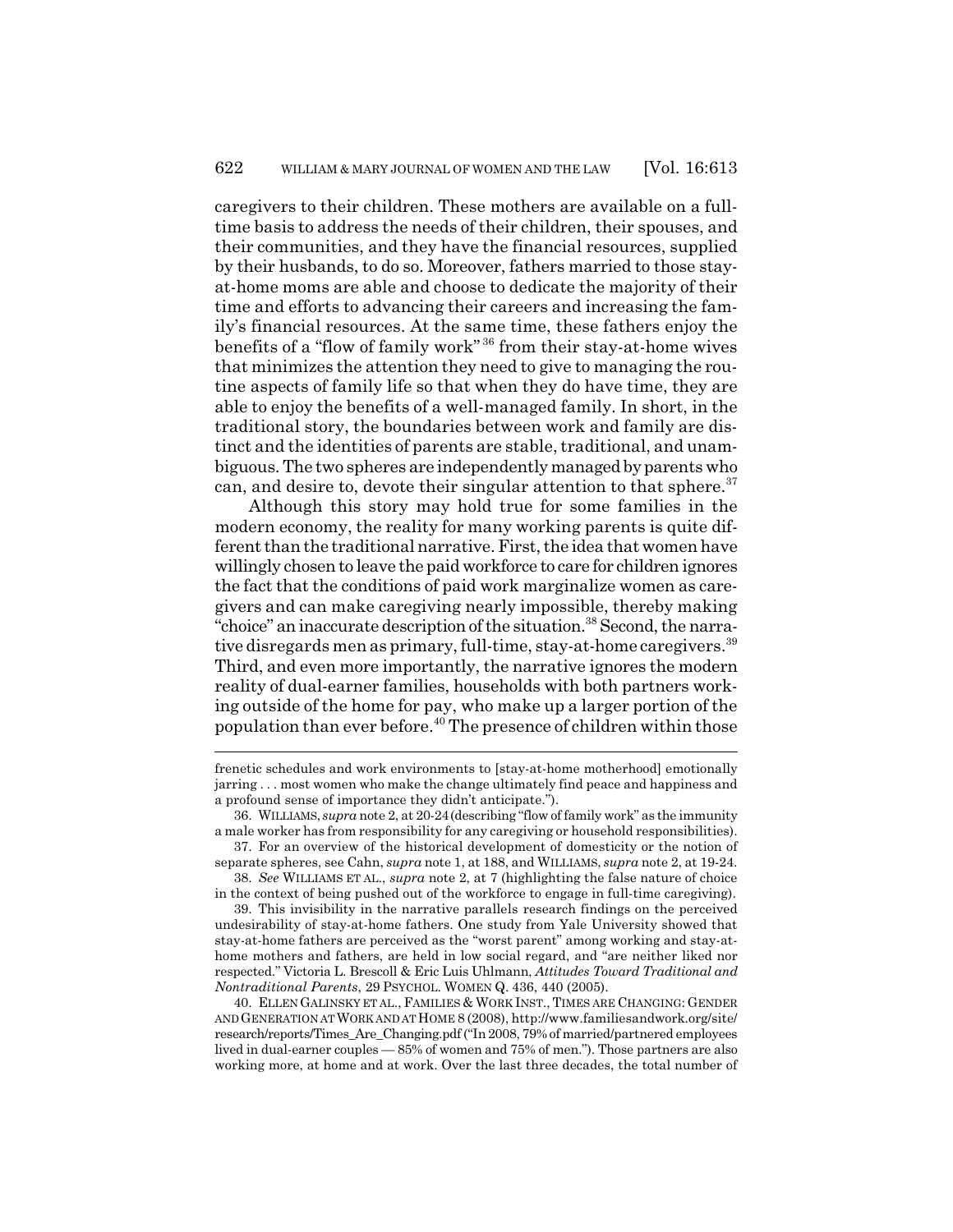caregivers to their children. These mothers are available on a fulltime basis to address the needs of their children, their spouses, and their communities, and they have the financial resources, supplied by their husbands, to do so. Moreover, fathers married to those stayat-home moms are able and choose to dedicate the majority of their time and efforts to advancing their careers and increasing the family's financial resources. At the same time, these fathers enjoy the benefits of a "flow of family work" 36 from their stay-at-home wives that minimizes the attention they need to give to managing the routine aspects of family life so that when they do have time, they are able to enjoy the benefits of a well-managed family. In short, in the traditional story, the boundaries between work and family are distinct and the identities of parents are stable, traditional, and unambiguous. The two spheres are independently managed by parents who can, and desire to, devote their singular attention to that sphere. $37$ 

Although this story may hold true for some families in the modern economy, the reality for many working parents is quite different than the traditional narrative. First, the idea that women have willingly chosen to leave the paid workforce to care for children ignores the fact that the conditions of paid work marginalize women as caregivers and can make caregiving nearly impossible, thereby making "choice" an inaccurate description of the situation.<sup>38</sup> Second, the narrative disregards men as primary, full-time, stay-at-home caregivers.<sup>39</sup> Third, and even more importantly, the narrative ignores the modern reality of dual-earner families, households with both partners working outside of the home for pay, who make up a larger portion of the population than ever before.<sup> $40$ </sup> The presence of children within those

in the context of being pushed out of the workforce to engage in full-time caregiving). 39. This invisibility in the narrative parallels research findings on the perceived

undesirability of stay-at-home fathers. One study from Yale University showed that stay-at-home fathers are perceived as the "worst parent" among working and stay-athome mothers and fathers, are held in low social regard, and "are neither liked nor respected." Victoria L. Brescoll & Eric Luis Uhlmann, *Attitudes Toward Traditional and Nontraditional Parents*, 29 PSYCHOL. WOMEN Q. 436, 440 (2005).

40. ELLEN GALINSKY ET AL., FAMILIES & WORK INST., TIMES ARE CHANGING: GENDER AND GENERATION AT WORK AND AT HOME 8 (2008), http://www.familiesandwork.org/site/ research/reports/Times\_Are\_Changing.pdf ("In 2008, 79% of married/partnered employees lived in dual-earner couples — 85% of women and 75% of men."). Those partners are also working more, at home and at work. Over the last three decades, the total number of

frenetic schedules and work environments to [stay-at-home motherhood] emotionally jarring . . . most women who make the change ultimately find peace and happiness and a profound sense of importance they didn't anticipate.").

<sup>36.</sup> WILLIAMS, *supra* note 2, at 20-24(describing "flow of family work" as the immunity a male worker has from responsibility for any caregiving or household responsibilities).

<sup>37.</sup> For an overview of the historical development of domesticity or the notion of separate spheres, see Cahn, *supra* note 1, at 188, and WILLIAMS, *supra* note 2, at 19-24. 38. *See* WILLIAMS ET AL., *supra* note 2, at 7 (highlighting the false nature of choice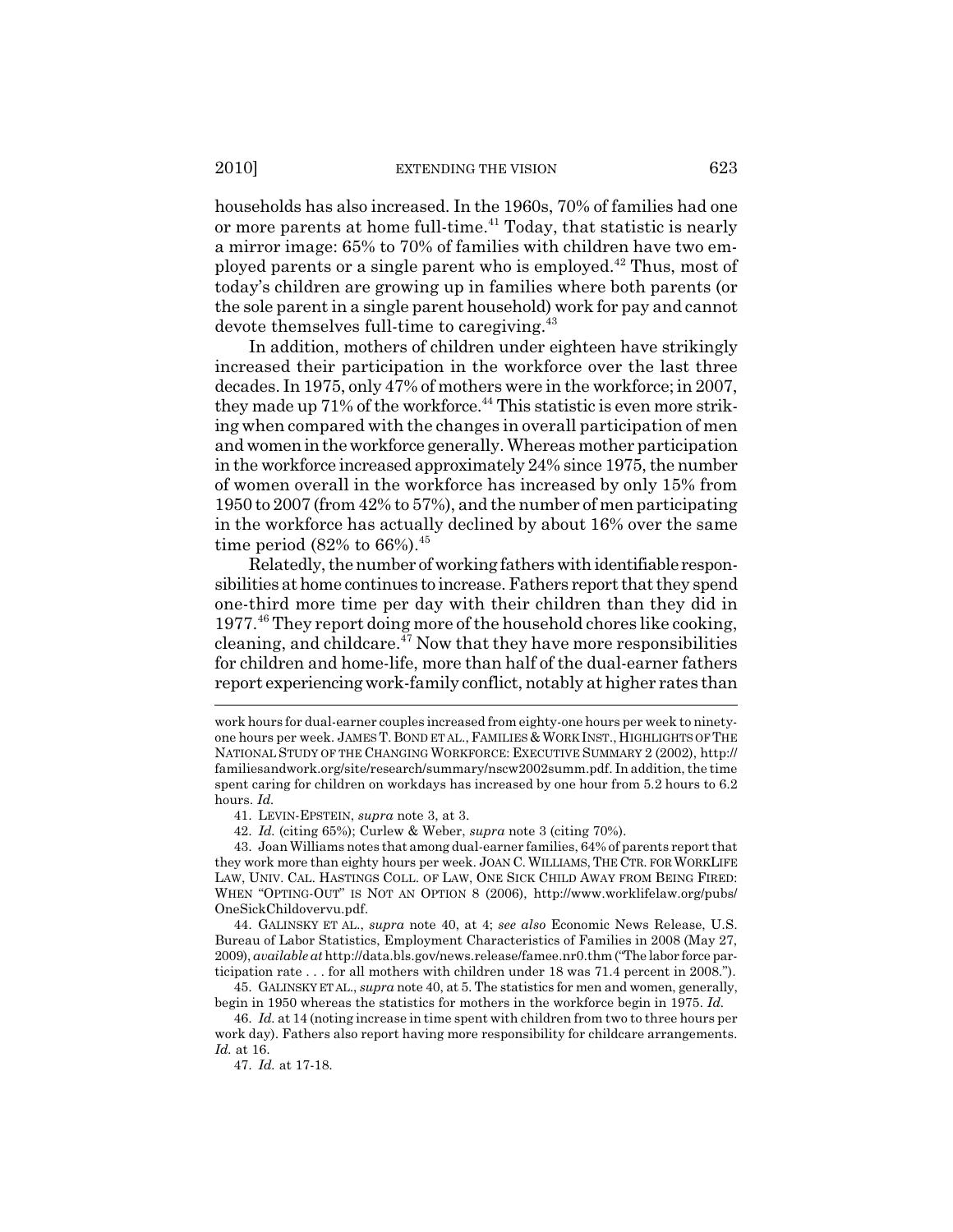households has also increased. In the 1960s, 70% of families had one or more parents at home full-time.<sup>41</sup> Today, that statistic is nearly a mirror image: 65% to 70% of families with children have two employed parents or a single parent who is employed.42 Thus, most of today's children are growing up in families where both parents (or the sole parent in a single parent household) work for pay and cannot devote themselves full-time to caregiving.43

In addition, mothers of children under eighteen have strikingly increased their participation in the workforce over the last three decades. In 1975, only 47% of mothers were in the workforce; in 2007, they made up 71% of the workforce.<sup>44</sup> This statistic is even more striking when compared with the changes in overall participation of men and women in the workforce generally. Whereas mother participation in the workforce increased approximately 24% since 1975, the number of women overall in the workforce has increased by only 15% from 1950 to 2007 (from 42% to 57%), and the number of men participating in the workforce has actually declined by about 16% over the same time period  $(82%$  to 66%).<sup>45</sup>

Relatedly, the number of working fathers with identifiable responsibilities at home continues to increase. Fathers report that they spend one-third more time per day with their children than they did in 1977.46 They report doing more of the household chores like cooking, cleaning, and childcare.<sup> $47$ </sup> Now that they have more responsibilities for children and home-life, more than half of the dual-earner fathers report experiencing work-family conflict, notably at higher rates than

43. Joan Williams notes that among dual-earner families, 64% of parents report that they work more than eighty hours per week. JOAN C. WILLIAMS, THE CTR. FOR WORKLIFE LAW, UNIV. CAL. HASTINGS COLL. OF LAW, ONE SICK CHILD AWAY FROM BEING FIRED: WHEN "OPTING-OUT" IS NOT AN OPTION 8 (2006), http://www.worklifelaw.org/pubs/ OneSickChildovervu.pdf.

44. GALINSKY ET AL., *supra* note 40, at 4; *see also* Economic News Release, U.S. Bureau of Labor Statistics, Employment Characteristics of Families in 2008 (May 27, 2009), *available at* http://data.bls.gov/news.release/famee.nr0.thm ("The labor force participation rate . . . for all mothers with children under 18 was 71.4 percent in 2008.").

45. GALINSKY ET AL., *supra* note 40, at 5. The statistics for men and women, generally, begin in 1950 whereas the statistics for mothers in the workforce begin in 1975. *Id.*

work hours for dual-earner couples increased from eighty-one hours per week to ninetyone hours per week. JAMES T. BOND ET AL., FAMILIES & WORK INST., HIGHLIGHTS OF THE NATIONAL STUDY OF THE CHANGING WORKFORCE: EXECUTIVE SUMMARY 2 (2002), http:// familiesandwork.org/site/research/summary/nscw2002summ.pdf. In addition, the time spent caring for children on workdays has increased by one hour from 5.2 hours to 6.2 hours. *Id.*

<sup>41.</sup> LEVIN-EPSTEIN, *supra* note 3, at 3.

<sup>42.</sup> *Id.* (citing 65%); Curlew & Weber, *supra* note 3 (citing 70%).

<sup>46.</sup> *Id.* at 14 (noting increase in time spent with children from two to three hours per work day). Fathers also report having more responsibility for childcare arrangements. *Id.* at 16.

<sup>47.</sup> *Id.* at 17-18.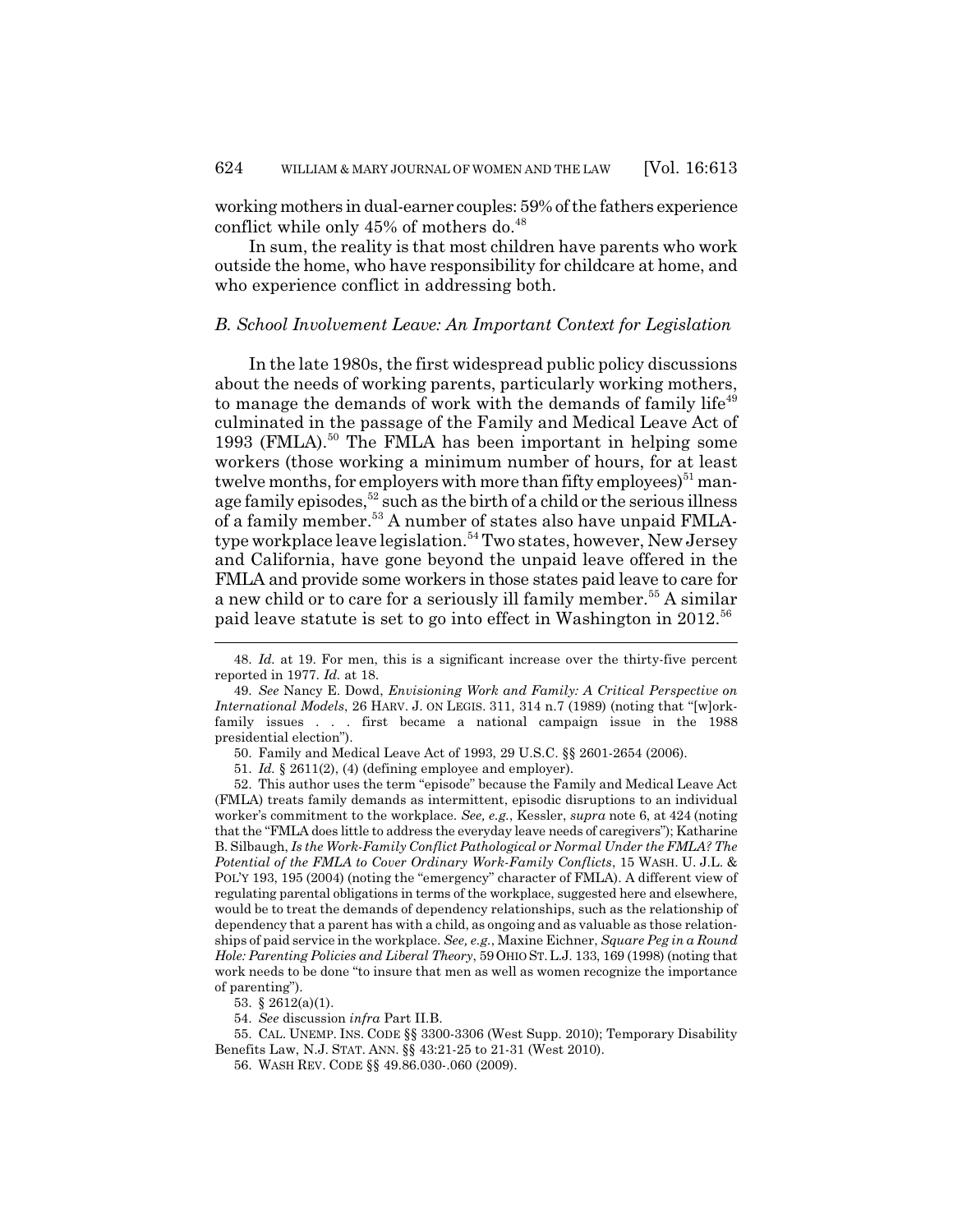working mothers in dual-earner couples: 59% of the fathers experience conflict while only  $45\%$  of mothers do.<sup>48</sup>

In sum, the reality is that most children have parents who work outside the home, who have responsibility for childcare at home, and who experience conflict in addressing both.

#### *B. School Involvement Leave: An Important Context for Legislation*

In the late 1980s, the first widespread public policy discussions about the needs of working parents, particularly working mothers, to manage the demands of work with the demands of family life<sup>49</sup> culminated in the passage of the Family and Medical Leave Act of 1993 (FMLA).<sup>50</sup> The FMLA has been important in helping some workers (those working a minimum number of hours, for at least twelve months, for employers with more than fifty employees)<sup>51</sup> manage family episodes,<sup>52</sup> such as the birth of a child or the serious illness of a family member.<sup>53</sup> A number of states also have unpaid FMLAtype workplace leave legislation.<sup>54</sup> Two states, however, New Jersey and California, have gone beyond the unpaid leave offered in the FMLA and provide some workers in those states paid leave to care for a new child or to care for a seriously ill family member.<sup>55</sup> A similar paid leave statute is set to go into effect in Washington in 2012.<sup>56</sup>

51. *Id.* § 2611(2), (4) (defining employee and employer).

52. This author uses the term "episode" because the Family and Medical Leave Act (FMLA) treats family demands as intermittent, episodic disruptions to an individual worker's commitment to the workplace. *See, e.g.*, Kessler, *supra* note 6, at 424 (noting that the "FMLA does little to address the everyday leave needs of caregivers"); Katharine B. Silbaugh, *Is the Work-Family Conflict Pathological or Normal Under the FMLA? The Potential of the FMLA to Cover Ordinary Work-Family Conflicts*, 15 WASH. U. J.L. & POL'Y 193, 195 (2004) (noting the "emergency" character of FMLA). A different view of regulating parental obligations in terms of the workplace, suggested here and elsewhere, would be to treat the demands of dependency relationships, such as the relationship of dependency that a parent has with a child, as ongoing and as valuable as those relationships of paid service in the workplace. *See, e.g.*, Maxine Eichner, *Square Peg in a Round Hole: Parenting Policies and Liberal Theory*, 59OHIO ST.L.J. 133, 169 (1998) (noting that work needs to be done "to insure that men as well as women recognize the importance of parenting").

53. § 2612(a)(1).

54. *See* discussion *infra* Part II.B.

55. CAL. UNEMP. INS. CODE §§ 3300-3306 (West Supp. 2010); Temporary Disability Benefits Law, N.J. STAT. ANN. §§ 43:21-25 to 21-31 (West 2010).

56. WASH REV. CODE §§ 49.86.030-.060 (2009).

<sup>48.</sup> *Id.* at 19. For men, this is a significant increase over the thirty-five percent reported in 1977. *Id.* at 18.

<sup>49.</sup> *See* Nancy E. Dowd, *Envisioning Work and Family: A Critical Perspective on International Models*, 26 HARV. J. ON LEGIS. 311, 314 n.7 (1989) (noting that "[w]orkfamily issues . . . first became a national campaign issue in the 1988 presidential election").

<sup>50.</sup> Family and Medical Leave Act of 1993, 29 U.S.C. §§ 2601-2654 (2006).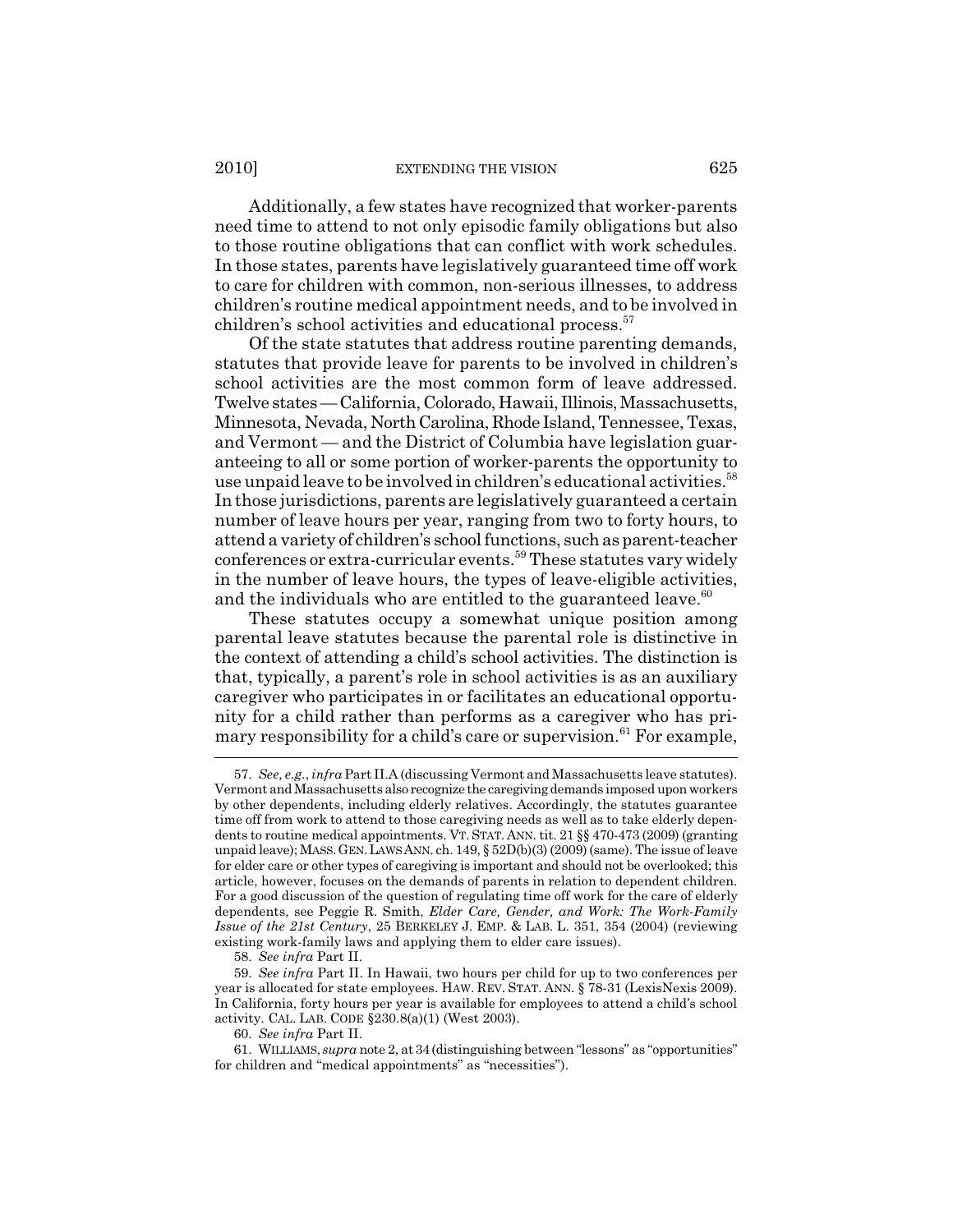Additionally, a few states have recognized that worker-parents need time to attend to not only episodic family obligations but also to those routine obligations that can conflict with work schedules. In those states, parents have legislatively guaranteed time off work to care for children with common, non-serious illnesses, to address children's routine medical appointment needs, and to be involved in children's school activities and educational process.<sup>57</sup>

Of the state statutes that address routine parenting demands, statutes that provide leave for parents to be involved in children's school activities are the most common form of leave addressed. Twelve states — California, Colorado, Hawaii, Illinois, Massachusetts, Minnesota, Nevada, North Carolina, Rhode Island, Tennessee, Texas, and Vermont — and the District of Columbia have legislation guaranteeing to all or some portion of worker-parents the opportunity to use unpaid leave to be involved in children's educational activities.<sup>58</sup> In those jurisdictions, parents are legislatively guaranteed a certain number of leave hours per year, ranging from two to forty hours, to attend a variety of children's school functions, such as parent-teacher conferences or extra-curricular events.59 These statutes vary widely in the number of leave hours, the types of leave-eligible activities, and the individuals who are entitled to the guaranteed leave.<sup>60</sup>

These statutes occupy a somewhat unique position among parental leave statutes because the parental role is distinctive in the context of attending a child's school activities. The distinction is that, typically, a parent's role in school activities is as an auxiliary caregiver who participates in or facilitates an educational opportunity for a child rather than performs as a caregiver who has primary responsibility for a child's care or supervision. $61$  For example,

58. *See infra* Part II.

<sup>57.</sup> *See, e.g.*, *infra* Part II.A (discussing Vermont and Massachusetts leave statutes). Vermont and Massachusetts also recognize the caregiving demands imposed upon workers by other dependents, including elderly relatives. Accordingly, the statutes guarantee time off from work to attend to those caregiving needs as well as to take elderly dependents to routine medical appointments. VT. STAT. ANN. tit. 21 §§ 470-473 (2009) (granting unpaid leave); MASS.GEN.LAWS ANN. ch. 149, § 52D(b)(3) (2009) (same). The issue of leave for elder care or other types of caregiving is important and should not be overlooked; this article, however, focuses on the demands of parents in relation to dependent children. For a good discussion of the question of regulating time off work for the care of elderly dependents, see Peggie R. Smith, *Elder Care, Gender, and Work: The Work-Family Issue of the 21st Century*, 25 BERKELEY J. EMP. & LAB. L. 351, 354 (2004) (reviewing existing work-family laws and applying them to elder care issues).

<sup>59.</sup> *See infra* Part II. In Hawaii, two hours per child for up to two conferences per year is allocated for state employees. HAW. REV. STAT. ANN. § 78-31 (LexisNexis 2009). In California, forty hours per year is available for employees to attend a child's school activity. CAL. LAB. CODE §230.8(a)(1) (West 2003).

<sup>60.</sup> *See infra* Part II.

<sup>61.</sup> WILLIAMS, *supra* note 2, at 34(distinguishing between "lessons" as "opportunities" for children and "medical appointments" as "necessities").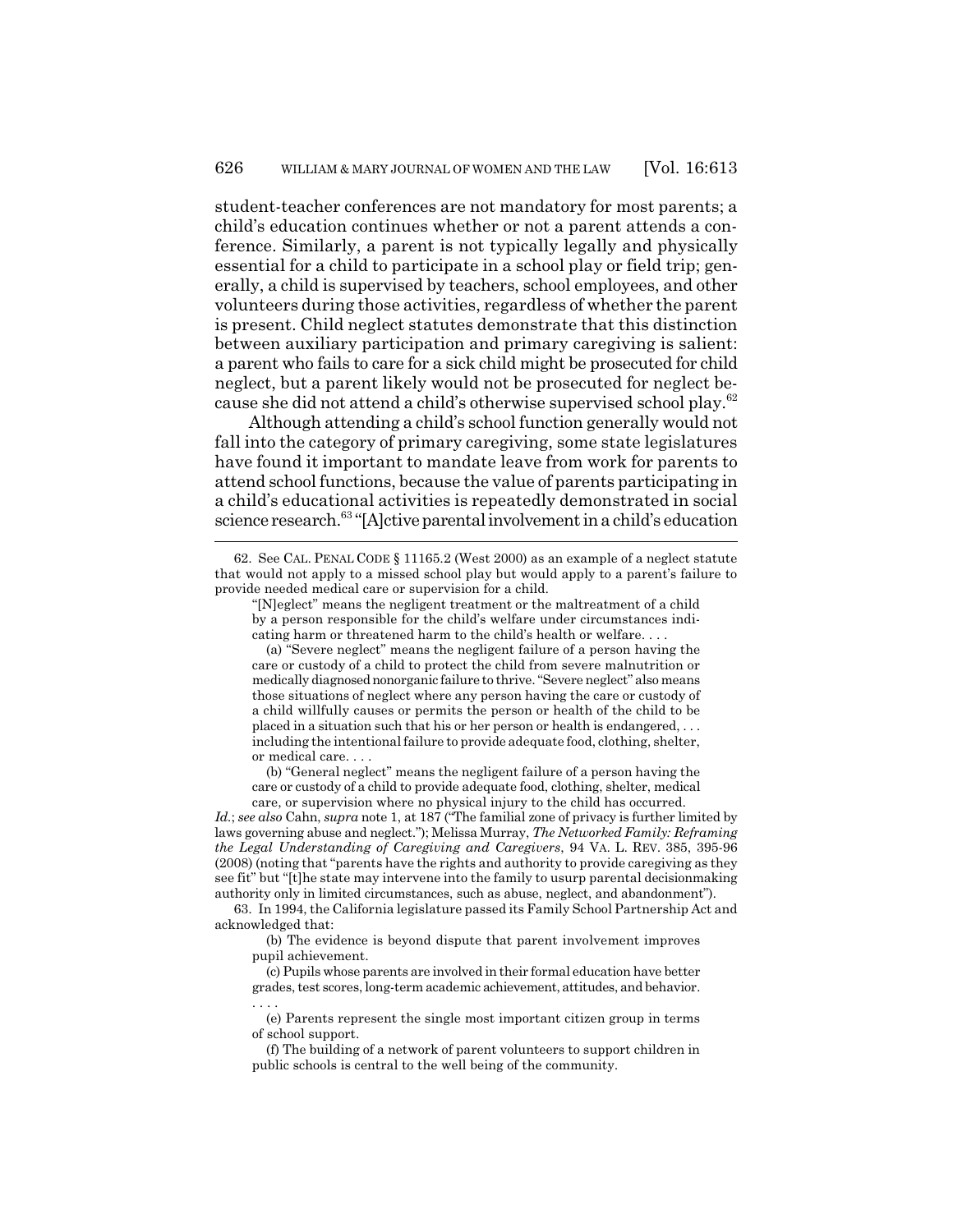student-teacher conferences are not mandatory for most parents; a child's education continues whether or not a parent attends a conference. Similarly, a parent is not typically legally and physically essential for a child to participate in a school play or field trip; generally, a child is supervised by teachers, school employees, and other volunteers during those activities, regardless of whether the parent is present. Child neglect statutes demonstrate that this distinction between auxiliary participation and primary caregiving is salient: a parent who fails to care for a sick child might be prosecuted for child neglect, but a parent likely would not be prosecuted for neglect because she did not attend a child's otherwise supervised school play.<sup>62</sup>

Although attending a child's school function generally would not fall into the category of primary caregiving, some state legislatures have found it important to mandate leave from work for parents to attend school functions, because the value of parents participating in a child's educational activities is repeatedly demonstrated in social science research.<sup>63</sup> "[A]ctive parental involvement in a child's education

(a) "Severe neglect" means the negligent failure of a person having the care or custody of a child to protect the child from severe malnutrition or medically diagnosed nonorganic failure to thrive. "Severe neglect" also means those situations of neglect where any person having the care or custody of a child willfully causes or permits the person or health of the child to be placed in a situation such that his or her person or health is endangered, . . . including the intentional failure to provide adequate food, clothing, shelter, or medical care. . . .

(b) "General neglect" means the negligent failure of a person having the care or custody of a child to provide adequate food, clothing, shelter, medical care, or supervision where no physical injury to the child has occurred.

*Id.*; *see also* Cahn, *supra* note 1, at 187 ("The familial zone of privacy is further limited by laws governing abuse and neglect."); Melissa Murray, *The Networked Family: Reframing the Legal Understanding of Caregiving and Caregivers*, 94 VA. L. REV. 385, 395-96 (2008) (noting that "parents have the rights and authority to provide caregiving as they see fit" but "[t]he state may intervene into the family to usurp parental decisionmaking authority only in limited circumstances, such as abuse, neglect, and abandonment").

63. In 1994, the California legislature passed its Family School Partnership Act and acknowledged that:

(b) The evidence is beyond dispute that parent involvement improves pupil achievement.

<sup>62.</sup> See CAL. PENAL CODE § 11165.2 (West 2000) as an example of a neglect statute that would not apply to a missed school play but would apply to a parent's failure to provide needed medical care or supervision for a child.

<sup>&</sup>quot;[N]eglect" means the negligent treatment or the maltreatment of a child by a person responsible for the child's welfare under circumstances indicating harm or threatened harm to the child's health or welfare. . . .

<sup>(</sup>c) Pupils whose parents are involved in their formal education have better grades, test scores, long-term academic achievement, attitudes, and behavior. . . . .

<sup>(</sup>e) Parents represent the single most important citizen group in terms of school support.

<sup>(</sup>f) The building of a network of parent volunteers to support children in public schools is central to the well being of the community.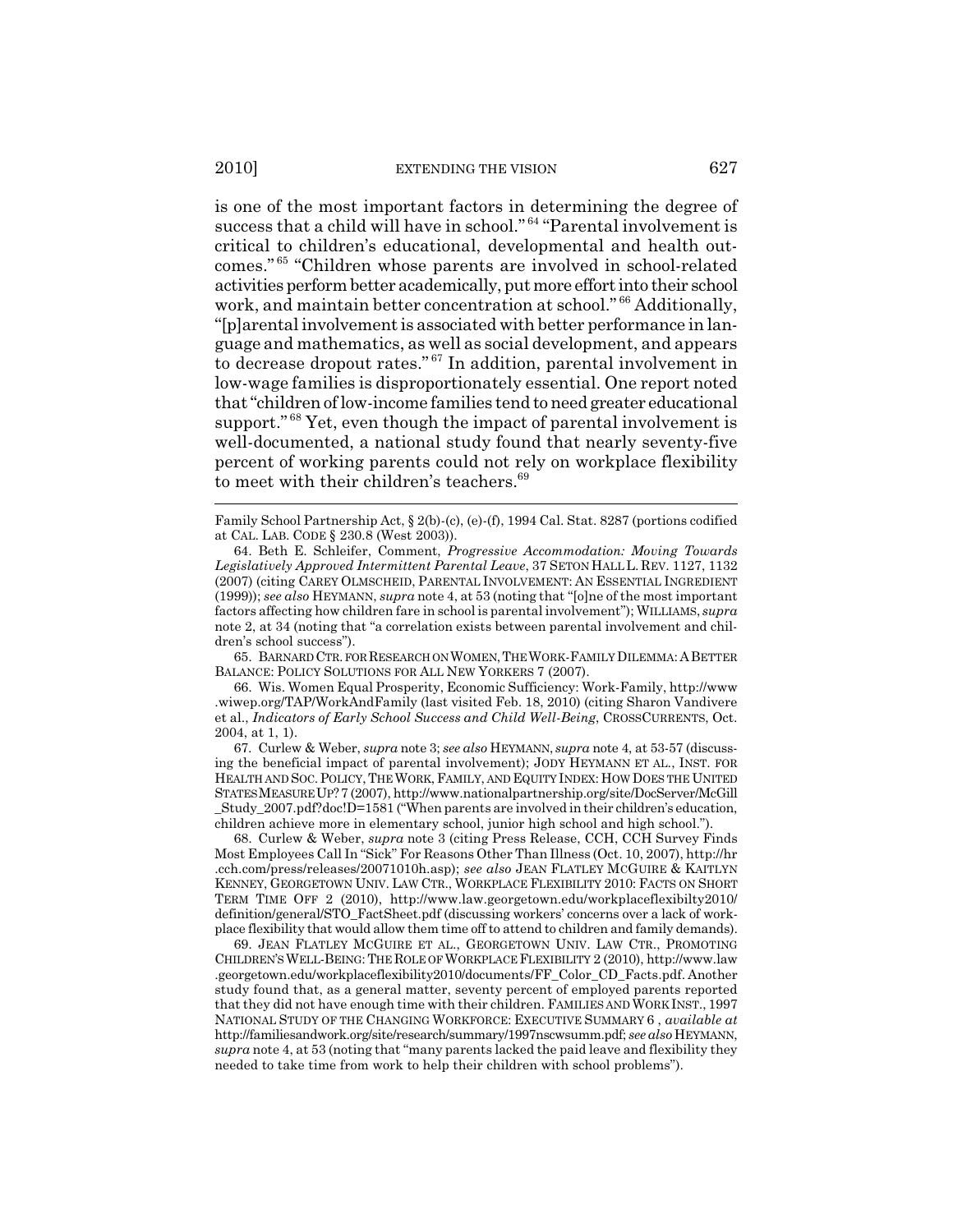is one of the most important factors in determining the degree of success that a child will have in school." 64 "Parental involvement is critical to children's educational, developmental and health outcomes." 65 "Children whose parents are involved in school-related activities perform better academically, put more effort into their school work, and maintain better concentration at school."<sup>66</sup> Additionally, "[p]arental involvement is associated with better performance in language and mathematics, as well as social development, and appears to decrease dropout rates." 67 In addition, parental involvement in low-wage families is disproportionately essential. One report noted that "children of low-income families tend to need greater educational support."<sup>68</sup> Yet, even though the impact of parental involvement is well-documented, a national study found that nearly seventy-five percent of working parents could not rely on workplace flexibility to meet with their children's teachers.<sup>69</sup>

Family School Partnership Act, § 2(b)-(c), (e)-(f), 1994 Cal. Stat. 8287 (portions codified at CAL. LAB. CODE § 230.8 (West 2003)).

64. Beth E. Schleifer, Comment, *Progressive Accommodation: Moving Towards Legislatively Approved Intermittent Parental Leave*, 37 SETON HALL L. REV. 1127, 1132 (2007) (citing CAREY OLMSCHEID, PARENTAL INVOLVEMENT: AN ESSENTIAL INGREDIENT (1999)); *see also* HEYMANN, *supra* note 4, at 53 (noting that "[o]ne of the most important factors affecting how children fare in school is parental involvement"); WILLIAMS, *supra* note 2, at 34 (noting that "a correlation exists between parental involvement and children's school success").

65. BARNARD CTR. FOR RESEARCH ON WOMEN,THE WORK-FAMILY DILEMMA:ABETTER BALANCE: POLICY SOLUTIONS FOR ALL NEW YORKERS 7 (2007).

66. Wis. Women Equal Prosperity, Economic Sufficiency: Work-Family, http://www .wiwep.org/TAP/WorkAndFamily (last visited Feb. 18, 2010) (citing Sharon Vandivere et al., *Indicators of Early School Success and Child Well-Being*, CROSSCURRENTS, Oct. 2004, at 1, 1).

67. Curlew & Weber, *supra* note 3; *see also* HEYMANN, *supra* note 4, at 53-57 (discussing the beneficial impact of parental involvement); JODY HEYMANN ET AL., INST. FOR HEALTH AND SOC.POLICY,THE WORK,FAMILY, AND EQUITY INDEX: HOW DOES THE UNITED STATES MEASURE UP?7 (2007), http://www.nationalpartnership.org/site/DocServer/McGill \_Study\_2007.pdf?doc!D=1581 ("When parents are involved in their children's education, children achieve more in elementary school, junior high school and high school.").

68. Curlew & Weber, *supra* note 3 (citing Press Release, CCH, CCH Survey Finds Most Employees Call In "Sick" For Reasons Other Than Illness (Oct. 10, 2007), http://hr .cch.com/press/releases/20071010h.asp); *see also* JEAN FLATLEY MCGUIRE & KAITLYN KENNEY, GEORGETOWN UNIV. LAW CTR., WORKPLACE FLEXIBILITY 2010: FACTS ON SHORT TERM TIME OFF 2 (2010), http://www.law.georgetown.edu/workplaceflexibilty2010/ definition/general/STO\_FactSheet.pdf (discussing workers' concerns over a lack of workplace flexibility that would allow them time off to attend to children and family demands).

69. JEAN FLATLEY MCGUIRE ET AL., GEORGETOWN UNIV. LAW CTR., PROMOTING CHILDREN'S WELL-BEING:THE ROLE OF WORKPLACE FLEXIBILITY 2 (2010), http://www.law .georgetown.edu/workplaceflexibility2010/documents/FF\_Color\_CD\_Facts.pdf. Another study found that, as a general matter, seventy percent of employed parents reported that they did not have enough time with their children. FAMILIES AND WORK INST., 1997 NATIONAL STUDY OF THE CHANGING WORKFORCE: EXECUTIVE SUMMARY 6 , *available at* http://familiesandwork.org/site/research/summary/1997nscwsumm.pdf; *see also* HEYMANN, *supra* note 4, at 53 (noting that "many parents lacked the paid leave and flexibility they needed to take time from work to help their children with school problems").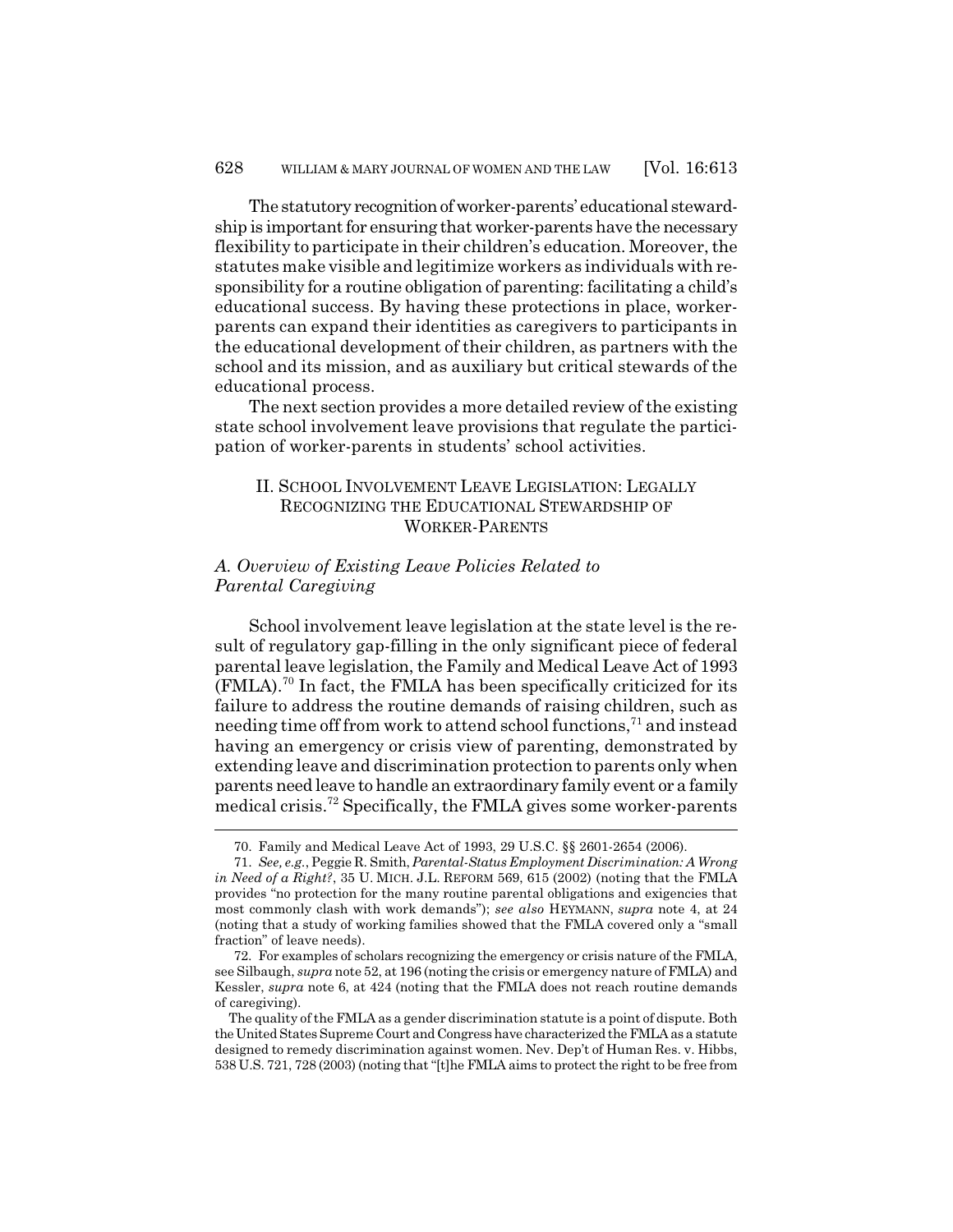The statutory recognition of worker-parents' educational stewardship is important for ensuring that worker-parents have the necessary flexibility to participate in their children's education. Moreover, the statutes make visible and legitimize workers as individuals with responsibility for a routine obligation of parenting: facilitating a child's educational success. By having these protections in place, workerparents can expand their identities as caregivers to participants in the educational development of their children, as partners with the school and its mission, and as auxiliary but critical stewards of the educational process.

The next section provides a more detailed review of the existing state school involvement leave provisions that regulate the participation of worker-parents in students' school activities.

## II. SCHOOL INVOLVEMENT LEAVE LEGISLATION: LEGALLY RECOGNIZING THE EDUCATIONAL STEWARDSHIP OF WORKER-PARENTS

## *A. Overview of Existing Leave Policies Related to Parental Caregiving*

School involvement leave legislation at the state level is the result of regulatory gap-filling in the only significant piece of federal parental leave legislation, the Family and Medical Leave Act of 1993  $(FMLA).<sup>70</sup>$  In fact, the FMLA has been specifically criticized for its failure to address the routine demands of raising children, such as needing time off from work to attend school functions,<sup>71</sup> and instead having an emergency or crisis view of parenting, demonstrated by extending leave and discrimination protection to parents only when parents need leave to handle an extraordinary family event or a family medical crisis.72 Specifically, the FMLA gives some worker-parents

<sup>70.</sup> Family and Medical Leave Act of 1993, 29 U.S.C. §§ 2601-2654 (2006).

<sup>71.</sup> *See, e.g.*, Peggie R. Smith, *Parental-Status Employment Discrimination: A Wrong in Need of a Right?*, 35 U. MICH. J.L. REFORM 569, 615 (2002) (noting that the FMLA provides "no protection for the many routine parental obligations and exigencies that most commonly clash with work demands"); *see also* HEYMANN, *supra* note 4, at 24 (noting that a study of working families showed that the FMLA covered only a "small fraction" of leave needs).

<sup>72.</sup> For examples of scholars recognizing the emergency or crisis nature of the FMLA, see Silbaugh, *supra* note 52, at 196 (noting the crisis or emergency nature of FMLA) and Kessler, *supra* note 6, at 424 (noting that the FMLA does not reach routine demands of caregiving).

The quality of the FMLA as a gender discrimination statute is a point of dispute. Both the United States Supreme Court and Congress have characterized the FMLA as a statute designed to remedy discrimination against women. Nev. Dep't of Human Res. v. Hibbs, 538 U.S. 721, 728 (2003) (noting that "[t]he FMLA aims to protect the right to be free from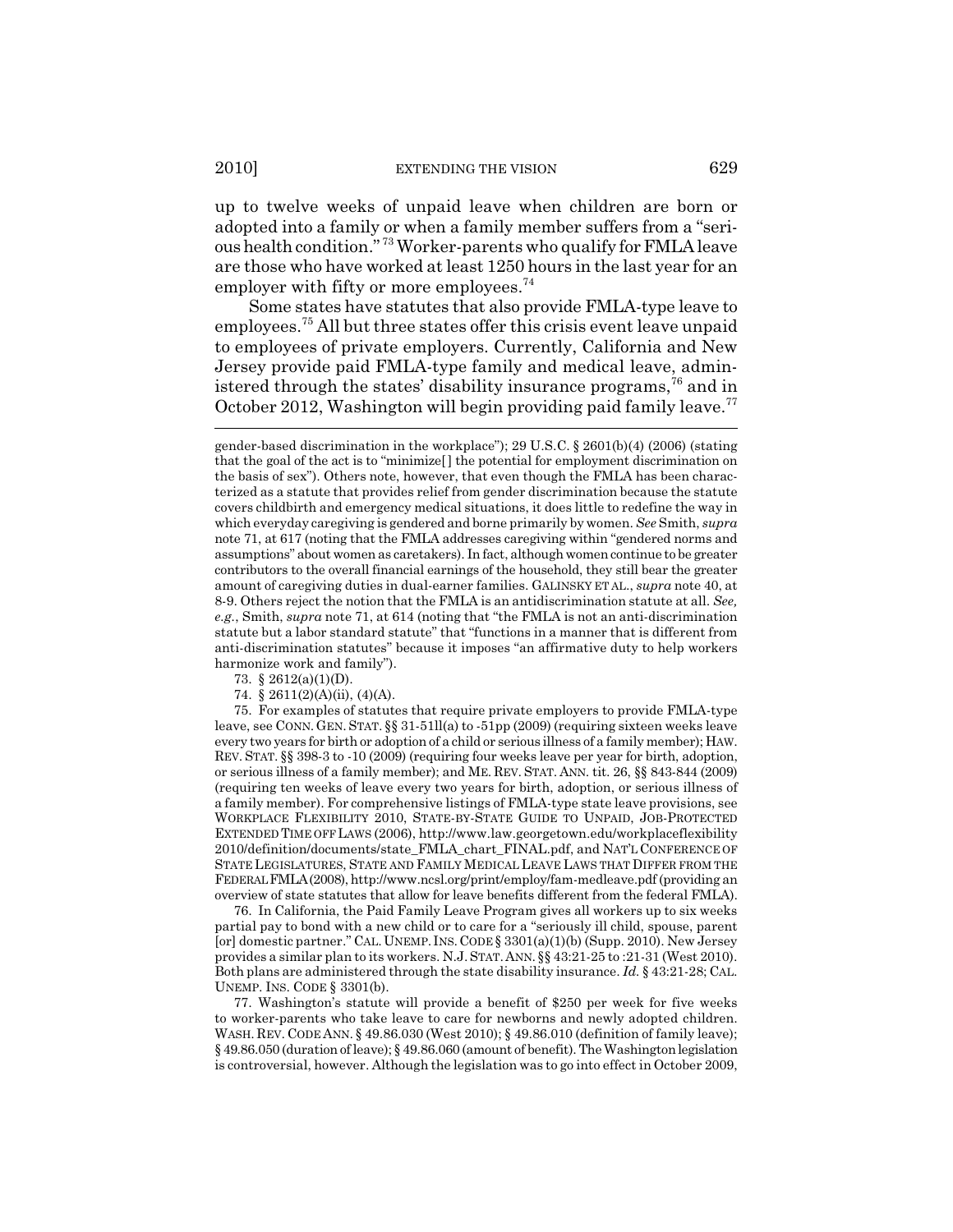up to twelve weeks of unpaid leave when children are born or adopted into a family or when a family member suffers from a "serious health condition." 73 Worker-parents who qualify for FMLA leave are those who have worked at least 1250 hours in the last year for an employer with fifty or more employees.<sup>74</sup>

Some states have statutes that also provide FMLA-type leave to employees.75 All but three states offer this crisis event leave unpaid to employees of private employers. Currently, California and New Jersey provide paid FMLA-type family and medical leave, administered through the states' disability insurance programs,  $76$  and in October 2012, Washington will begin providing paid family leave.<sup>77</sup>

74. § 2611(2)(A)(ii), (4)(A).

75. For examples of statutes that require private employers to provide FMLA-type leave, see CONN. GEN. STAT. §§ 31-51ll(a) to -51pp (2009) (requiring sixteen weeks leave every two years for birth or adoption of a child or serious illness of a family member); HAW. REV. STAT. §§ 398-3 to -10 (2009) (requiring four weeks leave per year for birth, adoption, or serious illness of a family member); and ME. REV. STAT. ANN. tit. 26, §§ 843-844 (2009) (requiring ten weeks of leave every two years for birth, adoption, or serious illness of a family member). For comprehensive listings of FMLA-type state leave provisions, see WORKPLACE FLEXIBILITY 2010, STATE-BY-STATE GUIDE TO UNPAID, JOB-PROTECTED EXTENDED TIME OFF LAWS (2006), http://www.law.georgetown.edu/workplaceflexibility 2010/definition/documents/state\_FMLA\_chart\_FINAL.pdf, and NAT'L CONFERENCE OF STATE LEGISLATURES, STATE AND FAMILY MEDICAL LEAVE LAWS THAT DIFFER FROM THE FEDERAL FMLA(2008), http://www.ncsl.org/print/employ/fam-medleave.pdf (providing an overview of state statutes that allow for leave benefits different from the federal FMLA).

76. In California, the Paid Family Leave Program gives all workers up to six weeks partial pay to bond with a new child or to care for a "seriously ill child, spouse, parent [or] domestic partner." CAL. UNEMP. INS. CODE § 3301(a)(1)(b) (Supp. 2010). New Jersey provides a similar plan to its workers. N.J.STAT.ANN. §§ 43:21-25 to :21-31 (West 2010). Both plans are administered through the state disability insurance. *Id.* § 43:21-28; CAL. UNEMP. INS. CODE § 3301(b).

77. Washington's statute will provide a benefit of \$250 per week for five weeks to worker-parents who take leave to care for newborns and newly adopted children. WASH. REV. CODE ANN. § 49.86.030 (West 2010); § 49.86.010 (definition of family leave); § 49.86.050 (duration of leave); § 49.86.060 (amount of benefit). The Washington legislation is controversial, however. Although the legislation was to go into effect in October 2009,

gender-based discrimination in the workplace"); 29 U.S.C. § 2601(b)(4) (2006) (stating that the goal of the act is to "minimize[ ] the potential for employment discrimination on the basis of sex"). Others note, however, that even though the FMLA has been characterized as a statute that provides relief from gender discrimination because the statute covers childbirth and emergency medical situations, it does little to redefine the way in which everyday caregiving is gendered and borne primarily by women. *See* Smith, *supra* note 71, at 617 (noting that the FMLA addresses caregiving within "gendered norms and assumptions" about women as caretakers). In fact, although women continue to be greater contributors to the overall financial earnings of the household, they still bear the greater amount of caregiving duties in dual-earner families. GALINSKY ET AL., *supra* note 40, at 8-9. Others reject the notion that the FMLA is an antidiscrimination statute at all. *See, e.g.*, Smith, *supra* note 71, at 614 (noting that "the FMLA is not an anti-discrimination statute but a labor standard statute" that "functions in a manner that is different from anti-discrimination statutes" because it imposes "an affirmative duty to help workers harmonize work and family").

<sup>73. § 2612(</sup>a)(1)(D).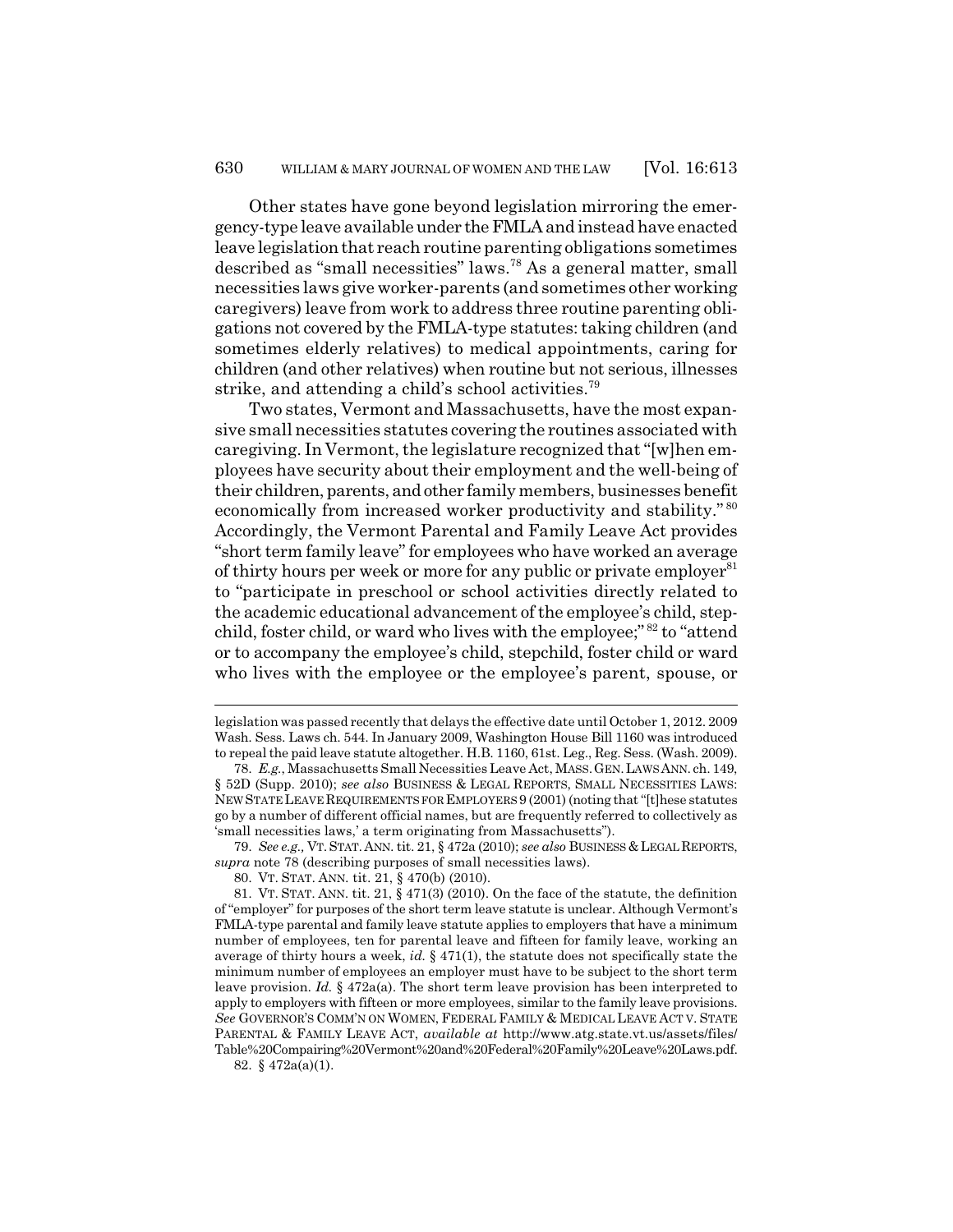Other states have gone beyond legislation mirroring the emergency-type leave available under the FMLA and instead have enacted leave legislation that reach routine parenting obligations sometimes described as "small necessities" laws.78 As a general matter, small necessities laws give worker-parents (and sometimes other working caregivers) leave from work to address three routine parenting obligations not covered by the FMLA-type statutes: taking children (and sometimes elderly relatives) to medical appointments, caring for children (and other relatives) when routine but not serious, illnesses strike, and attending a child's school activities.79

Two states, Vermont and Massachusetts, have the most expansive small necessities statutes covering the routines associated with caregiving. In Vermont, the legislature recognized that "[w]hen employees have security about their employment and the well-being of their children, parents, and other family members, businesses benefit economically from increased worker productivity and stability."<sup>80</sup> Accordingly, the Vermont Parental and Family Leave Act provides "short term family leave" for employees who have worked an average of thirty hours per week or more for any public or private employer<sup>81</sup> to "participate in preschool or school activities directly related to the academic educational advancement of the employee's child, stepchild, foster child, or ward who lives with the employee;" 82 to "attend or to accompany the employee's child, stepchild, foster child or ward who lives with the employee or the employee's parent, spouse, or

82. § 472a(a)(1).

legislation was passed recently that delays the effective date until October 1, 2012. 2009 Wash. Sess. Laws ch. 544. In January 2009, Washington House Bill 1160 was introduced to repeal the paid leave statute altogether. H.B. 1160, 61st. Leg., Reg. Sess. (Wash. 2009).

<sup>78.</sup> *E.g.*, Massachusetts Small Necessities Leave Act, MASS.GEN.LAWS ANN. ch. 149, § 52D (Supp. 2010); *see also* BUSINESS & LEGAL REPORTS, SMALL NECESSITIES LAWS: NEW STATE LEAVE REQUIREMENTS FOR EMPLOYERS 9 (2001) (noting that "[t]hese statutes go by a number of different official names, but are frequently referred to collectively as 'small necessities laws,' a term originating from Massachusetts").

<sup>79.</sup> *See e.g.,* VT.STAT. ANN. tit. 21, § 472a (2010); *see also* BUSINESS & LEGAL REPORTS, *supra* note 78 (describing purposes of small necessities laws).

<sup>80.</sup> VT. STAT. ANN. tit. 21, § 470(b) (2010).

<sup>81.</sup> VT. STAT. ANN. tit. 21, § 471(3) (2010). On the face of the statute, the definition of "employer" for purposes of the short term leave statute is unclear. Although Vermont's FMLA-type parental and family leave statute applies to employers that have a minimum number of employees, ten for parental leave and fifteen for family leave, working an average of thirty hours a week, *id.* § 471(1), the statute does not specifically state the minimum number of employees an employer must have to be subject to the short term leave provision. *Id.* § 472a(a). The short term leave provision has been interpreted to apply to employers with fifteen or more employees, similar to the family leave provisions. *See* GOVERNOR'S COMM'N ON WOMEN, FEDERAL FAMILY & MEDICAL LEAVE ACT V. STATE PARENTAL & FAMILY LEAVE ACT, *available at* http://www.atg.state.vt.us/assets/files/ Table%20Compairing%20Vermont%20and%20Federal%20Family%20Leave%20Laws.pdf.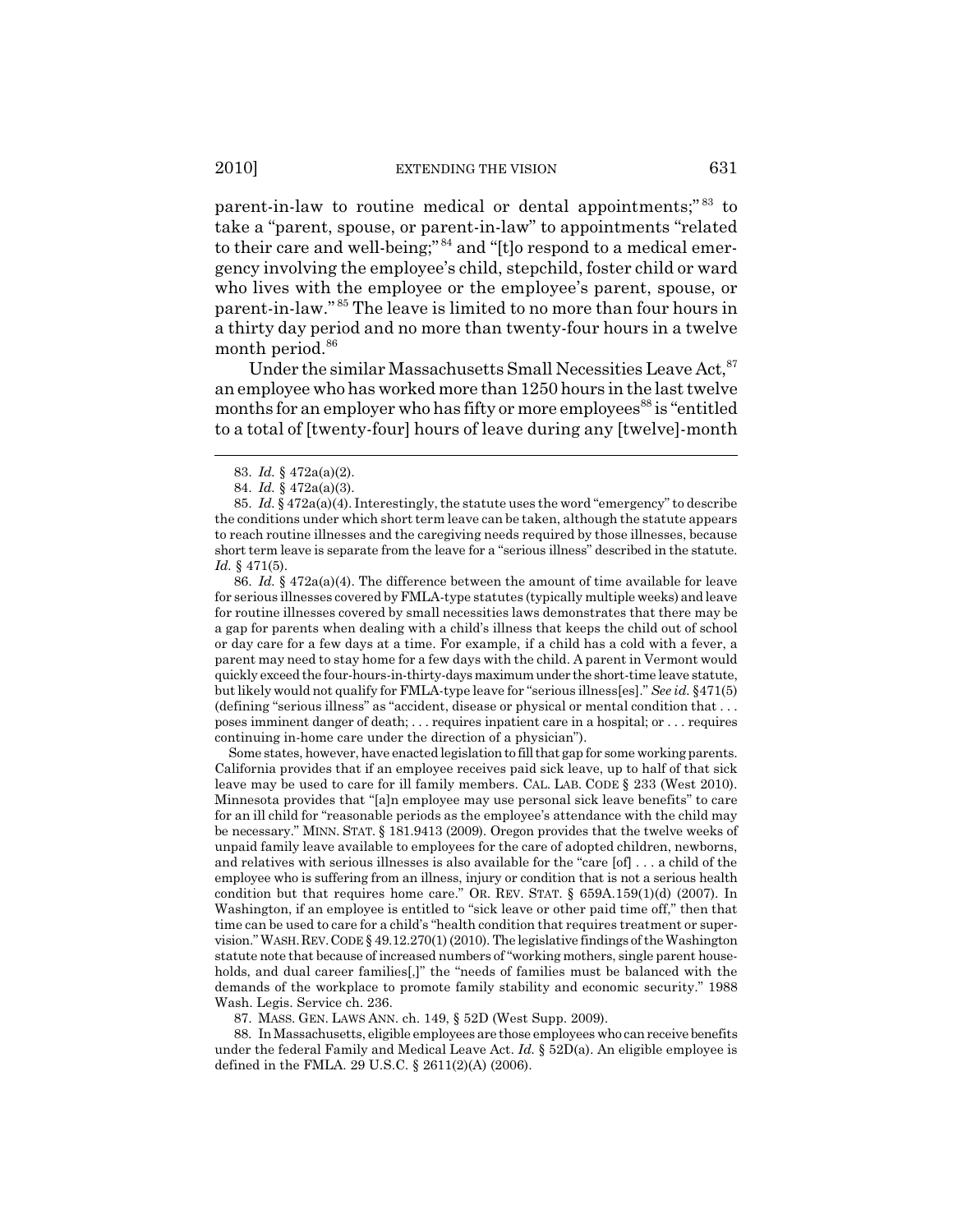parent-in-law to routine medical or dental appointments;"<sup>83</sup> to take a "parent, spouse, or parent-in-law" to appointments "related to their care and well-being;" 84 and "[t]o respond to a medical emergency involving the employee's child, stepchild, foster child or ward who lives with the employee or the employee's parent, spouse, or parent-in-law." 85 The leave is limited to no more than four hours in a thirty day period and no more than twenty-four hours in a twelve month period.<sup>86</sup>

Under the similar Massachusetts Small Necessities Leave Act, <sup>87</sup> an employee who has worked more than 1250 hours in the last twelve months for an employer who has fifty or more employees<sup>88</sup> is "entitled" to a total of [twenty-four] hours of leave during any [twelve]-month

86. *Id.* § 472a(a)(4). The difference between the amount of time available for leave for serious illnesses covered by FMLA-type statutes (typically multiple weeks) and leave for routine illnesses covered by small necessities laws demonstrates that there may be a gap for parents when dealing with a child's illness that keeps the child out of school or day care for a few days at a time. For example, if a child has a cold with a fever, a parent may need to stay home for a few days with the child. A parent in Vermont would quickly exceed the four-hours-in-thirty-days maximum under the short-time leave statute, but likely would not qualify for FMLA-type leave for "serious illness[es]." *See id.* §471(5) (defining "serious illness" as "accident, disease or physical or mental condition that . . . poses imminent danger of death; . . . requires inpatient care in a hospital; or . . . requires continuing in-home care under the direction of a physician").

Some states, however, have enacted legislation to fill that gap for some working parents. California provides that if an employee receives paid sick leave, up to half of that sick leave may be used to care for ill family members. CAL. LAB. CODE § 233 (West 2010). Minnesota provides that "[a]n employee may use personal sick leave benefits" to care for an ill child for "reasonable periods as the employee's attendance with the child may be necessary." MINN. STAT. § 181.9413 (2009). Oregon provides that the twelve weeks of unpaid family leave available to employees for the care of adopted children, newborns, and relatives with serious illnesses is also available for the "care [of] . . . a child of the employee who is suffering from an illness, injury or condition that is not a serious health condition but that requires home care." OR. REV. STAT.  $\S$  659A.159(1)(d) (2007). In Washington, if an employee is entitled to "sick leave or other paid time off," then that time can be used to care for a child's "health condition that requires treatment or supervision." WASH. REV. CODE  $\S$  49.12.270(1) (2010). The legislative findings of the Washington statute note that because of increased numbers of "working mothers, single parent households, and dual career families[,]" the "needs of families must be balanced with the demands of the workplace to promote family stability and economic security." 1988 Wash. Legis. Service ch. 236.

87. MASS. GEN. LAWS ANN. ch. 149, § 52D (West Supp. 2009).

88. In Massachusetts, eligible employees are those employees who can receive benefits under the federal Family and Medical Leave Act. *Id.* § 52D(a). An eligible employee is defined in the FMLA. 29 U.S.C. § 2611(2)(A) (2006).

<sup>83.</sup> *Id.* § 472a(a)(2).

<sup>84.</sup> *Id.* § 472a(a)(3).

<sup>85.</sup> *Id.* § 472a(a)(4). Interestingly, the statute uses the word "emergency" to describe the conditions under which short term leave can be taken, although the statute appears to reach routine illnesses and the caregiving needs required by those illnesses, because short term leave is separate from the leave for a "serious illness" described in the statute. *Id.* § 471(5).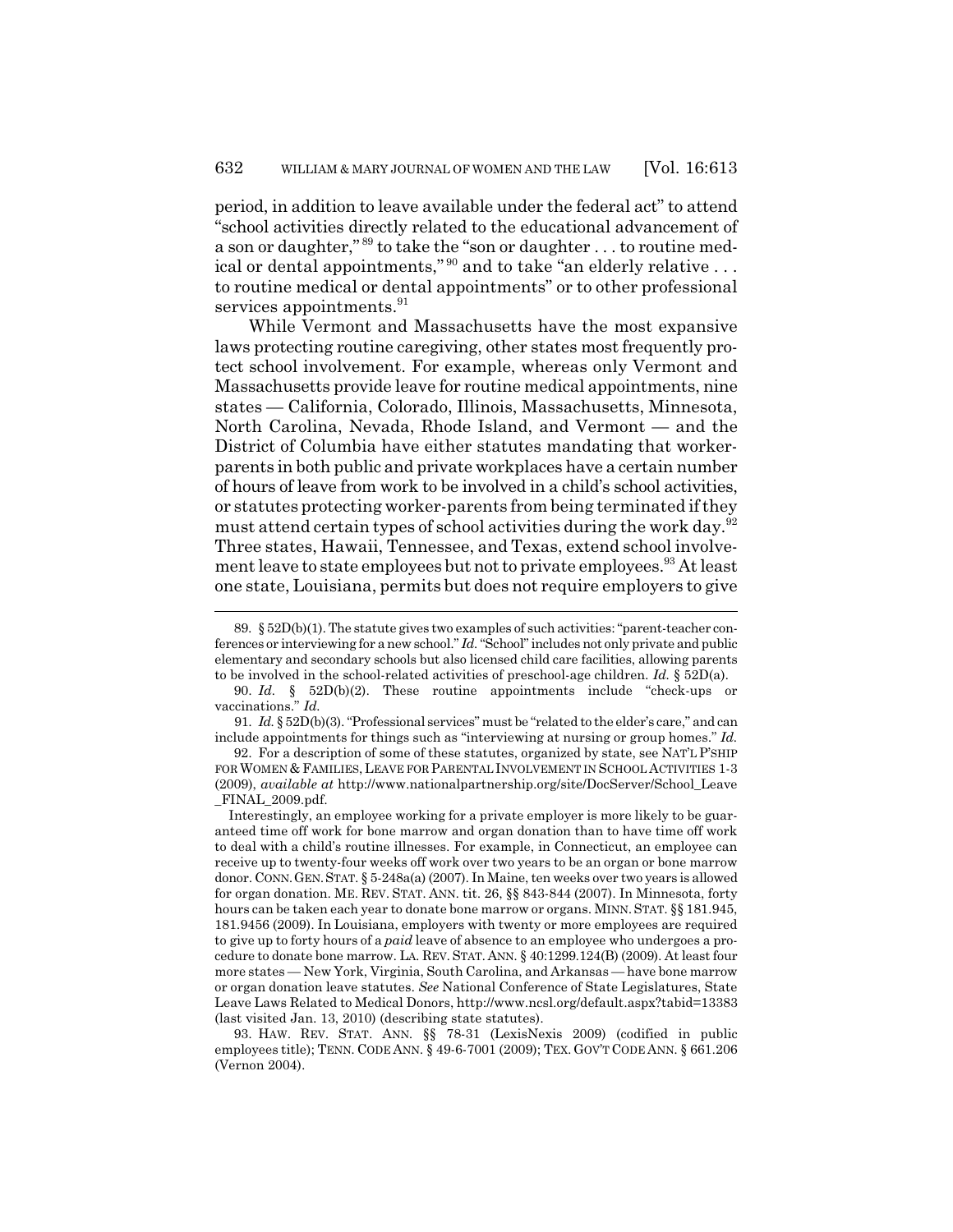period, in addition to leave available under the federal act" to attend "school activities directly related to the educational advancement of a son or daughter," <sup>89</sup> to take the "son or daughter . . . to routine medical or dental appointments,"<sup>90</sup> and to take "an elderly relative . . . to routine medical or dental appointments" or to other professional services appointments.<sup>91</sup>

While Vermont and Massachusetts have the most expansive laws protecting routine caregiving, other states most frequently protect school involvement. For example, whereas only Vermont and Massachusetts provide leave for routine medical appointments, nine states — California, Colorado, Illinois, Massachusetts, Minnesota, North Carolina, Nevada, Rhode Island, and Vermont — and the District of Columbia have either statutes mandating that workerparents in both public and private workplaces have a certain number of hours of leave from work to be involved in a child's school activities, or statutes protecting worker-parents from being terminated if they must attend certain types of school activities during the work day.<sup>92</sup> Three states, Hawaii, Tennessee, and Texas, extend school involvement leave to state employees but not to private employees.<sup>93</sup> At least one state, Louisiana, permits but does not require employers to give

<sup>89. § 52</sup>D(b)(1). The statute gives two examples of such activities: "parent-teacher conferences or interviewing for a new school." *Id.* "School" includes not only private and public elementary and secondary schools but also licensed child care facilities, allowing parents to be involved in the school-related activities of preschool-age children. *Id.* § 52D(a).

<sup>90.</sup> *Id.* § 52D(b)(2). These routine appointments include "check-ups or vaccinations." *Id.*

<sup>91.</sup> *Id.* § 52D(b)(3). "Professional services" must be "related to the elder's care," and can include appointments for things such as "interviewing at nursing or group homes." *Id.*

<sup>92.</sup> For a description of some of these statutes, organized by state, see NAT'L P'SHIP FOR WOMEN & FAMILIES,LEAVE FOR PARENTAL INVOLVEMENT IN SCHOOL ACTIVITIES 1-3 (2009), *available at* http://www.nationalpartnership.org/site/DocServer/School\_Leave \_FINAL\_2009.pdf.

Interestingly, an employee working for a private employer is more likely to be guaranteed time off work for bone marrow and organ donation than to have time off work to deal with a child's routine illnesses. For example, in Connecticut, an employee can receive up to twenty-four weeks off work over two years to be an organ or bone marrow donor. CONN.GEN.STAT. § 5-248a(a) (2007). In Maine, ten weeks over two years is allowed for organ donation. ME. REV. STAT. ANN. tit. 26, §§ 843-844 (2007). In Minnesota, forty hours can be taken each year to donate bone marrow or organs. MINN. STAT.  $\S$  181.945, 181.9456 (2009). In Louisiana, employers with twenty or more employees are required to give up to forty hours of a *paid* leave of absence to an employee who undergoes a procedure to donate bone marrow. LA. REV. STAT. ANN. § 40:1299.124(B) (2009). At least four more states — New York, Virginia, South Carolina, and Arkansas — have bone marrow or organ donation leave statutes. *See* National Conference of State Legislatures, State Leave Laws Related to Medical Donors, http://www.ncsl.org/default.aspx?tabid=13383 (last visited Jan. 13, 2010) (describing state statutes).

<sup>93.</sup> HAW. REV. STAT. ANN. §§ 78-31 (LexisNexis 2009) (codified in public employees title); TENN. CODE ANN. § 49-6-7001 (2009); TEX. GOV'T CODE ANN. § 661.206 (Vernon 2004).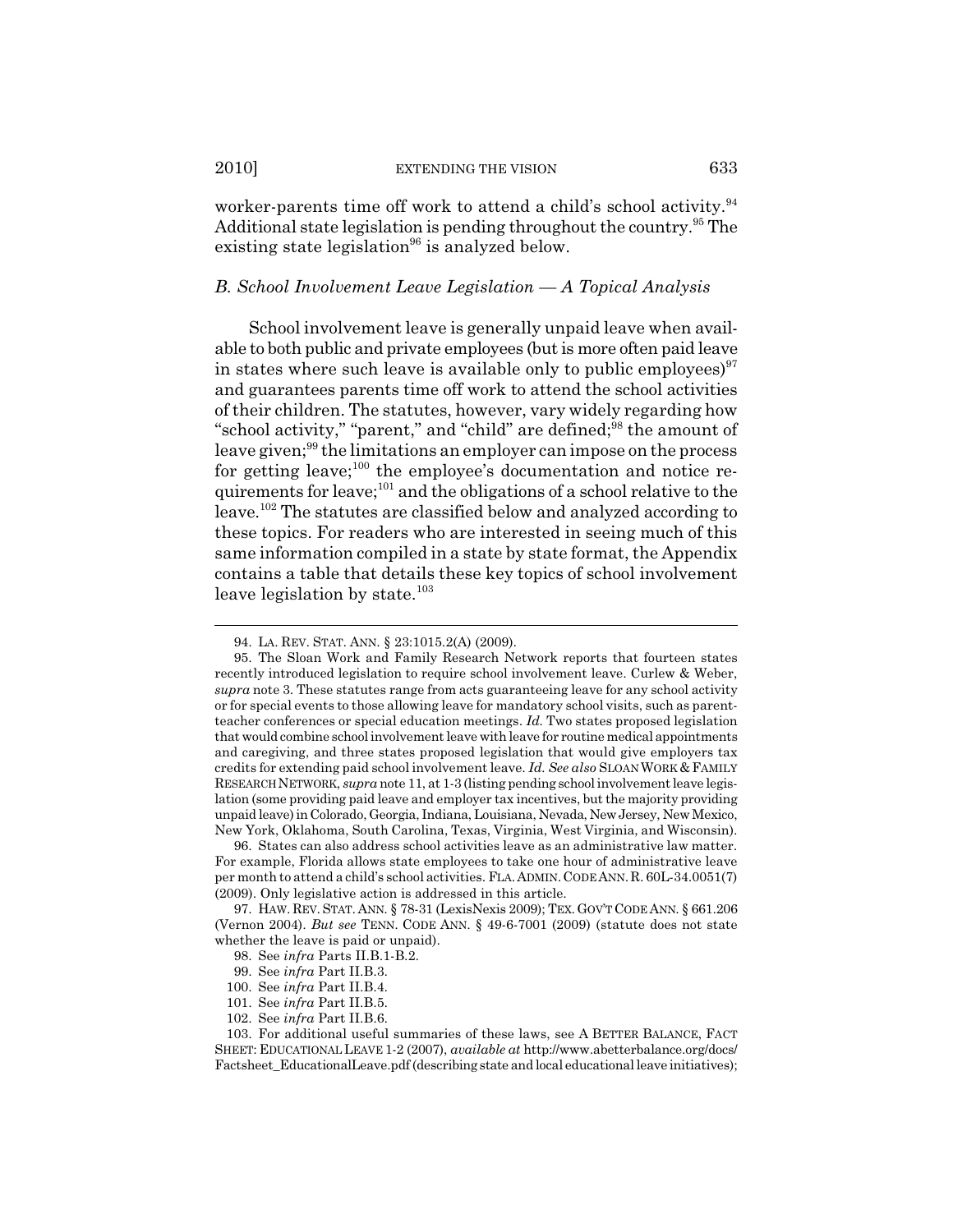worker-parents time off work to attend a child's school activity. $94$ Additional state legislation is pending throughout the country.<sup>95</sup> The existing state legislation<sup>96</sup> is analyzed below.

#### *B. School Involvement Leave Legislation — A Topical Analysis*

School involvement leave is generally unpaid leave when available to both public and private employees (but is more often paid leave in states where such leave is available only to public employees)<sup>97</sup> and guarantees parents time off work to attend the school activities of their children. The statutes, however, vary widely regarding how "school activity," "parent," and "child" are defined;<sup>98</sup> the amount of leave given;<sup>99</sup> the limitations an employer can impose on the process for getting leave;<sup>100</sup> the employee's documentation and notice requirements for leave; $^{101}$  and the obligations of a school relative to the leave.102 The statutes are classified below and analyzed according to these topics. For readers who are interested in seeing much of this same information compiled in a state by state format, the Appendix contains a table that details these key topics of school involvement leave legislation by state. $103$ 

<sup>94.</sup> LA. REV. STAT. ANN. § 23:1015.2(A) (2009).

<sup>95.</sup> The Sloan Work and Family Research Network reports that fourteen states recently introduced legislation to require school involvement leave. Curlew & Weber, *supra* note 3. These statutes range from acts guaranteeing leave for any school activity or for special events to those allowing leave for mandatory school visits, such as parentteacher conferences or special education meetings. *Id.* Two states proposed legislation that would combine school involvement leave with leave for routine medical appointments and caregiving, and three states proposed legislation that would give employers tax credits for extending paid school involvement leave. *Id. See also* SLOAN WORK & FAMILY RESEARCH NETWORK, *supra* note 11, at 1-3 (listing pending school involvement leave legislation (some providing paid leave and employer tax incentives, but the majority providing unpaid leave) in Colorado, Georgia, Indiana, Louisiana, Nevada, New Jersey, New Mexico, New York, Oklahoma, South Carolina, Texas, Virginia, West Virginia, and Wisconsin).

<sup>96.</sup> States can also address school activities leave as an administrative law matter. For example, Florida allows state employees to take one hour of administrative leave per month to attend a child's school activities. FLA.ADMIN.CODE ANN.R. 60L-34.0051(7) (2009). Only legislative action is addressed in this article.

<sup>97.</sup> HAW. REV. STAT. ANN. § 78-31 (LexisNexis 2009); TEX. GOV'T CODE ANN. § 661.206 (Vernon 2004). *But see* TENN. CODE ANN. § 49-6-7001 (2009) (statute does not state whether the leave is paid or unpaid).

<sup>98.</sup> See *infra* Parts II.B.1-B.2.

<sup>99.</sup> See *infra* Part II.B.3.

<sup>100.</sup> See *infra* Part II.B.4.

<sup>101.</sup> See *infra* Part II.B.5.

<sup>102.</sup> See *infra* Part II.B.6.

<sup>103.</sup> For additional useful summaries of these laws, see A BETTER BALANCE, FACT SHEET: EDUCATIONAL LEAVE 1-2 (2007), *available at* http://www.abetterbalance.org/docs/ Factsheet\_EducationalLeave.pdf (describing state and local educational leave initiatives);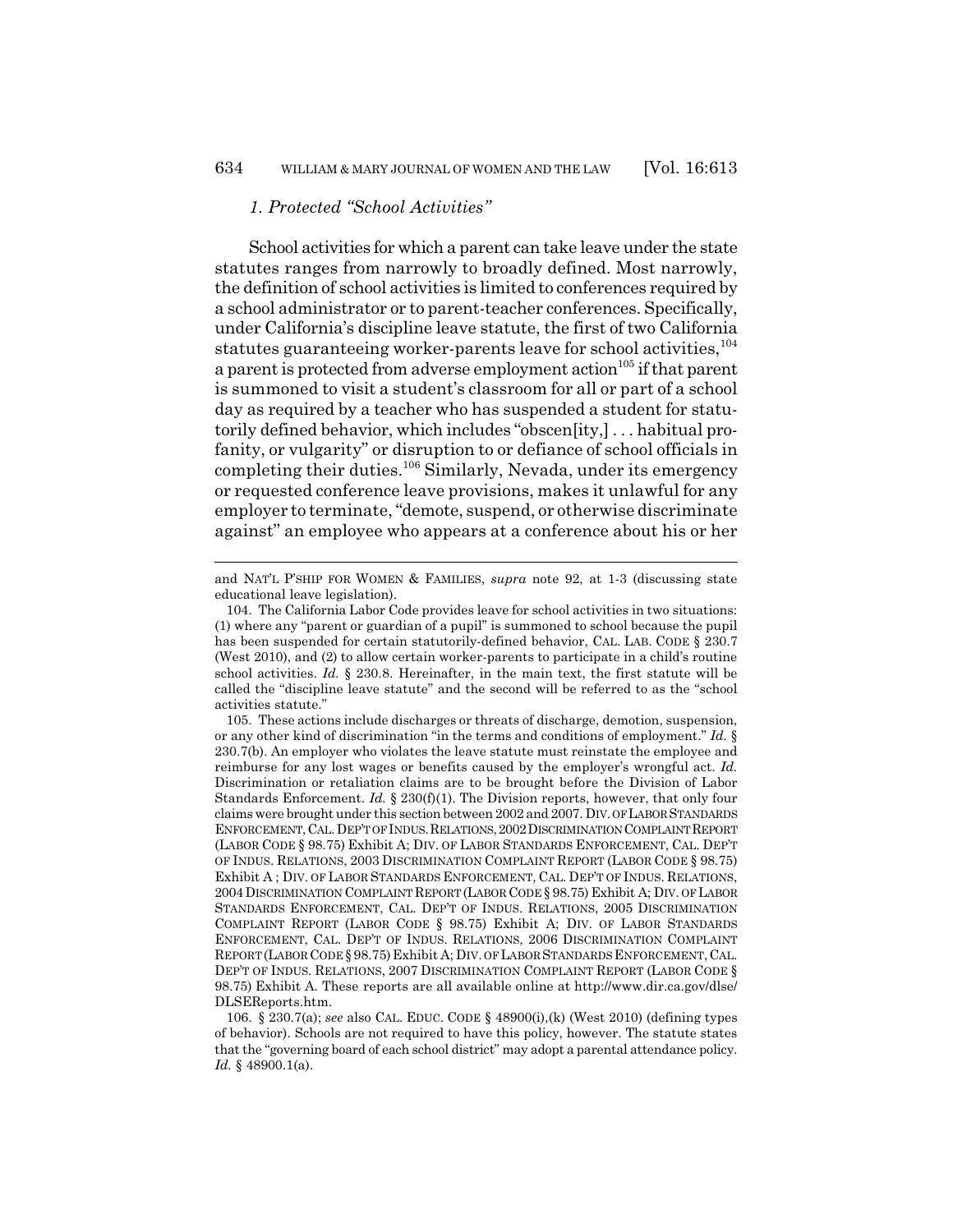#### *1. Protected "School Activities"*

School activities for which a parent can take leave under the state statutes ranges from narrowly to broadly defined. Most narrowly, the definition of school activities is limited to conferences required by a school administrator or to parent-teacher conferences. Specifically, under California's discipline leave statute, the first of two California statutes guaranteeing worker-parents leave for school activities, $104$ a parent is protected from adverse employment action<sup>105</sup> if that parent is summoned to visit a student's classroom for all or part of a school day as required by a teacher who has suspended a student for statutorily defined behavior, which includes "obscen[ity,] . . . habitual profanity, or vulgarity" or disruption to or defiance of school officials in completing their duties.106 Similarly, Nevada, under its emergency or requested conference leave provisions, makes it unlawful for any employer to terminate, "demote, suspend, or otherwise discriminate against" an employee who appears at a conference about his or her

and NAT'L P'SHIP FOR WOMEN & FAMILIES, *supra* note 92, at 1-3 (discussing state educational leave legislation).

<sup>104.</sup> The California Labor Code provides leave for school activities in two situations: (1) where any "parent or guardian of a pupil" is summoned to school because the pupil has been suspended for certain statutorily-defined behavior, CAL. LAB. CODE § 230.7 (West 2010), and (2) to allow certain worker-parents to participate in a child's routine school activities. *Id.* § 230.8. Hereinafter, in the main text, the first statute will be called the "discipline leave statute" and the second will be referred to as the "school activities statute."

<sup>105.</sup> These actions include discharges or threats of discharge, demotion, suspension, or any other kind of discrimination "in the terms and conditions of employment." *Id.* § 230.7(b). An employer who violates the leave statute must reinstate the employee and reimburse for any lost wages or benefits caused by the employer's wrongful act. *Id.* Discrimination or retaliation claims are to be brought before the Division of Labor Standards Enforcement. *Id.* § 230(f)(1). The Division reports, however, that only four claims were brought under this section between 2002 and 2007. DIV. OF LABOR STANDARDS ENFORCEMENT,CAL.DEP'T OF INDUS.RELATIONS,2002DISCRIMINATION COMPLAINT REPORT (LABOR CODE § 98.75) Exhibit A; DIV. OF LABOR STANDARDS ENFORCEMENT, CAL. DEP'T OF INDUS. RELATIONS, 2003 DISCRIMINATION COMPLAINT REPORT (LABOR CODE § 98.75) Exhibit A ; DIV. OF LABOR STANDARDS ENFORCEMENT, CAL. DEP'T OF INDUS. RELATIONS, 2004DISCRIMINATION COMPLAINT REPORT (LABOR CODE § 98.75) Exhibit A; DIV. OF LABOR STANDARDS ENFORCEMENT, CAL. DEP'T OF INDUS. RELATIONS, 2005 DISCRIMINATION COMPLAINT REPORT (LABOR CODE § 98.75) Exhibit A; DIV. OF LABOR STANDARDS ENFORCEMENT, CAL. DEP'T OF INDUS. RELATIONS, 2006 DISCRIMINATION COMPLAINT REPORT (LABOR CODE § 98.75) Exhibit A; DIV. OF LABOR STANDARDS ENFORCEMENT, CAL. DEP'T OF INDUS. RELATIONS, 2007 DISCRIMINATION COMPLAINT REPORT (LABOR CODE § 98.75) Exhibit A. These reports are all available online at http://www.dir.ca.gov/dlse/ DLSEReports.htm.

<sup>106. § 230.7(</sup>a); *see* also CAL. EDUC. CODE § 48900(i),(k) (West 2010) (defining types of behavior). Schools are not required to have this policy, however. The statute states that the "governing board of each school district" may adopt a parental attendance policy. *Id.* § 48900.1(a).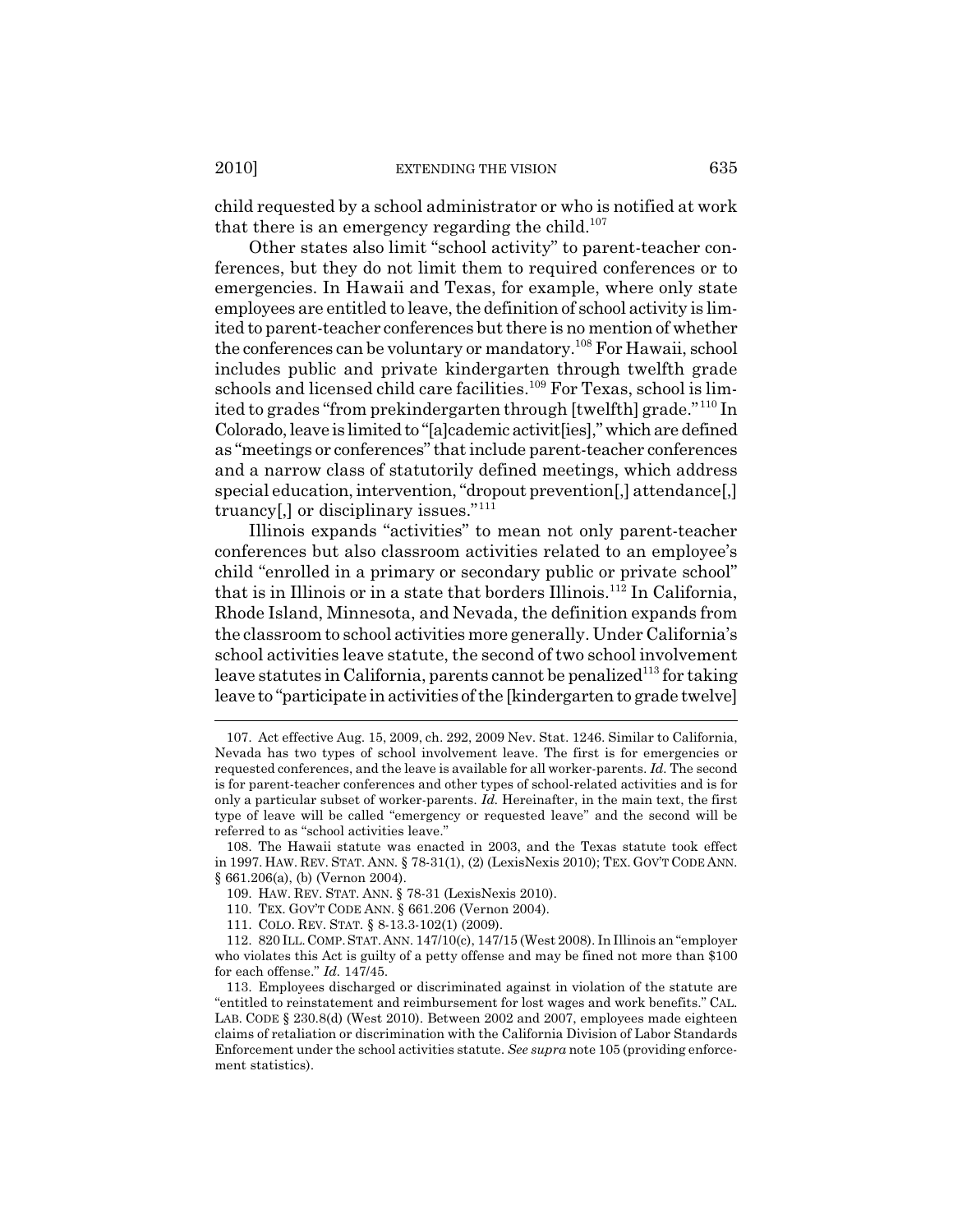child requested by a school administrator or who is notified at work that there is an emergency regarding the child.<sup>107</sup>

Other states also limit "school activity" to parent-teacher conferences, but they do not limit them to required conferences or to emergencies. In Hawaii and Texas, for example, where only state employees are entitled to leave, the definition of school activity is limited to parent-teacher conferences but there is no mention of whether the conferences can be voluntary or mandatory.<sup>108</sup> For Hawaii, school includes public and private kindergarten through twelfth grade schools and licensed child care facilities.<sup>109</sup> For Texas, school is limited to grades "from prekindergarten through [twelfth] grade."110 In Colorado, leave is limited to "[a]cademic activit[ies]," which are defined as "meetings or conferences" that include parent-teacher conferences and a narrow class of statutorily defined meetings, which address special education, intervention, "dropout prevention[,] attendance[,] truancy[,] or disciplinary issues. $"$ <sup>111</sup>

Illinois expands "activities" to mean not only parent-teacher conferences but also classroom activities related to an employee's child "enrolled in a primary or secondary public or private school" that is in Illinois or in a state that borders Illinois.<sup>112</sup> In California, Rhode Island, Minnesota, and Nevada, the definition expands from the classroom to school activities more generally. Under California's school activities leave statute, the second of two school involvement leave statutes in California, parents cannot be penalized<sup>113</sup> for taking leave to "participate in activities of the [kindergarten to grade twelve]

<sup>107.</sup> Act effective Aug. 15, 2009, ch. 292, 2009 Nev. Stat. 1246. Similar to California, Nevada has two types of school involvement leave. The first is for emergencies or requested conferences, and the leave is available for all worker-parents. *Id.* The second is for parent-teacher conferences and other types of school-related activities and is for only a particular subset of worker-parents. *Id.* Hereinafter, in the main text, the first type of leave will be called "emergency or requested leave" and the second will be referred to as "school activities leave."

<sup>108.</sup> The Hawaii statute was enacted in 2003, and the Texas statute took effect in 1997. HAW. REV. STAT. ANN. § 78-31(1), (2) (LexisNexis 2010); TEX. GOV'T CODE ANN. § 661.206(a), (b) (Vernon 2004).

<sup>109.</sup> HAW. REV. STAT. ANN. § 78-31 (LexisNexis 2010).

<sup>110.</sup> TEX. GOV'T CODE ANN. § 661.206 (Vernon 2004).

<sup>111.</sup> COLO. REV. STAT. § 8-13.3-102(1) (2009).

<sup>112. 820</sup> ILL.COMP.STAT.ANN. 147/10(c), 147/15 (West 2008). In Illinois an "employer who violates this Act is guilty of a petty offense and may be fined not more than \$100 for each offense." *Id.* 147/45.

<sup>113.</sup> Employees discharged or discriminated against in violation of the statute are "entitled to reinstatement and reimbursement for lost wages and work benefits." CAL. LAB. CODE § 230.8(d) (West 2010). Between 2002 and 2007, employees made eighteen claims of retaliation or discrimination with the California Division of Labor Standards Enforcement under the school activities statute. *See supra* note 105 (providing enforcement statistics).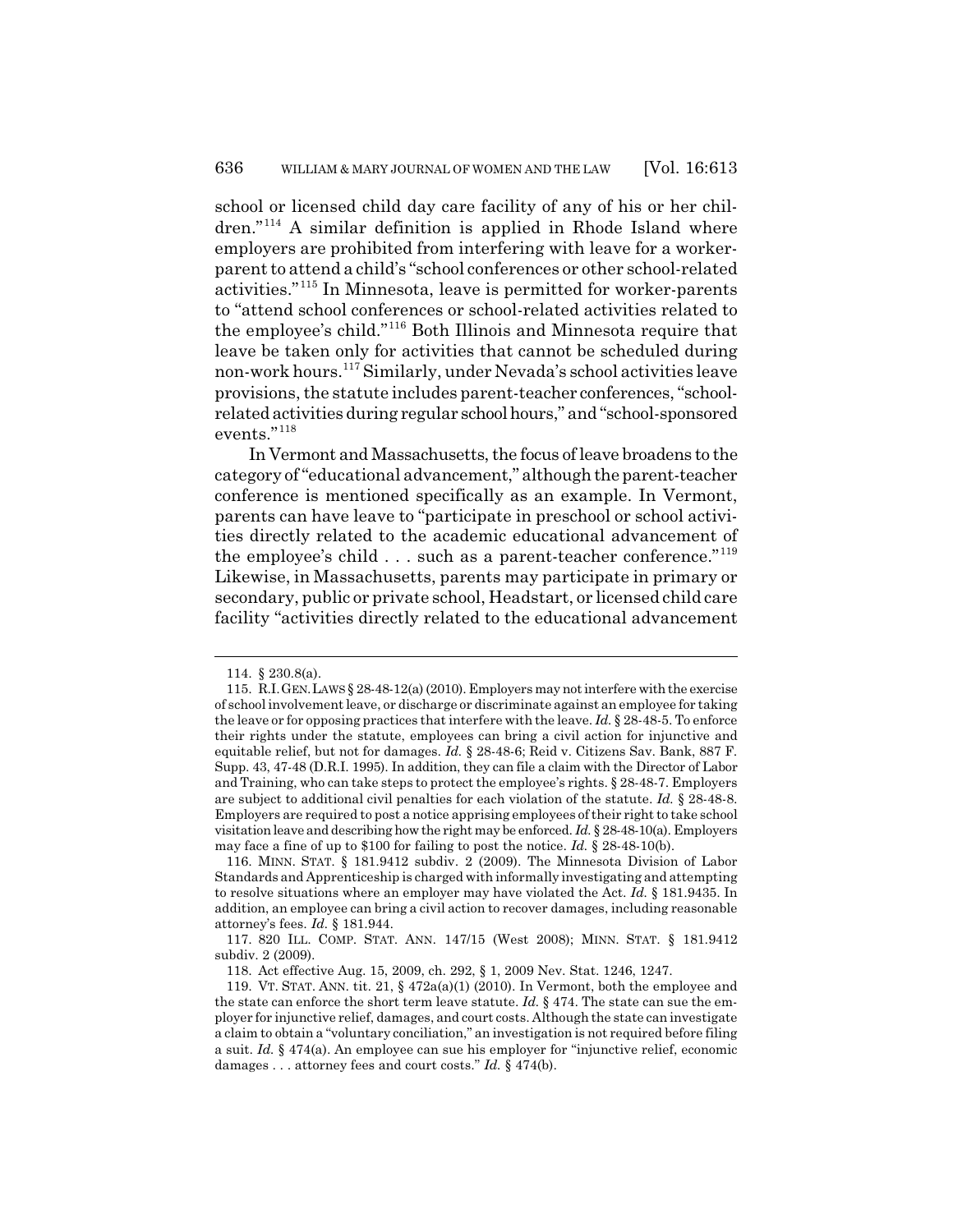school or licensed child day care facility of any of his or her children."114 A similar definition is applied in Rhode Island where employers are prohibited from interfering with leave for a workerparent to attend a child's "school conferences or other school-related activities."115 In Minnesota, leave is permitted for worker-parents to "attend school conferences or school-related activities related to the employee's child."116 Both Illinois and Minnesota require that leave be taken only for activities that cannot be scheduled during non-work hours.117 Similarly, under Nevada's school activities leave provisions, the statute includes parent-teacher conferences, "schoolrelated activities during regular school hours," and "school-sponsored events."<sup>118</sup>

In Vermont and Massachusetts, the focus of leave broadens to the category of "educational advancement," although the parent-teacher conference is mentioned specifically as an example. In Vermont, parents can have leave to "participate in preschool or school activities directly related to the academic educational advancement of the employee's child . . . such as a parent-teacher conference."<sup>119</sup> Likewise, in Massachusetts, parents may participate in primary or secondary, public or private school, Headstart, or licensed child care facility "activities directly related to the educational advancement

<sup>114. § 230.8(</sup>a).

<sup>115.</sup> R.I.GEN.LAWS § 28-48-12(a) (2010). Employers may not interfere with the exercise of school involvement leave, or discharge or discriminate against an employee for taking the leave or for opposing practices that interfere with the leave. *Id.* § 28-48-5. To enforce their rights under the statute, employees can bring a civil action for injunctive and equitable relief, but not for damages. *Id.* § 28-48-6; Reid v. Citizens Sav. Bank, 887 F. Supp. 43, 47-48 (D.R.I. 1995). In addition, they can file a claim with the Director of Labor and Training, who can take steps to protect the employee's rights. § 28-48-7. Employers are subject to additional civil penalties for each violation of the statute. *Id.* § 28-48-8. Employers are required to post a notice apprising employees of their right to take school visitation leave and describing how the right may be enforced. *Id.* § 28-48-10(a). Employers may face a fine of up to \$100 for failing to post the notice. *Id.* § 28-48-10(b).

<sup>116.</sup> MINN. STAT. § 181.9412 subdiv. 2 (2009). The Minnesota Division of Labor Standards and Apprenticeship is charged with informally investigating and attempting to resolve situations where an employer may have violated the Act. *Id.* § 181.9435. In addition, an employee can bring a civil action to recover damages, including reasonable attorney's fees. *Id.* § 181.944.

<sup>117. 820</sup> ILL. COMP. STAT. ANN. 147/15 (West 2008); MINN. STAT. § 181.9412 subdiv. 2 (2009).

<sup>118.</sup> Act effective Aug. 15, 2009, ch. 292, § 1, 2009 Nev. Stat. 1246, 1247.

<sup>119.</sup> VT. STAT. ANN. tit. 21, § 472a(a)(1) (2010). In Vermont, both the employee and the state can enforce the short term leave statute. *Id.* § 474. The state can sue the employer for injunctive relief, damages, and court costs. Although the state can investigate a claim to obtain a "voluntary conciliation," an investigation is not required before filing a suit. *Id.* § 474(a). An employee can sue his employer for "injunctive relief, economic damages . . . attorney fees and court costs." *Id.* § 474(b).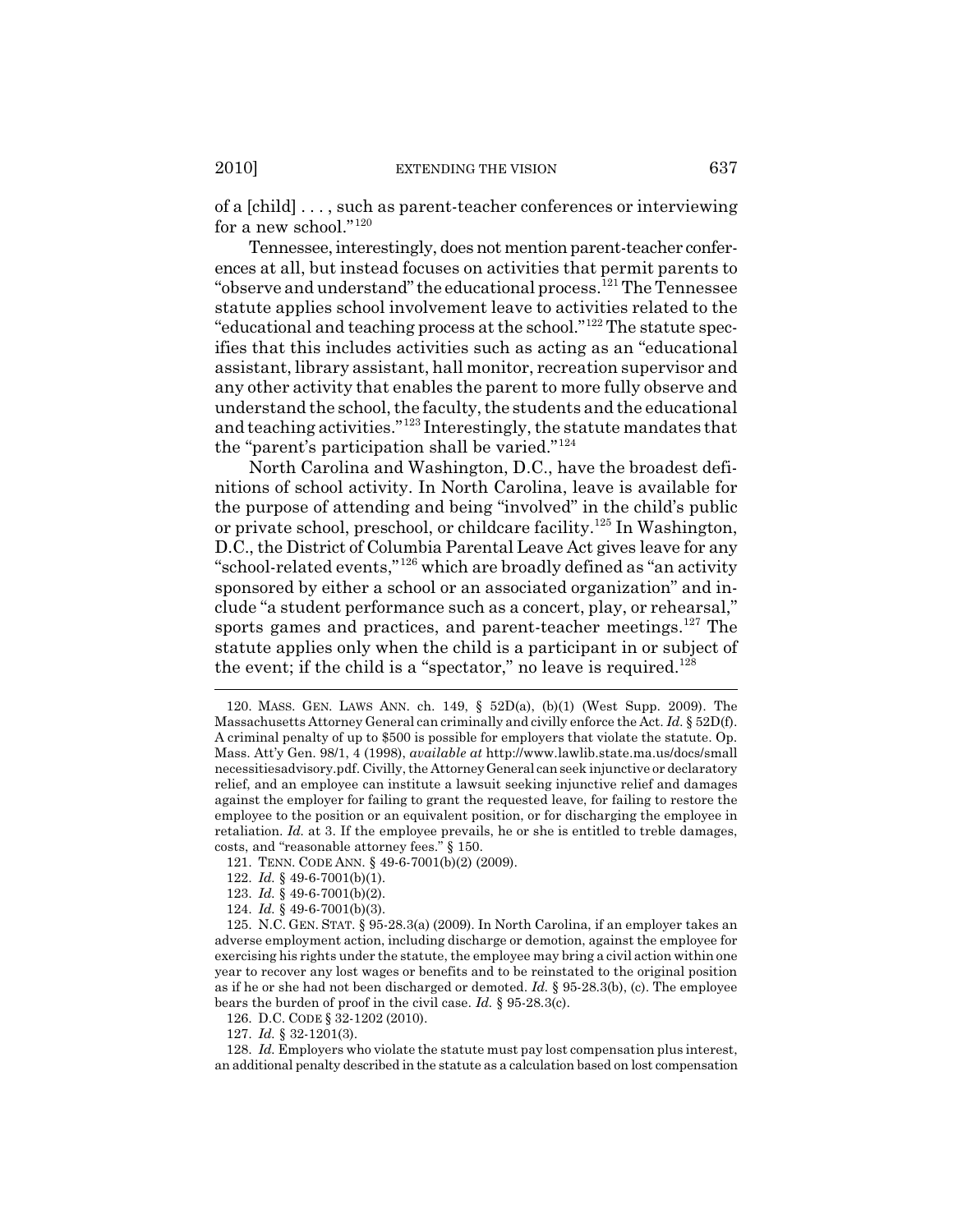of a [child] . . . , such as parent-teacher conferences or interviewing for a new school."<sup>120</sup>

Tennessee, interestingly, does not mention parent-teacher conferences at all, but instead focuses on activities that permit parents to "observe and understand" the educational process.<sup>121</sup> The Tennessee statute applies school involvement leave to activities related to the "educational and teaching process at the school."122 The statute specifies that this includes activities such as acting as an "educational assistant, library assistant, hall monitor, recreation supervisor and any other activity that enables the parent to more fully observe and understand the school, the faculty, the students and the educational and teaching activities."123 Interestingly, the statute mandates that the "parent's participation shall be varied."<sup>124</sup>

North Carolina and Washington, D.C., have the broadest definitions of school activity. In North Carolina, leave is available for the purpose of attending and being "involved" in the child's public or private school, preschool, or childcare facility.125 In Washington, D.C., the District of Columbia Parental Leave Act gives leave for any "school-related events,"126 which are broadly defined as "an activity sponsored by either a school or an associated organization" and include "a student performance such as a concert, play, or rehearsal," sports games and practices, and parent-teacher meetings.<sup>127</sup> The statute applies only when the child is a participant in or subject of the event; if the child is a "spectator," no leave is required. $128$ 

121. TENN. CODE ANN. § 49-6-7001(b)(2) (2009).

- 122. *Id.* § 49-6-7001(b)(1).
- 123. *Id.* § 49-6-7001(b)(2).
- 124. *Id.* § 49-6-7001(b)(3).

125. N.C. GEN. STAT. § 95-28.3(a) (2009). In North Carolina, if an employer takes an adverse employment action, including discharge or demotion, against the employee for exercising his rights under the statute, the employee may bring a civil action within one year to recover any lost wages or benefits and to be reinstated to the original position as if he or she had not been discharged or demoted. *Id.* § 95-28.3(b), (c). The employee bears the burden of proof in the civil case. *Id.* § 95-28.3(c).

126. D.C. CODE § 32-1202 (2010).

127. *Id.* § 32-1201(3).

128. *Id.* Employers who violate the statute must pay lost compensation plus interest, an additional penalty described in the statute as a calculation based on lost compensation

<sup>120.</sup> MASS. GEN. LAWS ANN. ch. 149, § 52D(a), (b)(1) (West Supp. 2009). The Massachusetts Attorney General can criminally and civilly enforce the Act. *Id.* § 52D(f). A criminal penalty of up to \$500 is possible for employers that violate the statute. Op. Mass. Att'y Gen. 98/1, 4 (1998), *available at* http://www.lawlib.state.ma.us/docs/small necessitiesadvisory.pdf. Civilly, the Attorney General can seek injunctive or declaratory relief, and an employee can institute a lawsuit seeking injunctive relief and damages against the employer for failing to grant the requested leave, for failing to restore the employee to the position or an equivalent position, or for discharging the employee in retaliation. *Id.* at 3. If the employee prevails, he or she is entitled to treble damages, costs, and "reasonable attorney fees." § 150.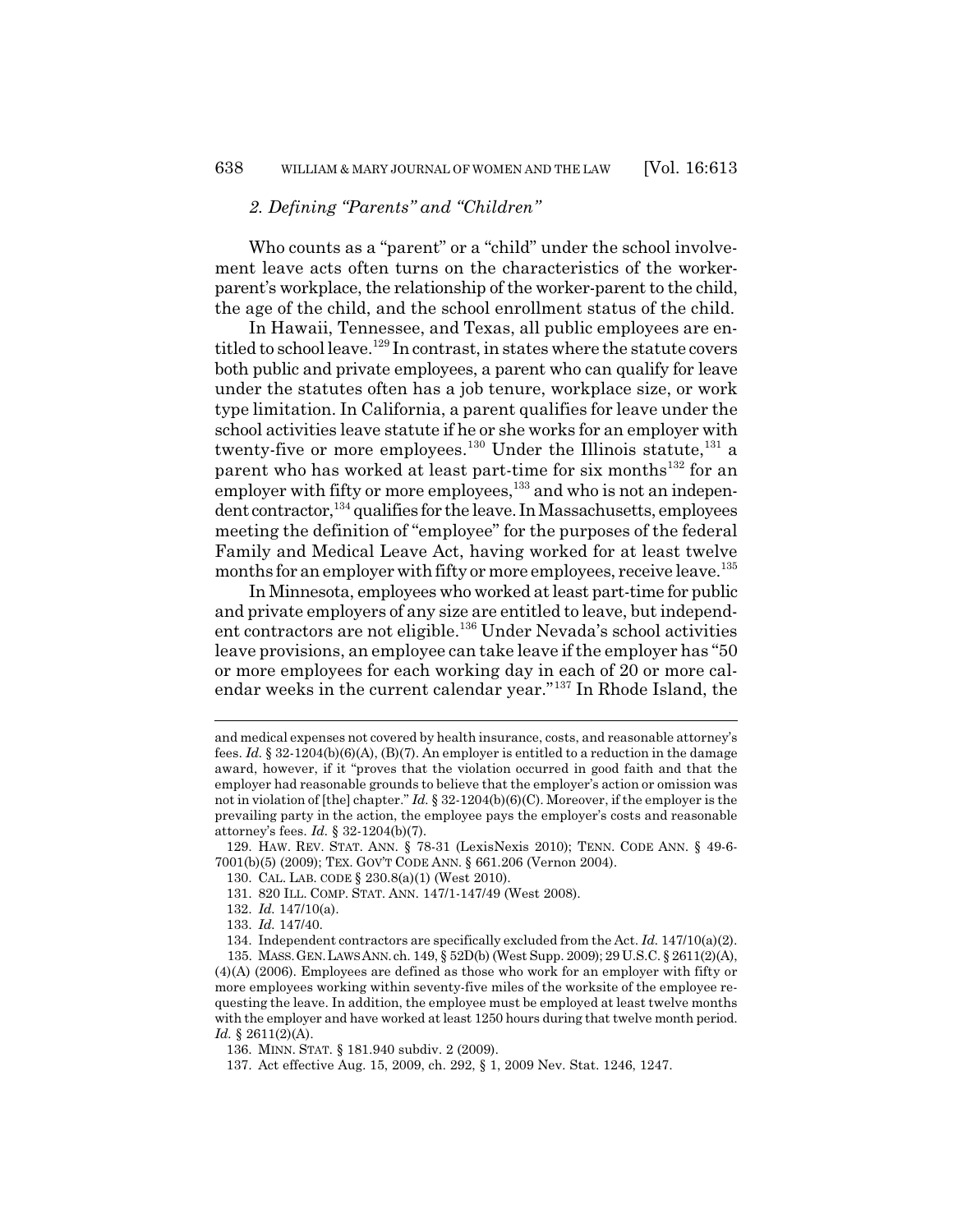### *2. Defining "Parents" and "Children"*

Who counts as a "parent" or a "child" under the school involvement leave acts often turns on the characteristics of the workerparent's workplace, the relationship of the worker-parent to the child, the age of the child, and the school enrollment status of the child.

In Hawaii, Tennessee, and Texas, all public employees are entitled to school leave.<sup>129</sup> In contrast, in states where the statute covers both public and private employees, a parent who can qualify for leave under the statutes often has a job tenure, workplace size, or work type limitation. In California, a parent qualifies for leave under the school activities leave statute if he or she works for an employer with twenty-five or more employees.<sup>130</sup> Under the Illinois statute,<sup>131</sup> a parent who has worked at least part-time for six months<sup>132</sup> for an employer with fifty or more employees, $^{133}$  and who is not an independent contractor,134 qualifies for the leave. In Massachusetts, employees meeting the definition of "employee" for the purposes of the federal Family and Medical Leave Act, having worked for at least twelve months for an employer with fifty or more employees, receive leave.<sup>135</sup>

In Minnesota, employees who worked at least part-time for public and private employers of any size are entitled to leave, but independent contractors are not eligible.136 Under Nevada's school activities leave provisions, an employee can take leave if the employer has "50 or more employees for each working day in each of 20 or more calendar weeks in the current calendar year."137 In Rhode Island, the

and medical expenses not covered by health insurance, costs, and reasonable attorney's fees. *Id.* § 32-1204(b)(6)(A), (B)(7). An employer is entitled to a reduction in the damage award, however, if it "proves that the violation occurred in good faith and that the employer had reasonable grounds to believe that the employer's action or omission was not in violation of [the] chapter." *Id.* § 32-1204(b)(6)(C). Moreover, if the employer is the prevailing party in the action, the employee pays the employer's costs and reasonable attorney's fees. *Id.* § 32-1204(b)(7).

<sup>129.</sup> HAW. REV. STAT. ANN. § 78-31 (LexisNexis 2010); TENN. CODE ANN. § 49-6- 7001(b)(5) (2009); TEX. GOV'T CODE ANN. § 661.206 (Vernon 2004).

<sup>130.</sup> CAL. LAB. CODE § 230.8(a)(1) (West 2010).

<sup>131. 820</sup> ILL. COMP. STAT. ANN. 147/1-147/49 (West 2008).

<sup>132.</sup> *Id.* 147/10(a).

<sup>133.</sup> *Id.* 147/40.

<sup>134.</sup> Independent contractors are specifically excluded from the Act. *Id.* 147/10(a)(2).

<sup>135.</sup> MASS.GEN.LAWS ANN. ch. 149, § 52D(b) (West Supp. 2009); 29 U.S.C. § 2611(2)(A), (4)(A) (2006). Employees are defined as those who work for an employer with fifty or more employees working within seventy-five miles of the worksite of the employee requesting the leave. In addition, the employee must be employed at least twelve months with the employer and have worked at least 1250 hours during that twelve month period. *Id.* § 2611(2)(A).

<sup>136.</sup> MINN. STAT. § 181.940 subdiv. 2 (2009).

<sup>137.</sup> Act effective Aug. 15, 2009, ch. 292, § 1, 2009 Nev. Stat. 1246, 1247.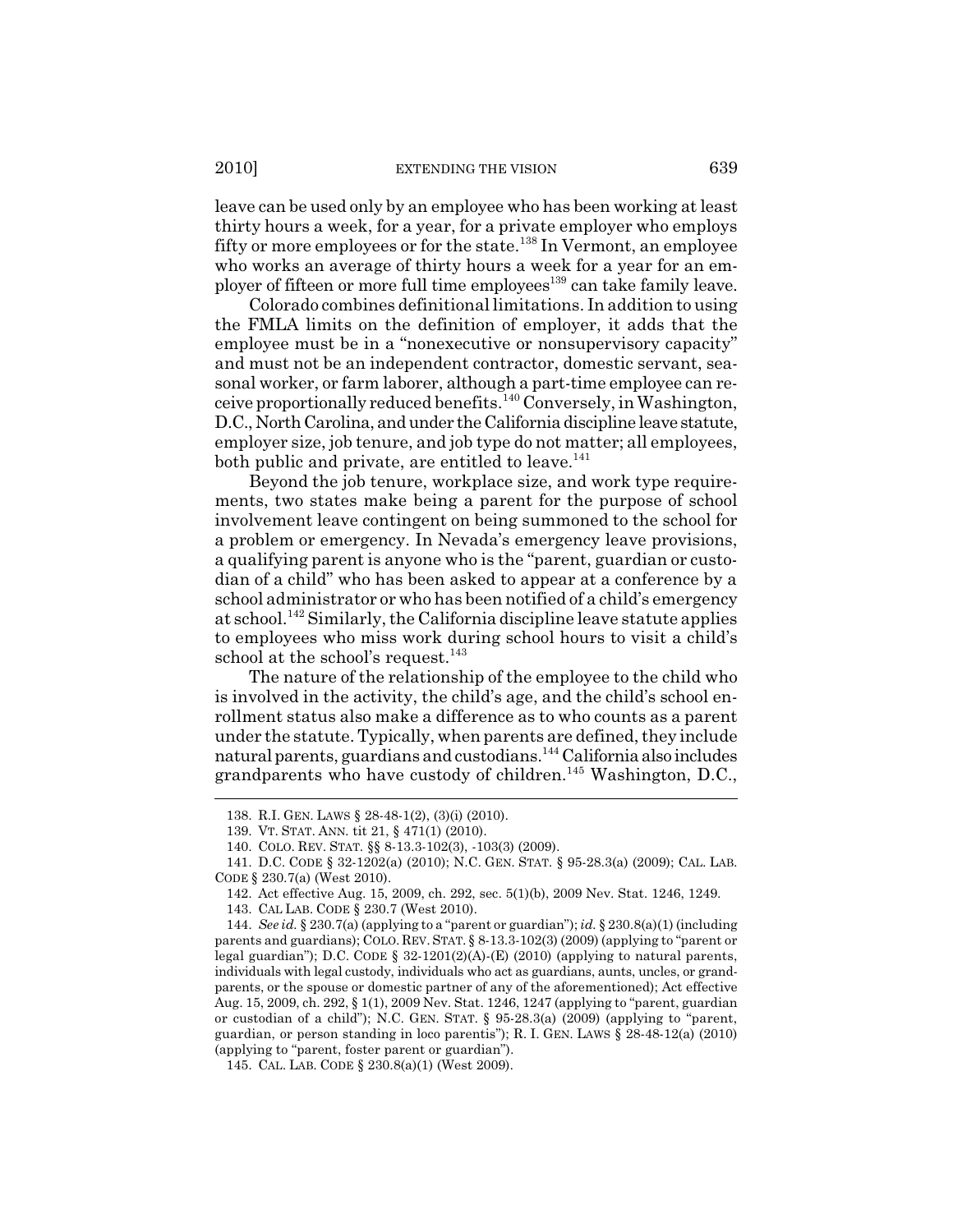leave can be used only by an employee who has been working at least thirty hours a week, for a year, for a private employer who employs fifty or more employees or for the state.<sup>138</sup> In Vermont, an employee who works an average of thirty hours a week for a year for an employer of fifteen or more full time employees<sup>139</sup> can take family leave.

Colorado combines definitional limitations. In addition to using the FMLA limits on the definition of employer, it adds that the employee must be in a "nonexecutive or nonsupervisory capacity" and must not be an independent contractor, domestic servant, seasonal worker, or farm laborer, although a part-time employee can receive proportionally reduced benefits.140 Conversely, in Washington, D.C., North Carolina, and under the California discipline leave statute, employer size, job tenure, and job type do not matter; all employees, both public and private, are entitled to leave.<sup>141</sup>

Beyond the job tenure, workplace size, and work type requirements, two states make being a parent for the purpose of school involvement leave contingent on being summoned to the school for a problem or emergency. In Nevada's emergency leave provisions, a qualifying parent is anyone who is the "parent, guardian or custodian of a child" who has been asked to appear at a conference by a school administrator or who has been notified of a child's emergency at school.142 Similarly, the California discipline leave statute applies to employees who miss work during school hours to visit a child's school at the school's request.<sup>143</sup>

The nature of the relationship of the employee to the child who is involved in the activity, the child's age, and the child's school enrollment status also make a difference as to who counts as a parent under the statute. Typically, when parents are defined, they include natural parents, guardians and custodians.144 California also includes grandparents who have custody of children.<sup>145</sup> Washington, D.C.,

145. CAL. LAB. CODE § 230.8(a)(1) (West 2009).

<sup>138.</sup> R.I. GEN. LAWS § 28-48-1(2), (3)(i) (2010).

<sup>139.</sup> VT. STAT. ANN. tit 21, § 471(1) (2010).

<sup>140.</sup> COLO. REV. STAT. §§ 8-13.3-102(3), -103(3) (2009).

<sup>141.</sup> D.C. CODE § 32-1202(a) (2010); N.C. GEN. STAT. § 95-28.3(a) (2009); CAL. LAB. CODE § 230.7(a) (West 2010).

<sup>142.</sup> Act effective Aug. 15, 2009, ch. 292, sec. 5(1)(b), 2009 Nev. Stat. 1246, 1249.

<sup>143.</sup> CAL LAB. CODE § 230.7 (West 2010).

<sup>144.</sup> *See id.* § 230.7(a) (applying to a "parent or guardian"); *id.* § 230.8(a)(1) (including parents and guardians); COLO. REV. STAT. § 8-13.3-102(3) (2009) (applying to "parent or legal guardian"); D.C. CODE § 32-1201(2)(A)-(E) (2010) (applying to natural parents, individuals with legal custody, individuals who act as guardians, aunts, uncles, or grandparents, or the spouse or domestic partner of any of the aforementioned); Act effective Aug. 15, 2009, ch. 292, § 1(1), 2009 Nev. Stat. 1246, 1247 (applying to "parent, guardian or custodian of a child"); N.C. GEN. STAT. § 95-28.3(a) (2009) (applying to "parent, guardian, or person standing in loco parentis"); R. I. GEN. LAWS § 28-48-12(a) (2010) (applying to "parent, foster parent or guardian").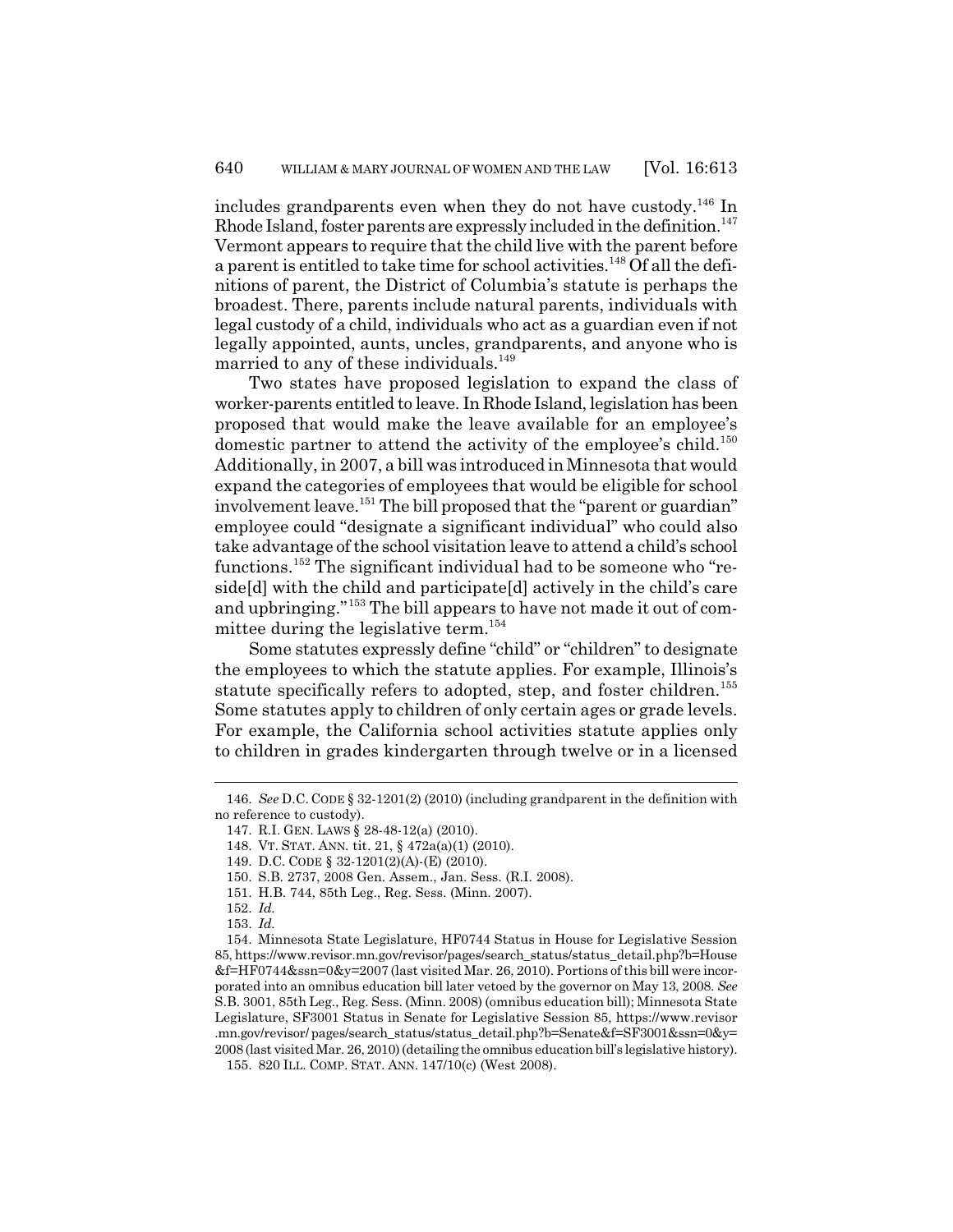includes grandparents even when they do not have custody.<sup>146</sup> In Rhode Island, foster parents are expressly included in the definition.<sup>147</sup> Vermont appears to require that the child live with the parent before a parent is entitled to take time for school activities.<sup>148</sup> Of all the definitions of parent, the District of Columbia's statute is perhaps the broadest. There, parents include natural parents, individuals with legal custody of a child, individuals who act as a guardian even if not legally appointed, aunts, uncles, grandparents, and anyone who is married to any of these individuals.<sup>149</sup>

Two states have proposed legislation to expand the class of worker-parents entitled to leave. In Rhode Island, legislation has been proposed that would make the leave available for an employee's domestic partner to attend the activity of the employee's child.<sup>150</sup> Additionally, in 2007, a bill was introduced in Minnesota that would expand the categories of employees that would be eligible for school involvement leave.151 The bill proposed that the "parent or guardian" employee could "designate a significant individual" who could also take advantage of the school visitation leave to attend a child's school functions.152 The significant individual had to be someone who "reside[d] with the child and participate[d] actively in the child's care and upbringing."153 The bill appears to have not made it out of committee during the legislative term.154

Some statutes expressly define "child" or "children" to designate the employees to which the statute applies. For example, Illinois's statute specifically refers to adopted, step, and foster children.<sup>155</sup> Some statutes apply to children of only certain ages or grade levels. For example, the California school activities statute applies only to children in grades kindergarten through twelve or in a licensed

<sup>146.</sup> *See* D.C. CODE § 32-1201(2) (2010) (including grandparent in the definition with no reference to custody).

<sup>147.</sup> R.I. GEN. LAWS § 28-48-12(a) (2010).

<sup>148.</sup> VT. STAT. ANN. tit. 21, § 472a(a)(1) (2010).

<sup>149.</sup> D.C. CODE § 32-1201(2)(A)-(E) (2010).

<sup>150.</sup> S.B. 2737, 2008 Gen. Assem., Jan. Sess. (R.I. 2008).

<sup>151.</sup> H.B. 744, 85th Leg., Reg. Sess. (Minn. 2007).

<sup>152.</sup> *Id.*

<sup>153.</sup> *Id.*

<sup>154.</sup> Minnesota State Legislature, HF0744 Status in House for Legislative Session 85, https://www.revisor.mn.gov/revisor/pages/search\_status/status\_detail.php?b=House &f=HF0744&ssn=0&y=2007 (last visited Mar. 26, 2010). Portions of this bill were incorporated into an omnibus education bill later vetoed by the governor on May 13, 2008. *See* S.B. 3001, 85th Leg., Reg. Sess. (Minn. 2008) (omnibus education bill); Minnesota State Legislature, SF3001 Status in Senate for Legislative Session 85, https://www.revisor .mn.gov/revisor/ pages/search\_status/status\_detail.php?b=Senate&f=SF3001&ssn=0&y= 2008 (last visited Mar. 26, 2010) (detailing the omnibus education bill's legislative history).

<sup>155. 820</sup> ILL. COMP. STAT. ANN. 147/10(c) (West 2008).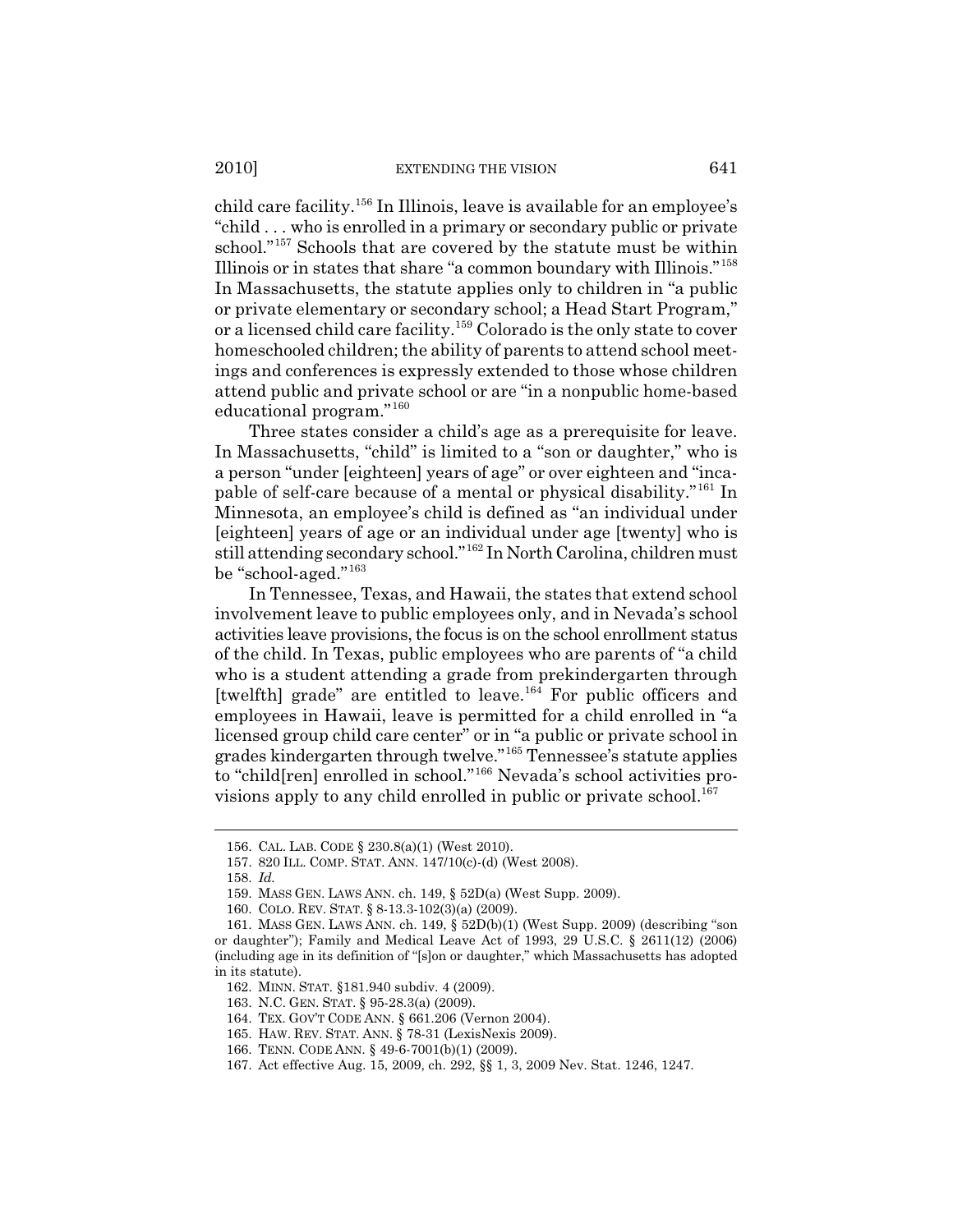#### 2010] EXTENDING THE VISION 641

child care facility.156 In Illinois, leave is available for an employee's "child . . . who is enrolled in a primary or secondary public or private school."<sup>157</sup> Schools that are covered by the statute must be within Illinois or in states that share "a common boundary with Illinois."<sup>158</sup> In Massachusetts, the statute applies only to children in "a public or private elementary or secondary school; a Head Start Program," or a licensed child care facility.159 Colorado is the only state to cover homeschooled children; the ability of parents to attend school meetings and conferences is expressly extended to those whose children attend public and private school or are "in a nonpublic home-based educational program."<sup>160</sup>

Three states consider a child's age as a prerequisite for leave. In Massachusetts, "child" is limited to a "son or daughter," who is a person "under [eighteen] years of age" or over eighteen and "incapable of self-care because of a mental or physical disability."161 In Minnesota, an employee's child is defined as "an individual under [eighteen] years of age or an individual under age [twenty] who is still attending secondary school."162 In North Carolina, children must be "school-aged."<sup>163</sup>

In Tennessee, Texas, and Hawaii, the states that extend school involvement leave to public employees only, and in Nevada's school activities leave provisions, the focus is on the school enrollment status of the child. In Texas, public employees who are parents of "a child who is a student attending a grade from prekindergarten through [twelfth] grade" are entitled to leave.<sup>164</sup> For public officers and employees in Hawaii, leave is permitted for a child enrolled in "a licensed group child care center" or in "a public or private school in grades kindergarten through twelve."165 Tennessee's statute applies to "child[ren] enrolled in school."166 Nevada's school activities provisions apply to any child enrolled in public or private school.<sup>167</sup>

<sup>156.</sup> CAL. LAB. CODE § 230.8(a)(1) (West 2010).

<sup>157. 820</sup> ILL. COMP. STAT. ANN. 147/10(c)-(d) (West 2008).

<sup>158.</sup> *Id.*

<sup>159.</sup> MASS GEN. LAWS ANN. ch. 149, § 52D(a) (West Supp. 2009).

<sup>160.</sup> COLO. REV. STAT. § 8-13.3-102(3)(a) (2009).

<sup>161.</sup> MASS GEN. LAWS ANN. ch. 149, § 52D(b)(1) (West Supp. 2009) (describing "son or daughter"); Family and Medical Leave Act of 1993, 29 U.S.C. § 2611(12) (2006) (including age in its definition of "[s]on or daughter," which Massachusetts has adopted in its statute).

<sup>162.</sup> MINN. STAT. §181.940 subdiv. 4 (2009).

<sup>163.</sup> N.C. GEN. STAT. § 95-28.3(a) (2009).

<sup>164.</sup> TEX. GOV'T CODE ANN. § 661.206 (Vernon 2004).

<sup>165.</sup> HAW. REV. STAT. ANN. § 78-31 (LexisNexis 2009).

<sup>166.</sup> TENN. CODE ANN. § 49-6-7001(b)(1) (2009).

<sup>167.</sup> Act effective Aug. 15, 2009, ch. 292, §§ 1, 3, 2009 Nev. Stat. 1246, 1247.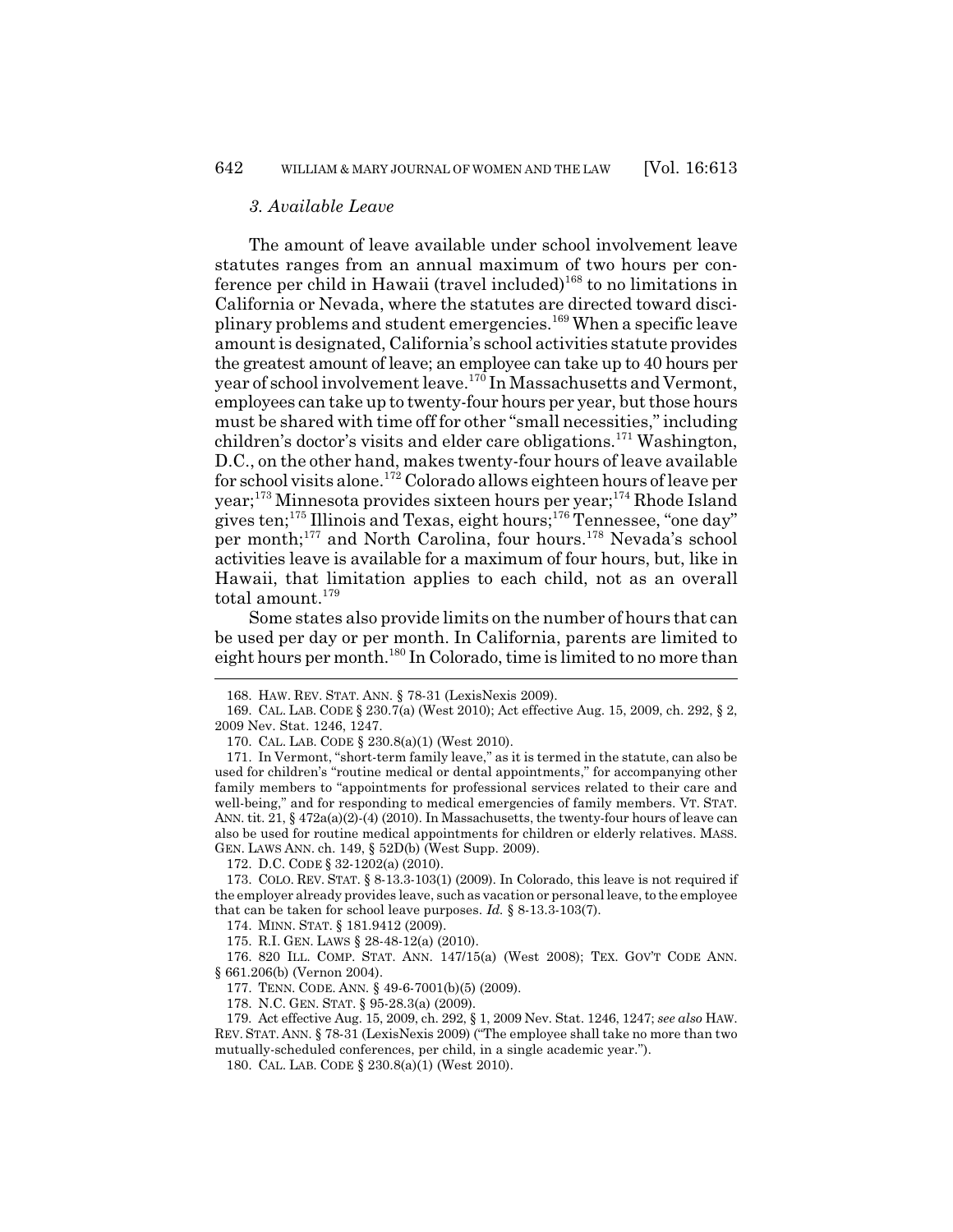### *3. Available Leave*

The amount of leave available under school involvement leave statutes ranges from an annual maximum of two hours per conference per child in Hawaii (travel included)<sup>168</sup> to no limitations in California or Nevada, where the statutes are directed toward disciplinary problems and student emergencies.169 When a specific leave amount is designated, California's school activities statute provides the greatest amount of leave; an employee can take up to 40 hours per year of school involvement leave.<sup>170</sup> In Massachusetts and Vermont, employees can take up to twenty-four hours per year, but those hours must be shared with time off for other "small necessities," including children's doctor's visits and elder care obligations.<sup>171</sup> Washington, D.C., on the other hand, makes twenty-four hours of leave available for school visits alone.172 Colorado allows eighteen hours of leave per year;<sup>173</sup> Minnesota provides sixteen hours per year;<sup>174</sup> Rhode Island gives ten;175 Illinois and Texas, eight hours;176 Tennessee, "one day" per month;<sup>177</sup> and North Carolina, four hours.<sup>178</sup> Nevada's school activities leave is available for a maximum of four hours, but, like in Hawaii, that limitation applies to each child, not as an overall total amount.<sup>179</sup>

Some states also provide limits on the number of hours that can be used per day or per month. In California, parents are limited to eight hours per month.<sup>180</sup> In Colorado, time is limited to no more than

170. CAL. LAB. CODE § 230.8(a)(1) (West 2010).

172. D.C. CODE § 32-1202(a) (2010).

174. MINN. STAT. § 181.9412 (2009).

175. R.I. GEN. LAWS § 28-48-12(a) (2010).

176. 820 ILL. COMP. STAT. ANN. 147/15(a) (West 2008); TEX. GOV'T CODE ANN. § 661.206(b) (Vernon 2004).

177. TENN. CODE. ANN. § 49-6-7001(b)(5) (2009).

178. N.C. GEN. STAT. § 95-28.3(a) (2009).

180. CAL. LAB. CODE § 230.8(a)(1) (West 2010).

<sup>168.</sup> HAW. REV. STAT. ANN. § 78-31 (LexisNexis 2009).

<sup>169.</sup> CAL. LAB. CODE § 230.7(a) (West 2010); Act effective Aug. 15, 2009, ch. 292, § 2, 2009 Nev. Stat. 1246, 1247.

<sup>171.</sup> In Vermont, "short-term family leave," as it is termed in the statute, can also be used for children's "routine medical or dental appointments," for accompanying other family members to "appointments for professional services related to their care and well-being," and for responding to medical emergencies of family members. VT. STAT. ANN. tit.  $21, \frac{6}{5}$  472a(a)(2)-(4) (2010). In Massachusetts, the twenty-four hours of leave can also be used for routine medical appointments for children or elderly relatives. MASS. GEN. LAWS ANN. ch. 149, § 52D(b) (West Supp. 2009).

<sup>173.</sup> COLO. REV. STAT. § 8-13.3-103(1) (2009). In Colorado, this leave is not required if the employer already provides leave, such as vacation or personal leave, to the employee that can be taken for school leave purposes. *Id.* § 8-13.3-103(7).

<sup>179.</sup> Act effective Aug. 15, 2009, ch. 292, § 1, 2009 Nev. Stat. 1246, 1247; *see also* HAW. REV. STAT. ANN. § 78-31 (LexisNexis 2009) ("The employee shall take no more than two mutually-scheduled conferences, per child, in a single academic year.").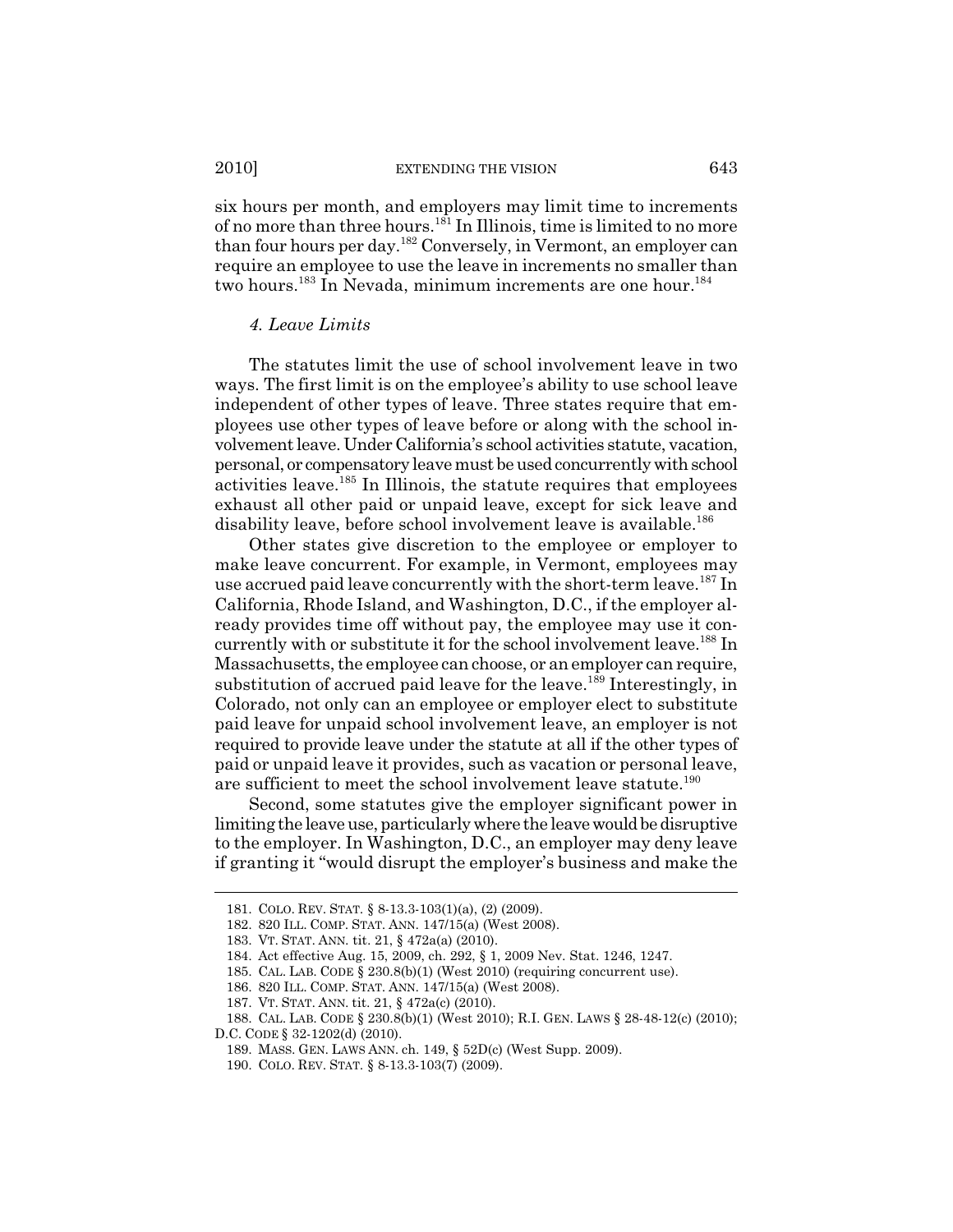2010] EXTENDING THE VISION 643

six hours per month, and employers may limit time to increments of no more than three hours.181 In Illinois, time is limited to no more than four hours per day.182 Conversely, in Vermont, an employer can require an employee to use the leave in increments no smaller than two hours.<sup>183</sup> In Nevada, minimum increments are one hour.<sup>184</sup>

## *4. Leave Limits*

The statutes limit the use of school involvement leave in two ways. The first limit is on the employee's ability to use school leave independent of other types of leave. Three states require that employees use other types of leave before or along with the school involvement leave. Under California's school activities statute, vacation, personal, or compensatory leave must be used concurrently with school activities leave.<sup>185</sup> In Illinois, the statute requires that employees exhaust all other paid or unpaid leave, except for sick leave and disability leave, before school involvement leave is available.<sup>186</sup>

Other states give discretion to the employee or employer to make leave concurrent. For example, in Vermont, employees may use accrued paid leave concurrently with the short-term leave.<sup>187</sup> In California, Rhode Island, and Washington, D.C., if the employer already provides time off without pay, the employee may use it concurrently with or substitute it for the school involvement leave.<sup>188</sup> In Massachusetts, the employee can choose, or an employer can require, substitution of accrued paid leave for the leave.<sup>189</sup> Interestingly, in Colorado, not only can an employee or employer elect to substitute paid leave for unpaid school involvement leave, an employer is not required to provide leave under the statute at all if the other types of paid or unpaid leave it provides, such as vacation or personal leave, are sufficient to meet the school involvement leave statute.<sup>190</sup>

Second, some statutes give the employer significant power in limiting the leave use, particularly where the leave would be disruptive to the employer. In Washington, D.C., an employer may deny leave if granting it "would disrupt the employer's business and make the

<sup>181.</sup> COLO. REV. STAT. § 8-13.3-103(1)(a), (2) (2009).

<sup>182. 820</sup> ILL. COMP. STAT. ANN. 147/15(a) (West 2008).

<sup>183.</sup> VT. STAT. ANN. tit. 21, § 472a(a) (2010).

<sup>184.</sup> Act effective Aug. 15, 2009, ch. 292, § 1, 2009 Nev. Stat. 1246, 1247.

<sup>185.</sup> CAL. LAB. CODE § 230.8(b)(1) (West 2010) (requiring concurrent use).

<sup>186. 820</sup> ILL. COMP. STAT. ANN. 147/15(a) (West 2008).

<sup>187.</sup> VT. STAT. ANN. tit. 21, § 472a(c) (2010).

<sup>188.</sup> CAL. LAB. CODE § 230.8(b)(1) (West 2010); R.I. GEN. LAWS § 28-48-12(c) (2010);

D.C. CODE § 32-1202(d) (2010).

<sup>189.</sup> MASS. GEN. LAWS ANN. ch. 149, § 52D(c) (West Supp. 2009).

<sup>190.</sup> COLO. REV. STAT. § 8-13.3-103(7) (2009).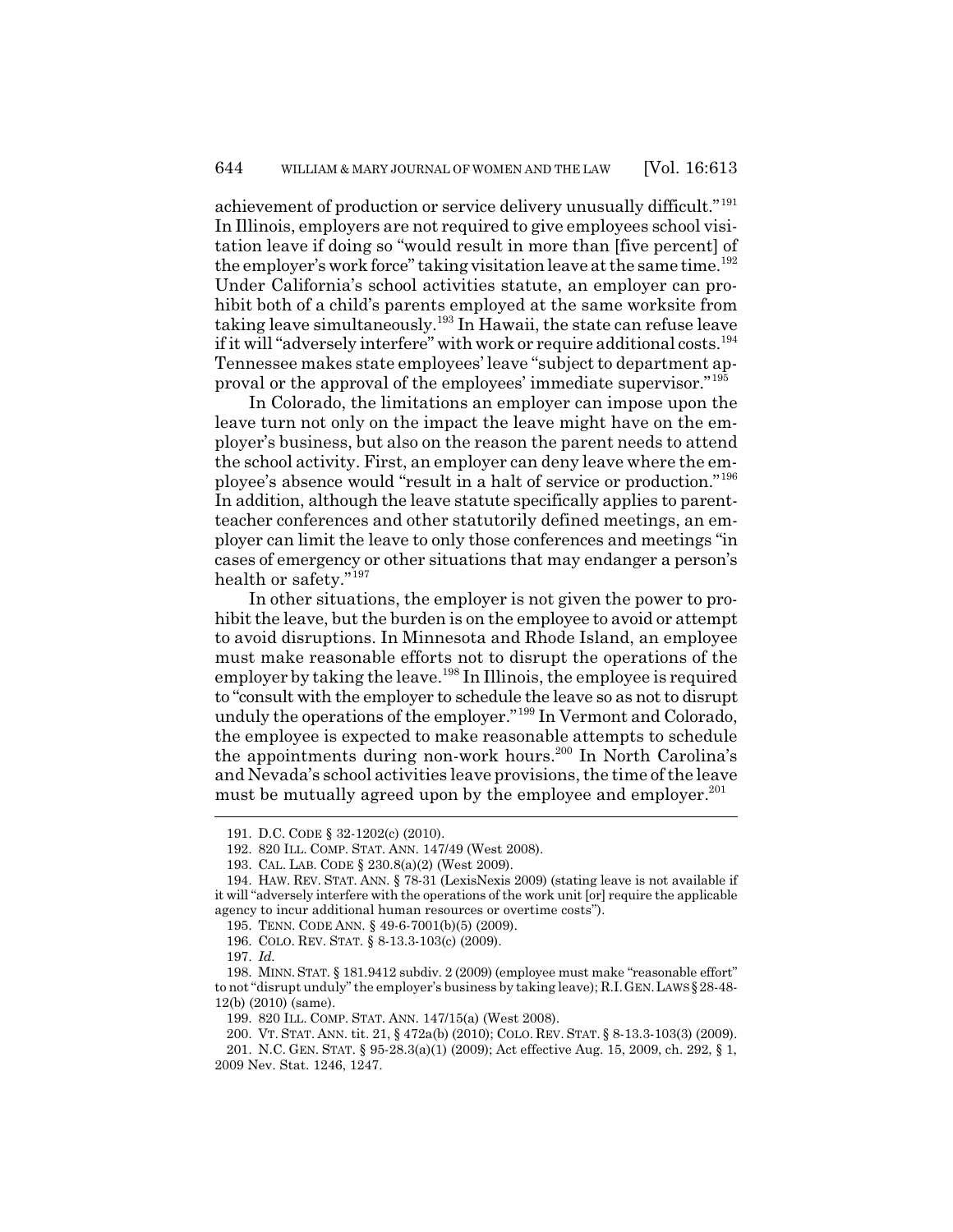achievement of production or service delivery unusually difficult."<sup>191</sup> In Illinois, employers are not required to give employees school visitation leave if doing so "would result in more than [five percent] of the employer's work force" taking visitation leave at the same time.<sup>192</sup> Under California's school activities statute, an employer can prohibit both of a child's parents employed at the same worksite from taking leave simultaneously.193 In Hawaii, the state can refuse leave if it will "adversely interfere" with work or require additional costs.<sup>194</sup> Tennessee makes state employees' leave "subject to department approval or the approval of the employees' immediate supervisor."<sup>195</sup>

In Colorado, the limitations an employer can impose upon the leave turn not only on the impact the leave might have on the employer's business, but also on the reason the parent needs to attend the school activity. First, an employer can deny leave where the employee's absence would "result in a halt of service or production."<sup>196</sup> In addition, although the leave statute specifically applies to parentteacher conferences and other statutorily defined meetings, an employer can limit the leave to only those conferences and meetings "in cases of emergency or other situations that may endanger a person's health or safety."<sup>197</sup>

In other situations, the employer is not given the power to prohibit the leave, but the burden is on the employee to avoid or attempt to avoid disruptions. In Minnesota and Rhode Island, an employee must make reasonable efforts not to disrupt the operations of the employer by taking the leave.<sup>198</sup> In Illinois, the employee is required to "consult with the employer to schedule the leave so as not to disrupt unduly the operations of the employer."<sup>199</sup> In Vermont and Colorado, the employee is expected to make reasonable attempts to schedule the appointments during non-work hours.200 In North Carolina's and Nevada's school activities leave provisions, the time of the leave must be mutually agreed upon by the employee and employer.<sup>201</sup>

<sup>191.</sup> D.C. CODE § 32-1202(c) (2010).

<sup>192. 820</sup> ILL. COMP. STAT. ANN. 147/49 (West 2008).

<sup>193.</sup> CAL. LAB. CODE § 230.8(a)(2) (West 2009).

<sup>194.</sup> HAW. REV. STAT. ANN. § 78-31 (LexisNexis 2009) (stating leave is not available if it will "adversely interfere with the operations of the work unit [or] require the applicable agency to incur additional human resources or overtime costs").

<sup>195.</sup> TENN. CODE ANN. § 49-6-7001(b)(5) (2009).

<sup>196.</sup> COLO. REV. STAT. § 8-13.3-103(c) (2009).

<sup>197.</sup> *Id.*

<sup>198.</sup> MINN. STAT. § 181.9412 subdiv. 2 (2009) (employee must make "reasonable effort" to not "disrupt unduly" the employer's business by taking leave); R.I.GEN.LAWS §28-48- 12(b) (2010) (same).

<sup>199. 820</sup> ILL. COMP. STAT. ANN. 147/15(a) (West 2008).

<sup>200.</sup> VT. STAT. ANN. tit. 21, § 472a(b) (2010); COLO. REV. STAT. § 8-13.3-103(3) (2009). 201. N.C. GEN. STAT. § 95-28.3(a)(1) (2009); Act effective Aug. 15, 2009, ch. 292, § 1, 2009 Nev. Stat. 1246, 1247.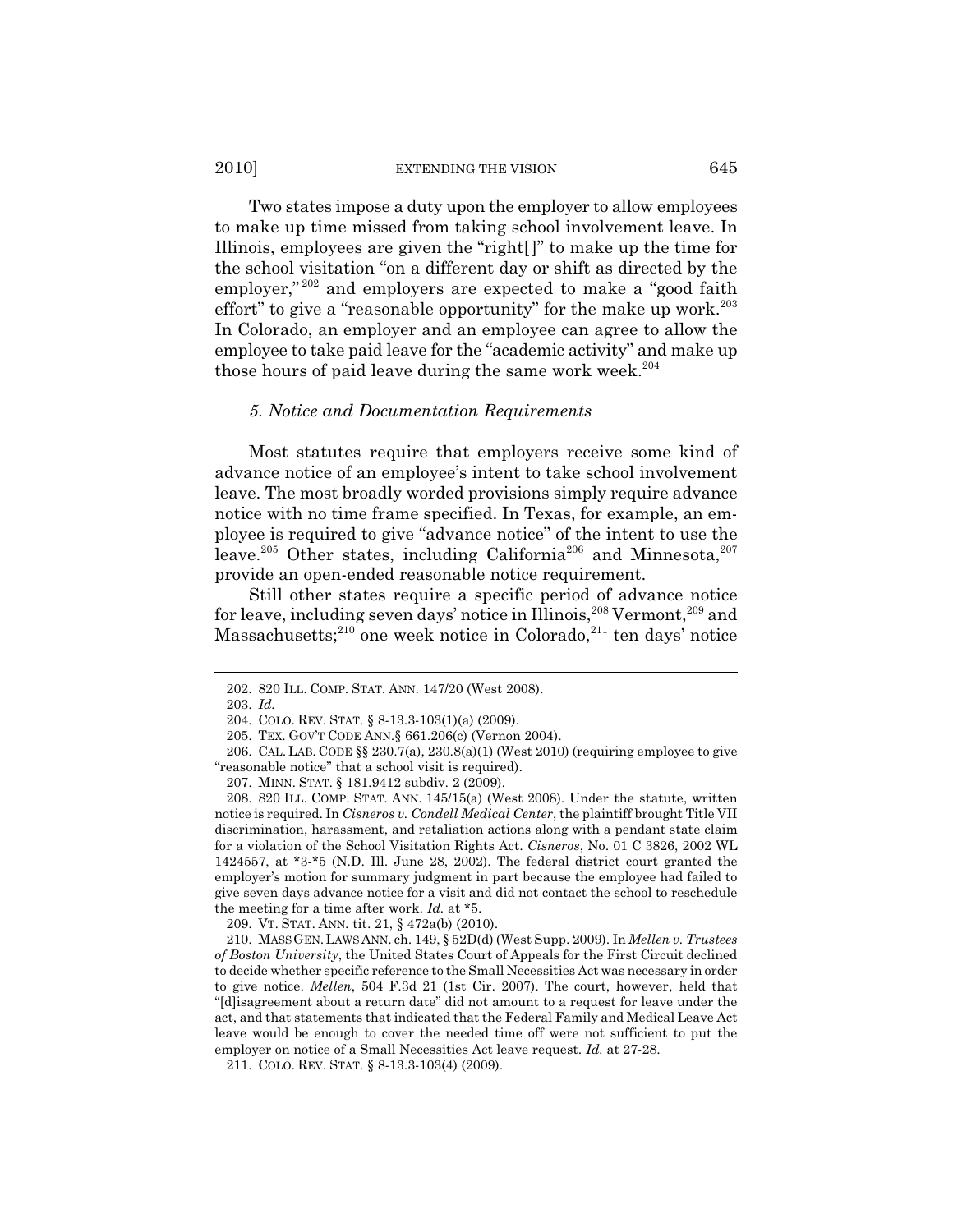#### 2010] EXTENDING THE VISION 645

Two states impose a duty upon the employer to allow employees to make up time missed from taking school involvement leave. In Illinois, employees are given the "right[]" to make up the time for the school visitation "on a different day or shift as directed by the employer,"<sup>202</sup> and employers are expected to make a "good faith effort" to give a "reasonable opportunity" for the make up work. $^{203}$ In Colorado, an employer and an employee can agree to allow the employee to take paid leave for the "academic activity" and make up those hours of paid leave during the same work week.<sup>204</sup>

#### *5. Notice and Documentation Requirements*

Most statutes require that employers receive some kind of advance notice of an employee's intent to take school involvement leave. The most broadly worded provisions simply require advance notice with no time frame specified. In Texas, for example, an employee is required to give "advance notice" of the intent to use the leave.<sup>205</sup> Other states, including California<sup>206</sup> and Minnesota,<sup>207</sup> provide an open-ended reasonable notice requirement.

Still other states require a specific period of advance notice for leave, including seven days' notice in Illinois, $^{208}$  Vermont, $^{209}$  and  ${\rm Massachusetts;}^{210}$  one week notice in Colorado, $^{211}$  ten days' notice

<sup>202. 820</sup> ILL. COMP. STAT. ANN. 147/20 (West 2008).

<sup>203.</sup> *Id.*

<sup>204.</sup> COLO. REV. STAT. § 8-13.3-103(1)(a) (2009).

<sup>205.</sup> TEX. GOV'T CODE ANN.§ 661.206(c) (Vernon 2004).

<sup>206.</sup> CAL. LAB. CODE §§ 230.7(a), 230.8(a)(1) (West 2010) (requiring employee to give "reasonable notice" that a school visit is required).

<sup>207.</sup> MINN. STAT. § 181.9412 subdiv. 2 (2009).

<sup>208. 820</sup> ILL. COMP. STAT. ANN. 145/15(a) (West 2008). Under the statute, written notice is required. In *Cisneros v. Condell Medical Center*, the plaintiff brought Title VII discrimination, harassment, and retaliation actions along with a pendant state claim for a violation of the School Visitation Rights Act. *Cisneros*, No. 01 C 3826, 2002 WL 1424557, at \*3-\*5 (N.D. Ill. June 28, 2002). The federal district court granted the employer's motion for summary judgment in part because the employee had failed to give seven days advance notice for a visit and did not contact the school to reschedule the meeting for a time after work. *Id.* at \*5.

<sup>209.</sup> VT. STAT. ANN. tit. 21, § 472a(b) (2010).

<sup>210.</sup> MASS GEN.LAWS ANN. ch. 149, § 52D(d) (West Supp. 2009). In *Mellen v. Trustees of Boston University*, the United States Court of Appeals for the First Circuit declined to decide whether specific reference to the Small Necessities Act was necessary in order to give notice. *Mellen*, 504 F.3d 21 (1st Cir. 2007). The court, however, held that "[d]isagreement about a return date" did not amount to a request for leave under the act, and that statements that indicated that the Federal Family and Medical Leave Act leave would be enough to cover the needed time off were not sufficient to put the employer on notice of a Small Necessities Act leave request. *Id.* at 27-28.

<sup>211.</sup> COLO. REV. STAT. § 8-13.3-103(4) (2009).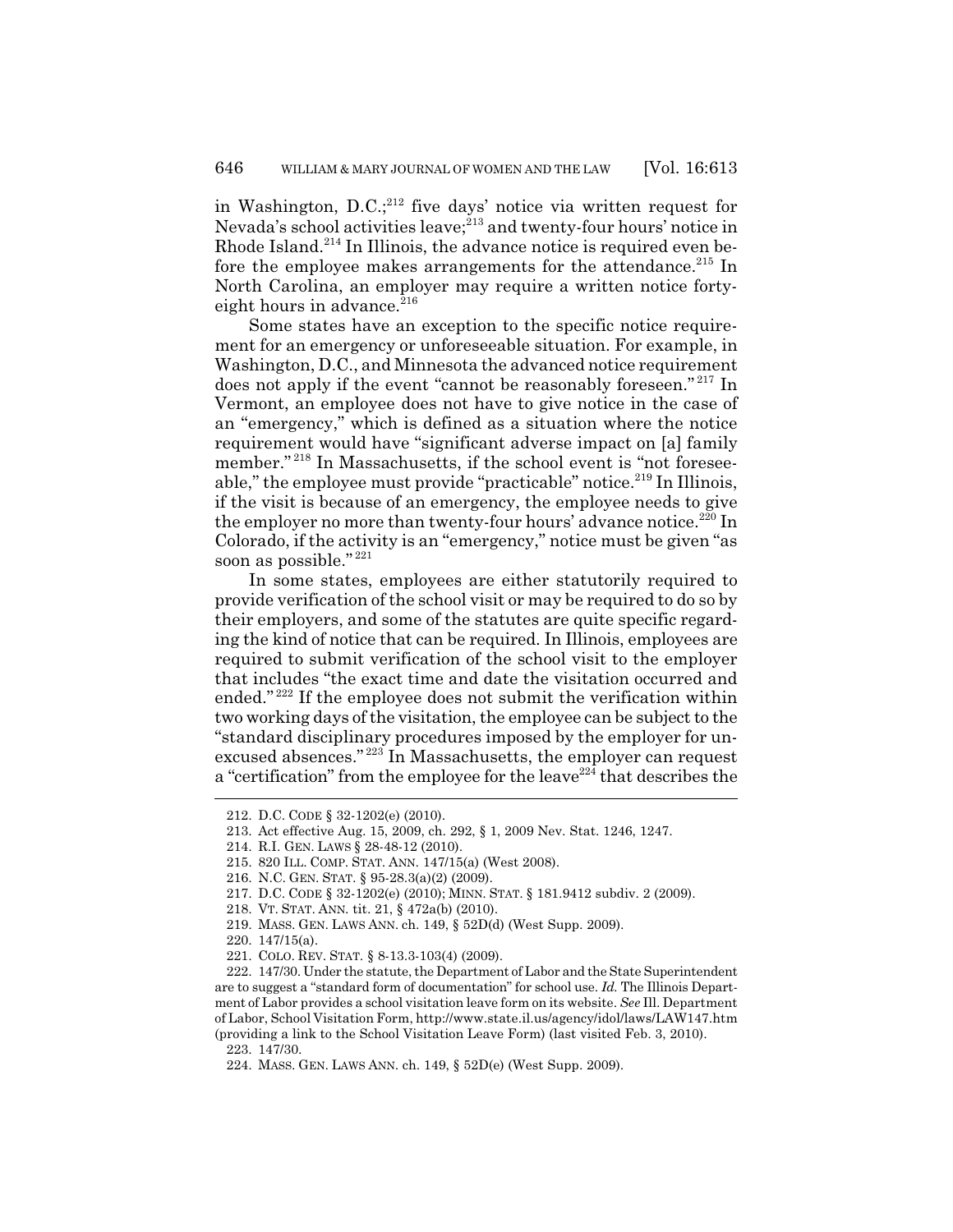in Washington,  $D.C.;<sup>212</sup>$  five days' notice via written request for Nevada's school activities leave;<sup>213</sup> and twenty-four hours' notice in Rhode Island.<sup>214</sup> In Illinois, the advance notice is required even before the employee makes arrangements for the attendance.<sup>215</sup> In North Carolina, an employer may require a written notice fortyeight hours in advance. $216$ 

Some states have an exception to the specific notice requirement for an emergency or unforeseeable situation. For example, in Washington, D.C., and Minnesota the advanced notice requirement does not apply if the event "cannot be reasonably foreseen." 217 In Vermont, an employee does not have to give notice in the case of an "emergency," which is defined as a situation where the notice requirement would have "significant adverse impact on [a] family member." 218 In Massachusetts, if the school event is "not foreseeable," the employee must provide "practicable" notice. $2^{19}$  In Illinois, if the visit is because of an emergency, the employee needs to give the employer no more than twenty-four hours' advance notice.<sup>220</sup> In Colorado, if the activity is an "emergency," notice must be given "as soon as possible." <sup>221</sup>

In some states, employees are either statutorily required to provide verification of the school visit or may be required to do so by their employers, and some of the statutes are quite specific regarding the kind of notice that can be required. In Illinois, employees are required to submit verification of the school visit to the employer that includes "the exact time and date the visitation occurred and ended." 222 If the employee does not submit the verification within two working days of the visitation, the employee can be subject to the "standard disciplinary procedures imposed by the employer for unexcused absences." 223 In Massachusetts, the employer can request a "certification" from the employee for the leave  $2^{24}$  that describes the

- 217. D.C. CODE § 32-1202(e) (2010); MINN. STAT. § 181.9412 subdiv. 2 (2009).
- 218. VT. STAT. ANN. tit. 21, § 472a(b) (2010).
- 219. MASS. GEN. LAWS ANN. ch. 149, § 52D(d) (West Supp. 2009).
- 220. 147/15(a).
- 221. COLO. REV. STAT. § 8-13.3-103(4) (2009).

<sup>212.</sup> D.C. CODE § 32-1202(e) (2010).

<sup>213.</sup> Act effective Aug. 15, 2009, ch. 292, § 1, 2009 Nev. Stat. 1246, 1247.

<sup>214.</sup> R.I. GEN. LAWS § 28-48-12 (2010).

<sup>215. 820</sup> ILL. COMP. STAT. ANN. 147/15(a) (West 2008).

<sup>216.</sup> N.C. GEN. STAT. § 95-28.3(a)(2) (2009).

<sup>222.</sup> 147/30. Under the statute, the Department of Labor and the State Superintendent are to suggest a "standard form of documentation" for school use. *Id.* The Illinois Department of Labor provides a school visitation leave form on its website. *See* Ill. Department of Labor, School Visitation Form, http://www.state.il.us/agency/idol/laws/LAW147.htm (providing a link to the School Visitation Leave Form) (last visited Feb. 3, 2010).

<sup>223. 147/30.</sup>

<sup>224.</sup> MASS. GEN. LAWS ANN. ch. 149, § 52D(e) (West Supp. 2009).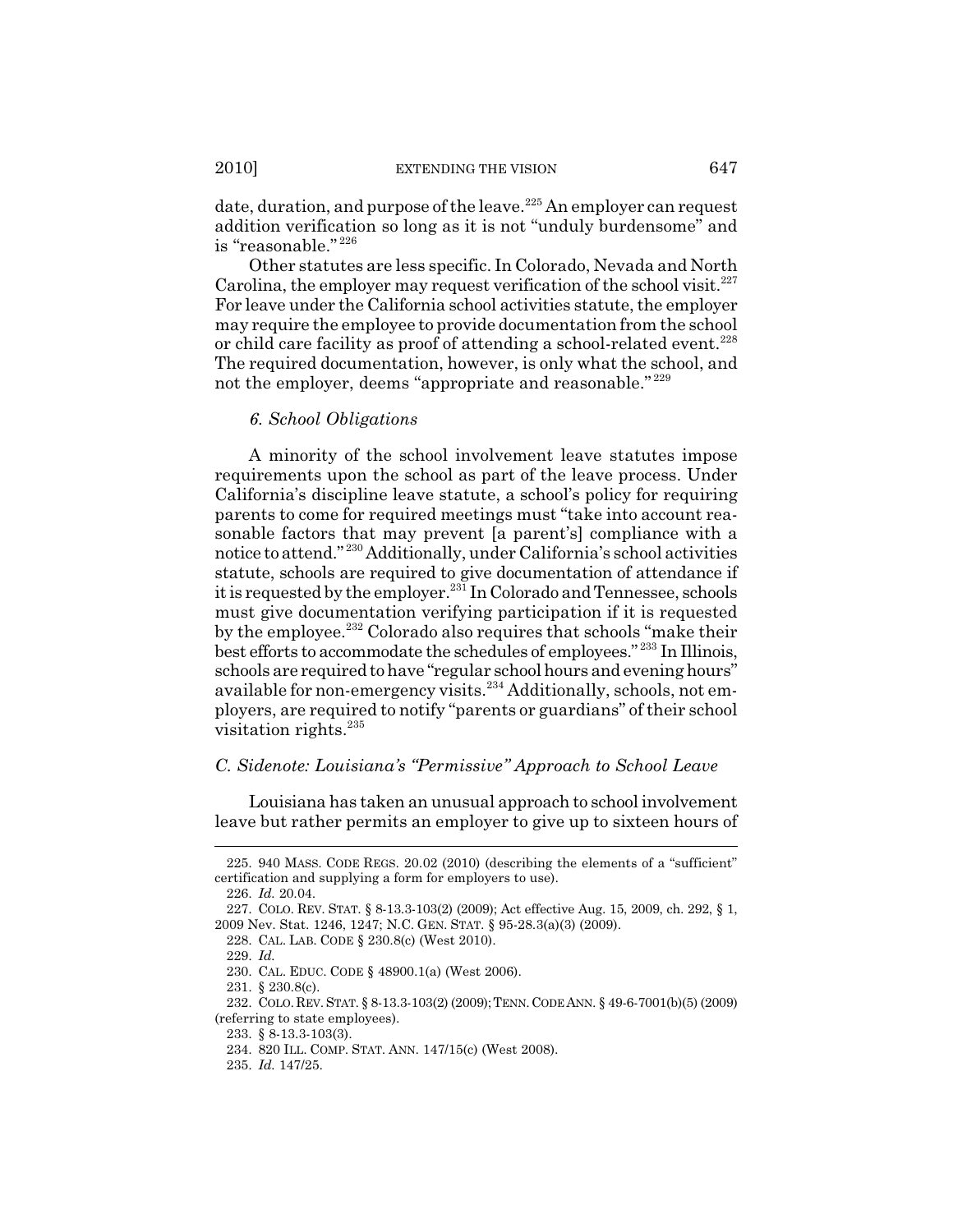date, duration, and purpose of the leave.<sup>225</sup> An employer can request addition verification so long as it is not "unduly burdensome" and is "reasonable." <sup>226</sup>

Other statutes are less specific. In Colorado, Nevada and North Carolina, the employer may request verification of the school visit.<sup>227</sup> For leave under the California school activities statute, the employer may require the employee to provide documentation from the school or child care facility as proof of attending a school-related event.<sup>228</sup> The required documentation, however, is only what the school, and not the employer, deems "appropriate and reasonable." <sup>229</sup>

#### *6. School Obligations*

A minority of the school involvement leave statutes impose requirements upon the school as part of the leave process. Under California's discipline leave statute, a school's policy for requiring parents to come for required meetings must "take into account reasonable factors that may prevent [a parent's] compliance with a notice to attend." 230 Additionally, under California's school activities statute, schools are required to give documentation of attendance if it is requested by the employer.<sup>231</sup> In Colorado and Tennessee, schools must give documentation verifying participation if it is requested by the employee.<sup>232</sup> Colorado also requires that schools "make their best efforts to accommodate the schedules of employees." 233 In Illinois, schools are required to have "regular school hours and evening hours" available for non-emergency visits.<sup>234</sup> Additionally, schools, not employers, are required to notify "parents or guardians" of their school visitation rights.<sup>235</sup>

## *C. Sidenote: Louisiana's "Permissive" Approach to School Leave*

Louisiana has taken an unusual approach to school involvement leave but rather permits an employer to give up to sixteen hours of

<sup>225. 940</sup> MASS. CODE REGS. 20.02 (2010) (describing the elements of a "sufficient" certification and supplying a form for employers to use).

<sup>226.</sup> *Id.* 20.04.

<sup>227.</sup> COLO. REV. STAT. § 8-13.3-103(2) (2009); Act effective Aug. 15, 2009, ch. 292, § 1, 2009 Nev. Stat. 1246, 1247; N.C. GEN. STAT. § 95-28.3(a)(3) (2009).

<sup>228.</sup> CAL. LAB. CODE § 230.8(c) (West 2010).

<sup>229.</sup> *Id.*

<sup>230.</sup> CAL. EDUC. CODE § 48900.1(a) (West 2006).

<sup>231. § 230.8(</sup>c).

<sup>232.</sup> COLO. REV.STAT. § 8-13.3-103(2) (2009);TENN.CODE ANN. § 49-6-7001(b)(5) (2009) (referring to state employees).

<sup>233. § 8-13.3-103(3).</sup>

<sup>234. 820</sup> ILL. COMP. STAT. ANN. 147/15(c) (West 2008).

<sup>235.</sup> *Id.* 147/25.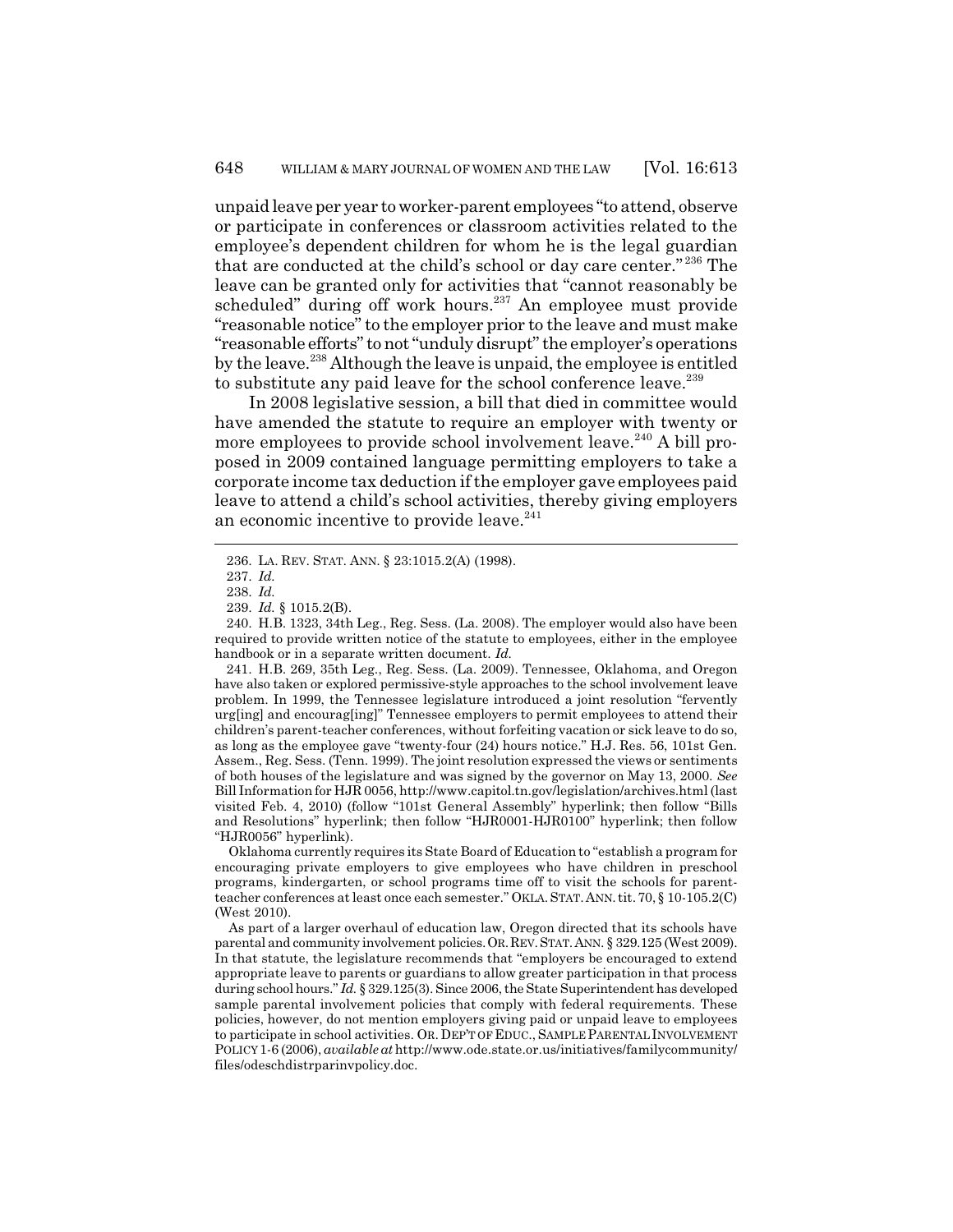unpaid leave per year to worker-parent employees "to attend, observe or participate in conferences or classroom activities related to the employee's dependent children for whom he is the legal guardian that are conducted at the child's school or day care center." 236 The leave can be granted only for activities that "cannot reasonably be scheduled" during off work hours.<sup>237</sup> An employee must provide "reasonable notice" to the employer prior to the leave and must make "reasonable efforts" to not "unduly disrupt" the employer's operations by the leave.<sup>238</sup> Although the leave is unpaid, the employee is entitled to substitute any paid leave for the school conference leave.<sup>239</sup>

In 2008 legislative session, a bill that died in committee would have amended the statute to require an employer with twenty or more employees to provide school involvement leave.<sup>240</sup> A bill proposed in 2009 contained language permitting employers to take a corporate income tax deduction if the employer gave employees paid leave to attend a child's school activities, thereby giving employers an economic incentive to provide leave.<sup>241</sup>

240. H.B. 1323, 34th Leg., Reg. Sess. (La. 2008). The employer would also have been required to provide written notice of the statute to employees, either in the employee handbook or in a separate written document. *Id.*

241. H.B. 269, 35th Leg., Reg. Sess. (La. 2009). Tennessee, Oklahoma, and Oregon have also taken or explored permissive-style approaches to the school involvement leave problem. In 1999, the Tennessee legislature introduced a joint resolution "fervently urg[ing] and encourag[ing]" Tennessee employers to permit employees to attend their children's parent-teacher conferences, without forfeiting vacation or sick leave to do so, as long as the employee gave "twenty-four (24) hours notice." H.J. Res. 56, 101st Gen. Assem., Reg. Sess. (Tenn. 1999). The joint resolution expressed the views or sentiments of both houses of the legislature and was signed by the governor on May 13, 2000. *See* Bill Information for HJR 0056, http://www.capitol.tn.gov/legislation/archives.html (last visited Feb. 4, 2010) (follow "101st General Assembly" hyperlink; then follow "Bills and Resolutions" hyperlink; then follow "HJR0001-HJR0100" hyperlink; then follow "HJR0056" hyperlink).

Oklahoma currently requires its State Board of Education to "establish a program for encouraging private employers to give employees who have children in preschool programs, kindergarten, or school programs time off to visit the schools for parentteacher conferences at least once each semester." OKLA.STAT.ANN.tit.70, § 10-105.2(C) (West 2010).

As part of a larger overhaul of education law, Oregon directed that its schools have parental and community involvement policies.OR.REV.STAT.ANN. § 329.125 (West 2009). In that statute, the legislature recommends that "employers be encouraged to extend appropriate leave to parents or guardians to allow greater participation in that process during school hours." *Id.* § 329.125(3). Since 2006, the State Superintendent has developed sample parental involvement policies that comply with federal requirements. These policies, however, do not mention employers giving paid or unpaid leave to employees to participate in school activities. OR. DEP'T OF EDUC.,SAMPLE PARENTAL INVOLVEMENT POLICY 1-6 (2006), *available at* http://www.ode.state.or.us/initiatives/familycommunity/ files/odeschdistrparinvpolicy.doc.

<sup>236.</sup> LA. REV. STAT. ANN. § 23:1015.2(A) (1998).

<sup>237.</sup> *Id.*

<sup>238.</sup> *Id.*

<sup>239.</sup> *Id.* § 1015.2(B).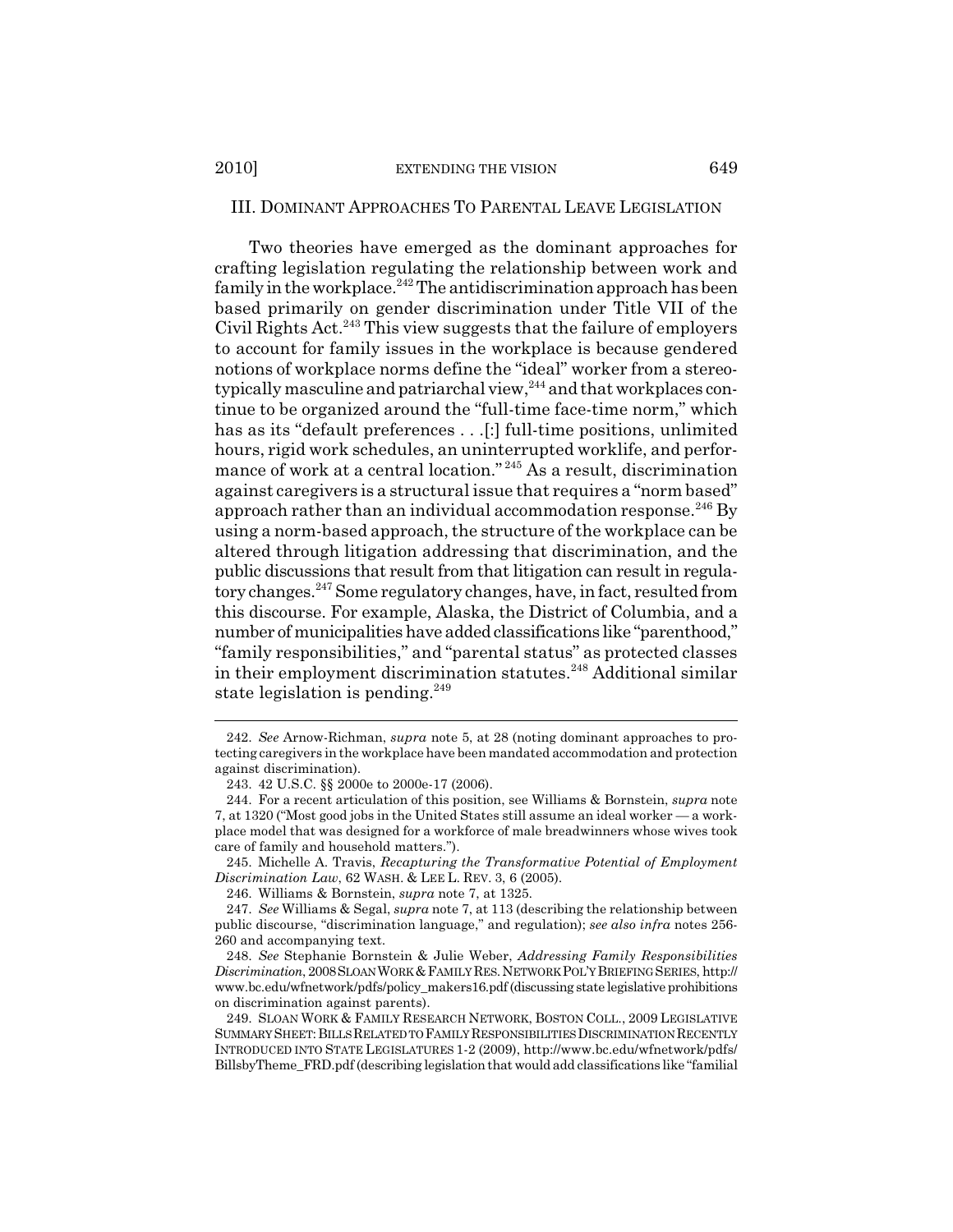### III. DOMINANT APPROACHES TO PARENTAL LEAVE LEGISLATION

Two theories have emerged as the dominant approaches for crafting legislation regulating the relationship between work and family in the workplace.<sup>242</sup> The antidiscrimination approach has been based primarily on gender discrimination under Title VII of the  $C$ ivil Rights Act.<sup>243</sup> This view suggests that the failure of employers to account for family issues in the workplace is because gendered notions of workplace norms define the "ideal" worker from a stereotypically masculine and patriarchal view, <sup>244</sup> and that workplaces continue to be organized around the "full-time face-time norm," which has as its "default preferences . . .[:] full-time positions, unlimited hours, rigid work schedules, an uninterrupted worklife, and performance of work at a central location." 245 As a result, discrimination against caregivers is a structural issue that requires a "norm based" approach rather than an individual accommodation response.  $^{246}$  By using a norm-based approach, the structure of the workplace can be altered through litigation addressing that discrimination, and the public discussions that result from that litigation can result in regulatory changes.247 Some regulatory changes, have, in fact, resulted from this discourse. For example, Alaska, the District of Columbia, and a number of municipalities have added classifications like "parenthood," "family responsibilities," and "parental status" as protected classes in their employment discrimination statutes.<sup>248</sup> Additional similar state legislation is pending. $249$ 

245. Michelle A. Travis, *Recapturing the Transformative Potential of Employment Discrimination Law*, 62 WASH. & LEE L. REV. 3, 6 (2005).

<sup>242.</sup> *See* Arnow-Richman, *supra* note 5, at 28 (noting dominant approaches to protecting caregivers in the workplace have been mandated accommodation and protection against discrimination).

<sup>243. 42</sup> U.S.C. §§ 2000e to 2000e-17 (2006).

<sup>244.</sup> For a recent articulation of this position, see Williams & Bornstein, *supra* note 7, at 1320 ("Most good jobs in the United States still assume an ideal worker — a workplace model that was designed for a workforce of male breadwinners whose wives took care of family and household matters.").

<sup>246.</sup> Williams & Bornstein, *supra* note 7, at 1325.

<sup>247.</sup> *See* Williams & Segal, *supra* note 7, at 113 (describing the relationship between public discourse, "discrimination language," and regulation); *see also infra* notes 256- 260 and accompanying text.

<sup>248.</sup> *See* Stephanie Bornstein & Julie Weber, *Addressing Family Responsibilities Discrimination*, 2008SLOAN WORK &FAMILY RES.NETWORK POL'Y BRIEFING SERIES, http:// www.bc.edu/wfnetwork/pdfs/policy\_makers16.pdf (discussing state legislative prohibitions on discrimination against parents).

<sup>249.</sup> SLOAN WORK & FAMILY RESEARCH NETWORK, BOSTON COLL., 2009 LEGISLATIVE SUMMARY SHEET: BILLS RELATED TO FAMILY RESPONSIBILITIES DISCRIMINATION RECENTLY INTRODUCED INTO STATE LEGISLATURES 1-2 (2009), http://www.bc.edu/wfnetwork/pdfs/ BillsbyTheme\_FRD.pdf (describing legislation that would add classifications like "familial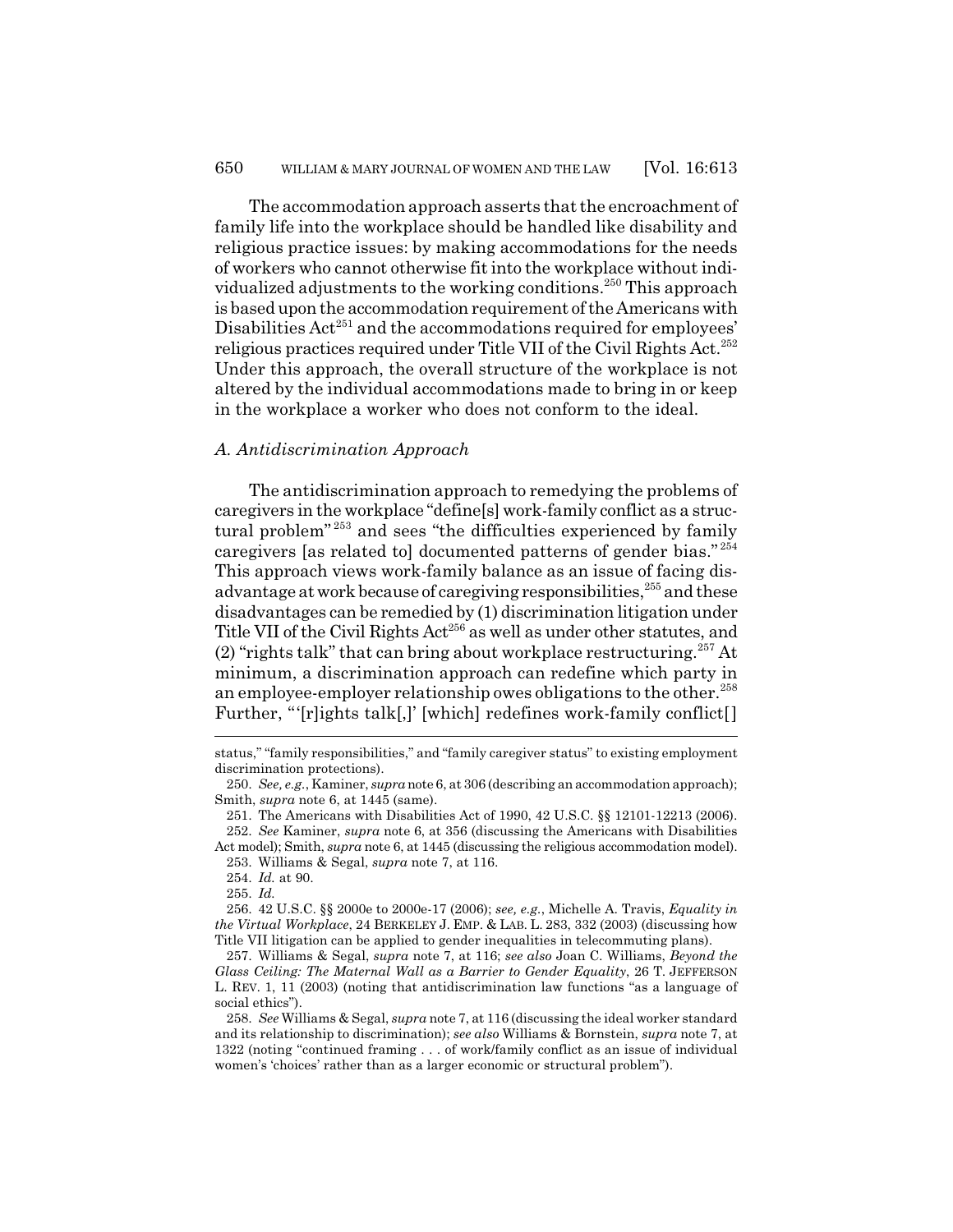The accommodation approach asserts that the encroachment of family life into the workplace should be handled like disability and religious practice issues: by making accommodations for the needs of workers who cannot otherwise fit into the workplace without individualized adjustments to the working conditions.250 This approach is based upon the accommodation requirement of the Americans with Disabilities  $Act^{251}$  and the accommodations required for employees' religious practices required under Title VII of the Civil Rights Act.<sup>252</sup> Under this approach, the overall structure of the workplace is not altered by the individual accommodations made to bring in or keep in the workplace a worker who does not conform to the ideal.

#### *A. Antidiscrimination Approach*

The antidiscrimination approach to remedying the problems of caregivers in the workplace "define[s] work-family conflict as a structural problem"<sup>253</sup> and sees "the difficulties experienced by family caregivers [as related to] documented patterns of gender bias." <sup>254</sup> This approach views work-family balance as an issue of facing disadvantage at work because of caregiving responsibilities,<sup>255</sup> and these disadvantages can be remedied by (1) discrimination litigation under Title VII of the Civil Rights Act<sup>256</sup> as well as under other statutes, and (2) "rights talk" that can bring about workplace restructuring.<sup>257</sup> At minimum, a discrimination approach can redefine which party in an employee-employer relationship owes obligations to the other.<sup>258</sup> Further, "'[r]ights talk[,]' [which] redefines work-family conflict[]

status," "family responsibilities," and "family caregiver status" to existing employment discrimination protections).

<sup>250.</sup> *See, e.g.*, Kaminer, *supra* note 6, at 306 (describing an accommodation approach); Smith, *supra* note 6, at 1445 (same).

<sup>251.</sup> The Americans with Disabilities Act of 1990, 42 U.S.C. §§ 12101-12213 (2006).

<sup>252.</sup> *See* Kaminer, *supra* note 6, at 356 (discussing the Americans with Disabilities Act model); Smith, *supra* note 6, at 1445 (discussing the religious accommodation model). 253. Williams & Segal, *supra* note 7, at 116.

<sup>254.</sup> *Id.* at 90.

<sup>255.</sup> *Id.*

<sup>256. 42</sup> U.S.C. §§ 2000e to 2000e-17 (2006); *see, e.g.*, Michelle A. Travis, *Equality in the Virtual Workplace*, 24 BERKELEY J. EMP. & LAB. L. 283, 332 (2003) (discussing how Title VII litigation can be applied to gender inequalities in telecommuting plans).

<sup>257.</sup> Williams & Segal, *supra* note 7, at 116; *see also* Joan C. Williams, *Beyond the Glass Ceiling: The Maternal Wall as a Barrier to Gender Equality*, 26 T. JEFFERSON L. REV. 1, 11 (2003) (noting that antidiscrimination law functions "as a language of social ethics").

<sup>258.</sup> *See* Williams & Segal, *supra* note 7, at 116 (discussing the ideal worker standard and its relationship to discrimination); *see also* Williams & Bornstein, *supra* note 7, at 1322 (noting "continued framing . . . of work/family conflict as an issue of individual women's 'choices' rather than as a larger economic or structural problem").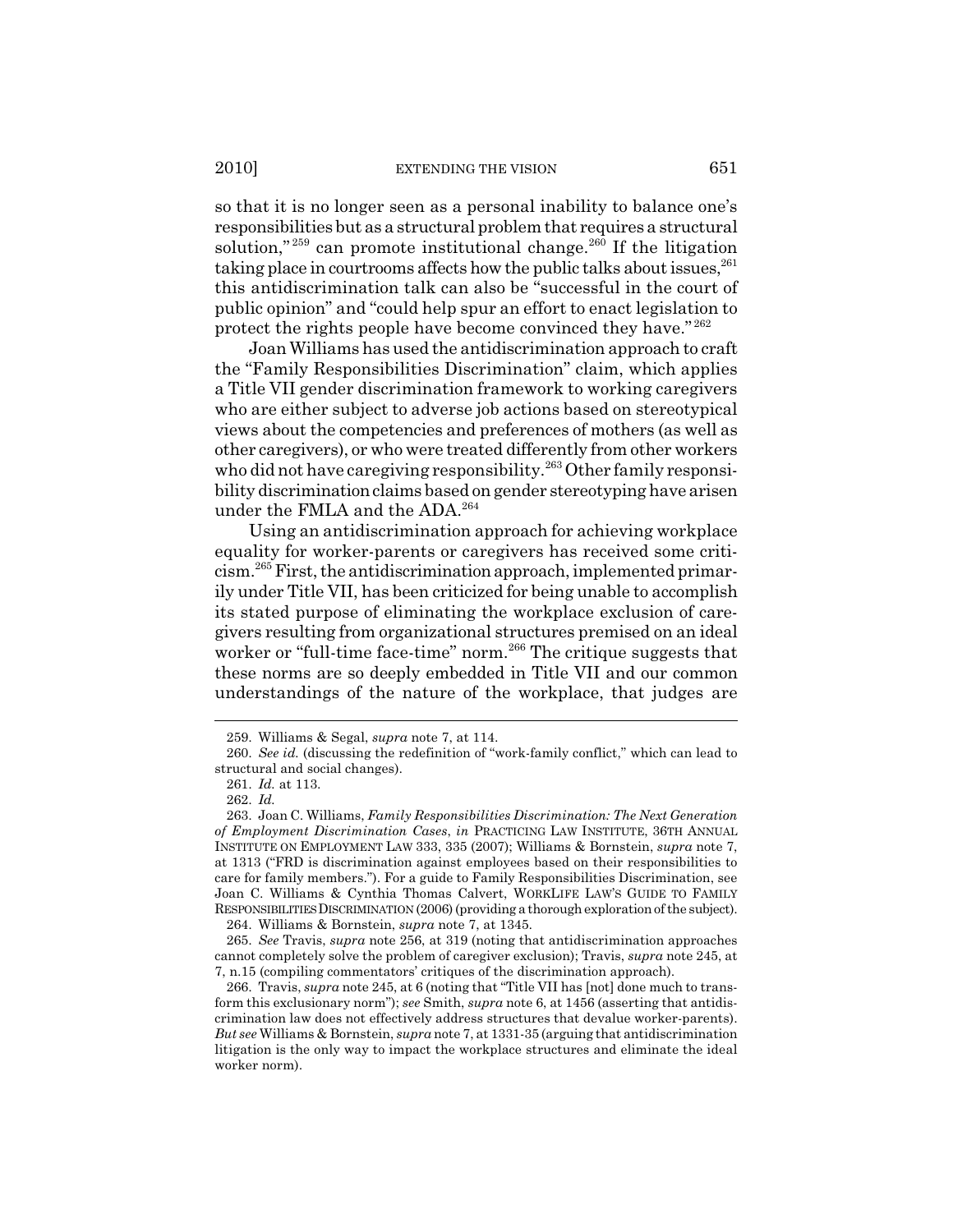so that it is no longer seen as a personal inability to balance one's responsibilities but as a structural problem that requires a structural solution," $259$  can promote institutional change. $260$  If the litigation taking place in courtrooms affects how the public talks about issues,  $261$ this antidiscrimination talk can also be "successful in the court of public opinion" and "could help spur an effort to enact legislation to protect the rights people have become convinced they have." <sup>262</sup>

Joan Williams has used the antidiscrimination approach to craft the "Family Responsibilities Discrimination" claim, which applies a Title VII gender discrimination framework to working caregivers who are either subject to adverse job actions based on stereotypical views about the competencies and preferences of mothers (as well as other caregivers), or who were treated differently from other workers who did not have caregiving responsibility.<sup>263</sup> Other family responsibility discrimination claims based on gender stereotyping have arisen under the FMLA and the ADA.<sup>264</sup>

Using an antidiscrimination approach for achieving workplace equality for worker-parents or caregivers has received some criticism.265 First, the antidiscrimination approach, implemented primarily under Title VII, has been criticized for being unable to accomplish its stated purpose of eliminating the workplace exclusion of caregivers resulting from organizational structures premised on an ideal worker or "full-time face-time" norm.<sup>266</sup> The critique suggests that these norms are so deeply embedded in Title VII and our common understandings of the nature of the workplace, that judges are

<sup>259.</sup> Williams & Segal, *supra* note 7, at 114.

<sup>260.</sup> *See id.* (discussing the redefinition of "work-family conflict," which can lead to structural and social changes).

<sup>261.</sup> *Id.* at 113.

<sup>262.</sup> *Id.*

<sup>263.</sup> Joan C. Williams, *Family Responsibilities Discrimination: The Next Generation of Employment Discrimination Cases*, *in* PRACTICING LAW INSTITUTE, 36TH ANNUAL INSTITUTE ON EMPLOYMENT LAW 333, 335 (2007); Williams & Bornstein, *supra* note 7, at 1313 ("FRD is discrimination against employees based on their responsibilities to care for family members."). For a guide to Family Responsibilities Discrimination, see Joan C. Williams & Cynthia Thomas Calvert, WORKLIFE LAW'S GUIDE TO FAMILY RESPONSIBILITIES DISCRIMINATION (2006) (providing a thorough exploration of the subject).

<sup>264.</sup> Williams & Bornstein, *supra* note 7, at 1345.

<sup>265.</sup> *See* Travis, *supra* note 256, at 319 (noting that antidiscrimination approaches cannot completely solve the problem of caregiver exclusion); Travis, *supra* note 245, at 7, n.15 (compiling commentators' critiques of the discrimination approach).

<sup>266.</sup> Travis, *supra* note 245, at 6 (noting that "Title VII has [not] done much to transform this exclusionary norm"); *see* Smith, *supra* note 6, at 1456 (asserting that antidiscrimination law does not effectively address structures that devalue worker-parents). *But see* Williams & Bornstein, *supra* note 7, at 1331-35 (arguing that antidiscrimination litigation is the only way to impact the workplace structures and eliminate the ideal worker norm).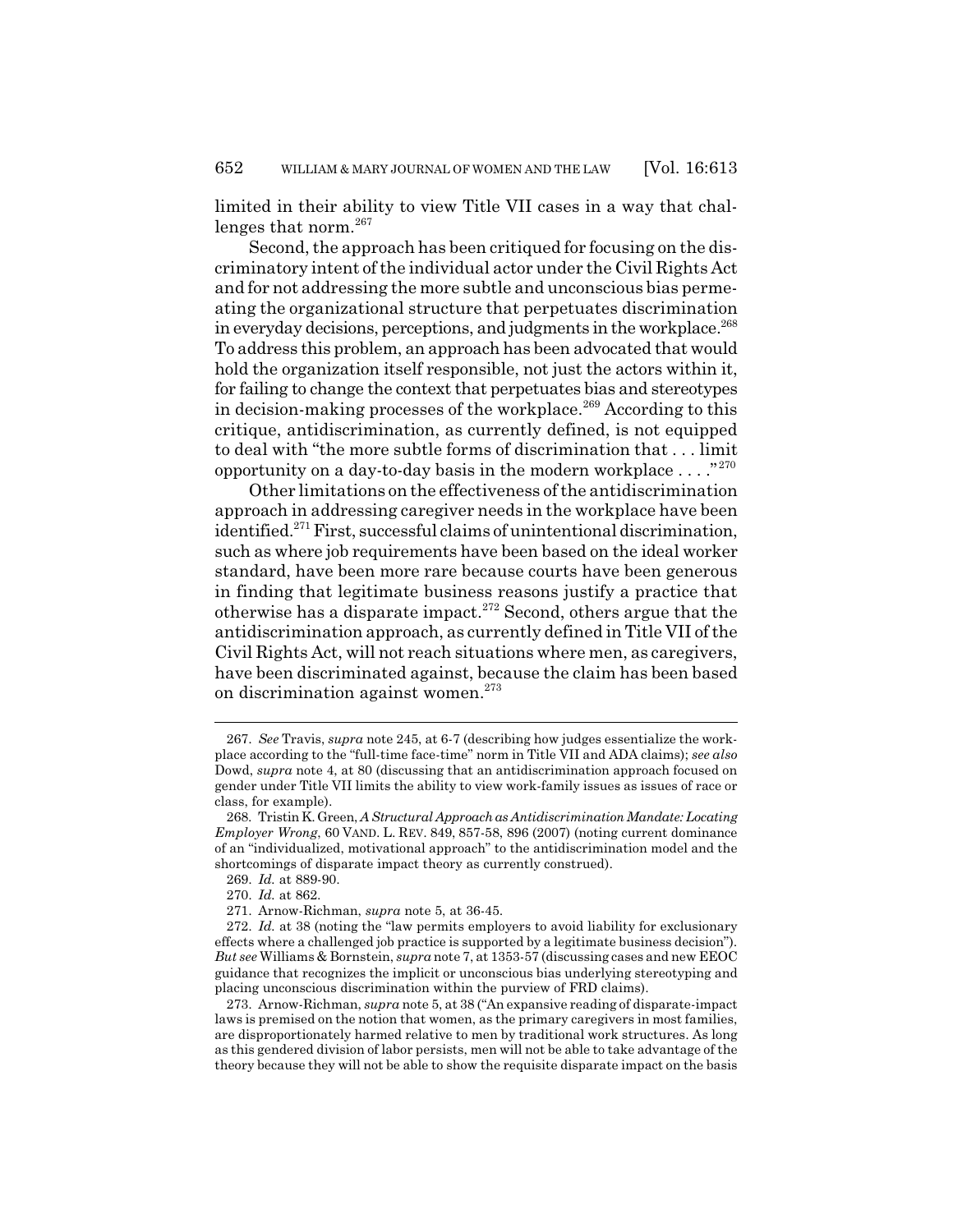limited in their ability to view Title VII cases in a way that challenges that norm. $267$ 

Second, the approach has been critiqued for focusing on the discriminatory intent of the individual actor under the Civil Rights Act and for not addressing the more subtle and unconscious bias permeating the organizational structure that perpetuates discrimination in everyday decisions, perceptions, and judgments in the workplace.<sup>268</sup> To address this problem, an approach has been advocated that would hold the organization itself responsible, not just the actors within it, for failing to change the context that perpetuates bias and stereotypes in decision-making processes of the workplace.<sup>269</sup> According to this critique, antidiscrimination, as currently defined, is not equipped to deal with "the more subtle forms of discrimination that . . . limit opportunity on a day-to-day basis in the modern workplace  $\dots$ ."<sup>270</sup>

Other limitations on the effectiveness of the antidiscrimination approach in addressing caregiver needs in the workplace have been identified.<sup>271</sup> First, successful claims of unintentional discrimination, such as where job requirements have been based on the ideal worker standard, have been more rare because courts have been generous in finding that legitimate business reasons justify a practice that otherwise has a disparate impact.272 Second, others argue that the antidiscrimination approach, as currently defined in Title VII of the Civil Rights Act, will not reach situations where men, as caregivers, have been discriminated against, because the claim has been based on discrimination against women.<sup>273</sup>

<sup>267.</sup> *See* Travis, *supra* note 245, at 6-7 (describing how judges essentialize the workplace according to the "full-time face-time" norm in Title VII and ADA claims); *see also* Dowd, *supra* note 4, at 80 (discussing that an antidiscrimination approach focused on gender under Title VII limits the ability to view work-family issues as issues of race or class, for example).

<sup>268.</sup> Tristin K. Green, *A Structural Approach as Antidiscrimination Mandate: Locating Employer Wrong*, 60 VAND. L. REV. 849, 857-58, 896 (2007) (noting current dominance of an "individualized, motivational approach" to the antidiscrimination model and the shortcomings of disparate impact theory as currently construed).

<sup>269.</sup> *Id.* at 889-90.

<sup>270.</sup> *Id.* at 862.

<sup>271.</sup> Arnow-Richman, *supra* note 5, at 36-45.

<sup>272.</sup> *Id.* at 38 (noting the "law permits employers to avoid liability for exclusionary effects where a challenged job practice is supported by a legitimate business decision"). *But see* Williams & Bornstein, *supra* note 7, at 1353-57 (discussing cases and new EEOC guidance that recognizes the implicit or unconscious bias underlying stereotyping and placing unconscious discrimination within the purview of FRD claims).

<sup>273.</sup> Arnow-Richman, *supra* note 5, at 38 ("An expansive reading of disparate-impact laws is premised on the notion that women, as the primary caregivers in most families, are disproportionately harmed relative to men by traditional work structures. As long as this gendered division of labor persists, men will not be able to take advantage of the theory because they will not be able to show the requisite disparate impact on the basis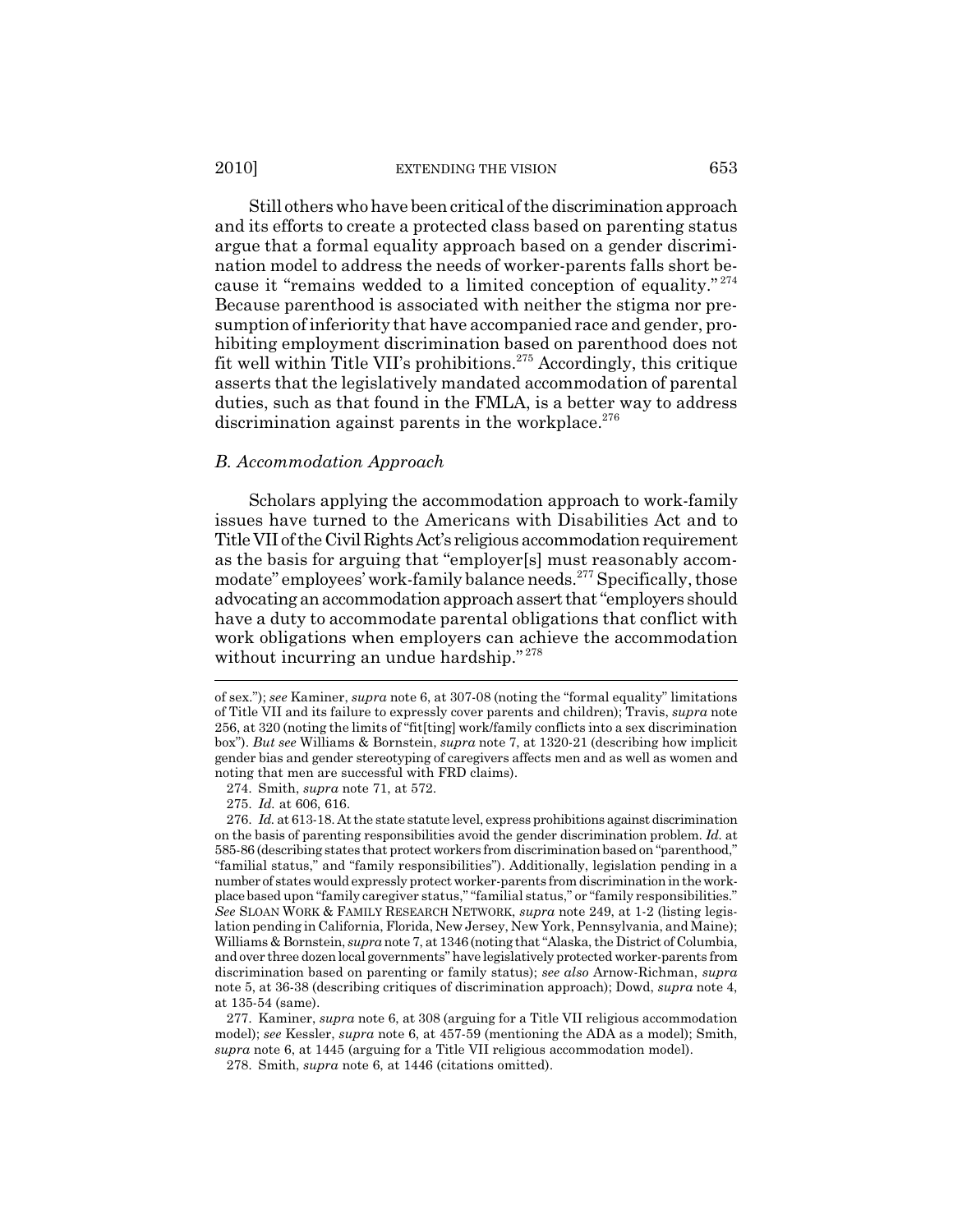#### 2010] EXTENDING THE VISION 653

Still others who have been critical of the discrimination approach and its efforts to create a protected class based on parenting status argue that a formal equality approach based on a gender discrimination model to address the needs of worker-parents falls short because it "remains wedded to a limited conception of equality." <sup>274</sup> Because parenthood is associated with neither the stigma nor presumption of inferiority that have accompanied race and gender, prohibiting employment discrimination based on parenthood does not fit well within Title VII's prohibitions.275 Accordingly, this critique asserts that the legislatively mandated accommodation of parental duties, such as that found in the FMLA, is a better way to address discrimination against parents in the workplace. $276$ 

### *B. Accommodation Approach*

Scholars applying the accommodation approach to work-family issues have turned to the Americans with Disabilities Act and to Title VII of the Civil Rights Act's religious accommodation requirement as the basis for arguing that "employer[s] must reasonably accommodate" employees' work-family balance needs.277 Specifically, those advocating an accommodation approach assert that "employers should have a duty to accommodate parental obligations that conflict with work obligations when employers can achieve the accommodation without incurring an undue hardship." <sup>278</sup>

of sex."); *see* Kaminer, *supra* note 6, at 307-08 (noting the "formal equality" limitations of Title VII and its failure to expressly cover parents and children); Travis, *supra* note 256, at 320 (noting the limits of "fit[ting] work/family conflicts into a sex discrimination box"). *But see* Williams & Bornstein, *supra* note 7, at 1320-21 (describing how implicit gender bias and gender stereotyping of caregivers affects men and as well as women and noting that men are successful with FRD claims).

<sup>274.</sup> Smith, *supra* note 71, at 572.

<sup>275.</sup> *Id.* at 606, 616.

<sup>276.</sup> *Id.* at 613-18. At the state statute level, express prohibitions against discrimination on the basis of parenting responsibilities avoid the gender discrimination problem. *Id.* at 585-86 (describing states that protect workers from discrimination based on "parenthood," "familial status," and "family responsibilities"). Additionally, legislation pending in a number of states would expressly protect worker-parents from discrimination in the workplace based upon "family caregiver status," "familial status," or "family responsibilities." *See* SLOAN WORK & FAMILY RESEARCH NETWORK, *supra* note 249, at 1-2 (listing legislation pending in California, Florida, New Jersey, New York, Pennsylvania, and Maine); Williams & Bornstein, *supra* note 7, at 1346 (noting that "Alaska, the District of Columbia, and over three dozen local governments" have legislatively protected worker-parents from discrimination based on parenting or family status); *see also* Arnow-Richman, *supra* note 5, at 36-38 (describing critiques of discrimination approach); Dowd, *supra* note 4, at 135-54 (same).

<sup>277.</sup> Kaminer, *supra* note 6, at 308 (arguing for a Title VII religious accommodation model); *see* Kessler, *supra* note 6, at 457-59 (mentioning the ADA as a model); Smith, *supra* note 6, at 1445 (arguing for a Title VII religious accommodation model).

<sup>278.</sup> Smith, *supra* note 6, at 1446 (citations omitted).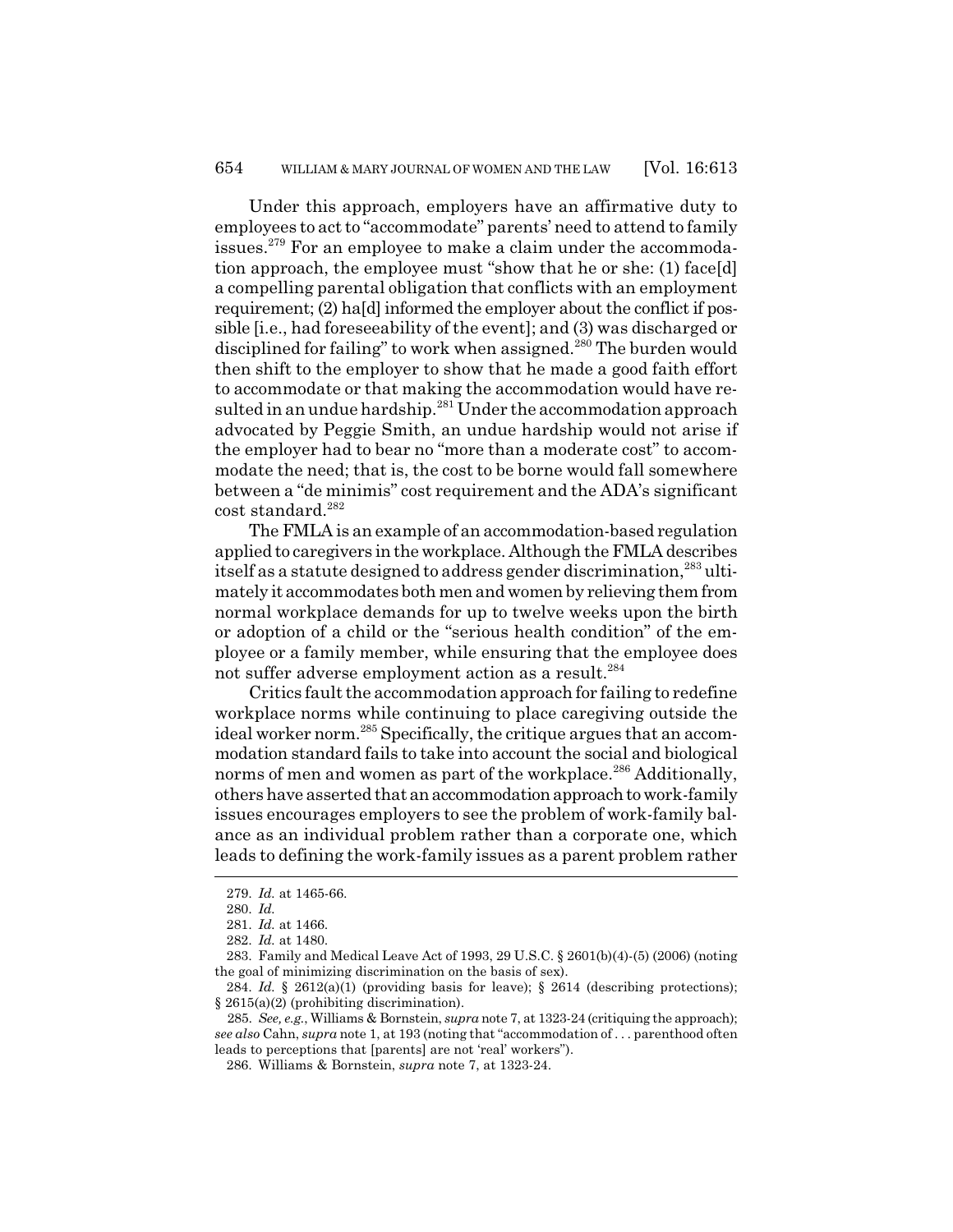Under this approach, employers have an affirmative duty to employees to act to "accommodate" parents' need to attend to family issues.<sup>279</sup> For an employee to make a claim under the accommodation approach, the employee must "show that he or she: (1) face[d] a compelling parental obligation that conflicts with an employment requirement; (2) ha[d] informed the employer about the conflict if possible [i.e., had foreseeability of the event]; and (3) was discharged or disciplined for failing" to work when assigned.<sup>280</sup> The burden would then shift to the employer to show that he made a good faith effort to accommodate or that making the accommodation would have resulted in an undue hardship.<sup>281</sup> Under the accommodation approach advocated by Peggie Smith, an undue hardship would not arise if the employer had to bear no "more than a moderate cost" to accommodate the need; that is, the cost to be borne would fall somewhere between a "de minimis" cost requirement and the ADA's significant cost standard.<sup>282</sup>

The FMLA is an example of an accommodation-based regulation applied to caregivers in the workplace. Although the FMLA describes itself as a statute designed to address gender discrimination,<sup>283</sup> ultimately it accommodates both men and women by relieving them from normal workplace demands for up to twelve weeks upon the birth or adoption of a child or the "serious health condition" of the employee or a family member, while ensuring that the employee does not suffer adverse employment action as a result.<sup>284</sup>

Critics fault the accommodation approach for failing to redefine workplace norms while continuing to place caregiving outside the ideal worker norm.<sup>285</sup> Specifically, the critique argues that an accommodation standard fails to take into account the social and biological norms of men and women as part of the workplace.<sup>286</sup> Additionally, others have asserted that an accommodation approach to work-family issues encourages employers to see the problem of work-family balance as an individual problem rather than a corporate one, which leads to defining the work-family issues as a parent problem rather

<sup>279.</sup> *Id.* at 1465-66.

<sup>280.</sup> *Id.*

<sup>281.</sup> *Id.* at 1466.

<sup>282.</sup> *Id.* at 1480.

<sup>283.</sup> Family and Medical Leave Act of 1993, 29 U.S.C. § 2601(b)(4)-(5) (2006) (noting the goal of minimizing discrimination on the basis of sex).

<sup>284.</sup> *Id.* § 2612(a)(1) (providing basis for leave); § 2614 (describing protections); § 2615(a)(2) (prohibiting discrimination).

<sup>285.</sup> *See, e.g.*, Williams & Bornstein, *supra* note 7, at 1323-24 (critiquing the approach); *see also* Cahn, *supra* note 1, at 193 (noting that "accommodation of . . . parenthood often leads to perceptions that [parents] are not 'real' workers").

<sup>286.</sup> Williams & Bornstein, *supra* note 7, at 1323-24.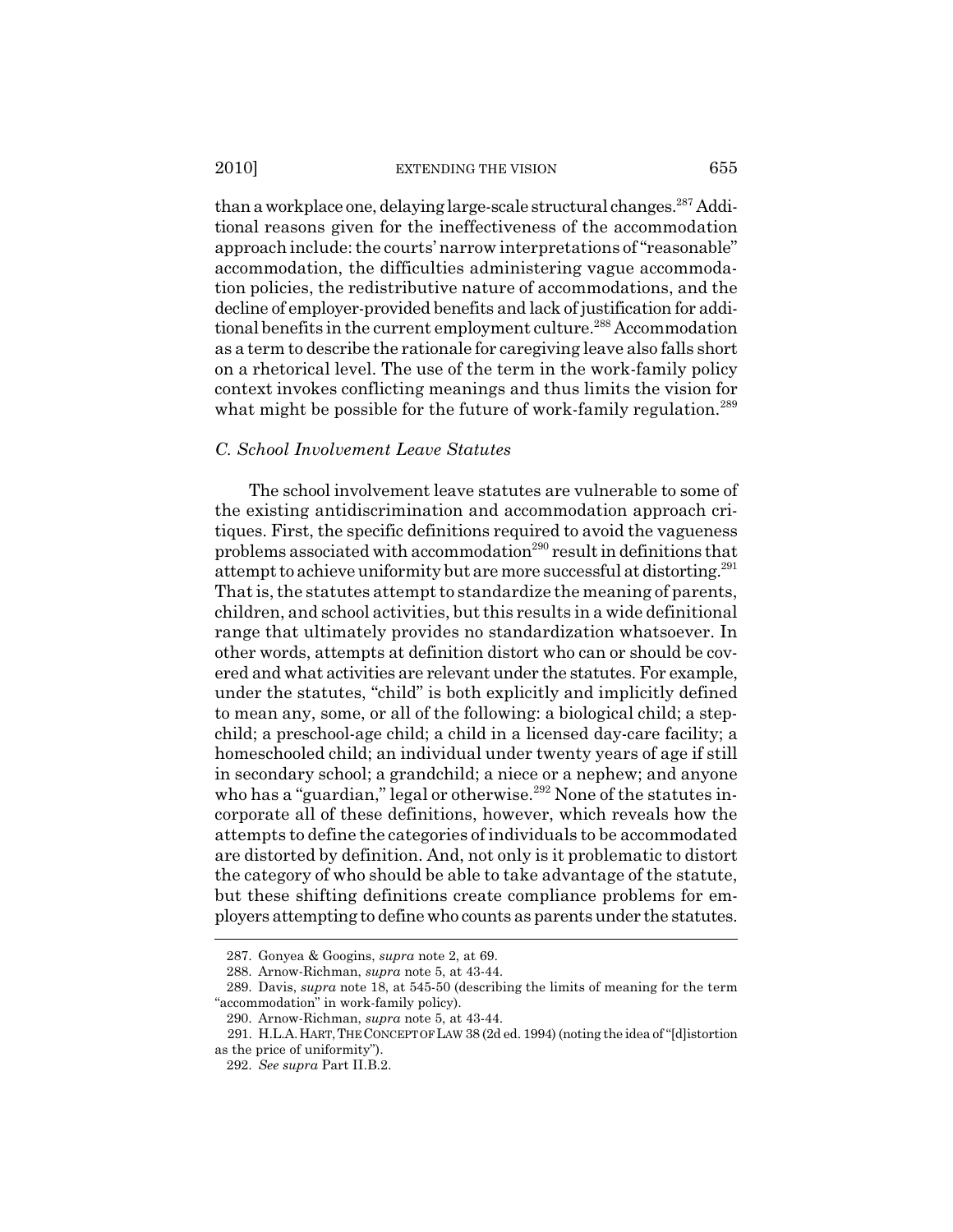than a workplace one, delaying large-scale structural changes.<sup>287</sup> Additional reasons given for the ineffectiveness of the accommodation approach include: the courts' narrow interpretations of "reasonable" accommodation, the difficulties administering vague accommodation policies, the redistributive nature of accommodations, and the decline of employer-provided benefits and lack of justification for additional benefits in the current employment culture.<sup>288</sup> Accommodation as a term to describe the rationale for caregiving leave also falls short on a rhetorical level. The use of the term in the work-family policy context invokes conflicting meanings and thus limits the vision for what might be possible for the future of work-family regulation.<sup>289</sup>

### *C. School Involvement Leave Statutes*

The school involvement leave statutes are vulnerable to some of the existing antidiscrimination and accommodation approach critiques. First, the specific definitions required to avoid the vagueness problems associated with accommodation<sup>290</sup> result in definitions that attempt to achieve uniformity but are more successful at distorting.291 That is, the statutes attempt to standardize the meaning of parents, children, and school activities, but this results in a wide definitional range that ultimately provides no standardization whatsoever. In other words, attempts at definition distort who can or should be covered and what activities are relevant under the statutes. For example, under the statutes, "child" is both explicitly and implicitly defined to mean any, some, or all of the following: a biological child; a stepchild; a preschool-age child; a child in a licensed day-care facility; a homeschooled child; an individual under twenty years of age if still in secondary school; a grandchild; a niece or a nephew; and anyone who has a "guardian," legal or otherwise. $292$  None of the statutes incorporate all of these definitions, however, which reveals how the attempts to define the categories of individuals to be accommodated are distorted by definition. And, not only is it problematic to distort the category of who should be able to take advantage of the statute, but these shifting definitions create compliance problems for employers attempting to define who counts as parents under the statutes.

<sup>287.</sup> Gonyea & Googins, *supra* note 2, at 69.

<sup>288.</sup> Arnow-Richman, *supra* note 5, at 43-44.

<sup>289.</sup> Davis, *supra* note 18, at 545-50 (describing the limits of meaning for the term "accommodation" in work-family policy).

<sup>290.</sup> Arnow-Richman, *supra* note 5, at 43-44.

<sup>291.</sup> H.L.A.HART,THE CONCEPT OF LAW 38 (2d ed. 1994) (noting the idea of "[d]istortion as the price of uniformity").

<sup>292.</sup> *See supra* Part II.B.2.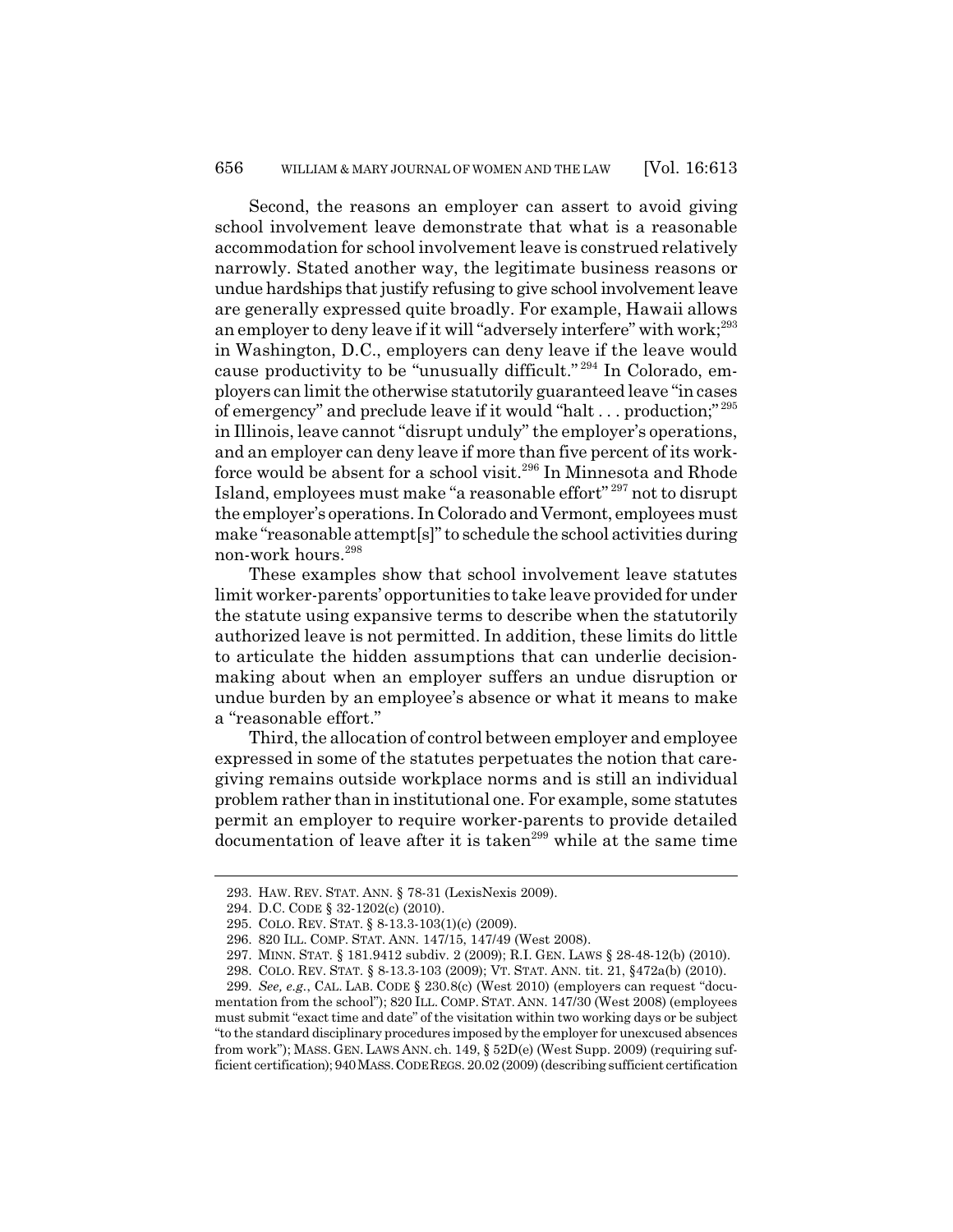Second, the reasons an employer can assert to avoid giving school involvement leave demonstrate that what is a reasonable accommodation for school involvement leave is construed relatively narrowly. Stated another way, the legitimate business reasons or undue hardships that justify refusing to give school involvement leave are generally expressed quite broadly. For example, Hawaii allows an employer to deny leave if it will "adversely interfere" with work;<sup>293</sup> in Washington, D.C., employers can deny leave if the leave would cause productivity to be "unusually difficult." 294 In Colorado, employers can limit the otherwise statutorily guaranteed leave "in cases of emergency" and preclude leave if it would "halt . . . production;" <sup>295</sup> in Illinois, leave cannot "disrupt unduly" the employer's operations, and an employer can deny leave if more than five percent of its workforce would be absent for a school visit.<sup>296</sup> In Minnesota and Rhode Island, employees must make "a reasonable effort" 297 not to disrupt the employer's operations. In Colorado and Vermont, employees must make "reasonable attempt[s]" to schedule the school activities during non-work hours.<sup>298</sup>

These examples show that school involvement leave statutes limit worker-parents' opportunities to take leave provided for under the statute using expansive terms to describe when the statutorily authorized leave is not permitted. In addition, these limits do little to articulate the hidden assumptions that can underlie decisionmaking about when an employer suffers an undue disruption or undue burden by an employee's absence or what it means to make a "reasonable effort."

Third, the allocation of control between employer and employee expressed in some of the statutes perpetuates the notion that caregiving remains outside workplace norms and is still an individual problem rather than in institutional one. For example, some statutes permit an employer to require worker-parents to provide detailed documentation of leave after it is taken<sup>299</sup> while at the same time

<sup>293.</sup> HAW. REV. STAT. ANN. § 78-31 (LexisNexis 2009).

<sup>294.</sup> D.C. CODE § 32-1202(c) (2010).

<sup>295.</sup> COLO. REV. STAT. § 8-13.3-103(1)(c) (2009).

<sup>296. 820</sup> ILL. COMP. STAT. ANN. 147/15, 147/49 (West 2008).

<sup>297.</sup> MINN. STAT. § 181.9412 subdiv. 2 (2009); R.I. GEN. LAWS § 28-48-12(b) (2010).

<sup>298.</sup> COLO. REV. STAT. § 8-13.3-103 (2009); VT. STAT. ANN. tit. 21, §472a(b) (2010).

<sup>299.</sup> *See, e.g.*, CAL. LAB. CODE § 230.8(c) (West 2010) (employers can request "documentation from the school"); 820 ILL. COMP. STAT. ANN. 147/30 (West 2008) (employees must submit "exact time and date" of the visitation within two working days or be subject "to the standard disciplinary procedures imposed by the employer for unexcused absences from work"); MASS. GEN. LAWS ANN. ch. 149, § 52D(e) (West Supp. 2009) (requiring sufficient certification); 940 MASS.CODE REGS. 20.02 (2009) (describing sufficient certification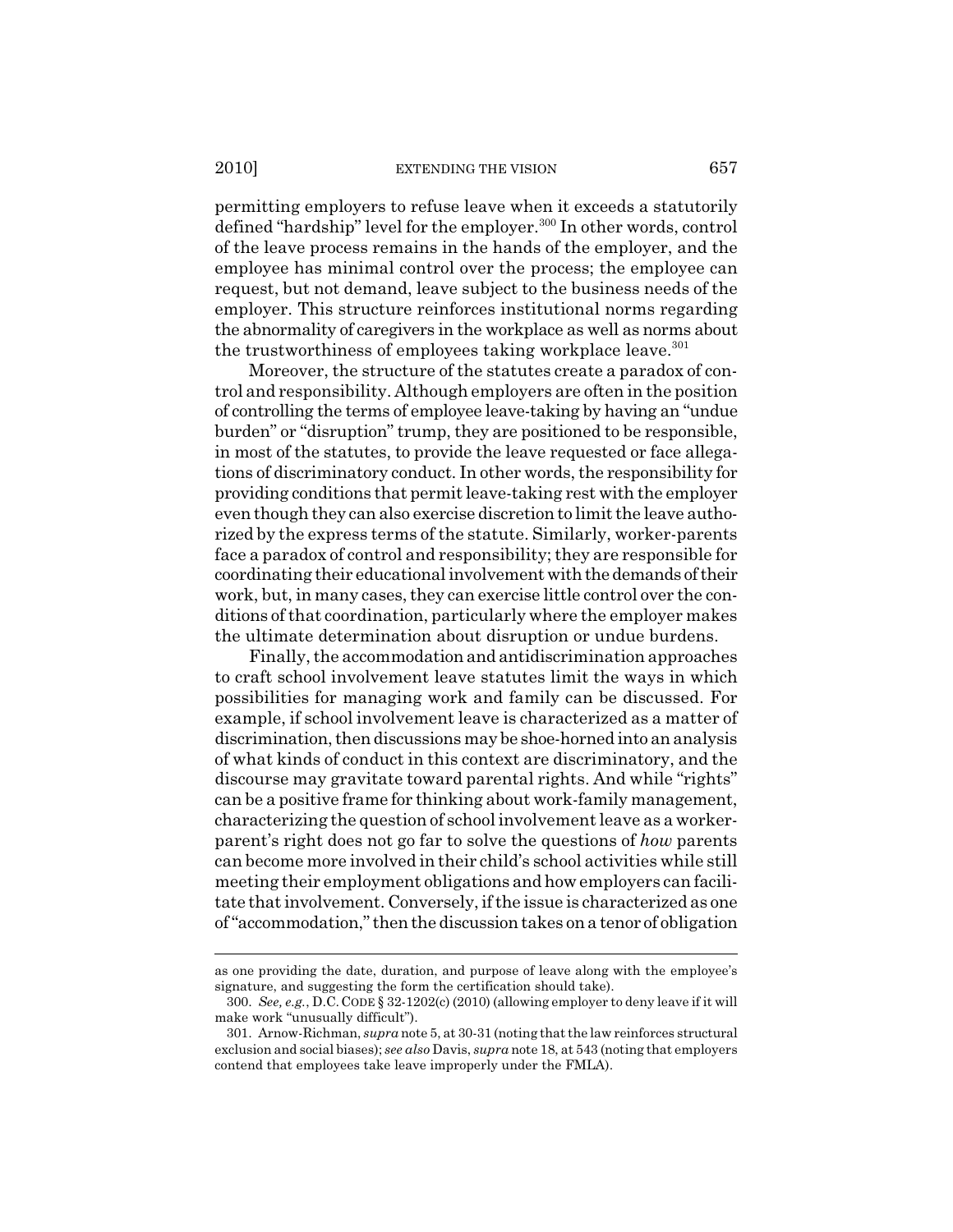permitting employers to refuse leave when it exceeds a statutorily defined "hardship" level for the employer.<sup>300</sup> In other words, control of the leave process remains in the hands of the employer, and the employee has minimal control over the process; the employee can request, but not demand, leave subject to the business needs of the employer. This structure reinforces institutional norms regarding the abnormality of caregivers in the workplace as well as norms about the trustworthiness of employees taking workplace leave.<sup>301</sup>

Moreover, the structure of the statutes create a paradox of control and responsibility. Although employers are often in the position of controlling the terms of employee leave-taking by having an "undue burden" or "disruption" trump, they are positioned to be responsible, in most of the statutes, to provide the leave requested or face allegations of discriminatory conduct. In other words, the responsibility for providing conditions that permit leave-taking rest with the employer even though they can also exercise discretion to limit the leave authorized by the express terms of the statute. Similarly, worker-parents face a paradox of control and responsibility; they are responsible for coordinating their educational involvement with the demands of their work, but, in many cases, they can exercise little control over the conditions of that coordination, particularly where the employer makes the ultimate determination about disruption or undue burdens.

Finally, the accommodation and antidiscrimination approaches to craft school involvement leave statutes limit the ways in which possibilities for managing work and family can be discussed. For example, if school involvement leave is characterized as a matter of discrimination, then discussions may be shoe-horned into an analysis of what kinds of conduct in this context are discriminatory, and the discourse may gravitate toward parental rights. And while "rights" can be a positive frame for thinking about work-family management, characterizing the question of school involvement leave as a workerparent's right does not go far to solve the questions of *how* parents can become more involved in their child's school activities while still meeting their employment obligations and how employers can facilitate that involvement. Conversely, if the issue is characterized as one of "accommodation," then the discussion takes on a tenor of obligation

as one providing the date, duration, and purpose of leave along with the employee's signature, and suggesting the form the certification should take).

<sup>300.</sup> *See, e.g.*, D.C.CODE § 32-1202(c) (2010) (allowing employer to deny leave if it will make work "unusually difficult").

<sup>301.</sup> Arnow-Richman, *supra* note 5, at 30-31 (noting that the law reinforces structural exclusion and social biases); *see also* Davis, *supra* note 18, at 543 (noting that employers contend that employees take leave improperly under the FMLA).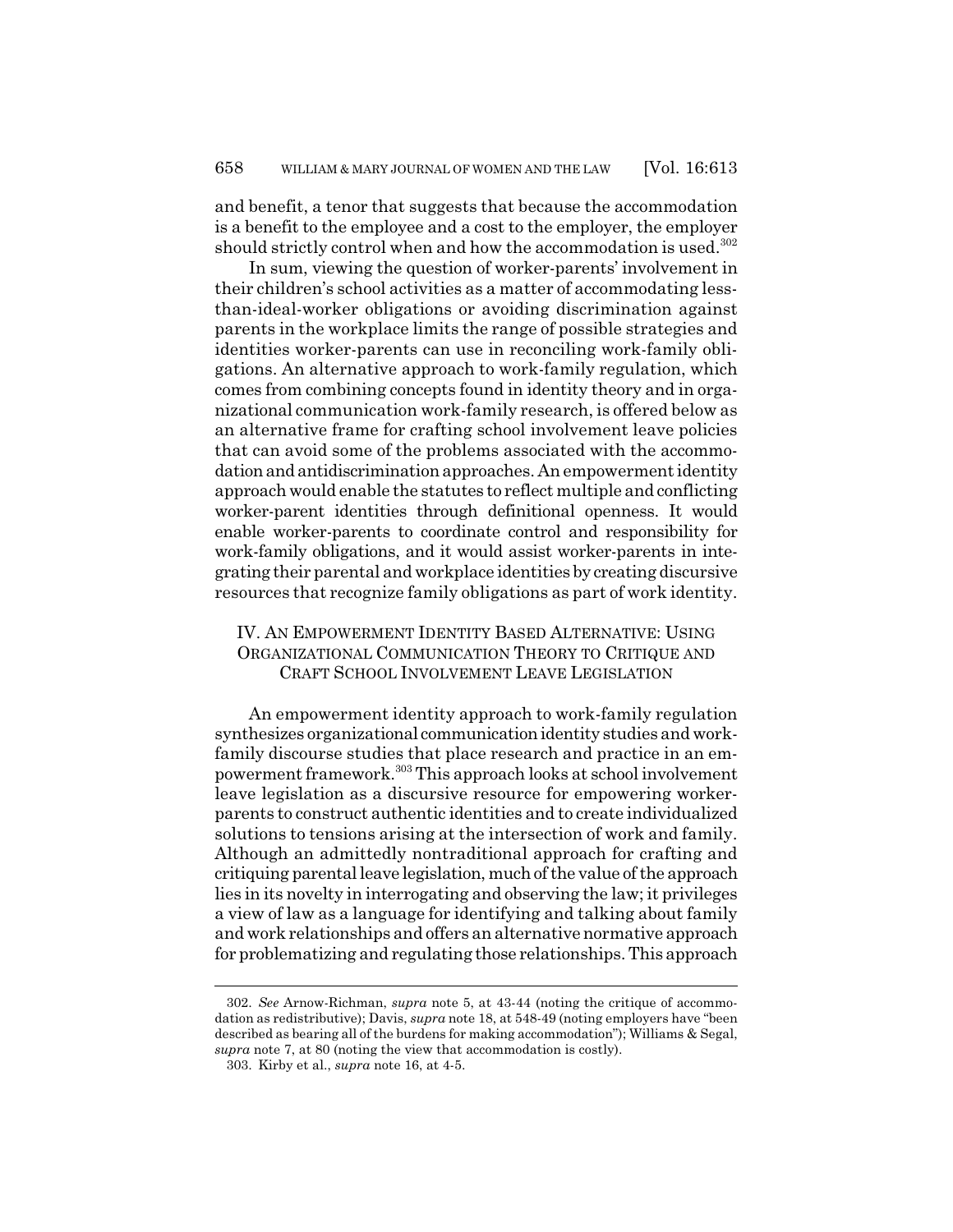and benefit, a tenor that suggests that because the accommodation is a benefit to the employee and a cost to the employer, the employer should strictly control when and how the accommodation is used.<sup>302</sup>

In sum, viewing the question of worker-parents' involvement in their children's school activities as a matter of accommodating lessthan-ideal-worker obligations or avoiding discrimination against parents in the workplace limits the range of possible strategies and identities worker-parents can use in reconciling work-family obligations. An alternative approach to work-family regulation, which comes from combining concepts found in identity theory and in organizational communication work-family research, is offered below as an alternative frame for crafting school involvement leave policies that can avoid some of the problems associated with the accommodation and antidiscrimination approaches. An empowerment identity approach would enable the statutes to reflect multiple and conflicting worker-parent identities through definitional openness. It would enable worker-parents to coordinate control and responsibility for work-family obligations, and it would assist worker-parents in integrating their parental and workplace identities by creating discursive resources that recognize family obligations as part of work identity.

# IV. AN EMPOWERMENT IDENTITY BASED ALTERNATIVE: USING ORGANIZATIONAL COMMUNICATION THEORY TO CRITIQUE AND CRAFT SCHOOL INVOLVEMENT LEAVE LEGISLATION

An empowerment identity approach to work-family regulation synthesizes organizational communication identity studies and workfamily discourse studies that place research and practice in an empowerment framework.303 This approach looks at school involvement leave legislation as a discursive resource for empowering workerparents to construct authentic identities and to create individualized solutions to tensions arising at the intersection of work and family. Although an admittedly nontraditional approach for crafting and critiquing parental leave legislation, much of the value of the approach lies in its novelty in interrogating and observing the law; it privileges a view of law as a language for identifying and talking about family and work relationships and offers an alternative normative approach for problematizing and regulating those relationships. This approach

<sup>302.</sup> *See* Arnow-Richman, *supra* note 5, at 43-44 (noting the critique of accommodation as redistributive); Davis, *supra* note 18, at 548-49 (noting employers have "been described as bearing all of the burdens for making accommodation"); Williams & Segal, *supra* note 7, at 80 (noting the view that accommodation is costly).

<sup>303.</sup> Kirby et al., *supra* note 16, at 4-5.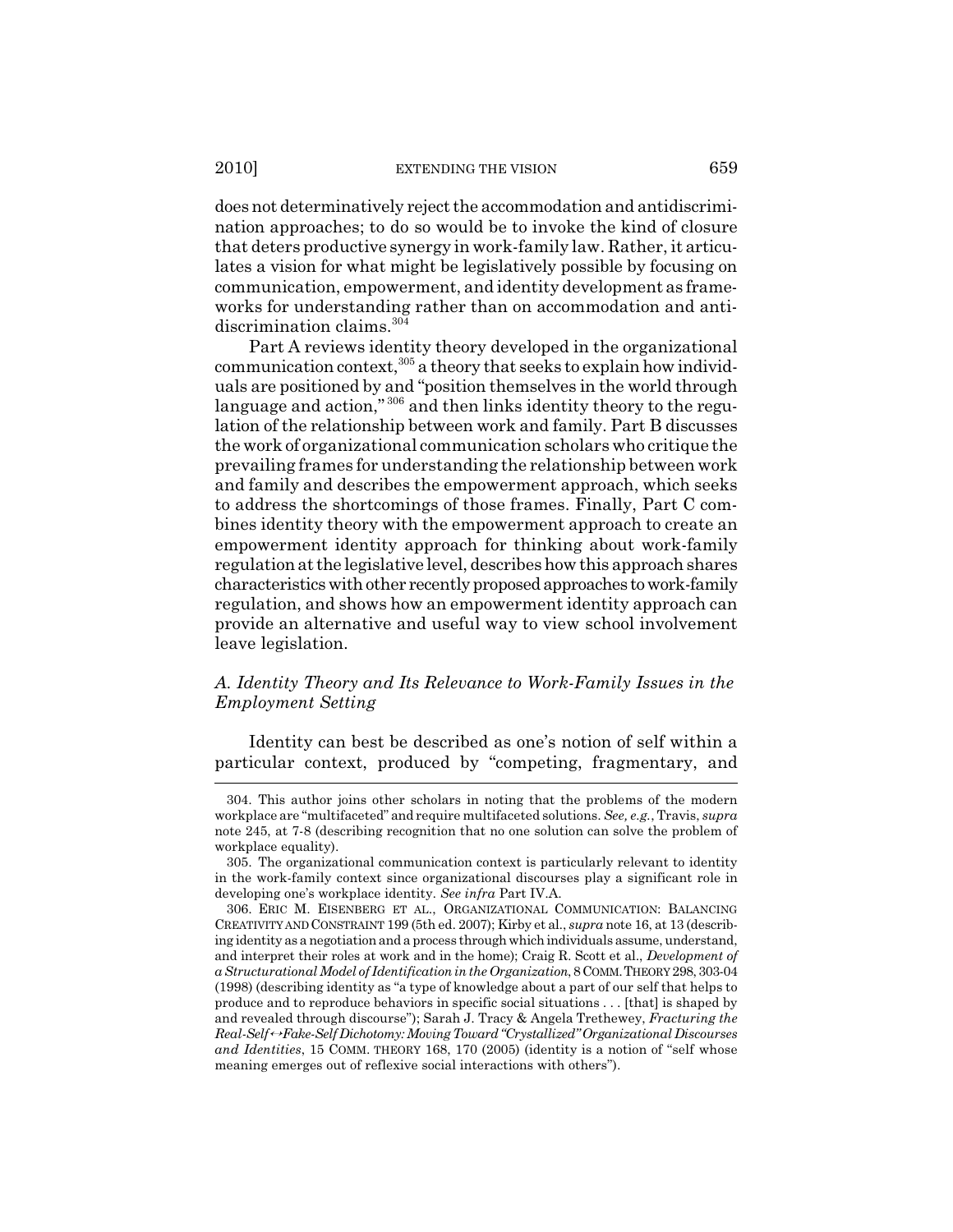does not determinatively reject the accommodation and antidiscrimination approaches; to do so would be to invoke the kind of closure that deters productive synergy in work-family law. Rather, it articulates a vision for what might be legislatively possible by focusing on communication, empowerment, and identity development as frameworks for understanding rather than on accommodation and antidiscrimination claims.<sup>304</sup>

Part A reviews identity theory developed in the organizational communication context,<sup>305</sup> a theory that seeks to explain how individuals are positioned by and "position themselves in the world through language and action," 306 and then links identity theory to the regulation of the relationship between work and family. Part B discusses the work of organizational communication scholars who critique the prevailing frames for understanding the relationship between work and family and describes the empowerment approach, which seeks to address the shortcomings of those frames. Finally, Part C combines identity theory with the empowerment approach to create an empowerment identity approach for thinking about work-family regulation at the legislative level, describes how this approach shares characteristics with other recently proposed approaches to work-family regulation, and shows how an empowerment identity approach can provide an alternative and useful way to view school involvement leave legislation.

## *A. Identity Theory and Its Relevance to Work-Family Issues in the Employment Setting*

Identity can best be described as one's notion of self within a particular context, produced by "competing, fragmentary, and

<sup>304.</sup> This author joins other scholars in noting that the problems of the modern workplace are "multifaceted" and require multifaceted solutions. *See, e.g.*, Travis, *supra* note 245, at 7-8 (describing recognition that no one solution can solve the problem of workplace equality).

<sup>305.</sup> The organizational communication context is particularly relevant to identity in the work-family context since organizational discourses play a significant role in developing one's workplace identity. *See infra* Part IV.A.

<sup>306.</sup> ERIC M. EISENBERG ET AL., ORGANIZATIONAL COMMUNICATION: BALANCING CREATIVITY AND CONSTRAINT 199 (5th ed. 2007); Kirby et al., *supra* note 16, at 13 (describing identity as a negotiation and a process through which individuals assume, understand, and interpret their roles at work and in the home); Craig R. Scott et al., *Development of a Structurational Model of Identification in the Organization*, 8 COMM.THEORY 298, 303-04 (1998) (describing identity as "a type of knowledge about a part of our self that helps to produce and to reproduce behaviors in specific social situations . . . [that] is shaped by and revealed through discourse"); Sarah J. Tracy & Angela Trethewey, *Fracturing the Real-Self*-*Fake-Self Dichotomy: Moving Toward "Crystallized" Organizational Discourses and Identities*, 15 COMM. THEORY 168, 170 (2005) (identity is a notion of "self whose meaning emerges out of reflexive social interactions with others").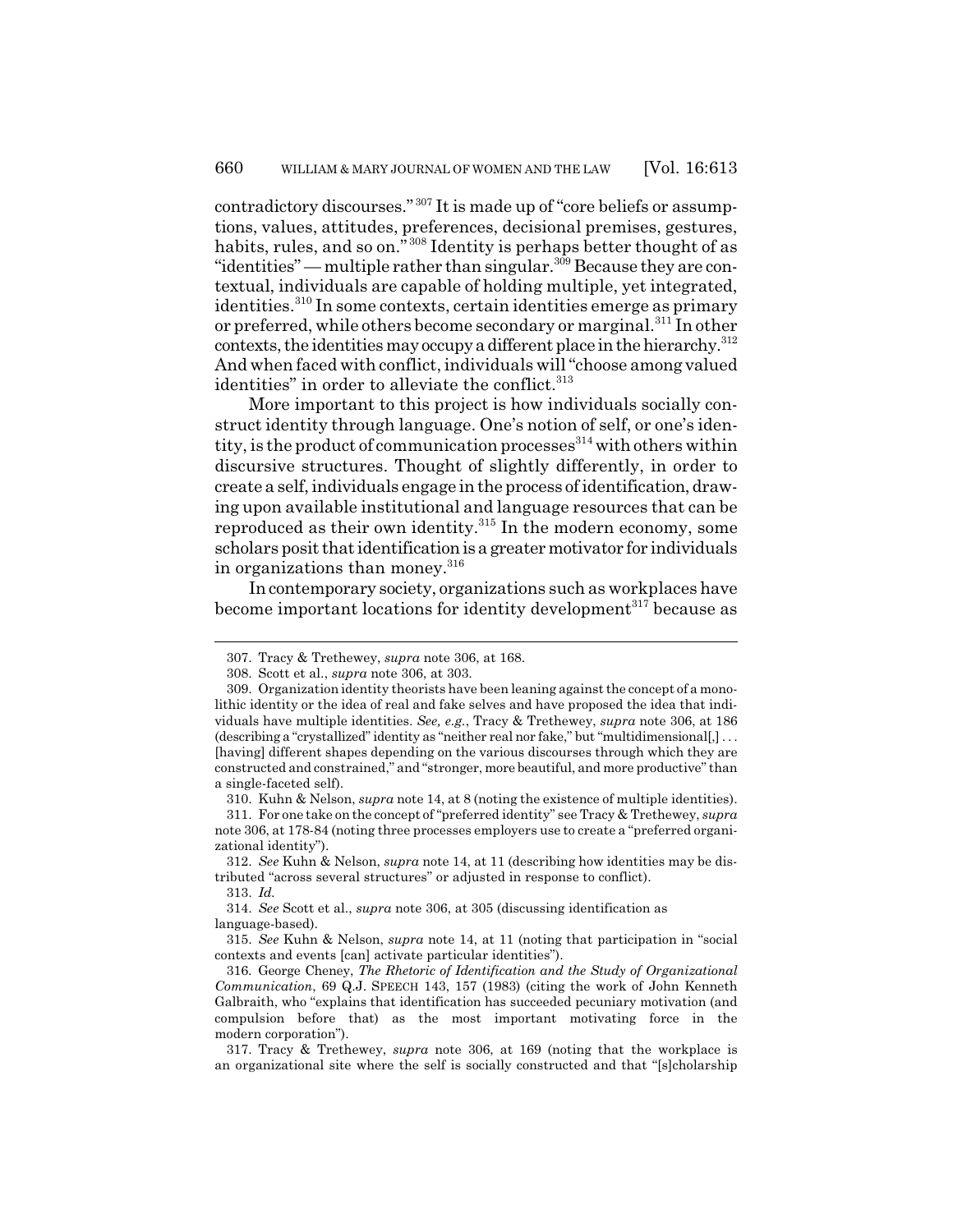contradictory discourses." 307 It is made up of "core beliefs or assumptions, values, attitudes, preferences, decisional premises, gestures, habits, rules, and so on."<sup>308</sup> Identity is perhaps better thought of as "identities" — multiple rather than singular.<sup>309</sup> Because they are contextual, individuals are capable of holding multiple, yet integrated, identities.<sup>310</sup> In some contexts, certain identities emerge as primary or preferred, while others become secondary or marginal.311 In other contexts, the identities may occupy a different place in the hierarchy.<sup>312</sup> And when faced with conflict, individuals will "choose among valued identities" in order to alleviate the conflict.<sup>313</sup>

More important to this project is how individuals socially construct identity through language. One's notion of self, or one's identity, is the product of communication processes  $314$  with others within discursive structures. Thought of slightly differently, in order to create a self, individuals engage in the process of identification, drawing upon available institutional and language resources that can be reproduced as their own identity.<sup>315</sup> In the modern economy, some scholars posit that identification is a greater motivator for individuals in organizations than money. $316$ 

In contemporary society, organizations such as workplaces have become important locations for identity development<sup>317</sup> because as

314. *See* Scott et al., *supra* note 306, at 305 (discussing identification as language-based).

<sup>307.</sup> Tracy & Trethewey, *supra* note 306, at 168.

<sup>308.</sup> Scott et al., *supra* note 306, at 303.

<sup>309.</sup> Organization identity theorists have been leaning against the concept of a monolithic identity or the idea of real and fake selves and have proposed the idea that individuals have multiple identities. *See, e.g.*, Tracy & Trethewey, *supra* note 306, at 186 (describing a "crystallized" identity as "neither real nor fake," but "multidimensional[,] . . . [having] different shapes depending on the various discourses through which they are constructed and constrained," and "stronger, more beautiful, and more productive" than a single-faceted self).

<sup>310.</sup> Kuhn & Nelson, *supra* note 14, at 8 (noting the existence of multiple identities).

<sup>311.</sup> For one take on the concept of "preferred identity" see Tracy & Trethewey, *supra* note 306, at 178-84 (noting three processes employers use to create a "preferred organizational identity").

<sup>312.</sup> *See* Kuhn & Nelson, *supra* note 14, at 11 (describing how identities may be distributed "across several structures" or adjusted in response to conflict).

<sup>313.</sup> *Id.*

<sup>315.</sup> *See* Kuhn & Nelson, *supra* note 14, at 11 (noting that participation in "social contexts and events [can] activate particular identities").

<sup>316.</sup> George Cheney, *The Rhetoric of Identification and the Study of Organizational Communication*, 69 Q.J. SPEECH 143, 157 (1983) (citing the work of John Kenneth Galbraith, who "explains that identification has succeeded pecuniary motivation (and compulsion before that) as the most important motivating force in the modern corporation").

<sup>317.</sup> Tracy & Trethewey, *supra* note 306, at 169 (noting that the workplace is an organizational site where the self is socially constructed and that "[s]cholarship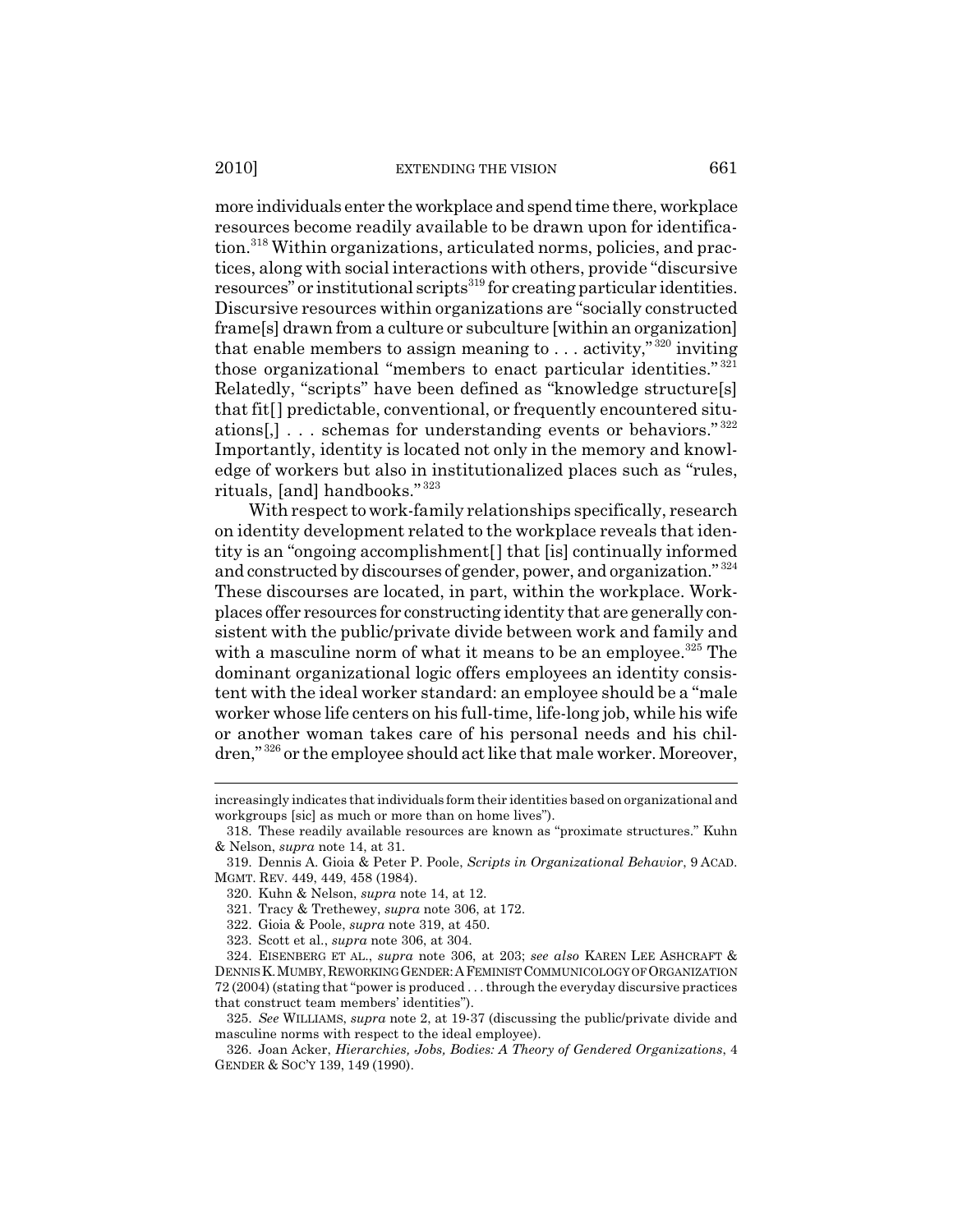more individuals enter the workplace and spend time there, workplace resources become readily available to be drawn upon for identification.318 Within organizations, articulated norms, policies, and practices, along with social interactions with others, provide "discursive resources" or institutional scripts<sup>319</sup> for creating particular identities. Discursive resources within organizations are "socially constructed frame[s] drawn from a culture or subculture [within an organization] that enable members to assign meaning to  $\dots$  activity,"<sup>320</sup> inviting those organizational "members to enact particular identities." <sup>321</sup> Relatedly, "scripts" have been defined as "knowledge structure[s] that fit[] predictable, conventional, or frequently encountered situations[,] . . . schemas for understanding events or behaviors." <sup>322</sup> Importantly, identity is located not only in the memory and knowledge of workers but also in institutionalized places such as "rules, rituals, [and] handbooks." <sup>323</sup>

With respect to work-family relationships specifically, research on identity development related to the workplace reveals that identity is an "ongoing accomplishment[] that [is] continually informed and constructed by discourses of gender, power, and organization."<sup>324</sup> These discourses are located, in part, within the workplace. Workplaces offer resources for constructing identity that are generally consistent with the public/private divide between work and family and with a masculine norm of what it means to be an employee.<sup>325</sup> The dominant organizational logic offers employees an identity consistent with the ideal worker standard: an employee should be a "male worker whose life centers on his full-time, life-long job, while his wife or another woman takes care of his personal needs and his children," 326 or the employee should act like that male worker. Moreover,

increasingly indicates that individuals form their identities based on organizational and workgroups [sic] as much or more than on home lives").

<sup>318.</sup> These readily available resources are known as "proximate structures." Kuhn & Nelson, *supra* note 14, at 31.

<sup>319.</sup> Dennis A. Gioia & Peter P. Poole, *Scripts in Organizational Behavior*, 9 ACAD. MGMT. REV. 449, 449, 458 (1984).

<sup>320.</sup> Kuhn & Nelson, *supra* note 14, at 12.

<sup>321.</sup> Tracy & Trethewey, *supra* note 306, at 172.

<sup>322.</sup> Gioia & Poole, *supra* note 319, at 450.

<sup>323.</sup> Scott et al., *supra* note 306, at 304.

<sup>324.</sup> EISENBERG ET AL., *supra* note 306, at 203; *see also* KAREN LEE ASHCRAFT & DENNIS K. MUMBY, REWORKING GENDER: A FEMINIST COMMUNICOLOGY OF ORGANIZATION 72 (2004) (stating that "power is produced . . . through the everyday discursive practices that construct team members' identities").

<sup>325.</sup> *See* WILLIAMS, *supra* note 2, at 19-37 (discussing the public/private divide and masculine norms with respect to the ideal employee).

<sup>326.</sup> Joan Acker, *Hierarchies, Jobs, Bodies: A Theory of Gendered Organizations*, 4 GENDER & SOC'Y 139, 149 (1990).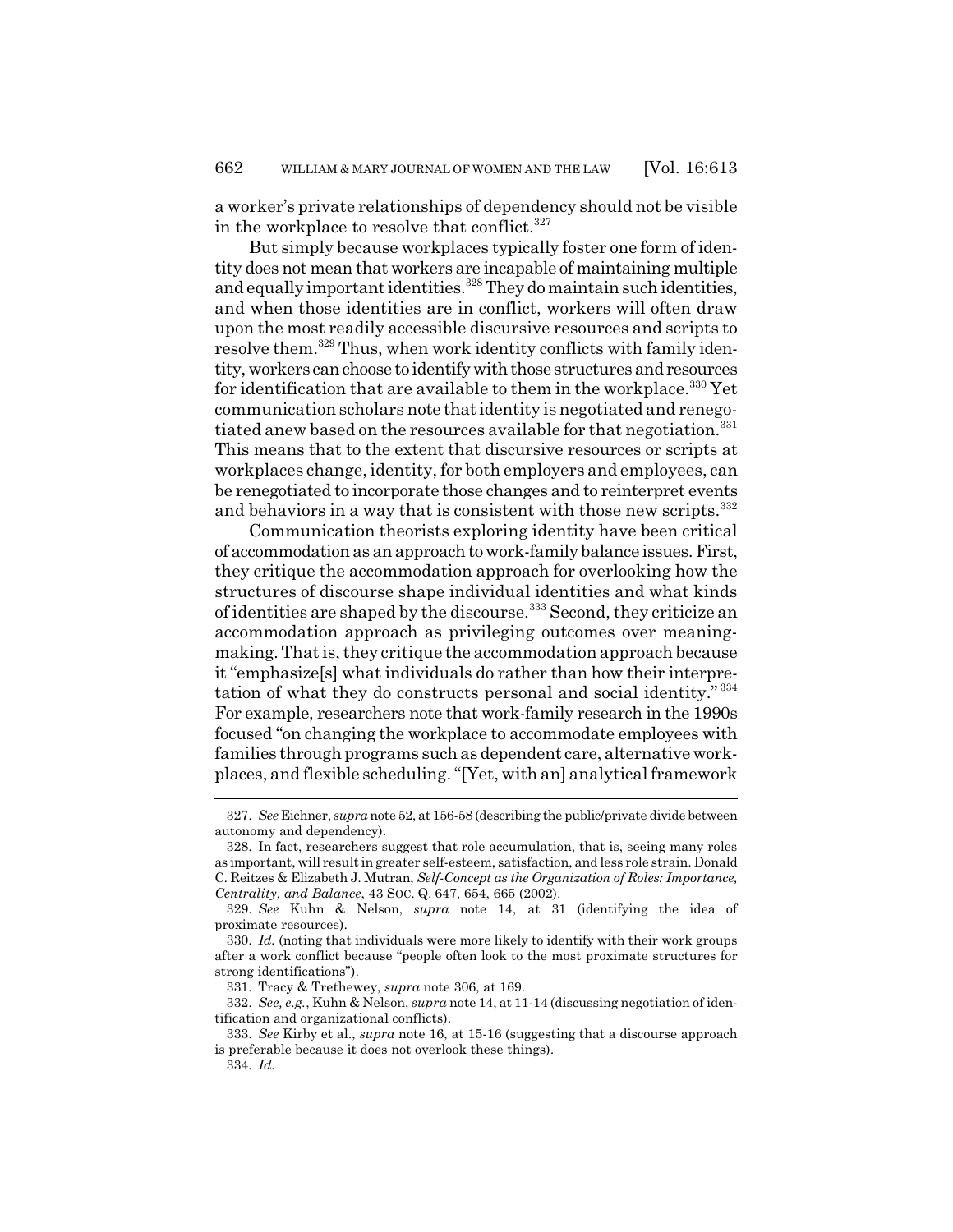a worker's private relationships of dependency should not be visible in the workplace to resolve that conflict.<sup>327</sup>

But simply because workplaces typically foster one form of identity does not mean that workers are incapable of maintaining multiple and equally important identities.<sup>328</sup> They do maintain such identities, and when those identities are in conflict, workers will often draw upon the most readily accessible discursive resources and scripts to resolve them.<sup>329</sup> Thus, when work identity conflicts with family identity, workers can choose to identify with those structures and resources for identification that are available to them in the workplace.330 Yet communication scholars note that identity is negotiated and renegotiated anew based on the resources available for that negotiation.<sup>331</sup> This means that to the extent that discursive resources or scripts at workplaces change, identity, for both employers and employees, can be renegotiated to incorporate those changes and to reinterpret events and behaviors in a way that is consistent with those new scripts.<sup>332</sup>

Communication theorists exploring identity have been critical of accommodation as an approach to work-family balance issues. First, they critique the accommodation approach for overlooking how the structures of discourse shape individual identities and what kinds of identities are shaped by the discourse.<sup>333</sup> Second, they criticize an accommodation approach as privileging outcomes over meaningmaking. That is, they critique the accommodation approach because it "emphasize[s] what individuals do rather than how their interpretation of what they do constructs personal and social identity." <sup>334</sup> For example, researchers note that work-family research in the 1990s focused "on changing the workplace to accommodate employees with families through programs such as dependent care, alternative workplaces, and flexible scheduling. "[Yet, with an] analytical framework

<sup>327.</sup> *See* Eichner, *supra* note 52, at 156-58 (describing the public/private divide between autonomy and dependency).

<sup>328.</sup> In fact, researchers suggest that role accumulation, that is, seeing many roles as important, will result in greater self-esteem, satisfaction, and less role strain. Donald C. Reitzes & Elizabeth J. Mutran, *Self-Concept as the Organization of Roles: Importance, Centrality, and Balance*, 43 SOC. Q. 647, 654, 665 (2002).

<sup>329.</sup> *See* Kuhn & Nelson, *supra* note 14, at 31 (identifying the idea of proximate resources).

<sup>330.</sup> *Id.* (noting that individuals were more likely to identify with their work groups after a work conflict because "people often look to the most proximate structures for strong identifications").

<sup>331.</sup> Tracy & Trethewey, *supra* note 306, at 169.

<sup>332.</sup> *See, e.g.*, Kuhn & Nelson, *supra* note 14, at 11-14 (discussing negotiation of identification and organizational conflicts).

<sup>333.</sup> *See* Kirby et al., *supra* note 16, at 15-16 (suggesting that a discourse approach is preferable because it does not overlook these things).

<sup>334.</sup> *Id.*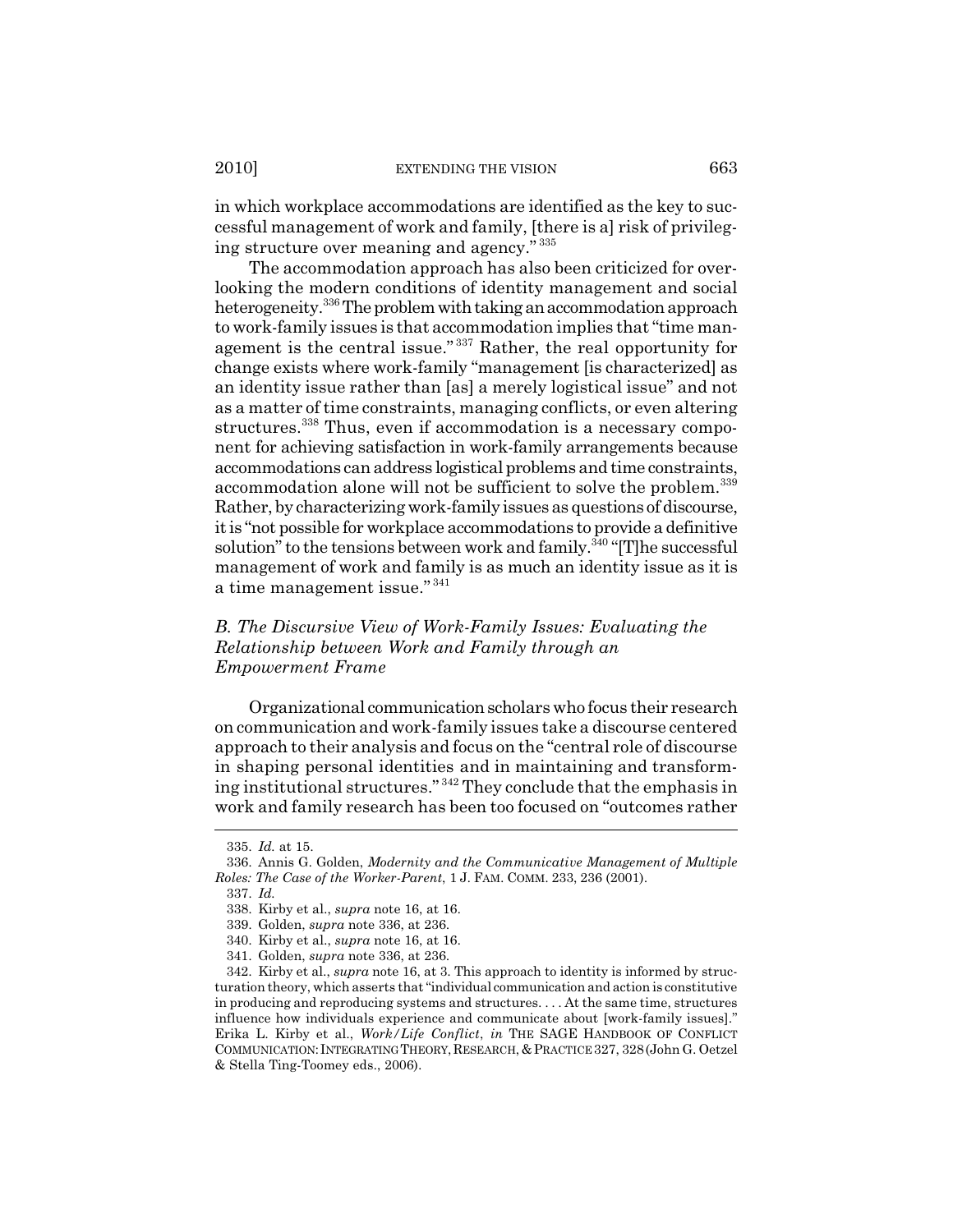in which workplace accommodations are identified as the key to successful management of work and family, [there is a] risk of privileging structure over meaning and agency." <sup>335</sup>

The accommodation approach has also been criticized for overlooking the modern conditions of identity management and social heterogeneity.<sup>336</sup> The problem with taking an accommodation approach to work-family issues is that accommodation implies that "time management is the central issue." 337 Rather, the real opportunity for change exists where work-family "management [is characterized] as an identity issue rather than [as] a merely logistical issue" and not as a matter of time constraints, managing conflicts, or even altering structures.<sup>338</sup> Thus, even if accommodation is a necessary component for achieving satisfaction in work-family arrangements because accommodations can address logistical problems and time constraints, accommodation alone will not be sufficient to solve the problem.<sup>339</sup> Rather, by characterizing work-family issues as questions of discourse, it is "not possible for workplace accommodations to provide a definitive solution" to the tensions between work and family.<sup>340</sup> "[T]he successful management of work and family is as much an identity issue as it is a time management issue." <sup>341</sup>

# *B. The Discursive View of Work-Family Issues: Evaluating the Relationship between Work and Family through an Empowerment Frame*

Organizational communication scholars who focus their research on communication and work-family issues take a discourse centered approach to their analysis and focus on the "central role of discourse in shaping personal identities and in maintaining and transforming institutional structures."<sup>342</sup> They conclude that the emphasis in work and family research has been too focused on "outcomes rather

<sup>335.</sup> *Id.* at 15.

<sup>336.</sup> Annis G. Golden, *Modernity and the Communicative Management of Multiple Roles: The Case of the Worker-Parent*, 1 J. FAM. COMM. 233, 236 (2001).

<sup>337.</sup> *Id.*

<sup>338.</sup> Kirby et al., *supra* note 16, at 16.

<sup>339.</sup> Golden, *supra* note 336, at 236.

<sup>340.</sup> Kirby et al., *supra* note 16, at 16.

<sup>341.</sup> Golden, *supra* note 336, at 236.

<sup>342.</sup> Kirby et al., *supra* note 16, at 3. This approach to identity is informed by structuration theory, which asserts that "individual communication and action is constitutive in producing and reproducing systems and structures. . . . At the same time, structures influence how individuals experience and communicate about [work-family issues]." Erika L. Kirby et al., *Work/Life Conflict*, *in* THE SAGE HANDBOOK OF CONFLICT COMMUNICATION: INTEGRATING THEORY,RESEARCH,&PRACTICE 327, 328(John G. Oetzel & Stella Ting-Toomey eds., 2006).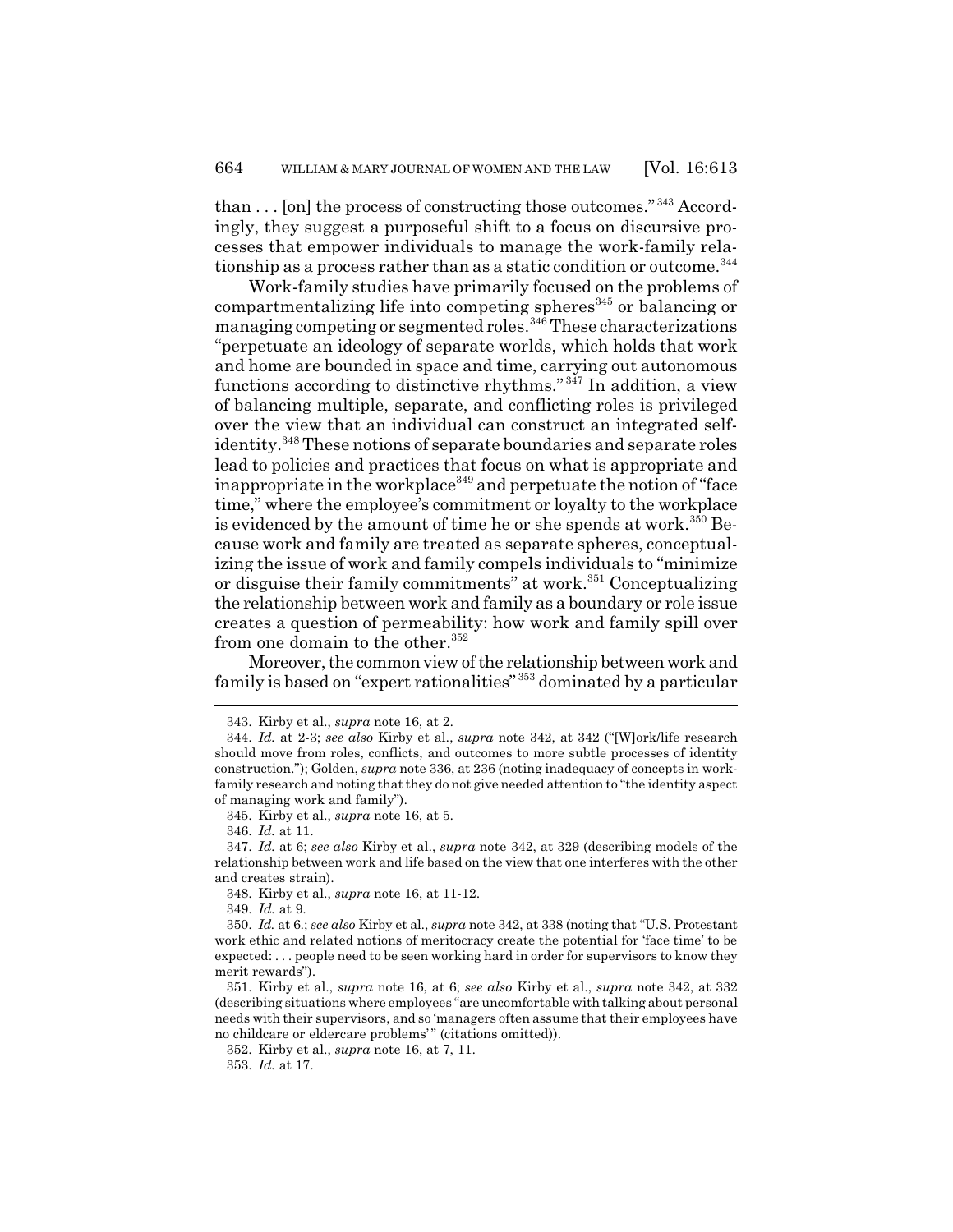than . . . [on] the process of constructing those outcomes." 343 Accordingly, they suggest a purposeful shift to a focus on discursive processes that empower individuals to manage the work-family relationship as a process rather than as a static condition or outcome.<sup>344</sup>

Work-family studies have primarily focused on the problems of compartmentalizing life into competing spheres<sup>345</sup> or balancing or managing competing or segmented roles.<sup>346</sup> These characterizations "perpetuate an ideology of separate worlds, which holds that work and home are bounded in space and time, carrying out autonomous functions according to distinctive rhythms."  $347$  In addition, a view of balancing multiple, separate, and conflicting roles is privileged over the view that an individual can construct an integrated selfidentity.<sup>348</sup> These notions of separate boundaries and separate roles lead to policies and practices that focus on what is appropriate and inappropriate in the workplace<sup>349</sup> and perpetuate the notion of "face time," where the employee's commitment or loyalty to the workplace is evidenced by the amount of time he or she spends at work.<sup>350</sup> Because work and family are treated as separate spheres, conceptualizing the issue of work and family compels individuals to "minimize or disguise their family commitments" at work.<sup>351</sup> Conceptualizing the relationship between work and family as a boundary or role issue creates a question of permeability: how work and family spill over from one domain to the other.<sup>352</sup>

Moreover, the common view of the relationship between work and family is based on "expert rationalities" 353 dominated by a particular

345. Kirby et al., *supra* note 16, at 5.

346. *Id.* at 11.

348. Kirby et al., *supra* note 16, at 11-12.

349. *Id.* at 9.

352. Kirby et al., *supra* note 16, at 7, 11.

353. *Id.* at 17.

<sup>343.</sup> Kirby et al., *supra* note 16, at 2.

<sup>344.</sup> *Id.* at 2-3; *see also* Kirby et al., *supra* note 342, at 342 ("[W]ork/life research should move from roles, conflicts, and outcomes to more subtle processes of identity construction."); Golden, *supra* note 336, at 236 (noting inadequacy of concepts in workfamily research and noting that they do not give needed attention to "the identity aspect of managing work and family").

<sup>347.</sup> *Id.* at 6; *see also* Kirby et al., *supra* note 342, at 329 (describing models of the relationship between work and life based on the view that one interferes with the other and creates strain).

<sup>350.</sup> *Id.* at 6.; *see also* Kirby et al., *supra* note 342, at 338 (noting that "U.S. Protestant work ethic and related notions of meritocracy create the potential for 'face time' to be expected: . . . people need to be seen working hard in order for supervisors to know they merit rewards").

<sup>351.</sup> Kirby et al., *supra* note 16, at 6; *see also* Kirby et al., *supra* note 342, at 332 (describing situations where employees "are uncomfortable with talking about personal needs with their supervisors, and so 'managers often assume that their employees have no childcare or eldercare problems'" (citations omitted)).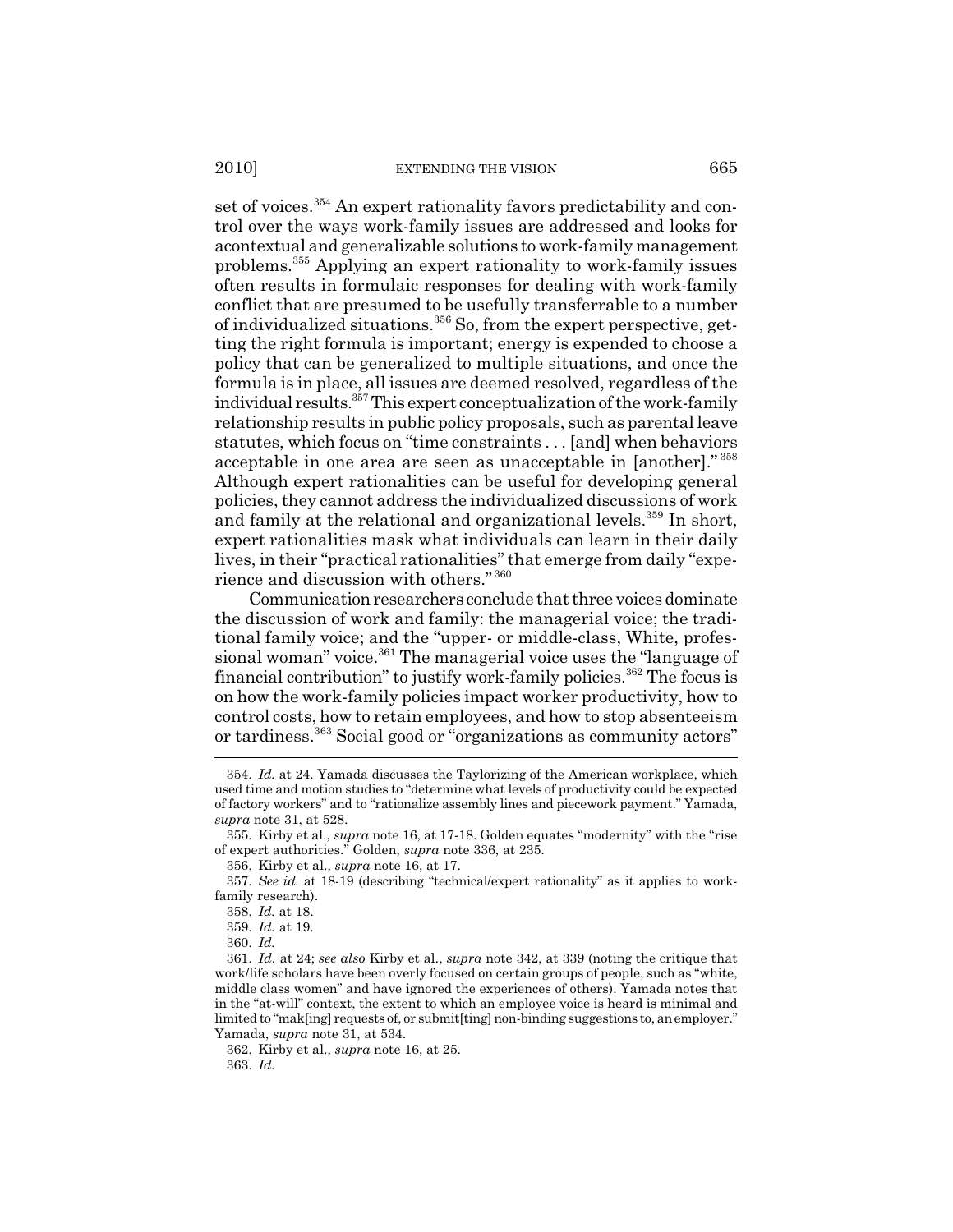#### 2010] EXTENDING THE VISION 665

set of voices.<sup>354</sup> An expert rationality favors predictability and control over the ways work-family issues are addressed and looks for acontextual and generalizable solutions to work-family management problems.355 Applying an expert rationality to work-family issues often results in formulaic responses for dealing with work-family conflict that are presumed to be usefully transferrable to a number of individualized situations.356 So, from the expert perspective, getting the right formula is important; energy is expended to choose a policy that can be generalized to multiple situations, and once the formula is in place, all issues are deemed resolved, regardless of the individual results.357 This expert conceptualization of the work-family relationship results in public policy proposals, such as parental leave statutes, which focus on "time constraints . . . [and] when behaviors acceptable in one area are seen as unacceptable in [another]." <sup>358</sup> Although expert rationalities can be useful for developing general policies, they cannot address the individualized discussions of work and family at the relational and organizational levels.<sup>359</sup> In short, expert rationalities mask what individuals can learn in their daily lives, in their "practical rationalities" that emerge from daily "experience and discussion with others." <sup>360</sup>

Communication researchers conclude that three voices dominate the discussion of work and family: the managerial voice; the traditional family voice; and the "upper- or middle-class, White, professional woman" voice.<sup>361</sup> The managerial voice uses the "language of financial contribution" to justify work-family policies.<sup>362</sup> The focus is on how the work-family policies impact worker productivity, how to control costs, how to retain employees, and how to stop absenteeism or tardiness.363 Social good or "organizations as community actors"

362. Kirby et al., *supra* note 16, at 25. 363. *Id.*

<sup>354.</sup> *Id.* at 24. Yamada discusses the Taylorizing of the American workplace, which used time and motion studies to "determine what levels of productivity could be expected of factory workers" and to "rationalize assembly lines and piecework payment." Yamada, *supra* note 31, at 528.

<sup>355.</sup> Kirby et al., *supra* note 16, at 17-18. Golden equates "modernity" with the "rise of expert authorities." Golden, *supra* note 336, at 235.

<sup>356.</sup> Kirby et al., *supra* note 16, at 17.

<sup>357.</sup> *See id.* at 18-19 (describing "technical/expert rationality" as it applies to workfamily research).

<sup>358.</sup> *Id.* at 18.

<sup>359.</sup> *Id.* at 19.

<sup>360.</sup> *Id.*

<sup>361.</sup> *Id.* at 24; *see also* Kirby et al., *supra* note 342, at 339 (noting the critique that work/life scholars have been overly focused on certain groups of people, such as "white, middle class women" and have ignored the experiences of others). Yamada notes that in the "at-will" context, the extent to which an employee voice is heard is minimal and limited to "mak[ing] requests of, or submit[ting] non-binding suggestions to, an employer." Yamada, *supra* note 31, at 534.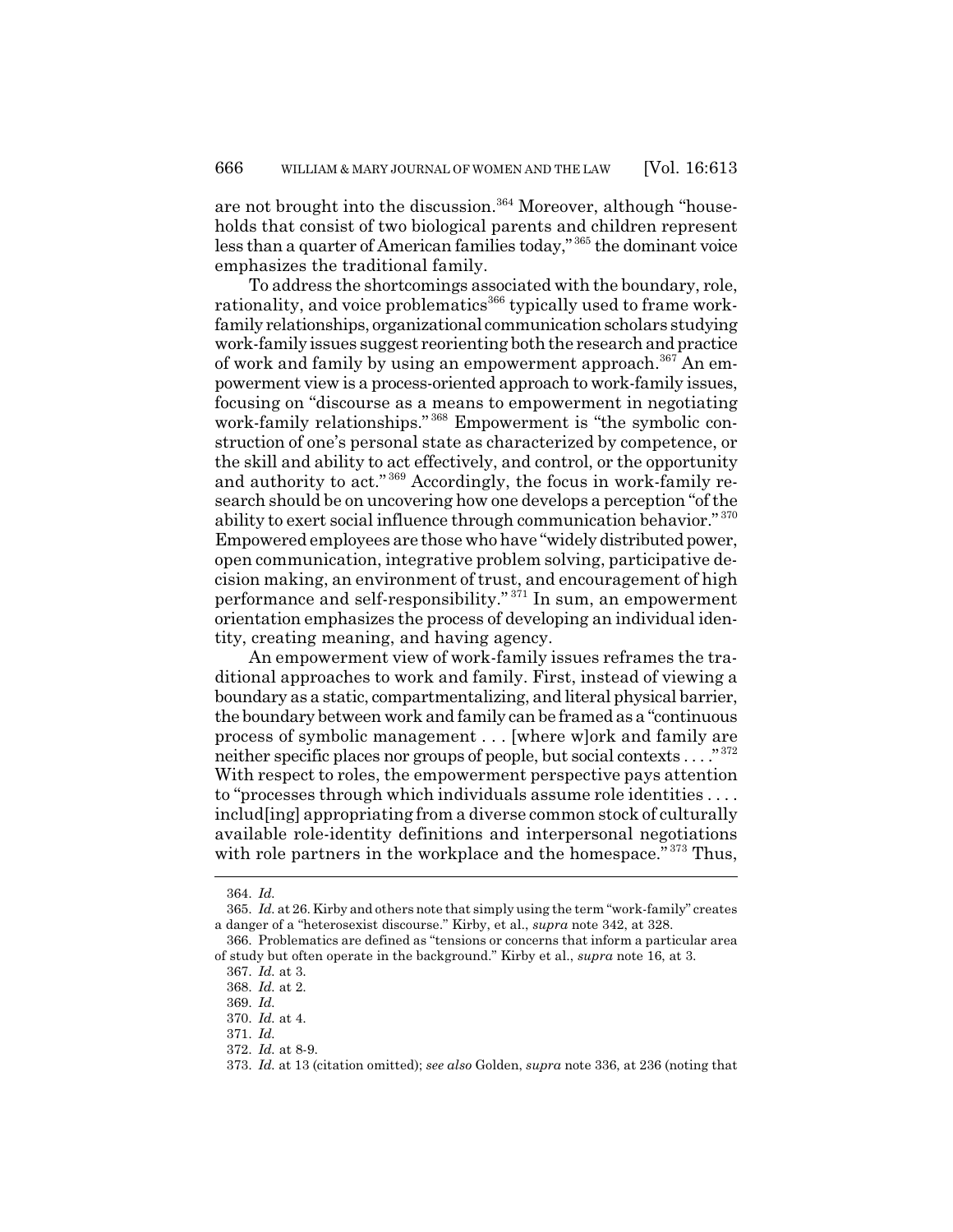are not brought into the discussion.<sup>364</sup> Moreover, although "households that consist of two biological parents and children represent less than a quarter of American families today," 365 the dominant voice emphasizes the traditional family.

To address the shortcomings associated with the boundary, role, rationality, and voice problematics<sup>366</sup> typically used to frame workfamily relationships, organizational communication scholars studying work-family issues suggest reorienting both the research and practice of work and family by using an empowerment approach.<sup>367</sup> An empowerment view is a process-oriented approach to work-family issues, focusing on "discourse as a means to empowerment in negotiating work-family relationships." 368 Empowerment is "the symbolic construction of one's personal state as characterized by competence, or the skill and ability to act effectively, and control, or the opportunity and authority to act." 369 Accordingly, the focus in work-family research should be on uncovering how one develops a perception "of the ability to exert social influence through communication behavior." <sup>370</sup> Empowered employees are those who have "widely distributed power, open communication, integrative problem solving, participative decision making, an environment of trust, and encouragement of high performance and self-responsibility." 371 In sum, an empowerment orientation emphasizes the process of developing an individual identity, creating meaning, and having agency.

An empowerment view of work-family issues reframes the traditional approaches to work and family. First, instead of viewing a boundary as a static, compartmentalizing, and literal physical barrier, the boundary between work and family can be framed as a "continuous process of symbolic management . . . [where w]ork and family are neither specific places nor groups of people, but social contexts . . . ." <sup>372</sup> With respect to roles, the empowerment perspective pays attention to "processes through which individuals assume role identities . . . . includ[ing] appropriating from a diverse common stock of culturally available role-identity definitions and interpersonal negotiations with role partners in the workplace and the homespace."<sup>373</sup> Thus,

<sup>364.</sup> *Id.*

<sup>365.</sup> *Id.* at 26. Kirby and others note that simply using the term "work-family" creates a danger of a "heterosexist discourse." Kirby, et al., *supra* note 342, at 328.

<sup>366.</sup> Problematics are defined as "tensions or concerns that inform a particular area of study but often operate in the background." Kirby et al., *supra* note 16, at 3.

<sup>367.</sup> *Id.* at 3.

<sup>368.</sup> *Id.* at 2.

<sup>369.</sup> *Id.*

<sup>370.</sup> *Id.* at 4.

<sup>371.</sup> *Id.*

<sup>372.</sup> *Id.* at 8-9.

<sup>373.</sup> *Id.* at 13 (citation omitted); *see also* Golden, *supra* note 336, at 236 (noting that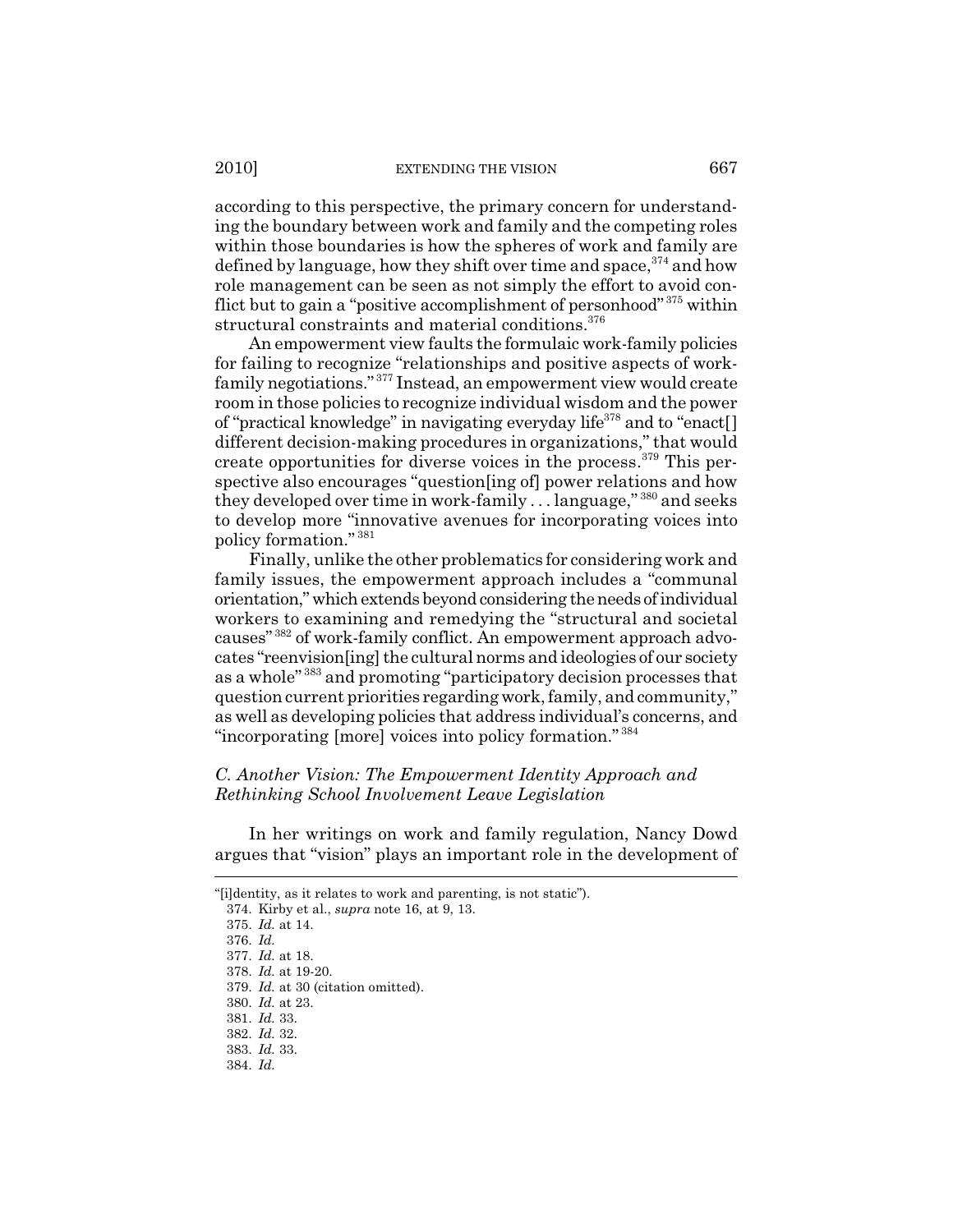according to this perspective, the primary concern for understanding the boundary between work and family and the competing roles within those boundaries is how the spheres of work and family are defined by language, how they shift over time and space,  $374$  and how role management can be seen as not simply the effort to avoid conflict but to gain a "positive accomplishment of personhood"<sup>375</sup> within structural constraints and material conditions.<sup>376</sup>

An empowerment view faults the formulaic work-family policies for failing to recognize "relationships and positive aspects of workfamily negotiations." 377 Instead, an empowerment view would create room in those policies to recognize individual wisdom and the power of "practical knowledge" in navigating everyday life378 and to "enact[] different decision-making procedures in organizations," that would create opportunities for diverse voices in the process.379 This perspective also encourages "question [ing of] power relations and how they developed over time in work-family . . . language," 380 and seeks to develop more "innovative avenues for incorporating voices into policy formation." <sup>381</sup>

Finally, unlike the other problematics for considering work and family issues, the empowerment approach includes a "communal orientation," which extends beyond considering the needs of individual workers to examining and remedying the "structural and societal causes" 382 of work-family conflict. An empowerment approach advocates "reenvision[ing] the cultural norms and ideologies of our society as a whole" 383 and promoting "participatory decision processes that question current priorities regarding work, family, and community," as well as developing policies that address individual's concerns, and "incorporating [more] voices into policy formation." <sup>384</sup>

# *C. Another Vision: The Empowerment Identity Approach and Rethinking School Involvement Leave Legislation*

In her writings on work and family regulation, Nancy Dowd argues that "vision" plays an important role in the development of

<sup>&</sup>quot;[i]dentity, as it relates to work and parenting, is not static").

<sup>374.</sup> Kirby et al., *supra* note 16, at 9, 13.

<sup>375.</sup> *Id.* at 14.

<sup>376.</sup> *Id.*

<sup>377.</sup> *Id.* at 18.

<sup>378.</sup> *Id.* at 19-20.

<sup>379.</sup> *Id.* at 30 (citation omitted).

<sup>380.</sup> *Id.* at 23.

<sup>381.</sup> *Id.* 33.

<sup>382.</sup> *Id.* 32.

<sup>383.</sup> *Id.* 33.

<sup>384.</sup> *Id.*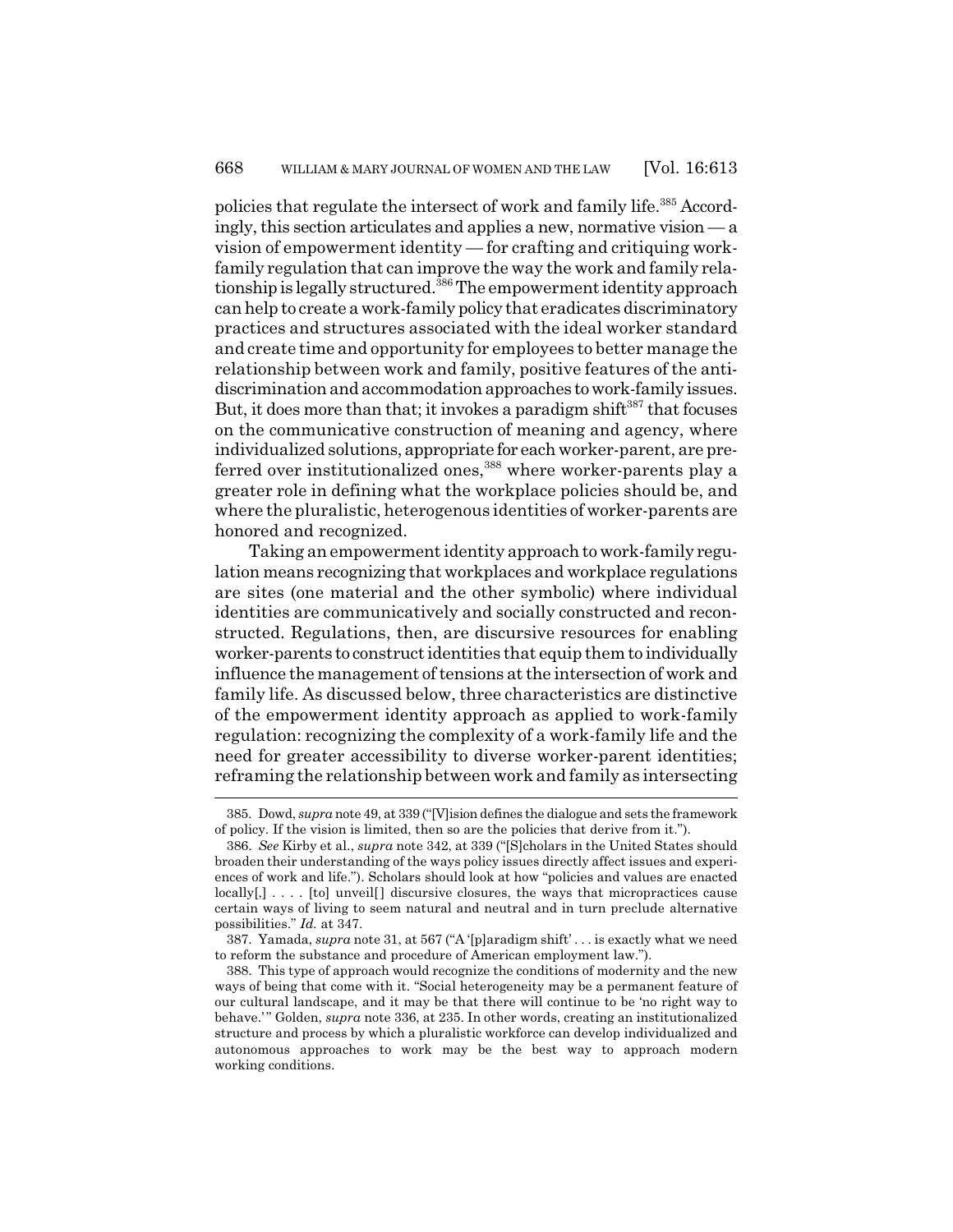policies that regulate the intersect of work and family life.385 Accordingly, this section articulates and applies a new, normative vision — a vision of empowerment identity — for crafting and critiquing workfamily regulation that can improve the way the work and family relationship is legally structured.<sup>386</sup> The empowerment identity approach can help to create a work-family policy that eradicates discriminatory practices and structures associated with the ideal worker standard and create time and opportunity for employees to better manage the relationship between work and family, positive features of the antidiscrimination and accommodation approaches to work-family issues. But, it does more than that; it invokes a paradigm shift<sup>387</sup> that focuses on the communicative construction of meaning and agency, where individualized solutions, appropriate for each worker-parent, are preferred over institutionalized ones,<sup>388</sup> where worker-parents play a greater role in defining what the workplace policies should be, and where the pluralistic, heterogenous identities of worker-parents are honored and recognized.

Taking an empowerment identity approach to work-family regulation means recognizing that workplaces and workplace regulations are sites (one material and the other symbolic) where individual identities are communicatively and socially constructed and reconstructed. Regulations, then, are discursive resources for enabling worker-parents to construct identities that equip them to individually influence the management of tensions at the intersection of work and family life. As discussed below, three characteristics are distinctive of the empowerment identity approach as applied to work-family regulation: recognizing the complexity of a work-family life and the need for greater accessibility to diverse worker-parent identities; reframing the relationship between work and family as intersecting

<sup>385.</sup> Dowd, *supra* note 49, at 339 ("[V]ision defines the dialogue and sets the framework of policy. If the vision is limited, then so are the policies that derive from it.").

<sup>386.</sup> *See* Kirby et al., *supra* note 342, at 339 ("[S]cholars in the United States should broaden their understanding of the ways policy issues directly affect issues and experiences of work and life."). Scholars should look at how "policies and values are enacted  $\text{locally[},] \ldots$  [to] unveil[] discursive closures, the ways that micropractices cause certain ways of living to seem natural and neutral and in turn preclude alternative possibilities." *Id.* at 347.

<sup>387.</sup> Yamada, *supra* note 31, at 567 ("A '[p]aradigm shift' . . . is exactly what we need to reform the substance and procedure of American employment law.").

<sup>388.</sup> This type of approach would recognize the conditions of modernity and the new ways of being that come with it. "Social heterogeneity may be a permanent feature of our cultural landscape, and it may be that there will continue to be 'no right way to behave.' " Golden, *supra* note 336, at 235. In other words, creating an institutionalized structure and process by which a pluralistic workforce can develop individualized and autonomous approaches to work may be the best way to approach modern working conditions.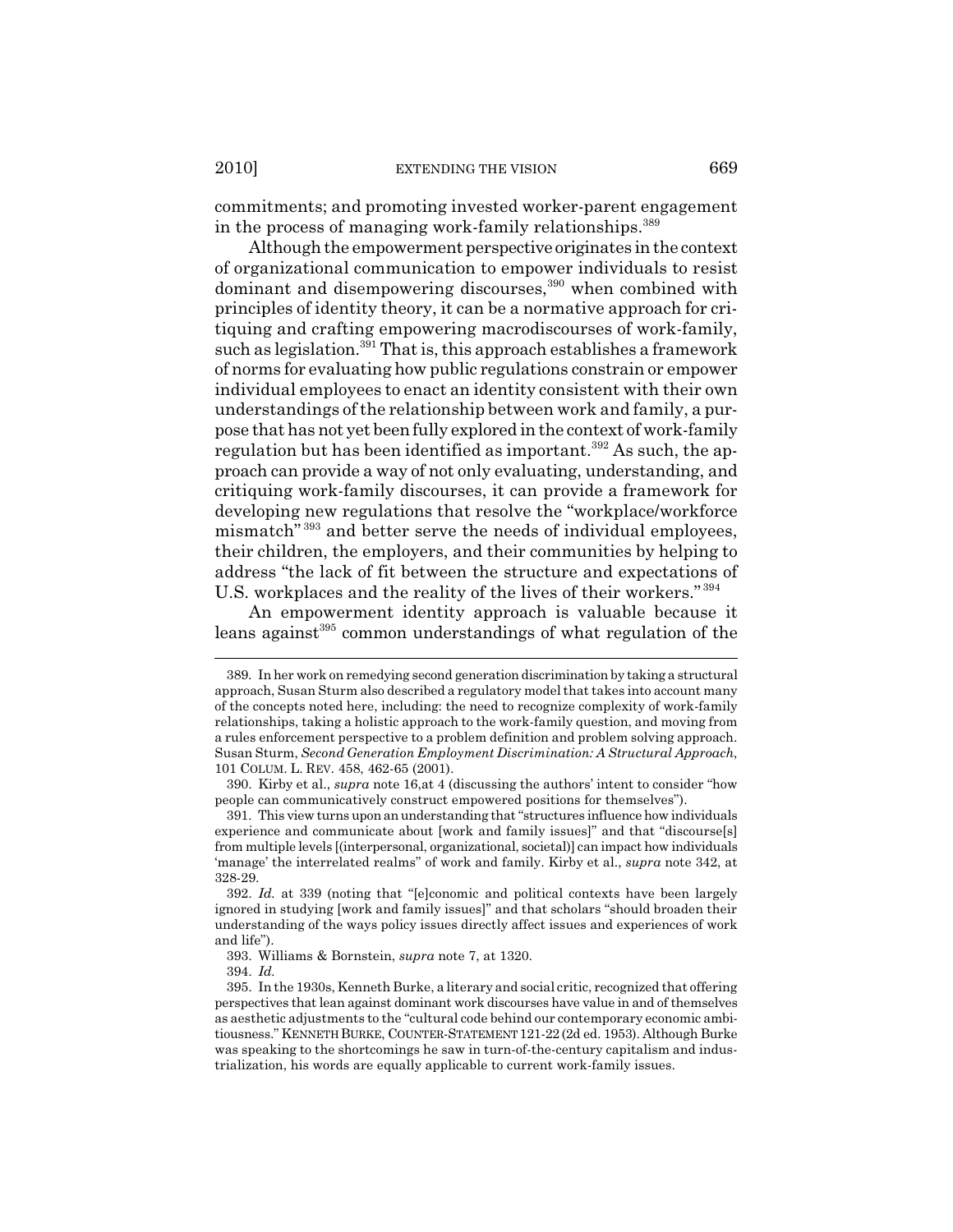commitments; and promoting invested worker-parent engagement in the process of managing work-family relationships.<sup>389</sup>

Although the empowerment perspective originates in the context of organizational communication to empower individuals to resist dominant and disempowering discourses,<sup>390</sup> when combined with principles of identity theory, it can be a normative approach for critiquing and crafting empowering macrodiscourses of work-family, such as legislation.<sup>391</sup> That is, this approach establishes a framework of norms for evaluating how public regulations constrain or empower individual employees to enact an identity consistent with their own understandings of the relationship between work and family, a purpose that has not yet been fully explored in the context of work-family regulation but has been identified as important.<sup>392</sup> As such, the approach can provide a way of not only evaluating, understanding, and critiquing work-family discourses, it can provide a framework for developing new regulations that resolve the "workplace/workforce mismatch" 393 and better serve the needs of individual employees, their children, the employers, and their communities by helping to address "the lack of fit between the structure and expectations of U.S. workplaces and the reality of the lives of their workers." <sup>394</sup>

An empowerment identity approach is valuable because it leans against<sup>395</sup> common understandings of what regulation of the

<sup>389.</sup> In her work on remedying second generation discrimination by taking a structural approach, Susan Sturm also described a regulatory model that takes into account many of the concepts noted here, including: the need to recognize complexity of work-family relationships, taking a holistic approach to the work-family question, and moving from a rules enforcement perspective to a problem definition and problem solving approach. Susan Sturm, *Second Generation Employment Discrimination: A Structural Approach*, 101 COLUM. L. REV. 458, 462-65 (2001).

<sup>390.</sup> Kirby et al., *supra* note 16,at 4 (discussing the authors' intent to consider "how people can communicatively construct empowered positions for themselves").

<sup>391.</sup> This view turns upon an understanding that "structures influence how individuals experience and communicate about [work and family issues]" and that "discourse[s] from multiple levels [(interpersonal, organizational, societal)] can impact how individuals 'manage' the interrelated realms" of work and family. Kirby et al., *supra* note 342, at 328-29.

<sup>392.</sup> *Id.* at 339 (noting that "[e]conomic and political contexts have been largely ignored in studying [work and family issues]" and that scholars "should broaden their understanding of the ways policy issues directly affect issues and experiences of work and life").

<sup>393.</sup> Williams & Bornstein, *supra* note 7, at 1320.

<sup>394.</sup> *Id.*

<sup>395.</sup> In the 1930s, Kenneth Burke, a literary and social critic, recognized that offering perspectives that lean against dominant work discourses have value in and of themselves as aesthetic adjustments to the "cultural code behind our contemporary economic ambitiousness." KENNETH BURKE, COUNTER-STATEMENT 121-22(2d ed. 1953). Although Burke was speaking to the shortcomings he saw in turn-of-the-century capitalism and industrialization, his words are equally applicable to current work-family issues.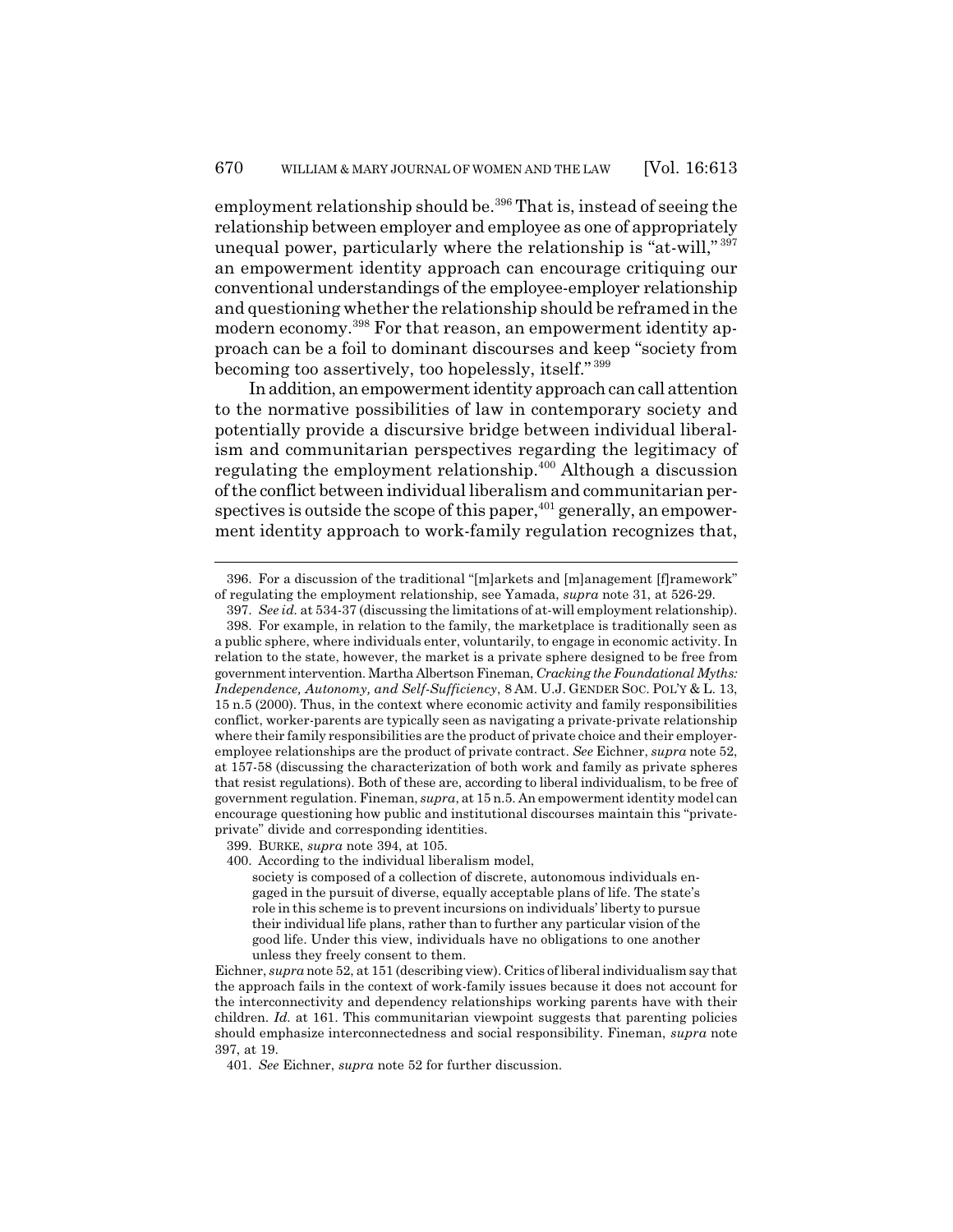employment relationship should be.<sup>396</sup> That is, instead of seeing the relationship between employer and employee as one of appropriately unequal power, particularly where the relationship is "at-will," <sup>397</sup> an empowerment identity approach can encourage critiquing our conventional understandings of the employee-employer relationship and questioning whether the relationship should be reframed in the modern economy.<sup>398</sup> For that reason, an empowerment identity approach can be a foil to dominant discourses and keep "society from becoming too assertively, too hopelessly, itself." <sup>399</sup>

In addition, an empowerment identity approach can call attention to the normative possibilities of law in contemporary society and potentially provide a discursive bridge between individual liberalism and communitarian perspectives regarding the legitimacy of regulating the employment relationship.400 Although a discussion of the conflict between individual liberalism and communitarian perspectives is outside the scope of this paper, $401$  generally, an empowerment identity approach to work-family regulation recognizes that,

399. BURKE, *supra* note 394, at 105.

<sup>396.</sup> For a discussion of the traditional "[m]arkets and [m]anagement [f]ramework" of regulating the employment relationship, see Yamada, *supra* note 31, at 526-29.

<sup>397.</sup> *See id.* at 534-37 (discussing the limitations of at-will employment relationship). 398. For example, in relation to the family, the marketplace is traditionally seen as a public sphere, where individuals enter, voluntarily, to engage in economic activity. In relation to the state, however, the market is a private sphere designed to be free from government intervention. Martha Albertson Fineman, *Cracking the Foundational Myths: Independence, Autonomy, and Self-Sufficiency*, 8 AM. U.J. GENDER SOC. POL'Y & L. 13, 15 n.5 (2000). Thus, in the context where economic activity and family responsibilities conflict, worker-parents are typically seen as navigating a private-private relationship where their family responsibilities are the product of private choice and their employeremployee relationships are the product of private contract. *See* Eichner, *supra* note 52, at 157-58 (discussing the characterization of both work and family as private spheres that resist regulations). Both of these are, according to liberal individualism, to be free of government regulation. Fineman, *supra*, at 15 n.5. An empowerment identity model can encourage questioning how public and institutional discourses maintain this "privateprivate" divide and corresponding identities.

<sup>400.</sup> According to the individual liberalism model,

society is composed of a collection of discrete, autonomous individuals engaged in the pursuit of diverse, equally acceptable plans of life. The state's role in this scheme is to prevent incursions on individuals' liberty to pursue their individual life plans, rather than to further any particular vision of the good life. Under this view, individuals have no obligations to one another unless they freely consent to them.

Eichner, *supra* note 52, at 151 (describing view). Critics of liberal individualism say that the approach fails in the context of work-family issues because it does not account for the interconnectivity and dependency relationships working parents have with their children. *Id.* at 161. This communitarian viewpoint suggests that parenting policies should emphasize interconnectedness and social responsibility. Fineman, *supra* note 397, at 19.

<sup>401.</sup> *See* Eichner, *supra* note 52 for further discussion.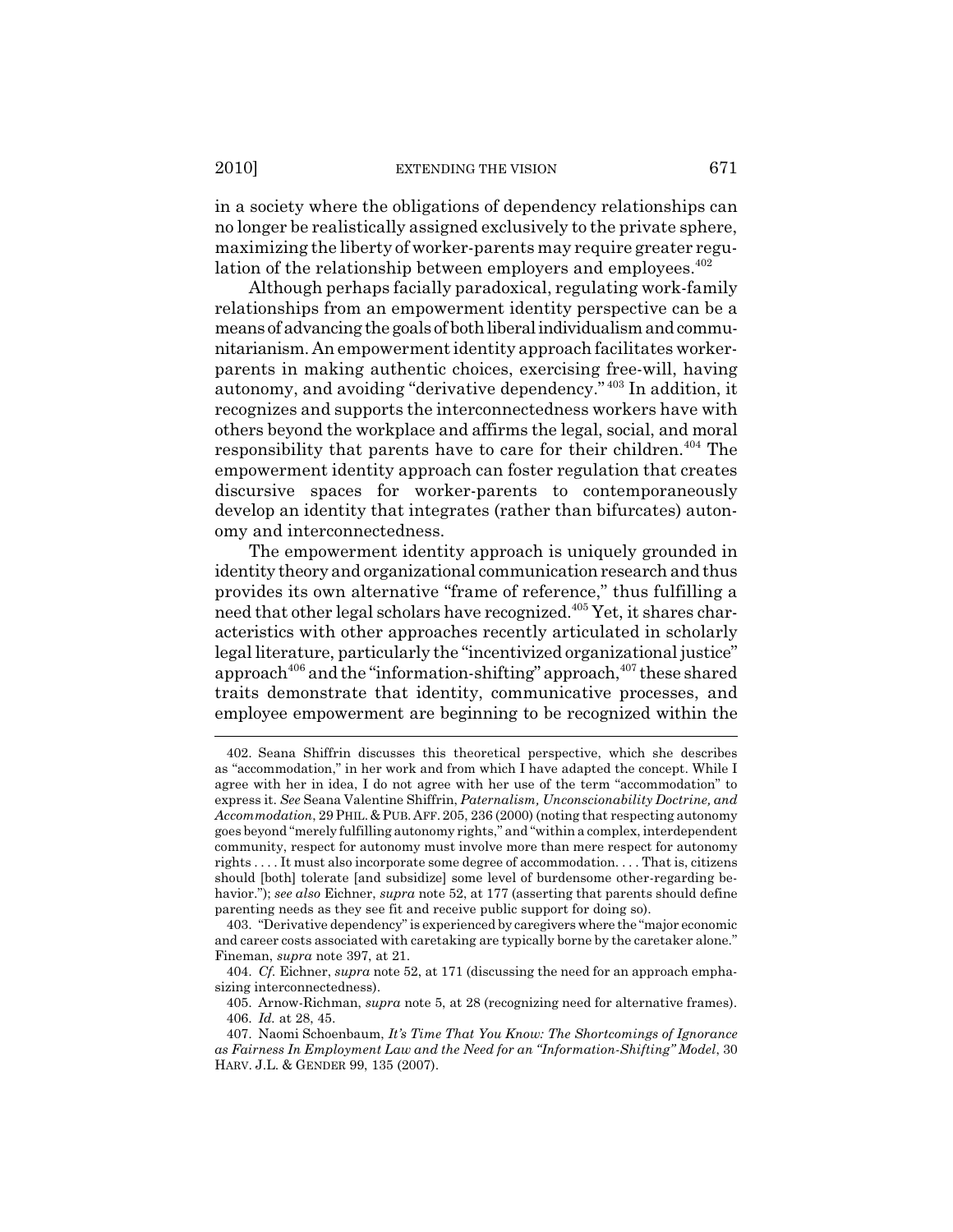in a society where the obligations of dependency relationships can no longer be realistically assigned exclusively to the private sphere, maximizing the liberty of worker-parents may require greater regulation of the relationship between employers and employees.<sup>402</sup>

Although perhaps facially paradoxical, regulating work-family relationships from an empowerment identity perspective can be a means of advancing the goals of both liberal individualism and communitarianism. An empowerment identity approach facilitates workerparents in making authentic choices, exercising free-will, having autonomy, and avoiding "derivative dependency." 403 In addition, it recognizes and supports the interconnectedness workers have with others beyond the workplace and affirms the legal, social, and moral responsibility that parents have to care for their children.<sup>404</sup> The empowerment identity approach can foster regulation that creates discursive spaces for worker-parents to contemporaneously develop an identity that integrates (rather than bifurcates) autonomy and interconnectedness.

The empowerment identity approach is uniquely grounded in identity theory and organizational communication research and thus provides its own alternative "frame of reference," thus fulfilling a need that other legal scholars have recognized.405 Yet, it shares characteristics with other approaches recently articulated in scholarly legal literature, particularly the "incentivized organizational justice" approach<sup>406</sup> and the "information-shifting" approach,<sup>407</sup> these shared traits demonstrate that identity, communicative processes, and employee empowerment are beginning to be recognized within the

<sup>402.</sup> Seana Shiffrin discusses this theoretical perspective, which she describes as "accommodation," in her work and from which I have adapted the concept. While I agree with her in idea, I do not agree with her use of the term "accommodation" to express it. *See* Seana Valentine Shiffrin, *Paternalism, Unconscionability Doctrine, and* Accommodation, 29 PHIL. & PUB. AFF. 205, 236 (2000) (noting that respecting autonomy goes beyond "merely fulfilling autonomy rights," and "within a complex, interdependent community, respect for autonomy must involve more than mere respect for autonomy rights . . . . It must also incorporate some degree of accommodation. . . . That is, citizens should [both] tolerate [and subsidize] some level of burdensome other-regarding behavior."); *see also* Eichner, *supra* note 52, at 177 (asserting that parents should define parenting needs as they see fit and receive public support for doing so).

<sup>403. &</sup>quot;Derivative dependency" is experienced by caregivers where the "major economic and career costs associated with caretaking are typically borne by the caretaker alone." Fineman, *supra* note 397, at 21.

<sup>404.</sup> *Cf.* Eichner, *supra* note 52, at 171 (discussing the need for an approach emphasizing interconnectedness).

<sup>405.</sup> Arnow-Richman, *supra* note 5, at 28 (recognizing need for alternative frames). 406. *Id.* at 28, 45.

<sup>407.</sup> Naomi Schoenbaum, *It's Time That You Know: The Shortcomings of Ignorance as Fairness In Employment Law and the Need for an "Information-Shifting" Model*, 30 HARV. J.L. & GENDER 99, 135 (2007).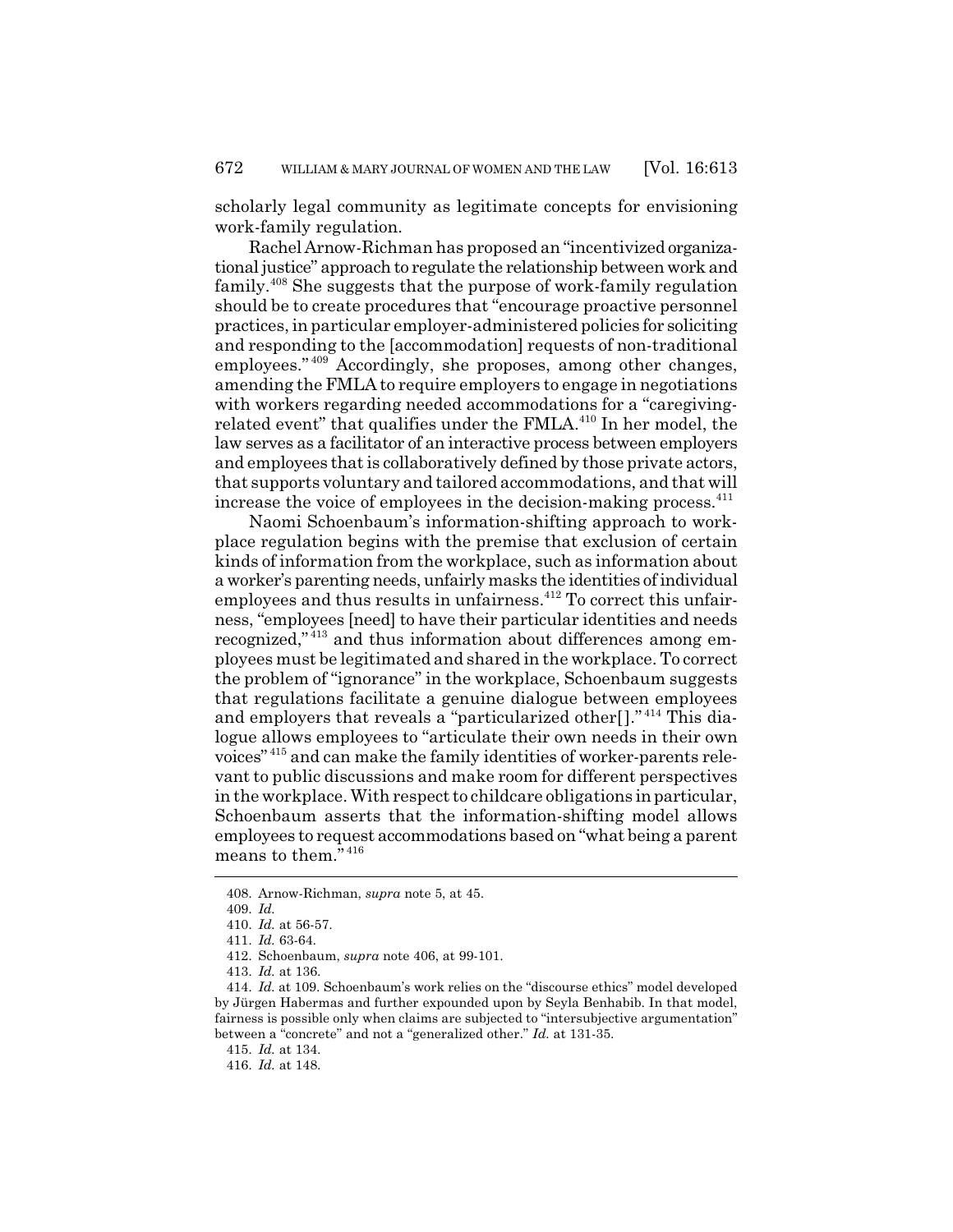scholarly legal community as legitimate concepts for envisioning work-family regulation.

Rachel Arnow-Richman has proposed an "incentivized organizational justice" approach to regulate the relationship between work and family.408 She suggests that the purpose of work-family regulation should be to create procedures that "encourage proactive personnel practices, in particular employer-administered policies for soliciting and responding to the [accommodation] requests of non-traditional employees." 409 Accordingly, she proposes, among other changes, amending the FMLA to require employers to engage in negotiations with workers regarding needed accommodations for a "caregivingrelated event" that qualifies under the FMLA.<sup>410</sup> In her model, the law serves as a facilitator of an interactive process between employers and employees that is collaboratively defined by those private actors, that supports voluntary and tailored accommodations, and that will increase the voice of employees in the decision-making process.<sup>411</sup>

Naomi Schoenbaum's information-shifting approach to workplace regulation begins with the premise that exclusion of certain kinds of information from the workplace, such as information about a worker's parenting needs, unfairly masks the identities of individual employees and thus results in unfairness.<sup> $412$ </sup> To correct this unfairness, "employees [need] to have their particular identities and needs recognized," 413 and thus information about differences among employees must be legitimated and shared in the workplace. To correct the problem of "ignorance" in the workplace, Schoenbaum suggests that regulations facilitate a genuine dialogue between employees and employers that reveals a "particularized other[]." 414 This dialogue allows employees to "articulate their own needs in their own voices" 415 and can make the family identities of worker-parents relevant to public discussions and make room for different perspectives in the workplace. With respect to childcare obligations in particular, Schoenbaum asserts that the information-shifting model allows employees to request accommodations based on "what being a parent means to them." <sup>416</sup>

<sup>408.</sup> Arnow-Richman, *supra* note 5, at 45.

<sup>409.</sup> *Id.*

<sup>410.</sup> *Id.* at 56-57.

<sup>411.</sup> *Id.* 63-64.

<sup>412.</sup> Schoenbaum, *supra* note 406, at 99-101.

<sup>413.</sup> *Id.* at 136.

<sup>414.</sup> *Id.* at 109. Schoenbaum's work relies on the "discourse ethics" model developed by Jürgen Habermas and further expounded upon by Seyla Benhabib. In that model, fairness is possible only when claims are subjected to "intersubjective argumentation" between a "concrete" and not a "generalized other." *Id.* at 131-35.

<sup>415.</sup> *Id.* at 134.

<sup>416.</sup> *Id.* at 148.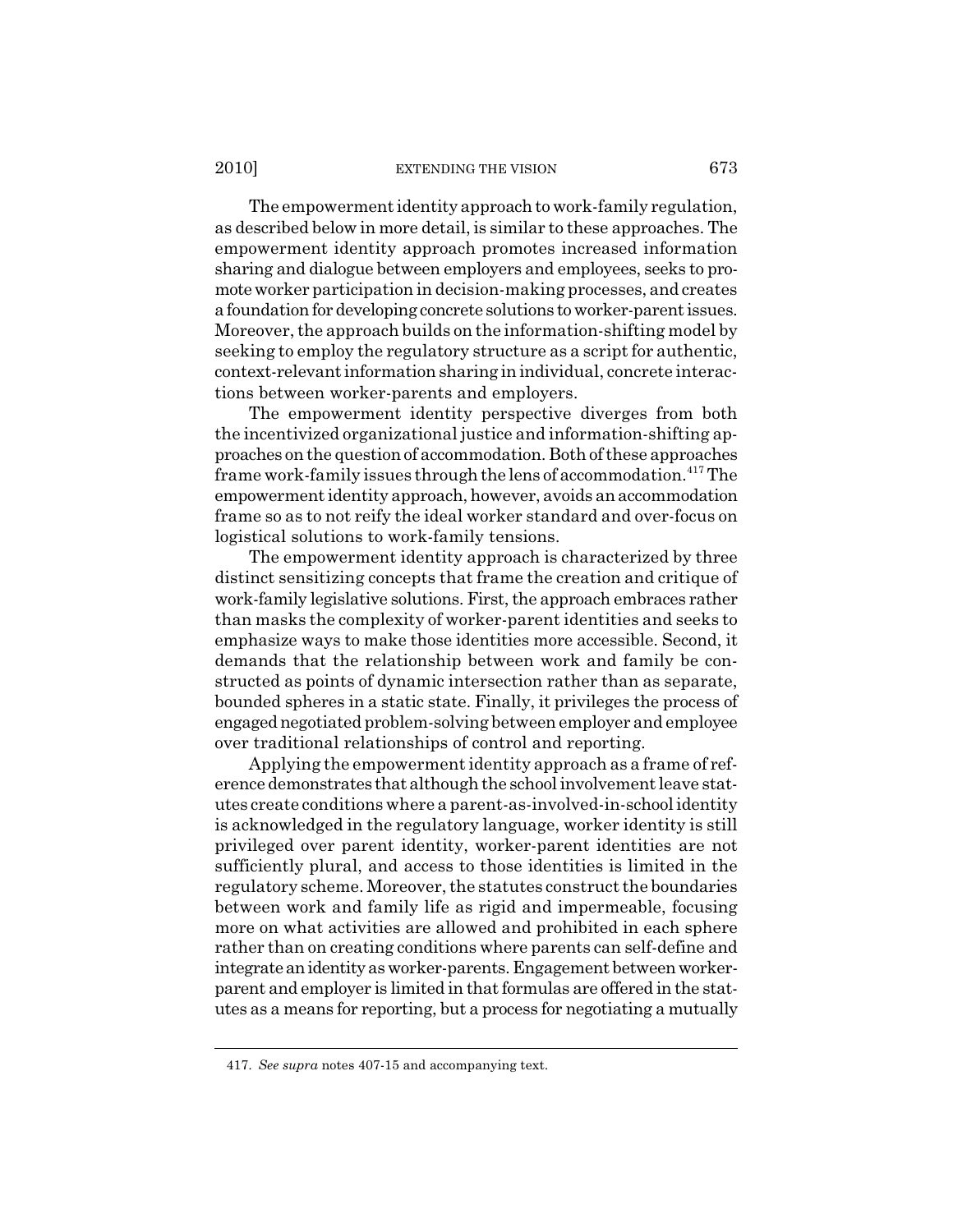#### 2010] EXTENDING THE VISION 673

The empowerment identity approach to work-family regulation, as described below in more detail, is similar to these approaches. The empowerment identity approach promotes increased information sharing and dialogue between employers and employees, seeks to promote worker participation in decision-making processes, and creates a foundation for developing concrete solutions to worker-parent issues. Moreover, the approach builds on the information-shifting model by seeking to employ the regulatory structure as a script for authentic, context-relevant information sharing in individual, concrete interactions between worker-parents and employers.

The empowerment identity perspective diverges from both the incentivized organizational justice and information-shifting approaches on the question of accommodation. Both of these approaches frame work-family issues through the lens of accommodation.417 The empowerment identity approach, however, avoids an accommodation frame so as to not reify the ideal worker standard and over-focus on logistical solutions to work-family tensions.

The empowerment identity approach is characterized by three distinct sensitizing concepts that frame the creation and critique of work-family legislative solutions. First, the approach embraces rather than masks the complexity of worker-parent identities and seeks to emphasize ways to make those identities more accessible. Second, it demands that the relationship between work and family be constructed as points of dynamic intersection rather than as separate, bounded spheres in a static state. Finally, it privileges the process of engaged negotiated problem-solving between employer and employee over traditional relationships of control and reporting.

Applying the empowerment identity approach as a frame of reference demonstrates that although the school involvement leave statutes create conditions where a parent-as-involved-in-school identity is acknowledged in the regulatory language, worker identity is still privileged over parent identity, worker-parent identities are not sufficiently plural, and access to those identities is limited in the regulatory scheme. Moreover, the statutes construct the boundaries between work and family life as rigid and impermeable, focusing more on what activities are allowed and prohibited in each sphere rather than on creating conditions where parents can self-define and integrate an identity as worker-parents. Engagement between workerparent and employer is limited in that formulas are offered in the statutes as a means for reporting, but a process for negotiating a mutually

<sup>417.</sup> *See supra* notes 407-15 and accompanying text.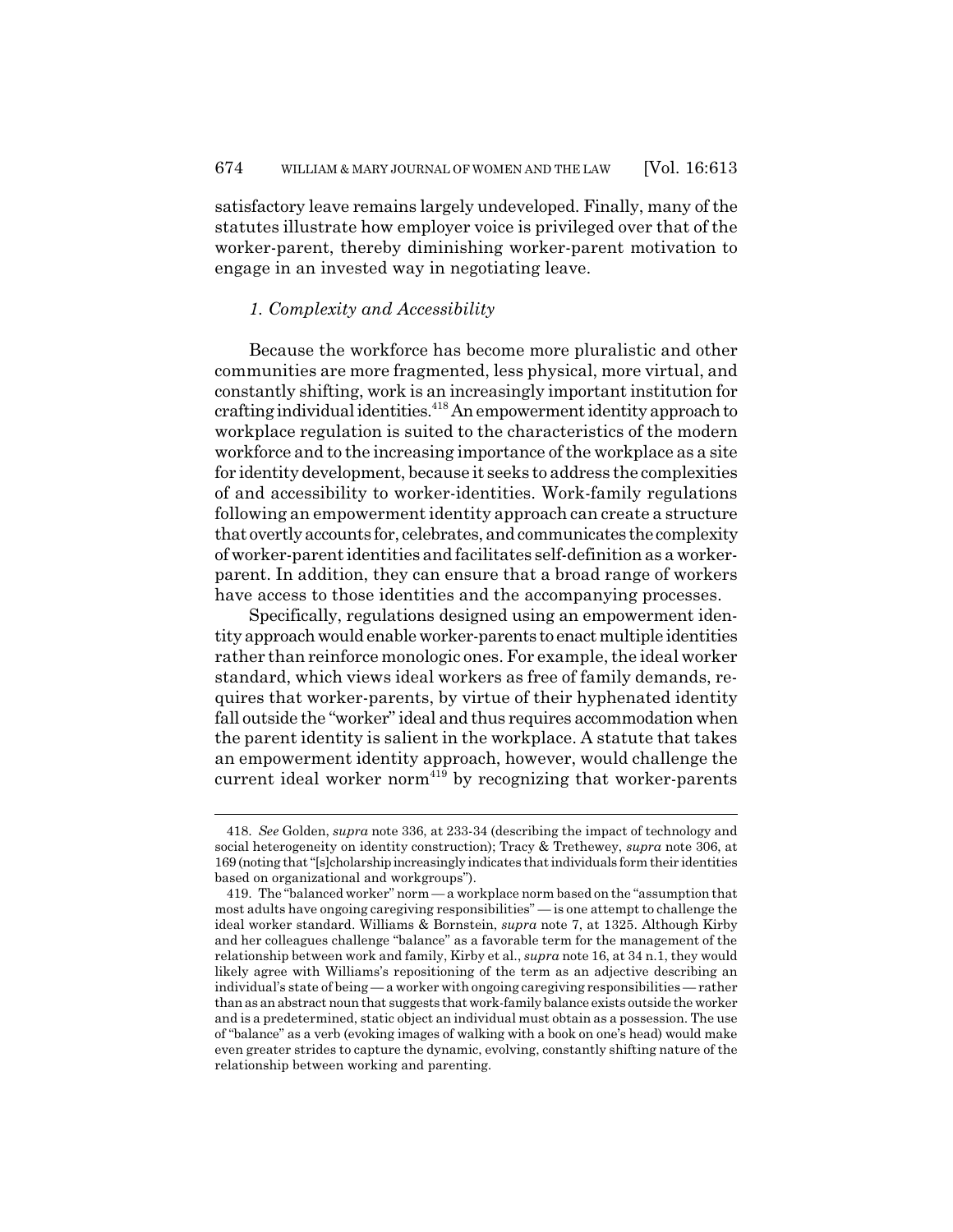satisfactory leave remains largely undeveloped. Finally, many of the statutes illustrate how employer voice is privileged over that of the worker-parent, thereby diminishing worker-parent motivation to engage in an invested way in negotiating leave.

## *1. Complexity and Accessibility*

Because the workforce has become more pluralistic and other communities are more fragmented, less physical, more virtual, and constantly shifting, work is an increasingly important institution for crafting individual identities.418 An empowerment identity approach to workplace regulation is suited to the characteristics of the modern workforce and to the increasing importance of the workplace as a site for identity development, because it seeks to address the complexities of and accessibility to worker-identities. Work-family regulations following an empowerment identity approach can create a structure that overtly accounts for, celebrates, and communicates the complexity of worker-parent identities and facilitates self-definition as a workerparent. In addition, they can ensure that a broad range of workers have access to those identities and the accompanying processes.

Specifically, regulations designed using an empowerment identity approach would enable worker-parents to enact multiple identities rather than reinforce monologic ones. For example, the ideal worker standard, which views ideal workers as free of family demands, requires that worker-parents, by virtue of their hyphenated identity fall outside the "worker" ideal and thus requires accommodation when the parent identity is salient in the workplace. A statute that takes an empowerment identity approach, however, would challenge the current ideal worker norm $419$  by recognizing that worker-parents

<sup>418.</sup> *See* Golden, *supra* note 336, at 233-34 (describing the impact of technology and social heterogeneity on identity construction); Tracy & Trethewey, *supra* note 306, at 169 (noting that "[s]cholarship increasingly indicates that individuals form their identities based on organizational and workgroups").

<sup>419.</sup> The "balanced worker" norm — a workplace norm based on the "assumption that most adults have ongoing caregiving responsibilities" — is one attempt to challenge the ideal worker standard. Williams & Bornstein, *supra* note 7, at 1325. Although Kirby and her colleagues challenge "balance" as a favorable term for the management of the relationship between work and family, Kirby et al., *supra* note 16, at 34 n.1, they would likely agree with Williams's repositioning of the term as an adjective describing an individual's state of being — a worker with ongoing caregiving responsibilities — rather than as an abstract noun that suggests that work-family balance exists outside the worker and is a predetermined, static object an individual must obtain as a possession. The use of "balance" as a verb (evoking images of walking with a book on one's head) would make even greater strides to capture the dynamic, evolving, constantly shifting nature of the relationship between working and parenting.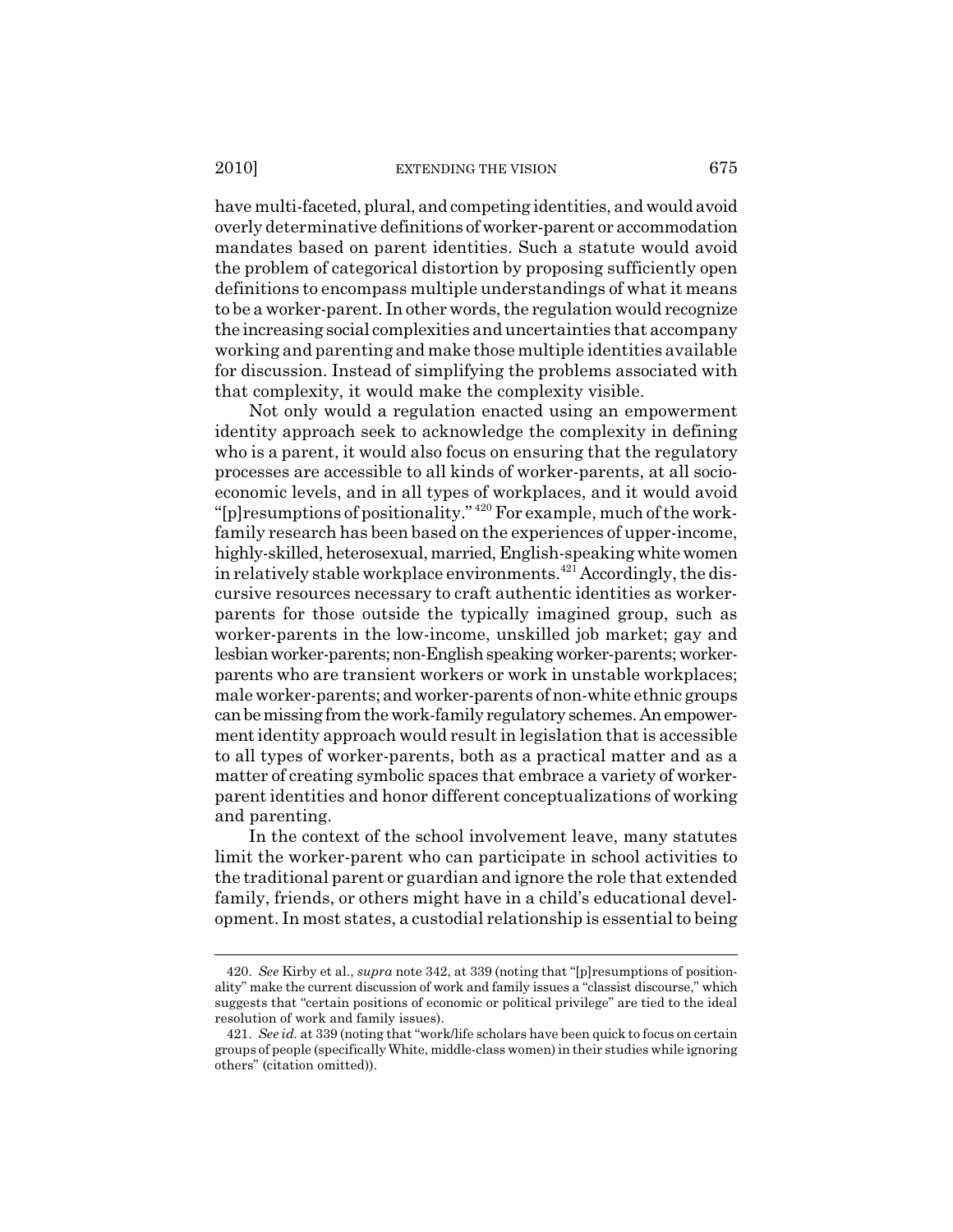have multi-faceted, plural, and competing identities, and would avoid overly determinative definitions of worker-parent or accommodation mandates based on parent identities. Such a statute would avoid the problem of categorical distortion by proposing sufficiently open definitions to encompass multiple understandings of what it means to be a worker-parent. In other words, the regulation would recognize the increasing social complexities and uncertainties that accompany working and parenting and make those multiple identities available for discussion. Instead of simplifying the problems associated with that complexity, it would make the complexity visible.

Not only would a regulation enacted using an empowerment identity approach seek to acknowledge the complexity in defining who is a parent, it would also focus on ensuring that the regulatory processes are accessible to all kinds of worker-parents, at all socioeconomic levels, and in all types of workplaces, and it would avoid "[p]resumptions of positionality." 420 For example, much of the workfamily research has been based on the experiences of upper-income, highly-skilled, heterosexual, married, English-speaking white women in relatively stable workplace environments.<sup> $421$ </sup> Accordingly, the discursive resources necessary to craft authentic identities as workerparents for those outside the typically imagined group, such as worker-parents in the low-income, unskilled job market; gay and lesbian worker-parents; non-English speaking worker-parents; workerparents who are transient workers or work in unstable workplaces; male worker-parents; and worker-parents of non-white ethnic groups can be missing from the work-family regulatory schemes. An empowerment identity approach would result in legislation that is accessible to all types of worker-parents, both as a practical matter and as a matter of creating symbolic spaces that embrace a variety of workerparent identities and honor different conceptualizations of working and parenting.

In the context of the school involvement leave, many statutes limit the worker-parent who can participate in school activities to the traditional parent or guardian and ignore the role that extended family, friends, or others might have in a child's educational development. In most states, a custodial relationship is essential to being

<sup>420.</sup> *See* Kirby et al., *supra* note 342, at 339 (noting that "[p]resumptions of positionality" make the current discussion of work and family issues a "classist discourse," which suggests that "certain positions of economic or political privilege" are tied to the ideal resolution of work and family issues).

<sup>421.</sup> *See id.* at 339 (noting that "work/life scholars have been quick to focus on certain groups of people (specifically White, middle-class women) in their studies while ignoring others" (citation omitted)).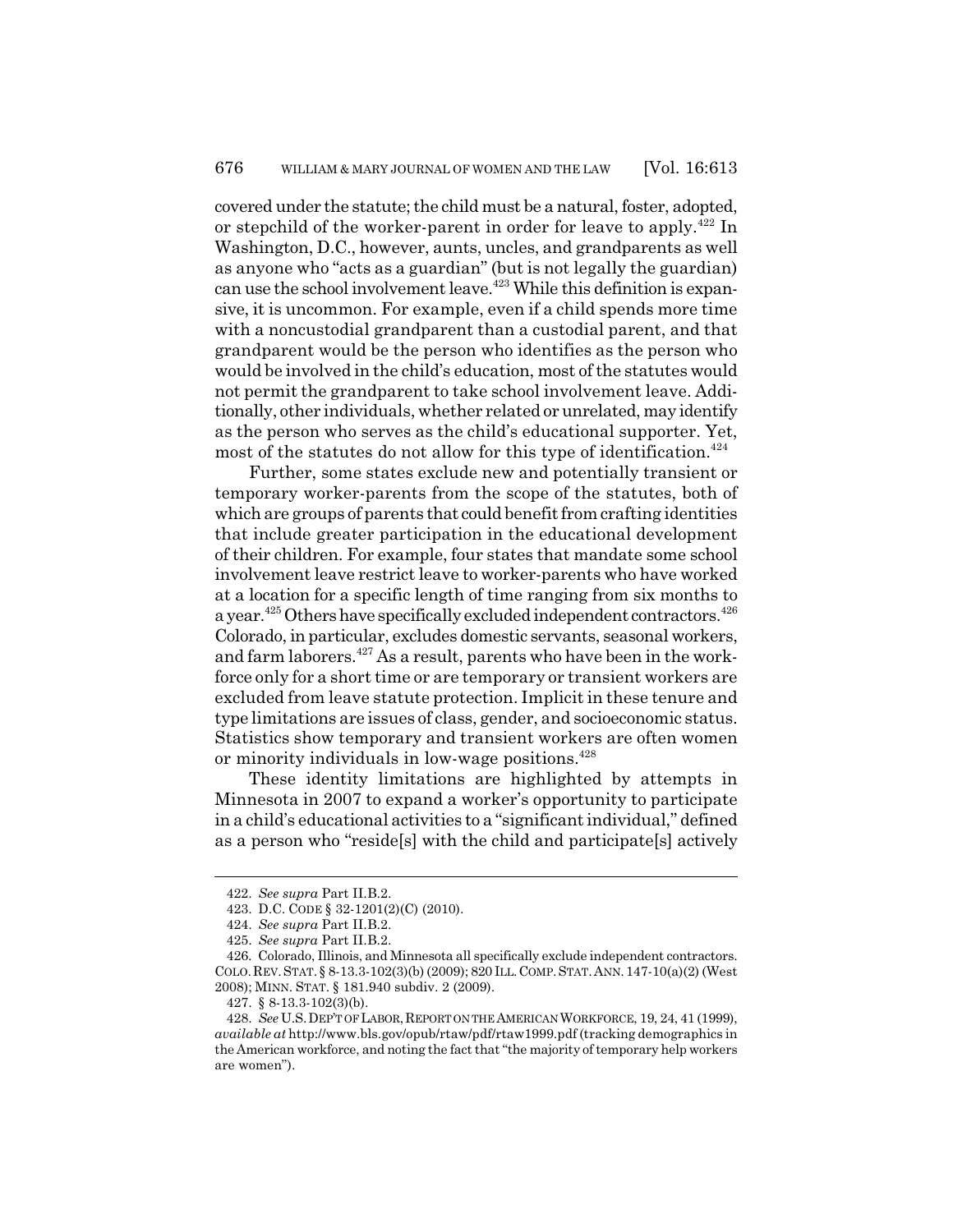covered under the statute; the child must be a natural, foster, adopted, or stepchild of the worker-parent in order for leave to apply.<sup>422</sup> In Washington, D.C., however, aunts, uncles, and grandparents as well as anyone who "acts as a guardian" (but is not legally the guardian) can use the school involvement leave.<sup> $423$ </sup> While this definition is expansive, it is uncommon. For example, even if a child spends more time with a noncustodial grandparent than a custodial parent, and that grandparent would be the person who identifies as the person who would be involved in the child's education, most of the statutes would not permit the grandparent to take school involvement leave. Additionally, other individuals, whether related or unrelated, may identify as the person who serves as the child's educational supporter. Yet, most of the statutes do not allow for this type of identification.<sup>424</sup>

Further, some states exclude new and potentially transient or temporary worker-parents from the scope of the statutes, both of which are groups of parents that could benefit from crafting identities that include greater participation in the educational development of their children. For example, four states that mandate some school involvement leave restrict leave to worker-parents who have worked at a location for a specific length of time ranging from six months to a year.<sup>425</sup> Others have specifically excluded independent contractors.<sup>426</sup> Colorado, in particular, excludes domestic servants, seasonal workers, and farm laborers.<sup>427</sup> As a result, parents who have been in the workforce only for a short time or are temporary or transient workers are excluded from leave statute protection. Implicit in these tenure and type limitations are issues of class, gender, and socioeconomic status. Statistics show temporary and transient workers are often women or minority individuals in low-wage positions. $428$ 

These identity limitations are highlighted by attempts in Minnesota in 2007 to expand a worker's opportunity to participate in a child's educational activities to a "significant individual," defined as a person who "reside[s] with the child and participate[s] actively

<sup>422.</sup> *See supra* Part II.B.2.

<sup>423.</sup> D.C. CODE § 32-1201(2)(C) (2010).

<sup>424.</sup> *See supra* Part II.B.2.

<sup>425.</sup> *See supra* Part II.B.2.

<sup>426.</sup> Colorado, Illinois, and Minnesota all specifically exclude independent contractors. COLO.REV.STAT. § 8-13.3-102(3)(b) (2009); 820 ILL.COMP.STAT.ANN.147-10(a)(2) (West 2008); MINN. STAT. § 181.940 subdiv. 2 (2009).

<sup>427. § 8-13.3-102(3)(</sup>b).

<sup>428.</sup> *See* U.S.DEP'T OF LABOR,REPORT ON THE AMERICAN WORKFORCE, 19, 24, 41 (1999), *available at* http://www.bls.gov/opub/rtaw/pdf/rtaw1999.pdf (tracking demographics in the American workforce, and noting the fact that "the majority of temporary help workers are women").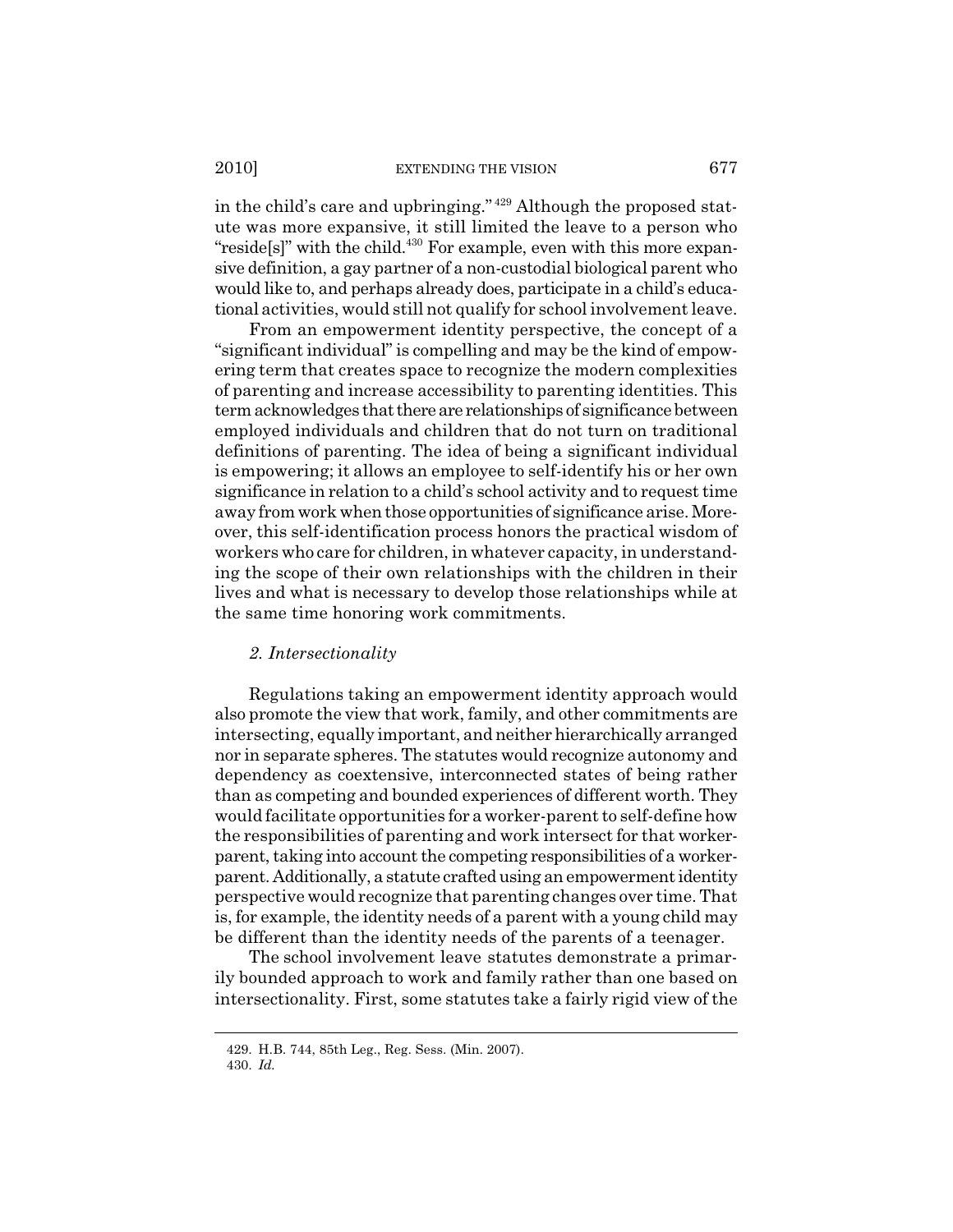in the child's care and upbringing." 429 Although the proposed statute was more expansive, it still limited the leave to a person who "reside[s]" with the child.<sup>430</sup> For example, even with this more expansive definition, a gay partner of a non-custodial biological parent who would like to, and perhaps already does, participate in a child's educational activities, would still not qualify for school involvement leave.

From an empowerment identity perspective, the concept of a "significant individual" is compelling and may be the kind of empowering term that creates space to recognize the modern complexities of parenting and increase accessibility to parenting identities. This term acknowledges that there are relationships of significance between employed individuals and children that do not turn on traditional definitions of parenting. The idea of being a significant individual is empowering; it allows an employee to self-identify his or her own significance in relation to a child's school activity and to request time away from work when those opportunities of significance arise. Moreover, this self-identification process honors the practical wisdom of workers who care for children, in whatever capacity, in understanding the scope of their own relationships with the children in their lives and what is necessary to develop those relationships while at the same time honoring work commitments.

## *2. Intersectionality*

Regulations taking an empowerment identity approach would also promote the view that work, family, and other commitments are intersecting, equally important, and neither hierarchically arranged nor in separate spheres. The statutes would recognize autonomy and dependency as coextensive, interconnected states of being rather than as competing and bounded experiences of different worth. They would facilitate opportunities for a worker-parent to self-define how the responsibilities of parenting and work intersect for that workerparent, taking into account the competing responsibilities of a workerparent. Additionally, a statute crafted using an empowerment identity perspective would recognize that parenting changes over time. That is, for example, the identity needs of a parent with a young child may be different than the identity needs of the parents of a teenager.

The school involvement leave statutes demonstrate a primarily bounded approach to work and family rather than one based on intersectionality. First, some statutes take a fairly rigid view of the

<sup>429.</sup> H.B. 744, 85th Leg., Reg. Sess. (Min. 2007).

<sup>430.</sup> *Id.*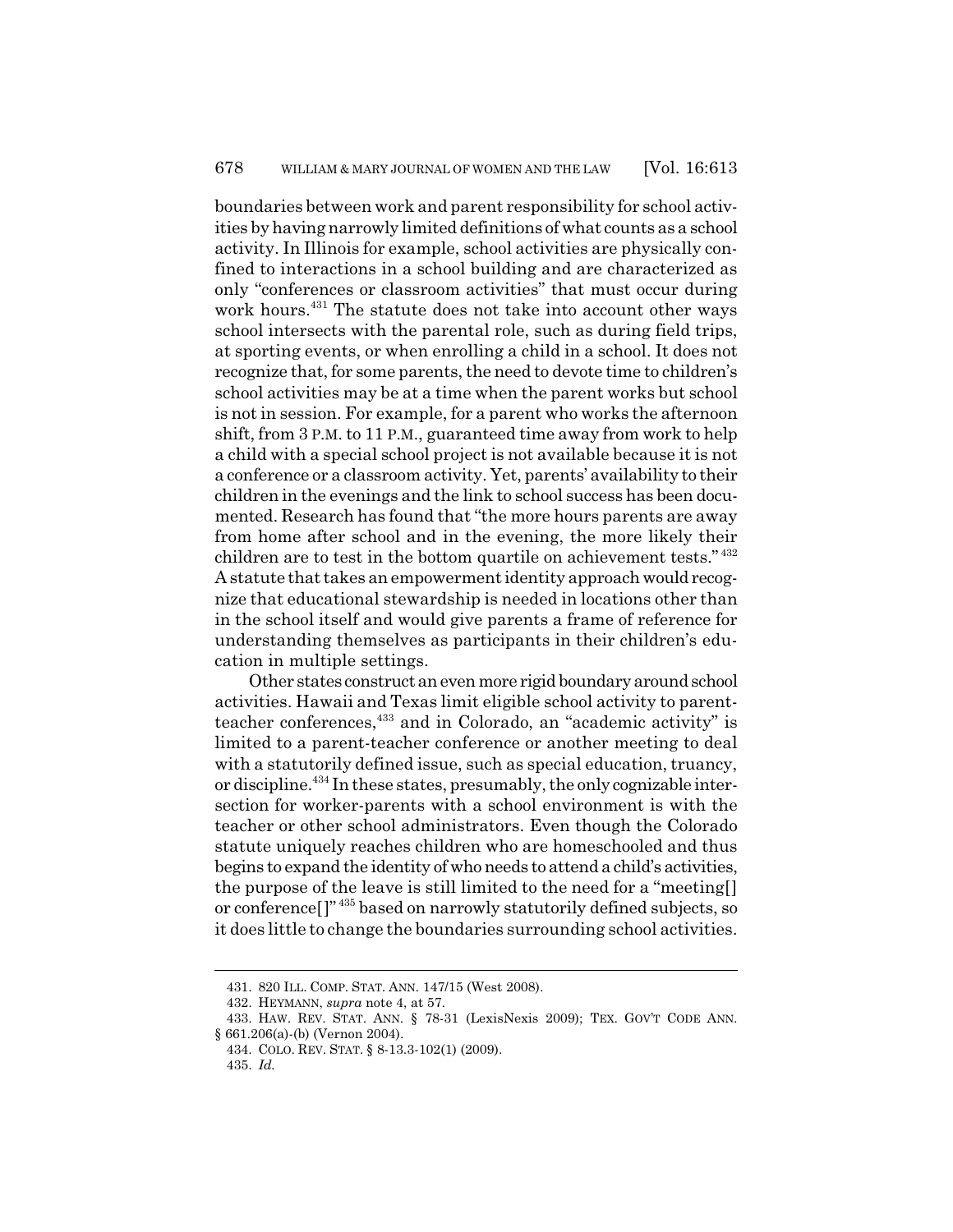boundaries between work and parent responsibility for school activities by having narrowly limited definitions of what counts as a school activity. In Illinois for example, school activities are physically confined to interactions in a school building and are characterized as only "conferences or classroom activities" that must occur during work hours.<sup>431</sup> The statute does not take into account other ways school intersects with the parental role, such as during field trips, at sporting events, or when enrolling a child in a school. It does not recognize that, for some parents, the need to devote time to children's school activities may be at a time when the parent works but school is not in session. For example, for a parent who works the afternoon shift, from 3 P.M. to 11 P.M., guaranteed time away from work to help a child with a special school project is not available because it is not a conference or a classroom activity. Yet, parents' availability to their children in the evenings and the link to school success has been documented. Research has found that "the more hours parents are away from home after school and in the evening, the more likely their children are to test in the bottom quartile on achievement tests." <sup>432</sup> A statute that takes an empowerment identity approach would recognize that educational stewardship is needed in locations other than in the school itself and would give parents a frame of reference for understanding themselves as participants in their children's education in multiple settings.

Other states construct an even more rigid boundary around school activities. Hawaii and Texas limit eligible school activity to parentteacher conferences,<sup>433</sup> and in Colorado, an "academic activity" is limited to a parent-teacher conference or another meeting to deal with a statutorily defined issue, such as special education, truancy, or discipline.434 In these states, presumably, the only cognizable intersection for worker-parents with a school environment is with the teacher or other school administrators. Even though the Colorado statute uniquely reaches children who are homeschooled and thus begins to expand the identity of who needs to attend a child's activities, the purpose of the leave is still limited to the need for a "meeting[] or conference[]" 435 based on narrowly statutorily defined subjects, so it does little to change the boundaries surrounding school activities.

<sup>431. 820</sup> ILL. COMP. STAT. ANN. 147/15 (West 2008).

<sup>432.</sup> HEYMANN, *supra* note 4, at 57.

<sup>433.</sup> HAW. REV. STAT. ANN. § 78-31 (LexisNexis 2009); TEX. GOV'T CODE ANN. § 661.206(a)-(b) (Vernon 2004).

<sup>434.</sup> COLO. REV. STAT. § 8-13.3-102(1) (2009).

<sup>435.</sup> *Id.*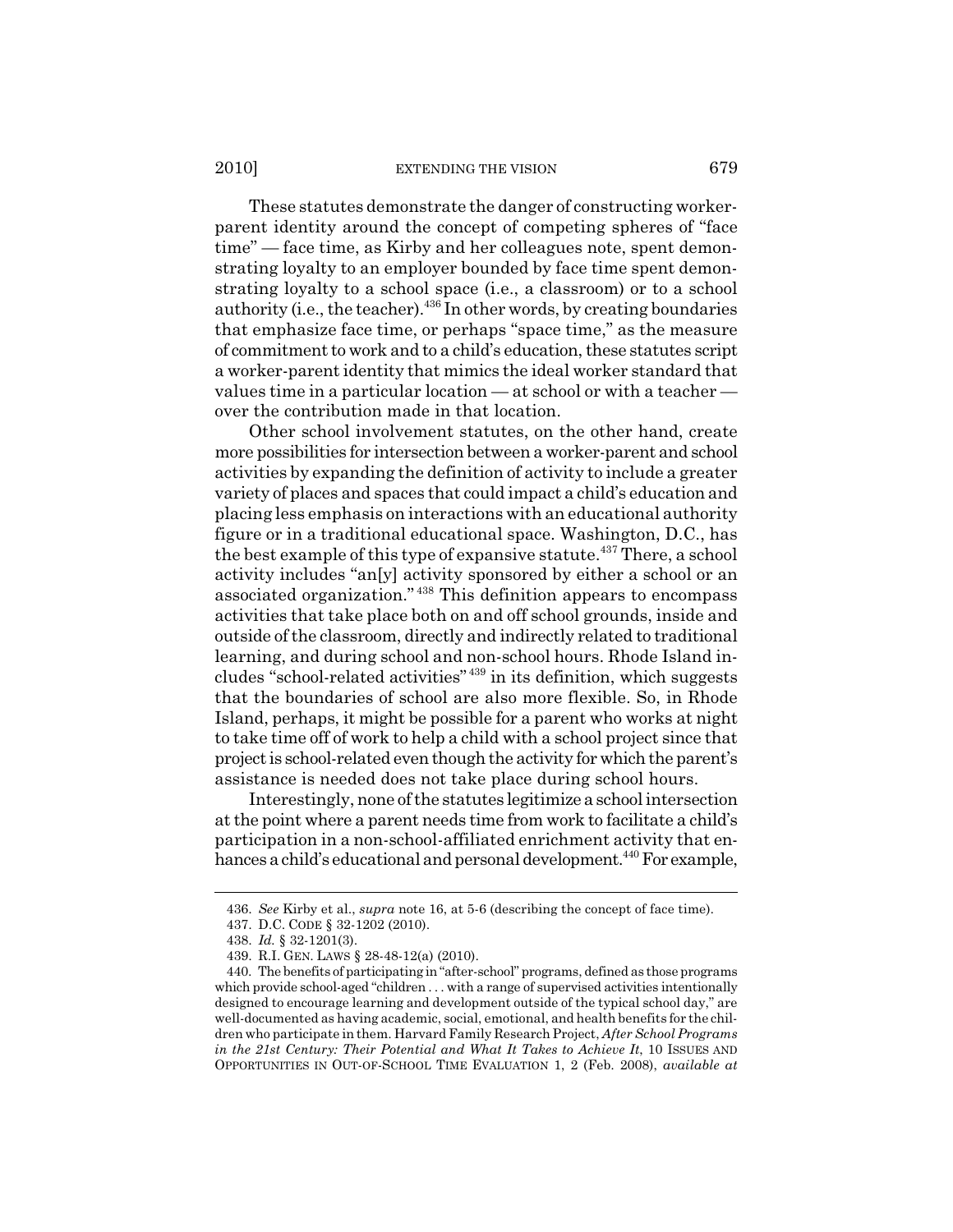#### 2010] EXTENDING THE VISION 679

These statutes demonstrate the danger of constructing workerparent identity around the concept of competing spheres of "face time" — face time, as Kirby and her colleagues note, spent demonstrating loyalty to an employer bounded by face time spent demonstrating loyalty to a school space (i.e., a classroom) or to a school authority (i.e., the teacher).  $436$  In other words, by creating boundaries that emphasize face time, or perhaps "space time," as the measure of commitment to work and to a child's education, these statutes script a worker-parent identity that mimics the ideal worker standard that values time in a particular location — at school or with a teacher over the contribution made in that location.

Other school involvement statutes, on the other hand, create more possibilities for intersection between a worker-parent and school activities by expanding the definition of activity to include a greater variety of places and spaces that could impact a child's education and placing less emphasis on interactions with an educational authority figure or in a traditional educational space. Washington, D.C., has the best example of this type of expansive statute.<sup>437</sup> There, a school activity includes "an[y] activity sponsored by either a school or an associated organization." 438 This definition appears to encompass activities that take place both on and off school grounds, inside and outside of the classroom, directly and indirectly related to traditional learning, and during school and non-school hours. Rhode Island includes "school-related activities" 439 in its definition, which suggests that the boundaries of school are also more flexible. So, in Rhode Island, perhaps, it might be possible for a parent who works at night to take time off of work to help a child with a school project since that project is school-related even though the activity for which the parent's assistance is needed does not take place during school hours.

Interestingly, none of the statutes legitimize a school intersection at the point where a parent needs time from work to facilitate a child's participation in a non-school-affiliated enrichment activity that enhances a child's educational and personal development.<sup>440</sup> For example,

<sup>436.</sup> *See* Kirby et al., *supra* note 16, at 5-6 (describing the concept of face time).

<sup>437.</sup> D.C. CODE § 32-1202 (2010).

<sup>438.</sup> *Id.* § 32-1201(3).

<sup>439.</sup> R.I. GEN. LAWS § 28-48-12(a) (2010).

<sup>440.</sup> The benefits of participating in "after-school" programs, defined as those programs which provide school-aged "children . . . with a range of supervised activities intentionally designed to encourage learning and development outside of the typical school day," are well-documented as having academic, social, emotional, and health benefits for the children who participate in them. Harvard Family Research Project, *After School Programs in the 21st Century: Their Potential and What It Takes to Achieve It*, 10 ISSUES AND OPPORTUNITIES IN OUT-OF-SCHOOL TIME EVALUATION 1, 2 (Feb. 2008), *available at*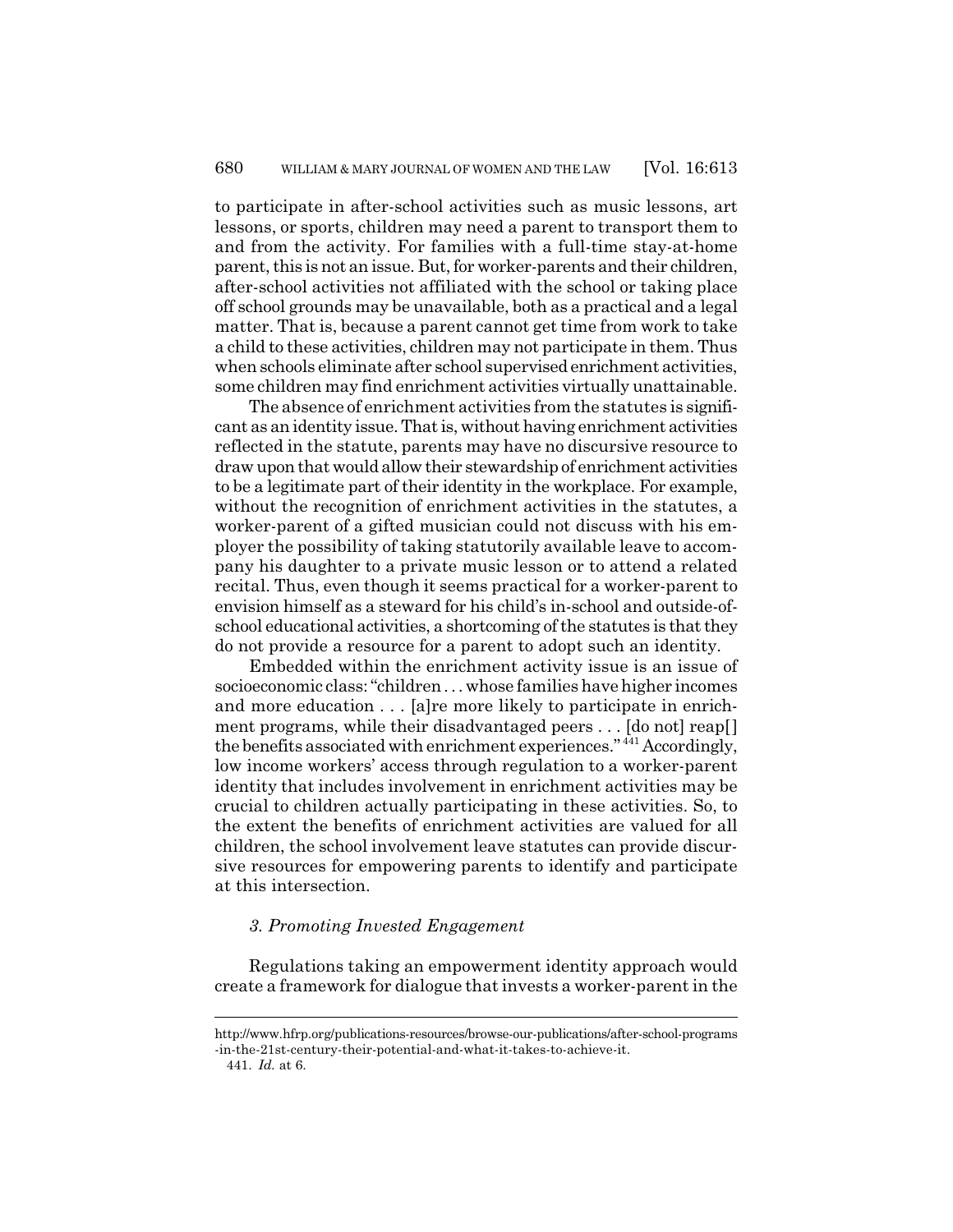to participate in after-school activities such as music lessons, art lessons, or sports, children may need a parent to transport them to and from the activity. For families with a full-time stay-at-home parent, this is not an issue. But, for worker-parents and their children, after-school activities not affiliated with the school or taking place off school grounds may be unavailable, both as a practical and a legal matter. That is, because a parent cannot get time from work to take a child to these activities, children may not participate in them. Thus when schools eliminate after school supervised enrichment activities, some children may find enrichment activities virtually unattainable.

The absence of enrichment activities from the statutes is significant as an identity issue. That is, without having enrichment activities reflected in the statute, parents may have no discursive resource to draw upon that would allow their stewardship of enrichment activities to be a legitimate part of their identity in the workplace. For example, without the recognition of enrichment activities in the statutes, a worker-parent of a gifted musician could not discuss with his employer the possibility of taking statutorily available leave to accompany his daughter to a private music lesson or to attend a related recital. Thus, even though it seems practical for a worker-parent to envision himself as a steward for his child's in-school and outside-ofschool educational activities, a shortcoming of the statutes is that they do not provide a resource for a parent to adopt such an identity.

Embedded within the enrichment activity issue is an issue of socioeconomic class: "children . . . whose families have higher incomes and more education . . . [a]re more likely to participate in enrichment programs, while their disadvantaged peers . . . [do not] reap[] the benefits associated with enrichment experiences." 441 Accordingly, low income workers' access through regulation to a worker-parent identity that includes involvement in enrichment activities may be crucial to children actually participating in these activities. So, to the extent the benefits of enrichment activities are valued for all children, the school involvement leave statutes can provide discursive resources for empowering parents to identify and participate at this intersection.

## *3. Promoting Invested Engagement*

Regulations taking an empowerment identity approach would create a framework for dialogue that invests a worker-parent in the

http://www.hfrp.org/publications-resources/browse-our-publications/after-school-programs -in-the-21st-century-their-potential-and-what-it-takes-to-achieve-it.

<sup>441.</sup> *Id.* at 6.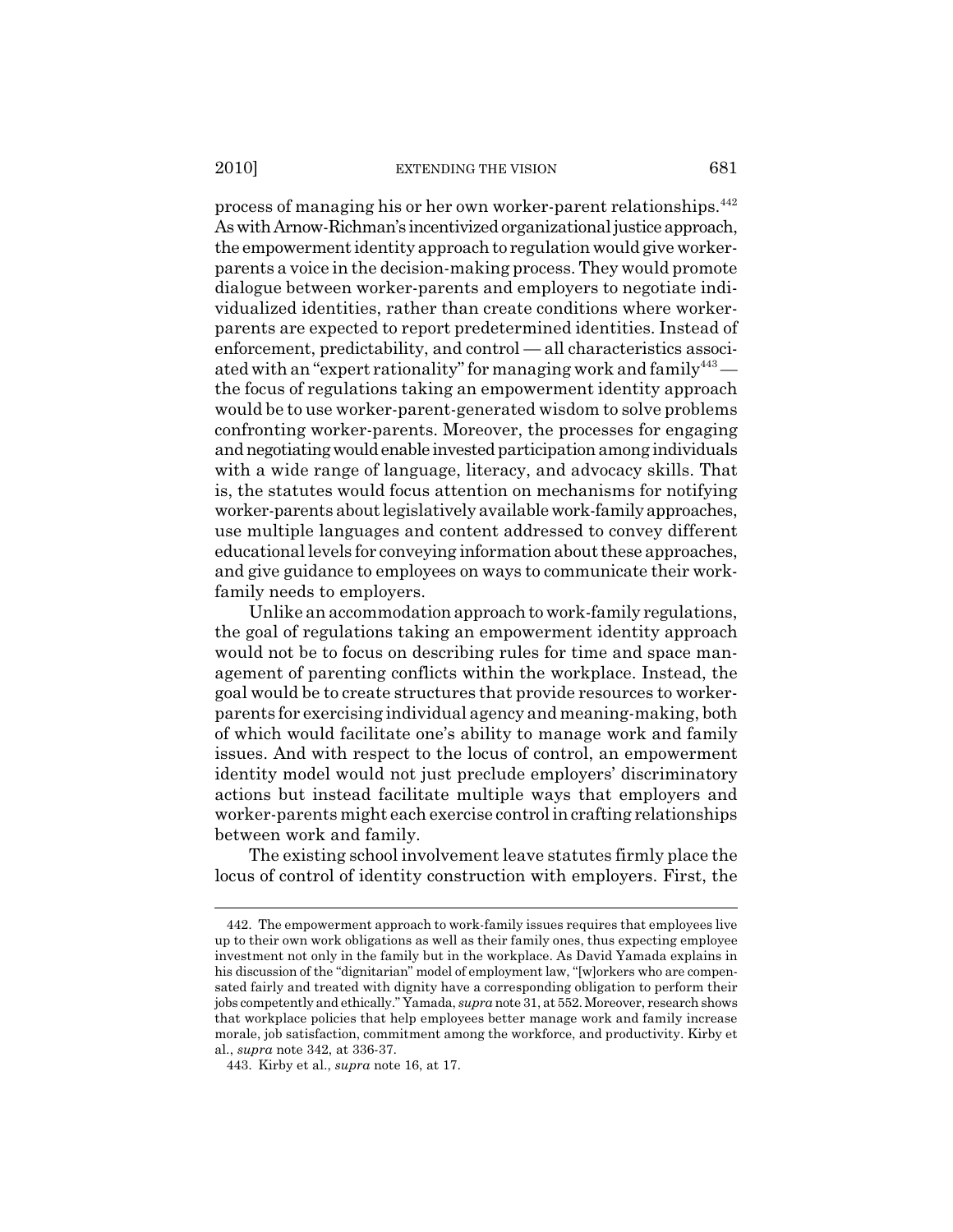process of managing his or her own worker-parent relationships.<sup>442</sup> As with Arnow-Richman's incentivized organizational justice approach, the empowerment identity approach to regulation would give workerparents a voice in the decision-making process. They would promote dialogue between worker-parents and employers to negotiate individualized identities, rather than create conditions where workerparents are expected to report predetermined identities. Instead of enforcement, predictability, and control — all characteristics associated with an "expert rationality" for managing work and family  $443$ the focus of regulations taking an empowerment identity approach would be to use worker-parent-generated wisdom to solve problems confronting worker-parents. Moreover, the processes for engaging and negotiating would enable invested participation among individuals with a wide range of language, literacy, and advocacy skills. That is, the statutes would focus attention on mechanisms for notifying worker-parents about legislatively available work-family approaches, use multiple languages and content addressed to convey different educational levels for conveying information about these approaches, and give guidance to employees on ways to communicate their workfamily needs to employers.

Unlike an accommodation approach to work-family regulations, the goal of regulations taking an empowerment identity approach would not be to focus on describing rules for time and space management of parenting conflicts within the workplace. Instead, the goal would be to create structures that provide resources to workerparents for exercising individual agency and meaning-making, both of which would facilitate one's ability to manage work and family issues. And with respect to the locus of control, an empowerment identity model would not just preclude employers' discriminatory actions but instead facilitate multiple ways that employers and worker-parents might each exercise control in crafting relationships between work and family.

The existing school involvement leave statutes firmly place the locus of control of identity construction with employers. First, the

<sup>442.</sup> The empowerment approach to work-family issues requires that employees live up to their own work obligations as well as their family ones, thus expecting employee investment not only in the family but in the workplace. As David Yamada explains in his discussion of the "dignitarian" model of employment law, "[w]orkers who are compensated fairly and treated with dignity have a corresponding obligation to perform their jobs competently and ethically." Yamada, *supra* note 31, at 552. Moreover, research shows that workplace policies that help employees better manage work and family increase morale, job satisfaction, commitment among the workforce, and productivity. Kirby et al., *supra* note 342, at 336-37.

<sup>443.</sup> Kirby et al., *supra* note 16, at 17.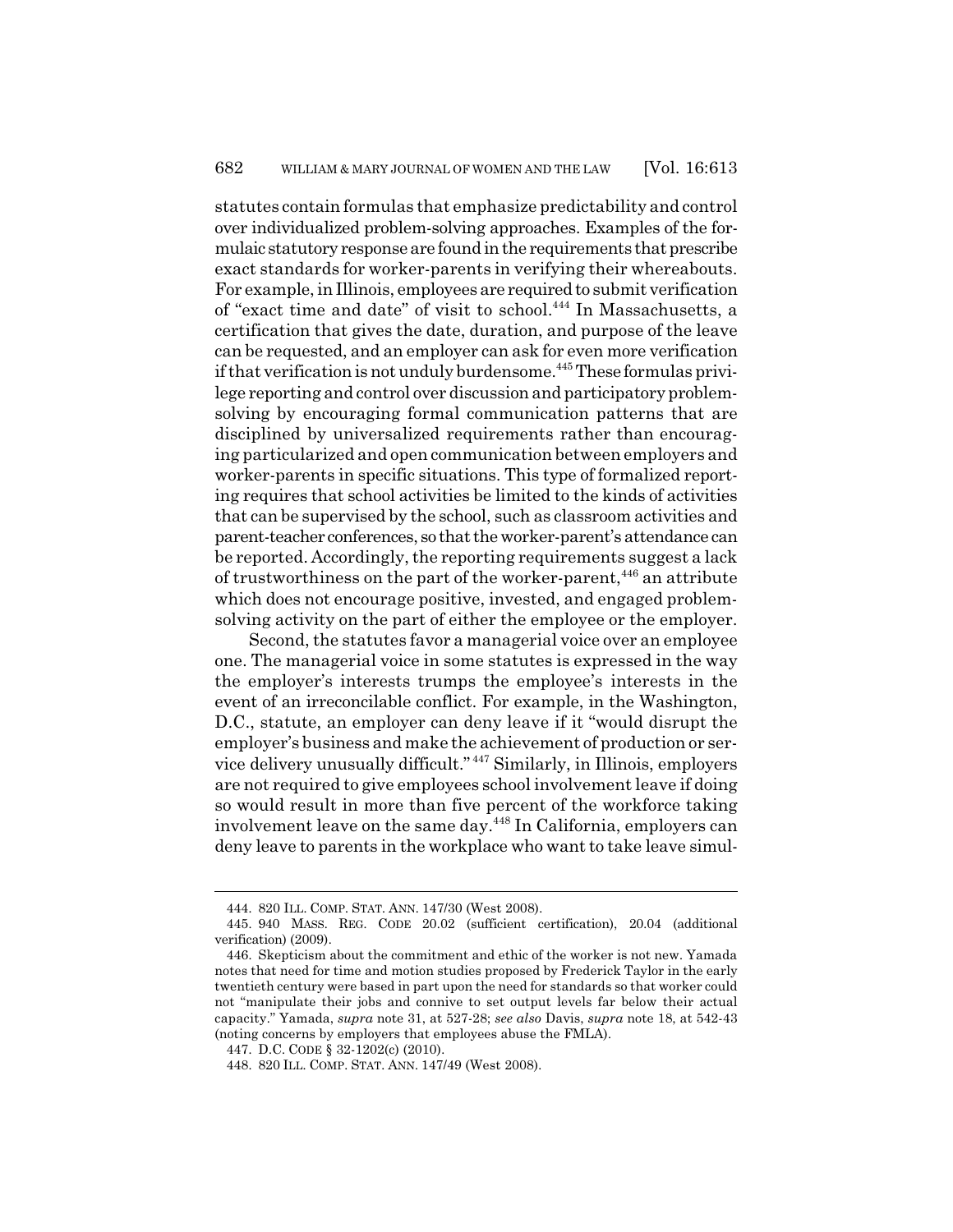statutes contain formulas that emphasize predictability and control over individualized problem-solving approaches. Examples of the formulaic statutory response are found in the requirements that prescribe exact standards for worker-parents in verifying their whereabouts. For example, in Illinois, employees are required to submit verification of "exact time and date" of visit to school.<sup>444</sup> In Massachusetts, a certification that gives the date, duration, and purpose of the leave can be requested, and an employer can ask for even more verification if that verification is not unduly burdensome.<sup>445</sup> These formulas privilege reporting and control over discussion and participatory problemsolving by encouraging formal communication patterns that are disciplined by universalized requirements rather than encouraging particularized and open communication between employers and worker-parents in specific situations. This type of formalized reporting requires that school activities be limited to the kinds of activities that can be supervised by the school, such as classroom activities and parent-teacher conferences, so that the worker-parent's attendance can be reported. Accordingly, the reporting requirements suggest a lack of trustworthiness on the part of the worker-parent,<sup>446</sup> an attribute which does not encourage positive, invested, and engaged problemsolving activity on the part of either the employee or the employer.

Second, the statutes favor a managerial voice over an employee one. The managerial voice in some statutes is expressed in the way the employer's interests trumps the employee's interests in the event of an irreconcilable conflict. For example, in the Washington, D.C., statute, an employer can deny leave if it "would disrupt the employer's business and make the achievement of production or service delivery unusually difficult." 447 Similarly, in Illinois, employers are not required to give employees school involvement leave if doing so would result in more than five percent of the workforce taking involvement leave on the same day.448 In California, employers can deny leave to parents in the workplace who want to take leave simul-

<sup>444. 820</sup> ILL. COMP. STAT. ANN. 147/30 (West 2008).

<sup>445.</sup> 940 MASS. REG. CODE 20.02 (sufficient certification), 20.04 (additional verification) (2009).

<sup>446.</sup> Skepticism about the commitment and ethic of the worker is not new. Yamada notes that need for time and motion studies proposed by Frederick Taylor in the early twentieth century were based in part upon the need for standards so that worker could not "manipulate their jobs and connive to set output levels far below their actual capacity." Yamada, *supra* note 31, at 527-28; *see also* Davis, *supra* note 18, at 542-43 (noting concerns by employers that employees abuse the FMLA).

<sup>447.</sup> D.C. CODE § 32-1202(c) (2010).

<sup>448. 820</sup> ILL. COMP. STAT. ANN. 147/49 (West 2008).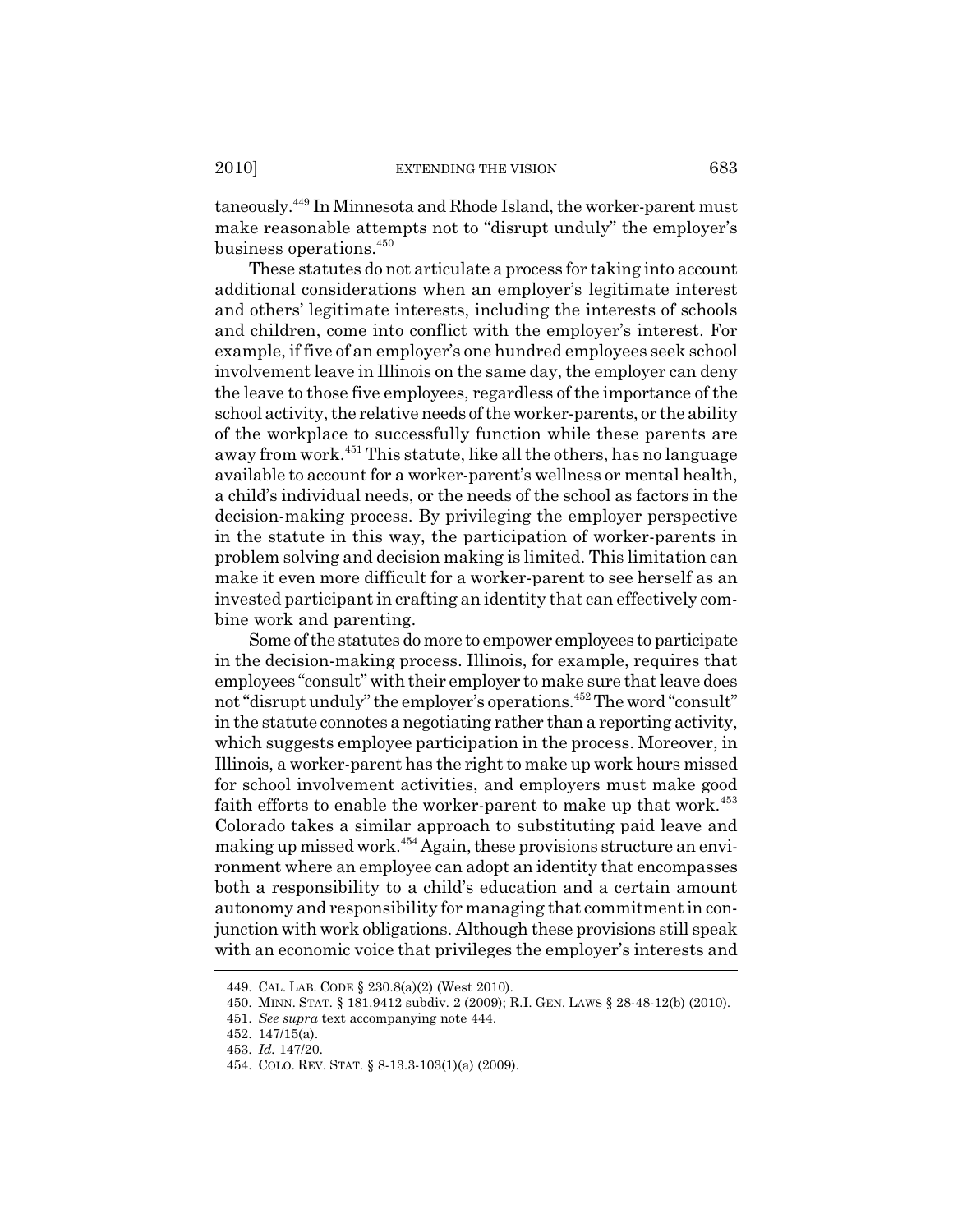taneously.449 In Minnesota and Rhode Island, the worker-parent must make reasonable attempts not to "disrupt unduly" the employer's business operations.450

These statutes do not articulate a process for taking into account additional considerations when an employer's legitimate interest and others' legitimate interests, including the interests of schools and children, come into conflict with the employer's interest. For example, if five of an employer's one hundred employees seek school involvement leave in Illinois on the same day, the employer can deny the leave to those five employees, regardless of the importance of the school activity, the relative needs of the worker-parents, or the ability of the workplace to successfully function while these parents are away from work.<sup>451</sup> This statute, like all the others, has no language available to account for a worker-parent's wellness or mental health, a child's individual needs, or the needs of the school as factors in the decision-making process. By privileging the employer perspective in the statute in this way, the participation of worker-parents in problem solving and decision making is limited. This limitation can make it even more difficult for a worker-parent to see herself as an invested participant in crafting an identity that can effectively combine work and parenting.

Some of the statutes do more to empower employees to participate in the decision-making process. Illinois, for example, requires that employees "consult" with their employer to make sure that leave does not "disrupt unduly" the employer's operations.452 The word "consult" in the statute connotes a negotiating rather than a reporting activity, which suggests employee participation in the process. Moreover, in Illinois, a worker-parent has the right to make up work hours missed for school involvement activities, and employers must make good faith efforts to enable the worker-parent to make up that work. $453$ Colorado takes a similar approach to substituting paid leave and making up missed work.<sup>454</sup> Again, these provisions structure an environment where an employee can adopt an identity that encompasses both a responsibility to a child's education and a certain amount autonomy and responsibility for managing that commitment in conjunction with work obligations. Although these provisions still speak with an economic voice that privileges the employer's interests and

<sup>449.</sup> CAL. LAB. CODE § 230.8(a)(2) (West 2010).

<sup>450.</sup> MINN. STAT. § 181.9412 subdiv. 2 (2009); R.I. GEN. LAWS § 28-48-12(b) (2010).

<sup>451.</sup> *See supra* text accompanying note 444.

<sup>452. 147/15(</sup>a).

<sup>453.</sup> *Id.* 147/20.

<sup>454.</sup> COLO. REV. STAT. § 8-13.3-103(1)(a) (2009).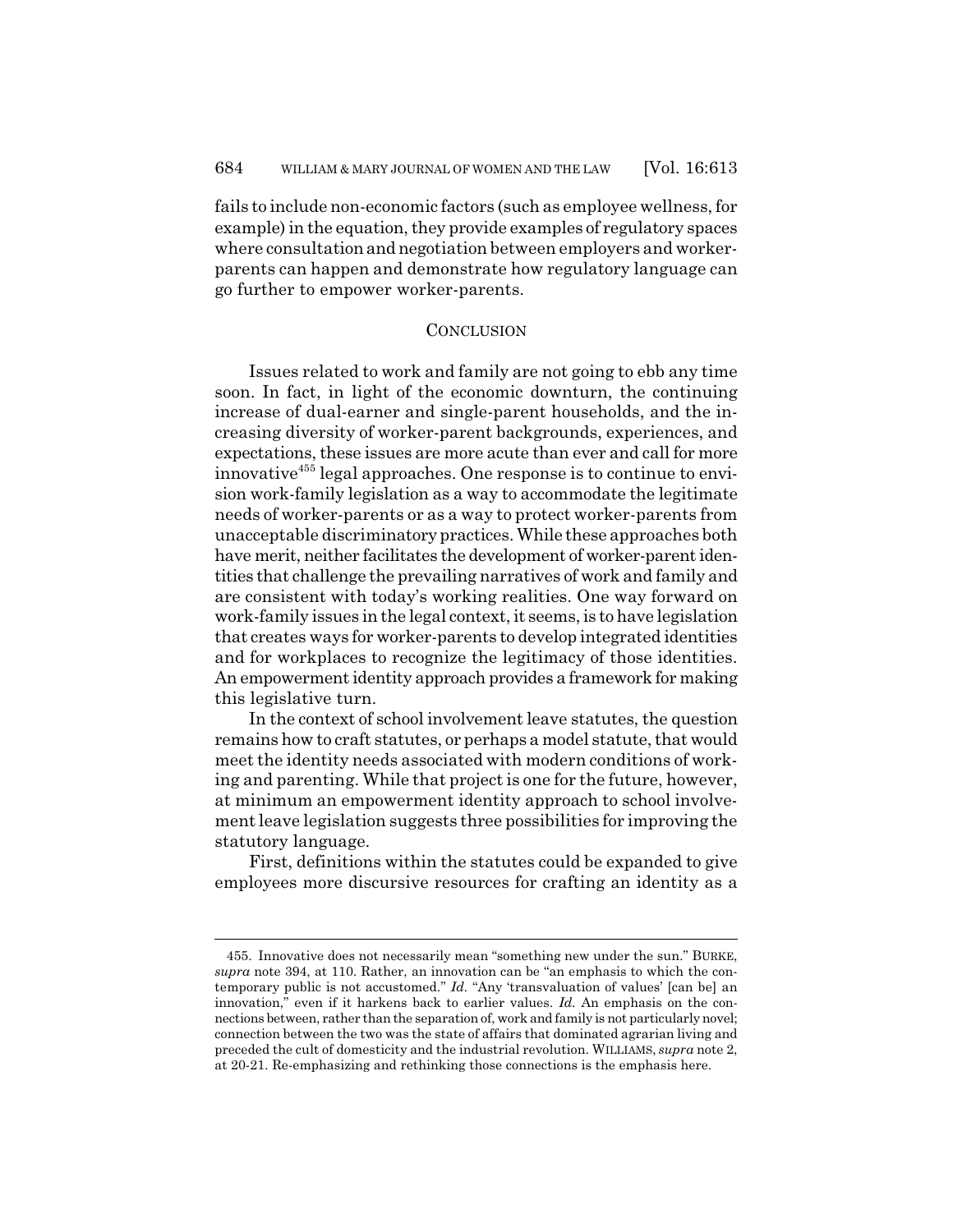fails to include non-economic factors (such as employee wellness, for example) in the equation, they provide examples of regulatory spaces where consultation and negotiation between employers and workerparents can happen and demonstrate how regulatory language can go further to empower worker-parents.

#### **CONCLUSION**

Issues related to work and family are not going to ebb any time soon. In fact, in light of the economic downturn, the continuing increase of dual-earner and single-parent households, and the increasing diversity of worker-parent backgrounds, experiences, and expectations, these issues are more acute than ever and call for more innovative $455$  legal approaches. One response is to continue to envision work-family legislation as a way to accommodate the legitimate needs of worker-parents or as a way to protect worker-parents from unacceptable discriminatory practices. While these approaches both have merit, neither facilitates the development of worker-parent identities that challenge the prevailing narratives of work and family and are consistent with today's working realities. One way forward on work-family issues in the legal context, it seems, is to have legislation that creates ways for worker-parents to develop integrated identities and for workplaces to recognize the legitimacy of those identities. An empowerment identity approach provides a framework for making this legislative turn.

In the context of school involvement leave statutes, the question remains how to craft statutes, or perhaps a model statute, that would meet the identity needs associated with modern conditions of working and parenting. While that project is one for the future, however, at minimum an empowerment identity approach to school involvement leave legislation suggests three possibilities for improving the statutory language.

First, definitions within the statutes could be expanded to give employees more discursive resources for crafting an identity as a

<sup>455.</sup> Innovative does not necessarily mean "something new under the sun." BURKE, *supra* note 394, at 110. Rather, an innovation can be "an emphasis to which the contemporary public is not accustomed." *Id.* "Any 'transvaluation of values' [can be] an innovation," even if it harkens back to earlier values. *Id.* An emphasis on the connections between, rather than the separation of, work and family is not particularly novel; connection between the two was the state of affairs that dominated agrarian living and preceded the cult of domesticity and the industrial revolution. WILLIAMS, *supra* note 2, at 20-21. Re-emphasizing and rethinking those connections is the emphasis here.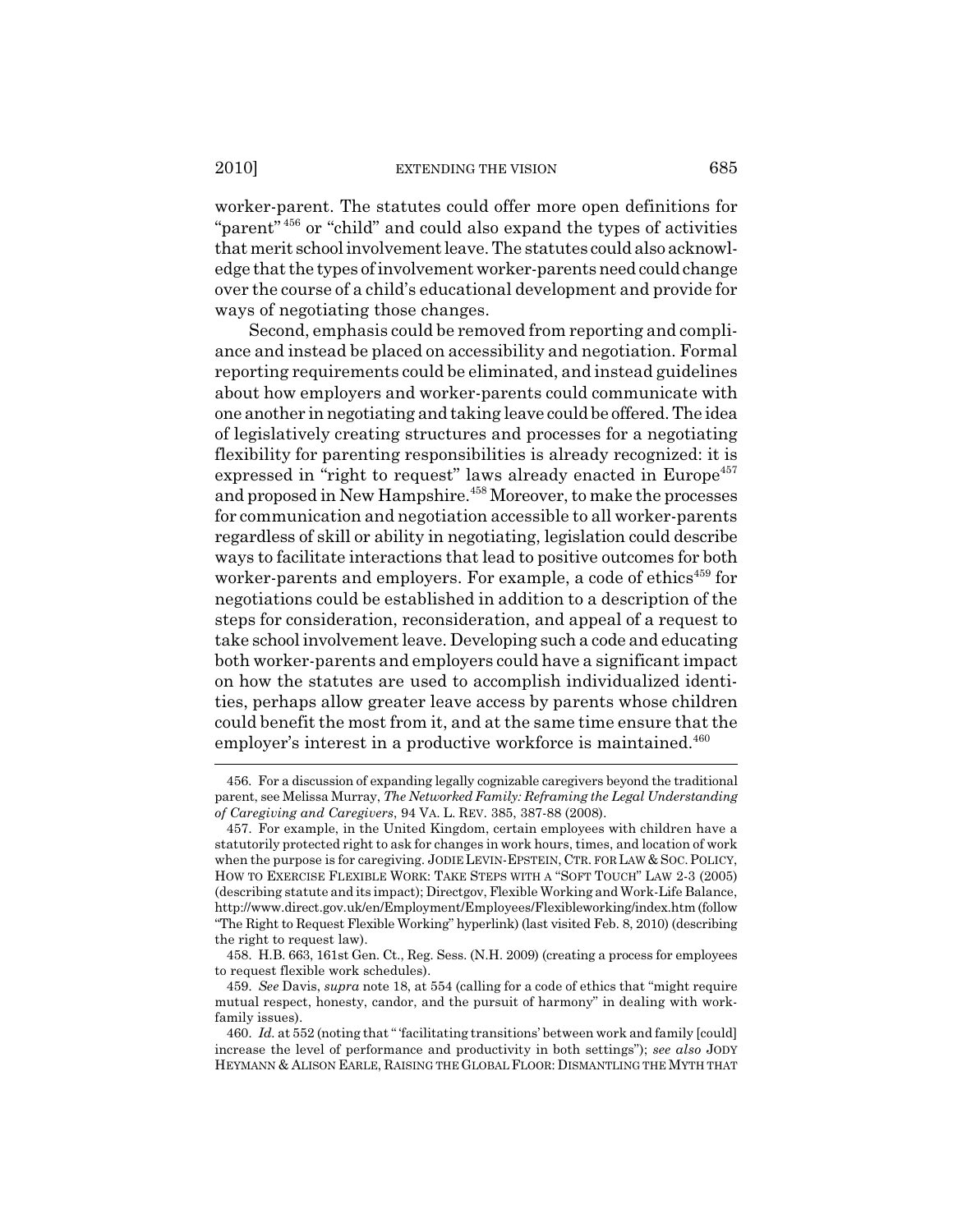worker-parent. The statutes could offer more open definitions for "parent" 456 or "child" and could also expand the types of activities that merit school involvement leave. The statutes could also acknowledge that the types of involvement worker-parents need could change over the course of a child's educational development and provide for ways of negotiating those changes.

Second, emphasis could be removed from reporting and compliance and instead be placed on accessibility and negotiation. Formal reporting requirements could be eliminated, and instead guidelines about how employers and worker-parents could communicate with one another in negotiating and taking leave could be offered. The idea of legislatively creating structures and processes for a negotiating flexibility for parenting responsibilities is already recognized: it is expressed in "right to request" laws already enacted in Europe<sup>457</sup> and proposed in New Hampshire.<sup>458</sup> Moreover, to make the processes for communication and negotiation accessible to all worker-parents regardless of skill or ability in negotiating, legislation could describe ways to facilitate interactions that lead to positive outcomes for both worker-parents and employers. For example, a code of ethics<sup>459</sup> for negotiations could be established in addition to a description of the steps for consideration, reconsideration, and appeal of a request to take school involvement leave. Developing such a code and educating both worker-parents and employers could have a significant impact on how the statutes are used to accomplish individualized identities, perhaps allow greater leave access by parents whose children could benefit the most from it, and at the same time ensure that the employer's interest in a productive workforce is maintained.<sup>460</sup>

<sup>456.</sup> For a discussion of expanding legally cognizable caregivers beyond the traditional parent, see Melissa Murray, *The Networked Family: Reframing the Legal Understanding of Caregiving and Caregivers*, 94 VA. L. REV. 385, 387-88 (2008).

<sup>457.</sup> For example, in the United Kingdom, certain employees with children have a statutorily protected right to ask for changes in work hours, times, and location of work when the purpose is for caregiving. JODIE LEVIN-EPSTEIN, CTR. FOR LAW & SOC. POLICY, HOW TO EXERCISE FLEXIBLE WORK: TAKE STEPS WITH A "SOFT TOUCH" LAW 2-3 (2005) (describing statute and its impact); Directgov, Flexible Working and Work-Life Balance, http://www.direct.gov.uk/en/Employment/Employees/Flexibleworking/index.htm (follow "The Right to Request Flexible Working" hyperlink) (last visited Feb. 8, 2010) (describing the right to request law).

<sup>458.</sup> H.B. 663, 161st Gen. Ct., Reg. Sess. (N.H. 2009) (creating a process for employees to request flexible work schedules).

<sup>459.</sup> *See* Davis, *supra* note 18, at 554 (calling for a code of ethics that "might require mutual respect, honesty, candor, and the pursuit of harmony" in dealing with workfamily issues).

<sup>460.</sup> *Id.* at 552 (noting that " 'facilitating transitions' between work and family [could] increase the level of performance and productivity in both settings"); *see also* JODY HEYMANN & ALISON EARLE, RAISING THE GLOBAL FLOOR: DISMANTLING THE MYTH THAT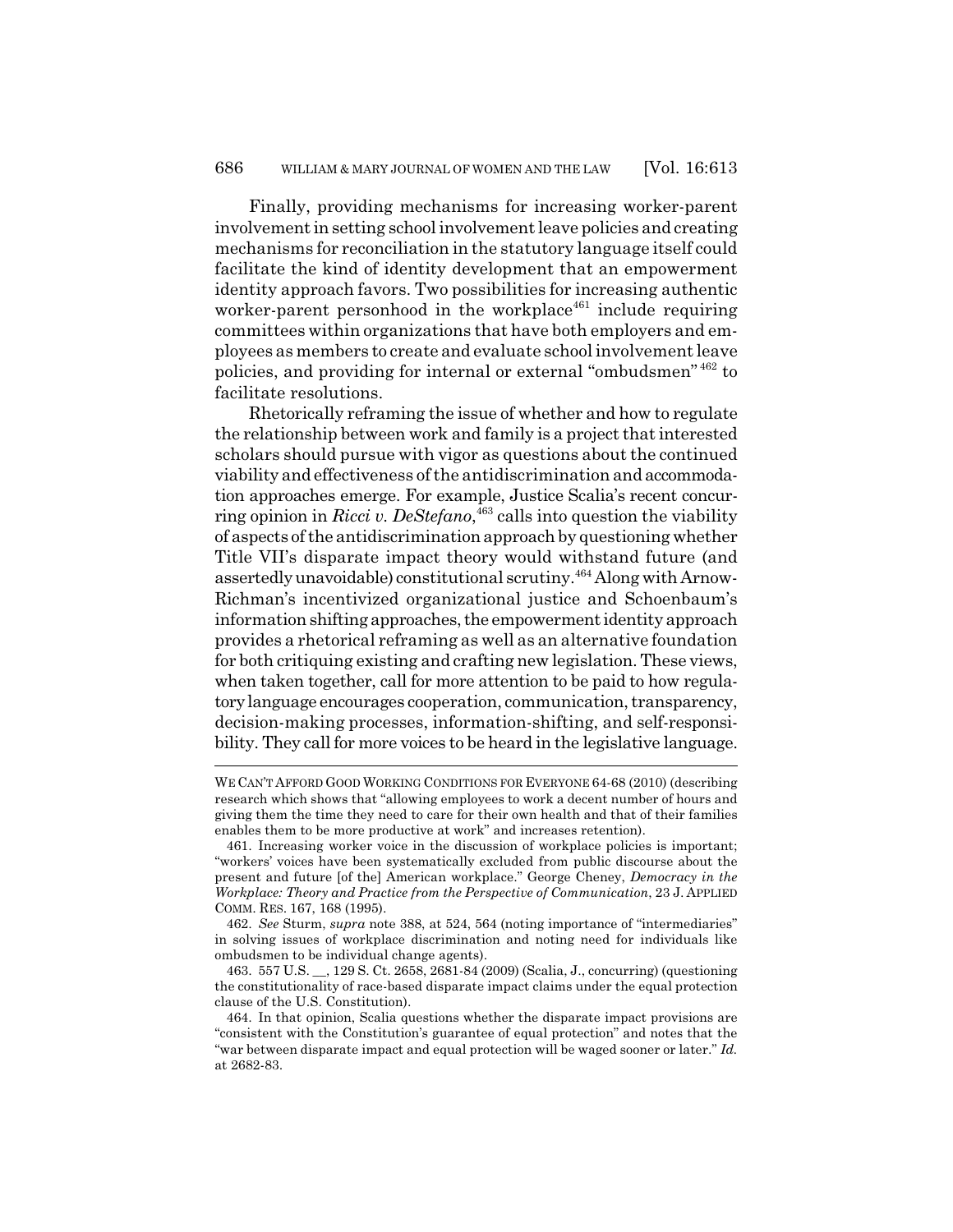Finally, providing mechanisms for increasing worker-parent involvement in setting school involvement leave policies and creating mechanisms for reconciliation in the statutory language itself could facilitate the kind of identity development that an empowerment identity approach favors. Two possibilities for increasing authentic worker-parent personhood in the workplace<sup>461</sup> include requiring committees within organizations that have both employers and employees as members to create and evaluate school involvement leave policies, and providing for internal or external "ombudsmen" 462 to facilitate resolutions.

Rhetorically reframing the issue of whether and how to regulate the relationship between work and family is a project that interested scholars should pursue with vigor as questions about the continued viability and effectiveness of the antidiscrimination and accommodation approaches emerge. For example, Justice Scalia's recent concurring opinion in *Ricci v. DeStefano*, 463 calls into question the viability of aspects of the antidiscrimination approach by questioning whether Title VII's disparate impact theory would withstand future (and assertedly unavoidable) constitutional scrutiny.<sup>464</sup> Along with Arnow-Richman's incentivized organizational justice and Schoenbaum's information shifting approaches, the empowerment identity approach provides a rhetorical reframing as well as an alternative foundation for both critiquing existing and crafting new legislation. These views, when taken together, call for more attention to be paid to how regulatory language encourages cooperation, communication, transparency, decision-making processes, information-shifting, and self-responsibility. They call for more voices to be heard in the legislative language.

WE CAN'T AFFORD GOOD WORKING CONDITIONS FOR EVERYONE 64-68 (2010) (describing research which shows that "allowing employees to work a decent number of hours and giving them the time they need to care for their own health and that of their families enables them to be more productive at work" and increases retention).

<sup>461.</sup> Increasing worker voice in the discussion of workplace policies is important; "workers' voices have been systematically excluded from public discourse about the present and future [of the] American workplace." George Cheney, *Democracy in the Workplace: Theory and Practice from the Perspective of Communication*, 23 J. APPLIED COMM. RES. 167, 168 (1995).

<sup>462.</sup> *See* Sturm, *supra* note 388, at 524, 564 (noting importance of "intermediaries" in solving issues of workplace discrimination and noting need for individuals like ombudsmen to be individual change agents).

<sup>463. 557</sup> U.S. \_\_, 129 S. Ct. 2658, 2681-84 (2009) (Scalia, J., concurring) (questioning the constitutionality of race-based disparate impact claims under the equal protection clause of the U.S. Constitution).

<sup>464.</sup> In that opinion, Scalia questions whether the disparate impact provisions are "consistent with the Constitution's guarantee of equal protection" and notes that the "war between disparate impact and equal protection will be waged sooner or later." *Id.* at 2682-83.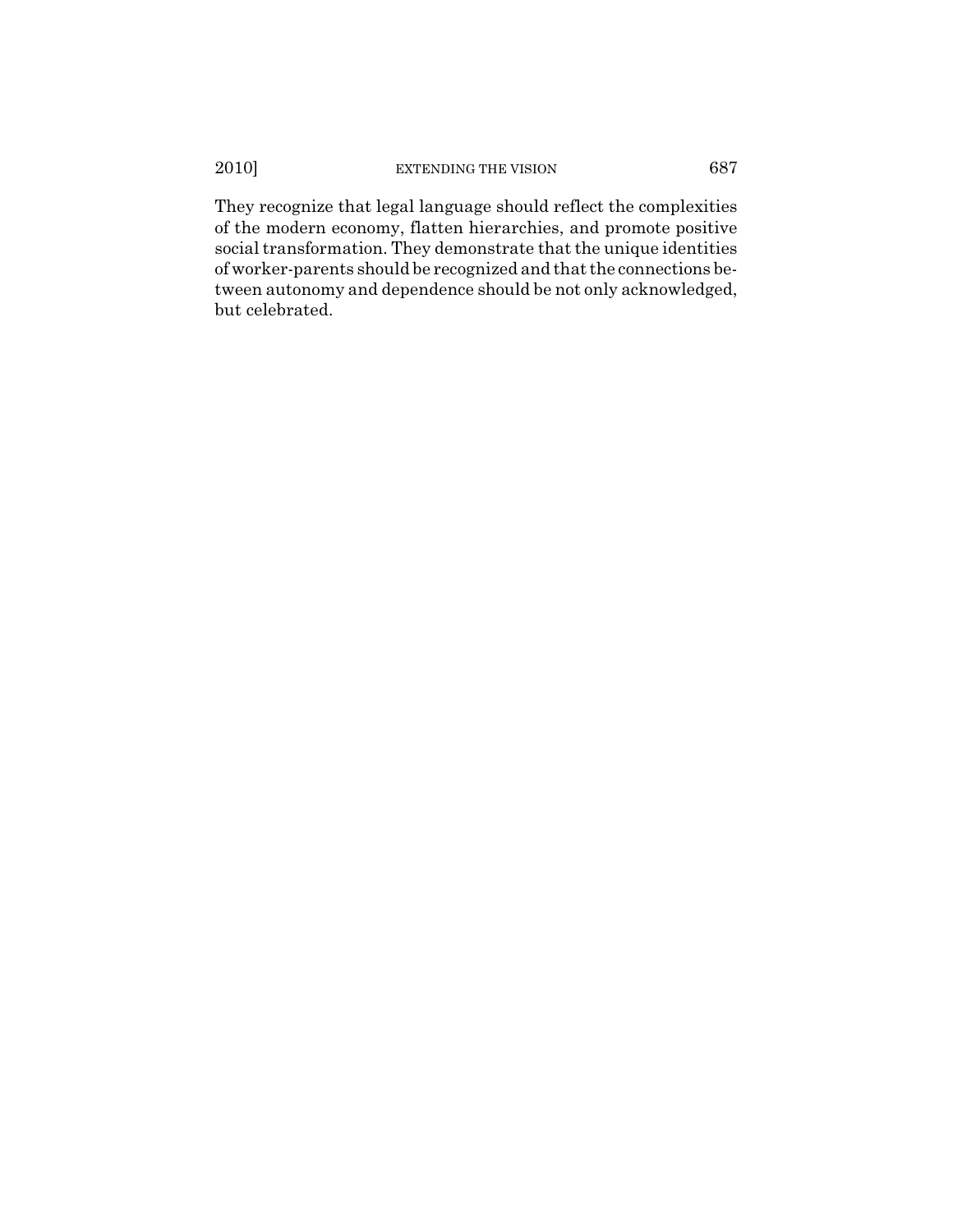They recognize that legal language should reflect the complexities of the modern economy, flatten hierarchies, and promote positive social transformation. They demonstrate that the unique identities of worker-parents should be recognized and that the connections between autonomy and dependence should be not only acknowledged, but celebrated.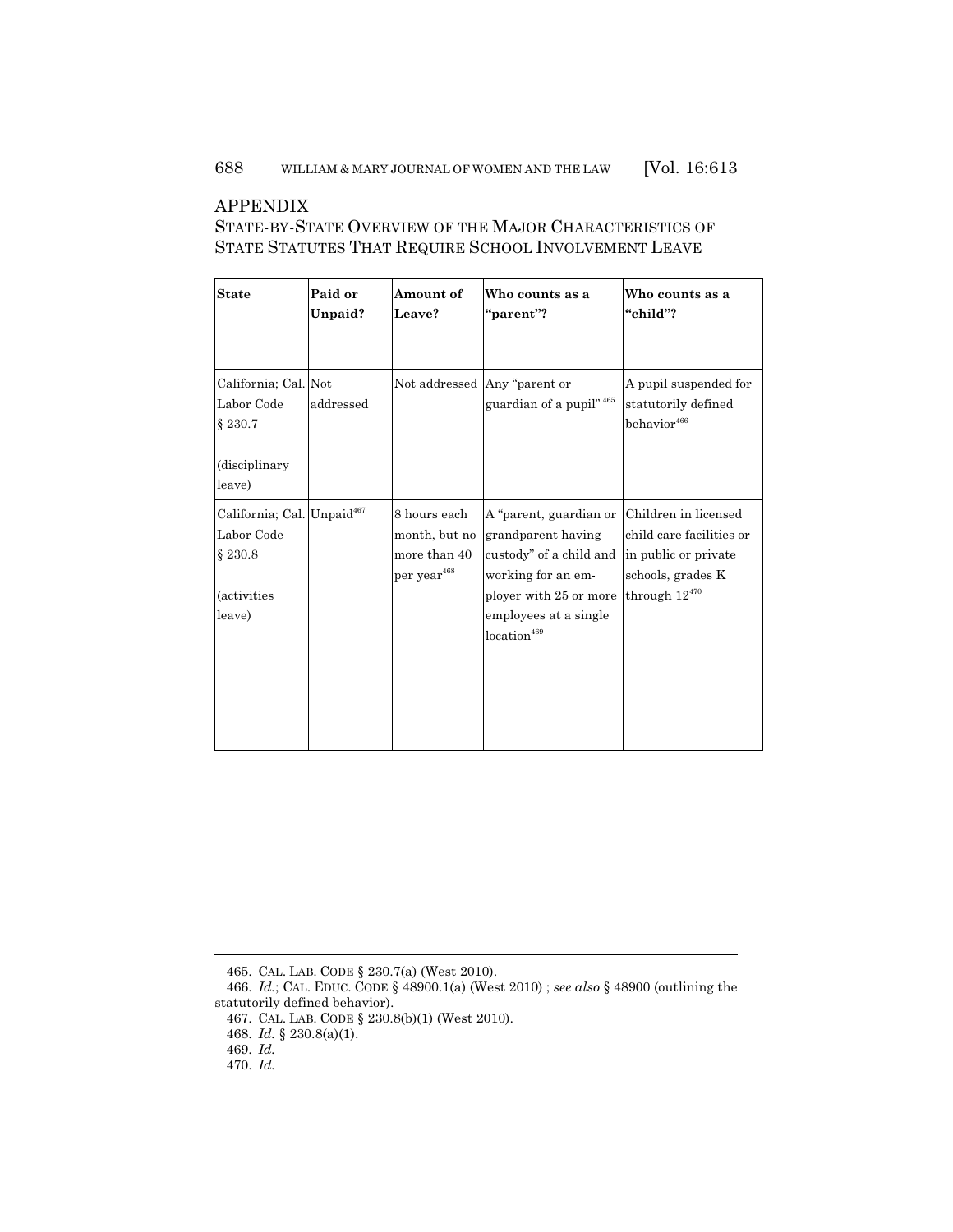#### APPENDIX

#### STATE-BY-STATE OVERVIEW OF THE MAJOR CHARACTERISTICS OF STATE STATUTES THAT REQUIRE SCHOOL INVOLVEMENT LEAVE

| <b>State</b>                                                                          | Paid or<br>Unpaid? | Amount of<br>Leave?                                                      | Who counts as a<br>"parent"?                                                                                            | Who counts as a<br>"child"?                                                                                         |
|---------------------------------------------------------------------------------------|--------------------|--------------------------------------------------------------------------|-------------------------------------------------------------------------------------------------------------------------|---------------------------------------------------------------------------------------------------------------------|
| California; Cal. Not<br>Labor Code<br>§ 230.7<br>(disciplinary<br>leave)              | addressed          |                                                                          | Not addressed Any "parent or<br>guardian of a pupil" 465                                                                | A pupil suspended for<br>statutorily defined<br>behavior <sup>466</sup>                                             |
| California; Cal. Unpaid <sup>467</sup><br>Labor Code<br>\$230.8<br><i>(activities</i> |                    | 8 hours each<br>month, but no<br>more than 40<br>per year <sup>468</sup> | A "parent, guardian or<br>grandparent having<br>custody" of a child and<br>working for an em-<br>ployer with 25 or more | Children in licensed<br>child care facilities or<br>in public or private<br>schools, grades K<br>through $12^{470}$ |
| leave)                                                                                |                    |                                                                          | employees at a single<br>location <sup>469</sup>                                                                        |                                                                                                                     |

<sup>465.</sup> CAL. LAB. CODE § 230.7(a) (West 2010).

<sup>466.</sup> *Id.*; CAL. EDUC. CODE § 48900.1(a) (West 2010) ; *see also* § 48900 (outlining the statutorily defined behavior).

<sup>467.</sup> CAL. LAB. CODE § 230.8(b)(1) (West 2010).

<sup>468.</sup> *Id.* § 230.8(a)(1).

<sup>469.</sup> *Id.*

<sup>470.</sup> *Id.*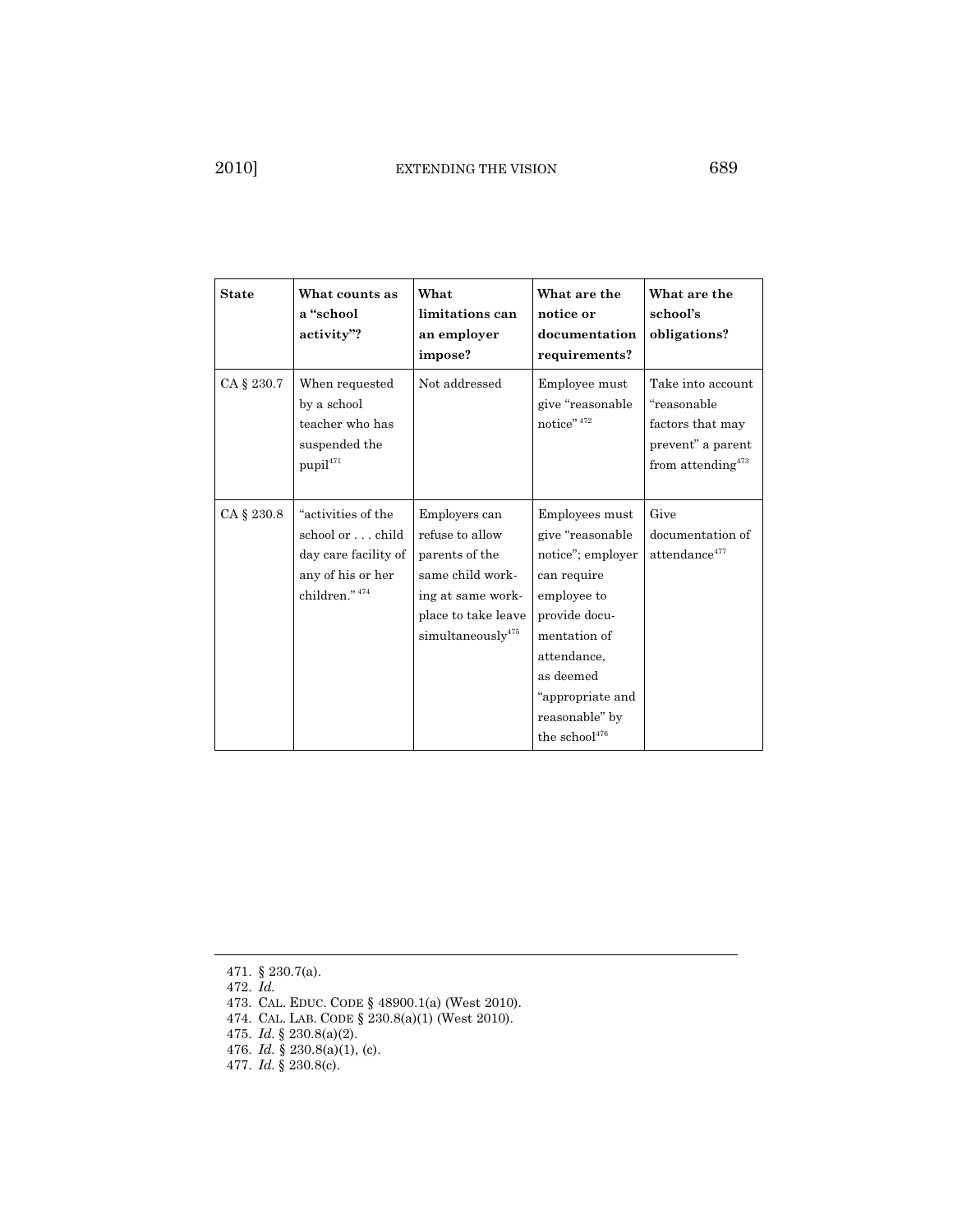| <b>State</b> | What counts as<br>a "school<br>activity"?                                                            | What<br>limitations can<br>an employer<br>impose?                                                                                                   | What are the<br>notice or<br>documentation<br>requirements?                                                                                                                               | What are the<br>school's<br>obligations?                                                                   |
|--------------|------------------------------------------------------------------------------------------------------|-----------------------------------------------------------------------------------------------------------------------------------------------------|-------------------------------------------------------------------------------------------------------------------------------------------------------------------------------------------|------------------------------------------------------------------------------------------------------------|
| CA § 230.7   | When requested<br>by a school<br>teacher who has<br>suspended the<br>pupil <sup>471</sup>            | Not addressed                                                                                                                                       | Employee must<br>give "reasonable"<br>$\rm notice$ " $^{472}$                                                                                                                             | Take into account<br>"reasonable<br>factors that may<br>prevent" a parent<br>from attending <sup>473</sup> |
| CA § 230.8   | "activities of the<br>school or child<br>day care facility of<br>any of his or her<br>children." 474 | Employers can<br>refuse to allow<br>parents of the<br>same child work-<br>ing at same work-<br>place to take leave<br>simultaneously <sup>475</sup> | Employees must<br>give "reasonable"<br>notice"; employer<br>can require<br>employee to<br>provide docu-<br>mentation of<br>attendance,<br>as deemed<br>"appropriate and<br>reasonable" by | Give<br>documentation of<br>attendance <sup>477</sup>                                                      |

the school<br> $\rm ^{476}$ 

- 472. *Id.*
- 473. CAL. EDUC. CODE § 48900.1(a) (West 2010).
- 474. CAL. LAB. CODE § 230.8(a)(1) (West 2010).
- 475. *Id.* § 230.8(a)(2).
- 476. *Id.* § 230.8(a)(1), (c).
- 477. *Id.* § 230.8(c).

<sup>471. § 230.7(</sup>a).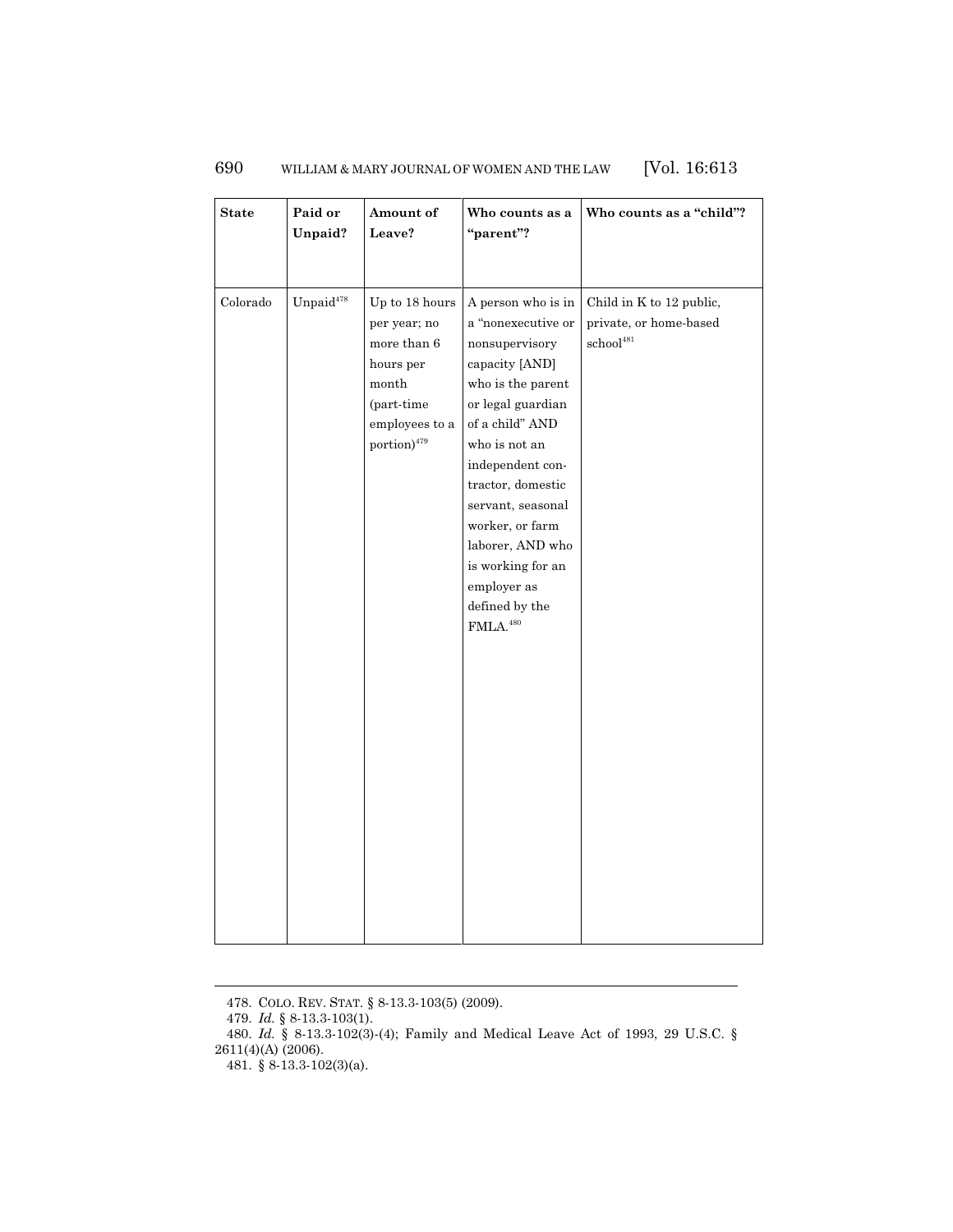| <b>State</b> | Paid or<br>Unpaid?                        | Amount of<br>Leave?                                                                                                                     | Who counts as a<br>"parent"?                                                                                                                                                                                                                                                                                                                  | Who counts as a "child"?                                                                         |
|--------------|-------------------------------------------|-----------------------------------------------------------------------------------------------------------------------------------------|-----------------------------------------------------------------------------------------------------------------------------------------------------------------------------------------------------------------------------------------------------------------------------------------------------------------------------------------------|--------------------------------------------------------------------------------------------------|
| Colorado     | $\ensuremath{\text{Unpaid}}\xspace^{478}$ | Up to 18 hours<br>per year; no<br>more than 6<br>hours per<br>$\mbox{month}$<br>(part-time<br>employees to a<br>portion) <sup>479</sup> | A person who is in<br>a "nonexecutive or<br>nonsupervisory<br>capacity [AND]<br>who is the parent<br>or legal guardian<br>of a child" AND<br>who is not an<br>independent con-<br>tractor, domestic<br>servant, seasonal<br>worker, or farm<br>laborer, AND who<br>is working for an<br>employer as<br>defined by the<br>$\text{FMLA}.^{480}$ | Child in K to 12 public,<br>private, or home-based<br>$\mathrm{school}^{\scriptscriptstyle 481}$ |

<sup>478.</sup> COLO. REV. STAT. § 8-13.3-103(5) (2009).

<sup>479.</sup> *Id.* § 8-13.3-103(1).

<sup>480.</sup> *Id.* § 8-13.3-102(3)-(4); Family and Medical Leave Act of 1993, 29 U.S.C. § 2611(4)(A) (2006).

<sup>481. § 8-13.3-102(3)(</sup>a).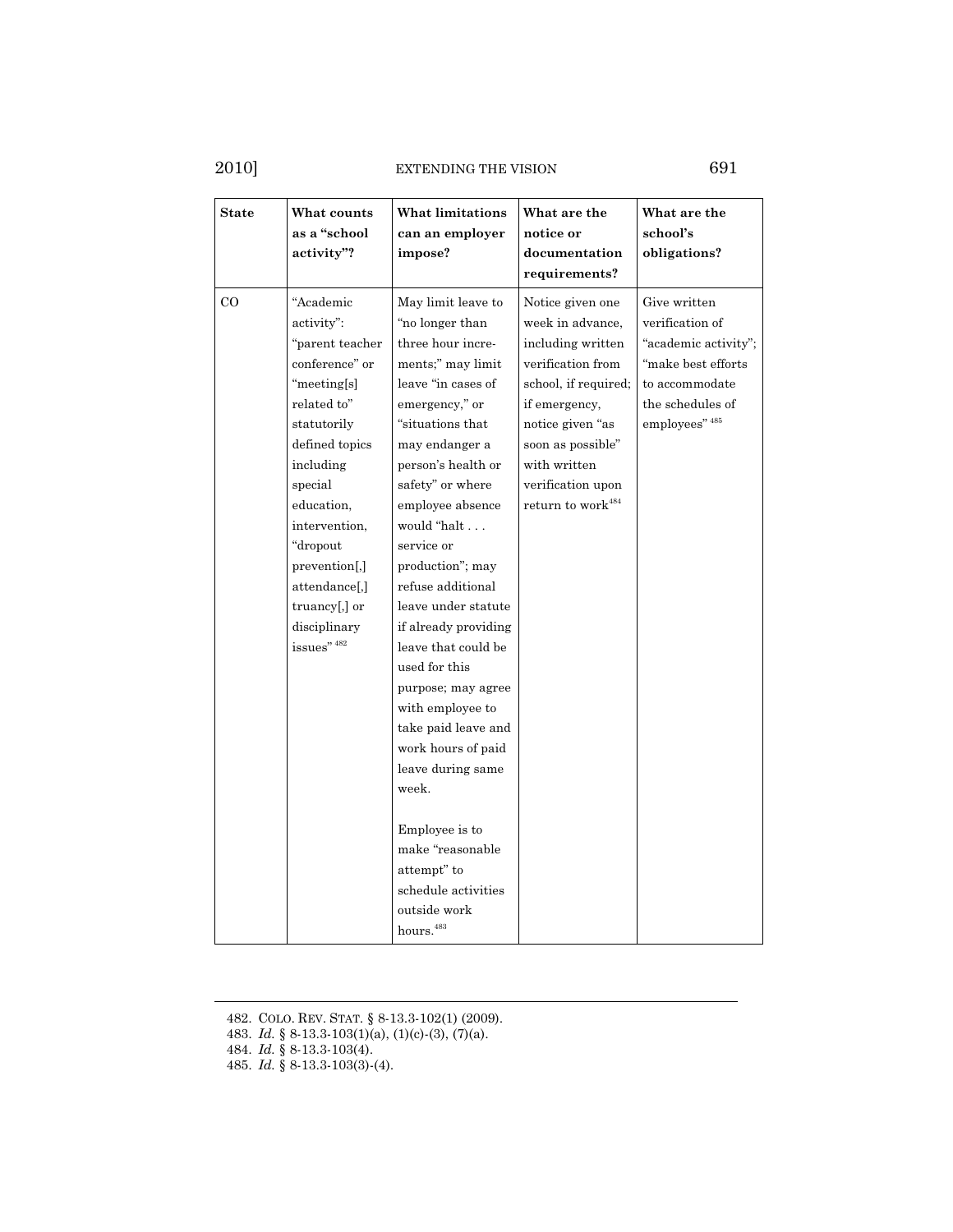| <b>State</b> | What counts<br>as a "school<br>activity"?                                                                                                                                                                                                                                                         | <b>What limitations</b><br>can an employer<br>impose?                                                                                                                                                                                                                                                                                                                                                                                                                                                                                                                                                                              | What are the<br>notice or<br>documentation<br>requirements?                                                                                                                                                                      | What are the<br>school's<br>obligations?                                                                                              |
|--------------|---------------------------------------------------------------------------------------------------------------------------------------------------------------------------------------------------------------------------------------------------------------------------------------------------|------------------------------------------------------------------------------------------------------------------------------------------------------------------------------------------------------------------------------------------------------------------------------------------------------------------------------------------------------------------------------------------------------------------------------------------------------------------------------------------------------------------------------------------------------------------------------------------------------------------------------------|----------------------------------------------------------------------------------------------------------------------------------------------------------------------------------------------------------------------------------|---------------------------------------------------------------------------------------------------------------------------------------|
| $\rm CO$     | "Academic<br>activity":<br>"parent teacher<br>conference" or<br>"meeting[s]<br>related to"<br>statutorily<br>defined topics<br>including<br>special<br>education,<br>intervention,<br>"dropout<br>prevention[,]<br>attendance <sup>[1]</sup><br>truancy[,] or<br>disciplinary<br>$i$ ssues" $482$ | May limit leave to<br>"no longer than<br>three hour incre-<br>ments;" may limit<br>leave "in cases of<br>emergency," or<br>"situations that<br>may endanger a<br>person's health or<br>safety" or where<br>employee absence<br>would "halt<br>service or<br>production"; may<br>refuse additional<br>leave under statute<br>if already providing<br>leave that could be<br>used for this<br>purpose; may agree<br>with employee to<br>take paid leave and<br>work hours of paid<br>leave during same<br>week.<br>Employee is to<br>make "reasonable<br>attempt" to<br>schedule activities<br>outside work<br>hours. <sup>483</sup> | Notice given one<br>week in advance,<br>including written<br>verification from<br>school, if required;<br>if emergency,<br>notice given "as<br>soon as possible"<br>with written<br>verification upon<br>return to work $^{484}$ | Give written<br>verification of<br>"academic activity";<br>"make best efforts<br>to accommodate<br>the schedules of<br>employees" 485 |

<sup>482.</sup> COLO. REV. STAT. § 8-13.3-102(1) (2009).

<sup>483.</sup> *Id.* § 8-13.3-103(1)(a), (1)(c)-(3), (7)(a).

<sup>484.</sup> *Id.* § 8-13.3-103(4).

<sup>485.</sup> *Id.* § 8-13.3-103(3)-(4).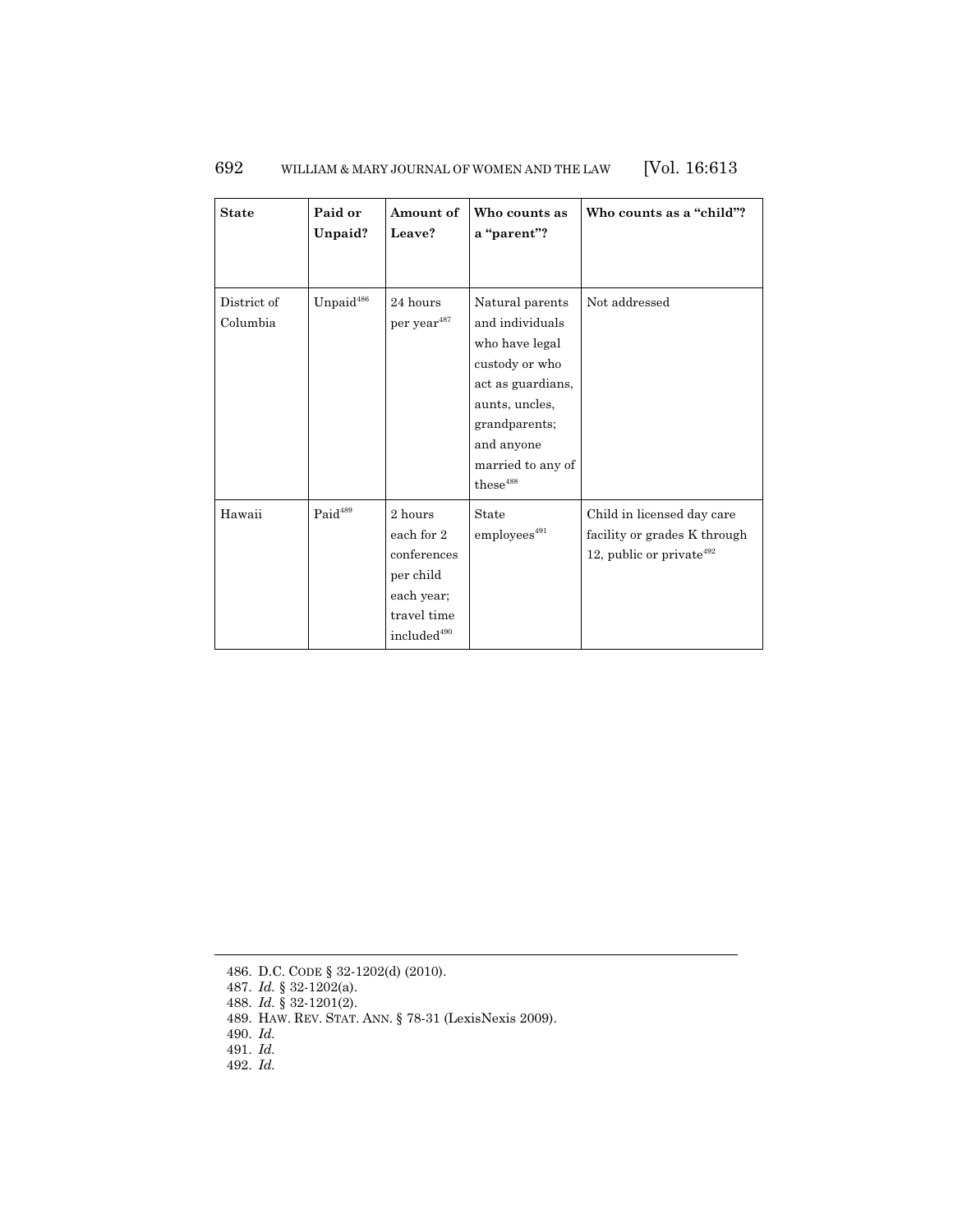| <b>State</b>            | Paid or<br>Unpaid?      | Amount of<br>Leave?                                                                                       | Who counts as<br>a "parent"?                                                                                                                                                              | Who counts as a "child"?                                                                           |
|-------------------------|-------------------------|-----------------------------------------------------------------------------------------------------------|-------------------------------------------------------------------------------------------------------------------------------------------------------------------------------------------|----------------------------------------------------------------------------------------------------|
| District of<br>Columbia | $\mathbf{Unpaid}^{486}$ | 24 hours<br>per year <sup>487</sup>                                                                       | Natural parents<br>and individuals<br>who have legal<br>custody or who<br>act as guardians,<br>aunts, uncles,<br>grandparents;<br>and anyone<br>married to any of<br>these <sup>488</sup> | Not addressed                                                                                      |
| Hawaii                  | Paid <sup>489</sup>     | 2 hours<br>each for 2<br>conferences<br>per child<br>each year;<br>travel time<br>included <sup>490</sup> | State<br>employees <sup>491</sup>                                                                                                                                                         | Child in licensed day care<br>facility or grades K through<br>12, public or private <sup>492</sup> |

- 488. *Id.* § 32-1201(2).
- 489. HAW. REV. STAT. ANN. § 78-31 (LexisNexis 2009).
- 490. *Id.*
- 491. *Id.*
- 492. *Id.*

<sup>486.</sup> D.C. CODE § 32-1202(d) (2010).

<sup>487.</sup> *Id.* § 32-1202(a).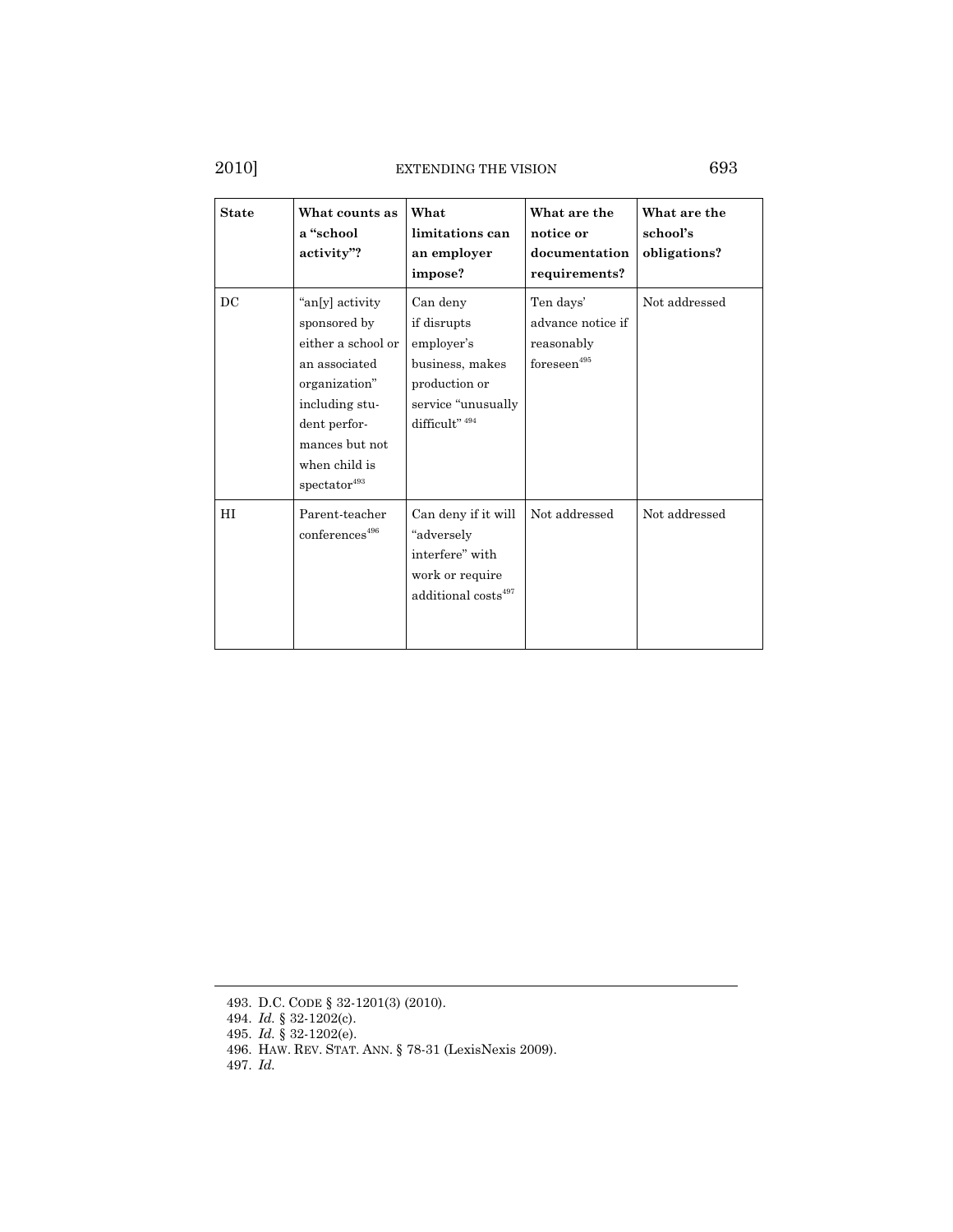| <b>State</b> | What counts as<br>a "school<br>activity"?                                                                                                                                                | What<br>limitations can<br>an employer<br>impose?                                                                 | What are the<br>notice or<br>documentation<br>requirements?             | What are the<br>school's<br>obligations? |
|--------------|------------------------------------------------------------------------------------------------------------------------------------------------------------------------------------------|-------------------------------------------------------------------------------------------------------------------|-------------------------------------------------------------------------|------------------------------------------|
| DC           | "an[y] activity<br>sponsored by<br>either a school or<br>an associated<br>organization"<br>including stu-<br>dent perfor-<br>mances but not<br>when child is<br>spectator <sup>493</sup> | Can deny<br>if disrupts<br>employer's<br>business, makes<br>production or<br>service "unusually<br>difficult" 494 | Ten days'<br>advance notice if<br>reasonably<br>foreseen <sup>495</sup> | Not addressed                            |
| HI           | Parent-teacher<br>conferences <sup>496</sup>                                                                                                                                             | Can deny if it will<br>"adversely<br>interfere" with<br>work or require<br>additional costs <sup>497</sup>        | Not addressed                                                           | Not addressed                            |

- 496. HAW. REV. STAT. ANN. § 78-31 (LexisNexis 2009).
- 497. *Id.*

<sup>493.</sup> D.C. CODE § 32-1201(3) (2010).

<sup>494.</sup> *Id.* § 32-1202(c).

<sup>495.</sup> *Id.* § 32-1202(e).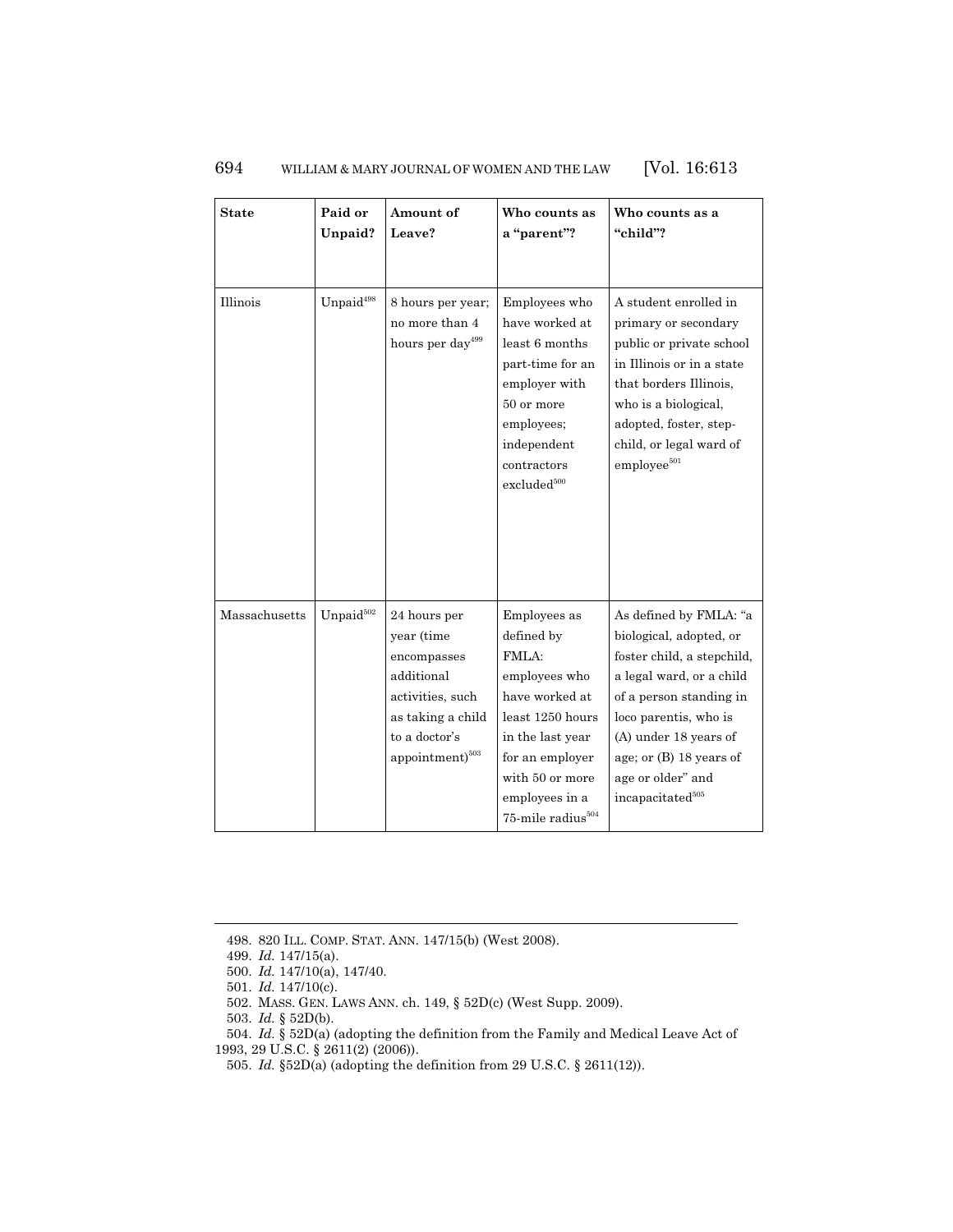| 694<br>WILLIAM & MARY JOURNAL OF WOMEN AND THE LAW | [Vol. 16:613] |
|----------------------------------------------------|---------------|
|----------------------------------------------------|---------------|

| <b>State</b>  | Paid or<br>Unpaid?    | Amount of<br>Leave?                                                                                                                              | Who counts as<br>a "parent"?                                                                                                                                                                            | Who counts as a<br>"child"?                                                                                                                                                                                                                                                      |
|---------------|-----------------------|--------------------------------------------------------------------------------------------------------------------------------------------------|---------------------------------------------------------------------------------------------------------------------------------------------------------------------------------------------------------|----------------------------------------------------------------------------------------------------------------------------------------------------------------------------------------------------------------------------------------------------------------------------------|
| Illinois      | Unpaid <sup>498</sup> | 8 hours per year;<br>no more than 4<br>hours per day <sup>499</sup>                                                                              | Employees who<br>have worked at<br>least 6 months<br>part-time for an<br>employer with<br>50 or more<br>employees;<br>independent<br>contractors<br>excluded <sup>500</sup>                             | A student enrolled in<br>primary or secondary<br>public or private school<br>in Illinois or in a state<br>that borders Illinois,<br>who is a biological,<br>adopted, foster, step-<br>child, or legal ward of<br>employee <sup>501</sup>                                         |
| Massachusetts | Unpaid $502$          | 24 hours per<br>year (time<br>encompasses<br>additional<br>activities, such<br>as taking a child<br>to a doctor's<br>appointment) <sup>503</sup> | Employees as<br>defined by<br>FMLA:<br>employees who<br>have worked at<br>least 1250 hours<br>in the last year<br>for an employer<br>with 50 or more<br>employees in a<br>75-mile radius <sup>504</sup> | As defined by FMLA: "a<br>biological, adopted, or<br>foster child, a stepchild,<br>a legal ward, or a child<br>of a person standing in<br>loco parentis, who is<br>(A) under 18 years of<br>age; or (B) 18 years of<br>age or older" and<br>$\operatorname{incapacitated}^{505}$ |

- 500. *Id.* 147/10(a), 147/40.
- 501. *Id.* 147/10(c).
- 502. MASS. GEN. LAWS ANN. ch. 149, § 52D(c) (West Supp. 2009).
- 503. *Id.* § 52D(b).
- 504. *Id.* § 52D(a) (adopting the definition from the Family and Medical Leave Act of 1993, 29 U.S.C. § 2611(2) (2006)).
	- 505. *Id.* §52D(a) (adopting the definition from 29 U.S.C. § 2611(12)).

<sup>498. 820</sup> ILL. COMP. STAT. ANN. 147/15(b) (West 2008).

<sup>499.</sup> *Id.* 147/15(a).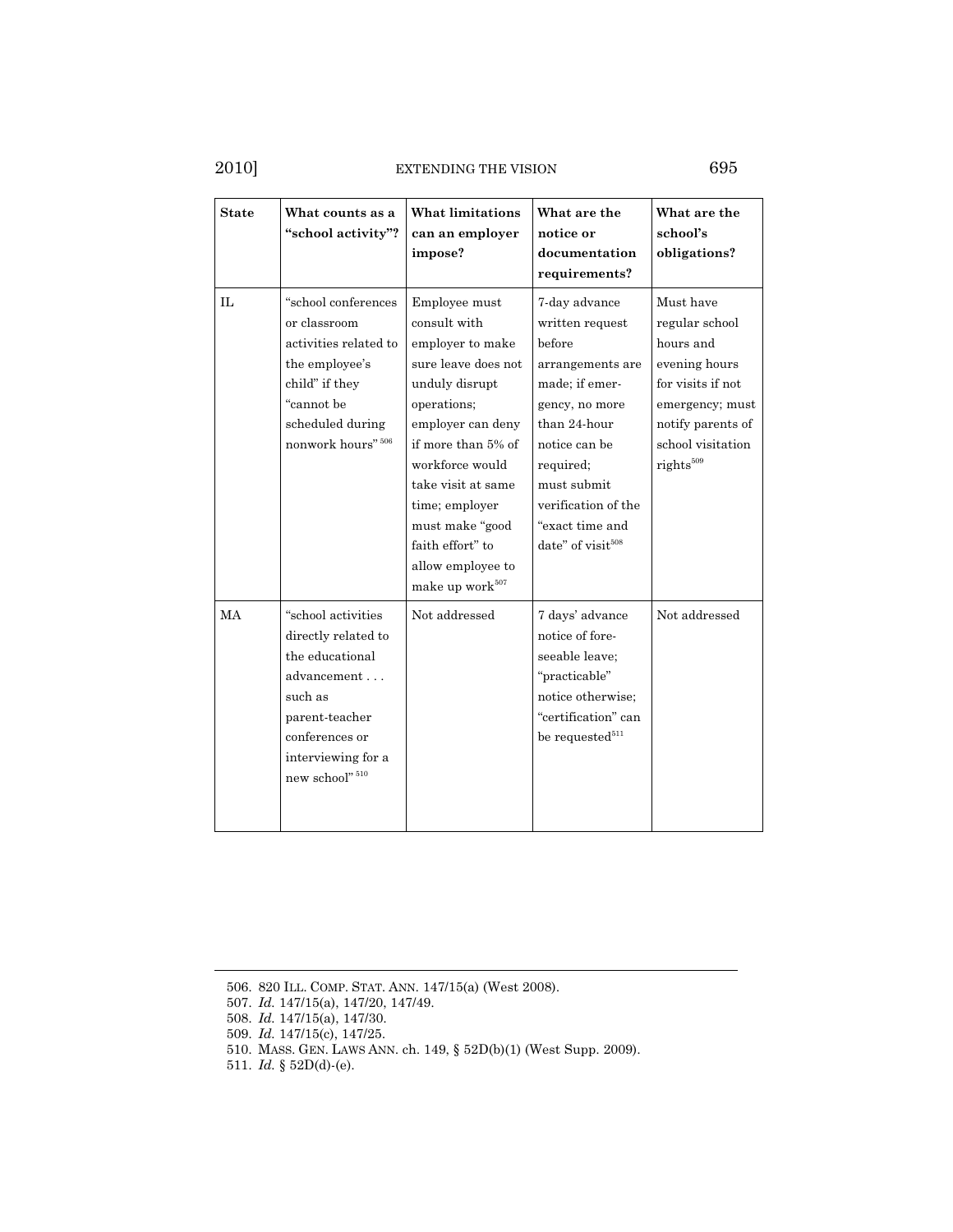| <b>State</b> | What counts as a<br>"school activity"?                                                                                                                                         | <b>What limitations</b><br>can an employer<br>impose?                                                                                                                                                                                                                                                      | What are the<br>notice or<br>documentation<br>requirements?                                                                                                                                                                                | What are the<br>school's<br>obligations?                                                                                                                             |
|--------------|--------------------------------------------------------------------------------------------------------------------------------------------------------------------------------|------------------------------------------------------------------------------------------------------------------------------------------------------------------------------------------------------------------------------------------------------------------------------------------------------------|--------------------------------------------------------------------------------------------------------------------------------------------------------------------------------------------------------------------------------------------|----------------------------------------------------------------------------------------------------------------------------------------------------------------------|
| $_{\rm IL}$  | "school conferences<br>or classroom<br>activities related to<br>the employee's<br>child" if they<br>"cannot be<br>scheduled during<br>nonwork hours" 506                       | Employee must<br>consult with<br>employer to make<br>sure leave does not<br>unduly disrupt<br>operations;<br>employer can deny<br>if more than 5% of<br>workforce would<br>take visit at same<br>time; employer<br>must make "good<br>faith effort" to<br>allow employee to<br>make up work <sup>507</sup> | 7-day advance<br>written request<br>before<br>arrangements are<br>made; if emer-<br>gency, no more<br>than 24-hour<br>notice can be<br>required;<br>must submit<br>verification of the<br>"exact time and<br>date" of visit <sup>508</sup> | Must have<br>regular school<br>hours and<br>evening hours<br>for visits if not<br>emergency; must<br>notify parents of<br>school visitation<br>rights <sup>509</sup> |
| MA           | "school activities<br>directly related to<br>the educational<br>advancement<br>such as<br>parent-teacher<br>conferences or<br>interviewing for a<br>new school" <sup>510</sup> | Not addressed                                                                                                                                                                                                                                                                                              | 7 days' advance<br>notice of fore-<br>seeable leave;<br>"practicable"<br>notice otherwise;<br>"certification" can<br>be requested <sup>511</sup>                                                                                           | Not addressed                                                                                                                                                        |

506. 820 ILL. COMP. STAT. ANN. 147/15(a) (West 2008).

- 507. *Id.* 147/15(a), 147/20, 147/49.
- 508. *Id.* 147/15(a), 147/30.
- 509. *Id.* 147/15(c), 147/25.
- 510. MASS. GEN. LAWS ANN. ch. 149, § 52D(b)(1) (West Supp. 2009).
- 511.  $Id. \$  52D(d)-(e).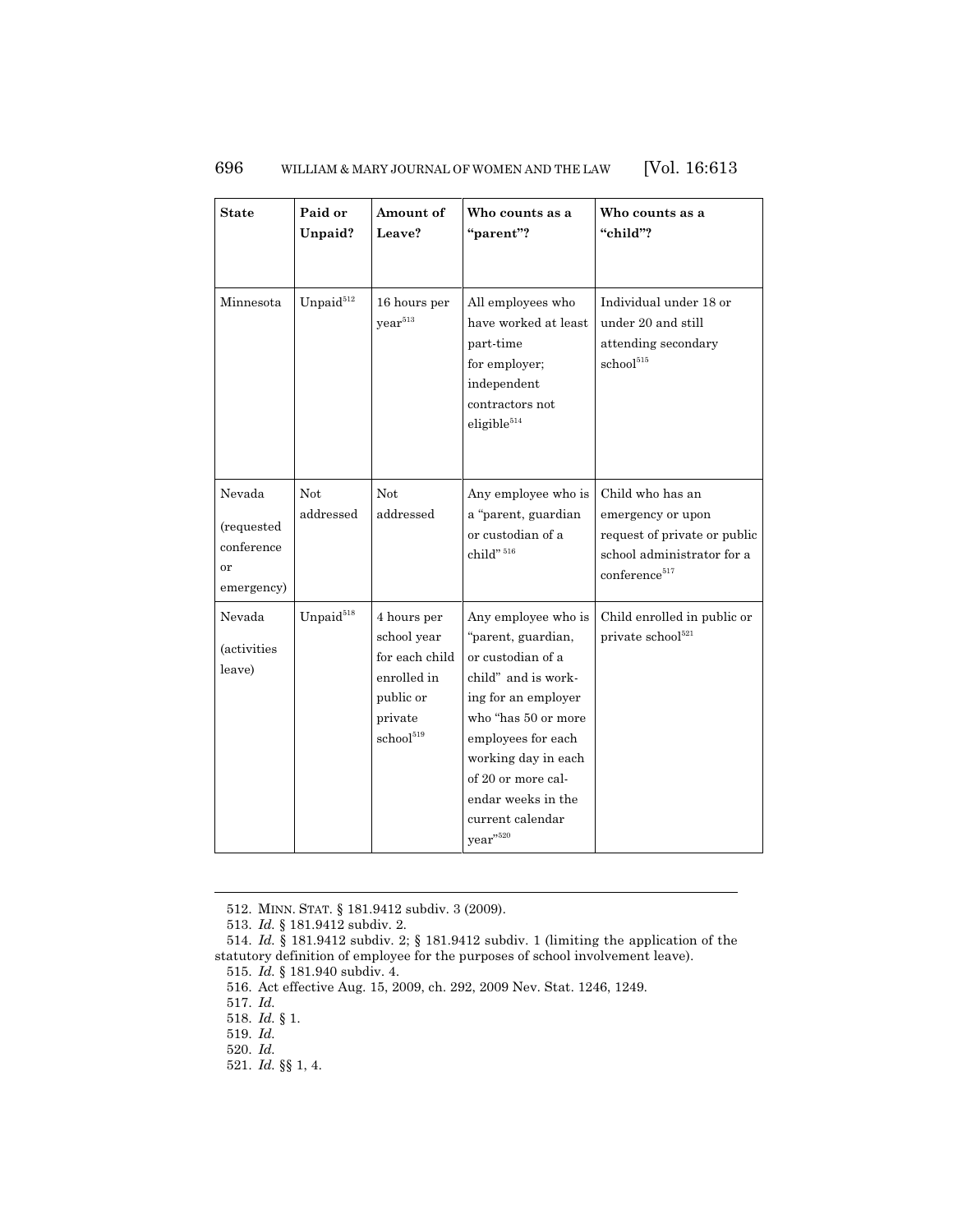| <b>State</b>                                           | Paid or<br>Unpaid?    | Amount of<br>Leave?                                                                                          | Who counts as a<br>"parent"?                                                                                                                                                                                                                                           | Who counts as a<br>"child"?                                                                                                      |
|--------------------------------------------------------|-----------------------|--------------------------------------------------------------------------------------------------------------|------------------------------------------------------------------------------------------------------------------------------------------------------------------------------------------------------------------------------------------------------------------------|----------------------------------------------------------------------------------------------------------------------------------|
| Minnesota                                              | Unpaid <sup>512</sup> | 16 hours per<br>year <sup>513</sup>                                                                          | All employees who<br>have worked at least<br>part-time<br>for employer;<br>independent<br>contractors not<br>eligible <sup>514</sup>                                                                                                                                   | Individual under 18 or<br>under 20 and still<br>attending secondary<br>$\mathrm{school}^{\mathrm{515}}$                          |
| Nevada<br>(requested<br>conference<br>or<br>emergency) | Not<br>addressed      | Not<br>addressed                                                                                             | Any employee who is<br>a "parent, guardian<br>or custodian of a<br>child" <sup>516</sup>                                                                                                                                                                               | Child who has an<br>emergency or upon<br>request of private or public<br>school administrator for a<br>conference <sup>517</sup> |
| Nevada<br><i>(activities)</i><br>leave)                | Unpaid <sup>518</sup> | 4 hours per<br>school year<br>for each child<br>enrolled in<br>public or<br>private<br>school <sup>519</sup> | Any employee who is<br>"parent, guardian,<br>or custodian of a<br>child" and is work-<br>ing for an employer<br>who "has 50 or more<br>employees for each<br>working day in each<br>of 20 or more cal-<br>endar weeks in the<br>current calendar<br>$\rm year''^{520}$ | Child enrolled in public or<br>private school <sup>521</sup>                                                                     |

<sup>512.</sup> MINN. STAT. § 181.9412 subdiv. 3 (2009).

512513514515516517518519520521

<sup>513.</sup> *Id.* § 181.9412 subdiv. 2.

<sup>514.</sup> *Id.* § 181.9412 subdiv. 2; § 181.9412 subdiv. 1 (limiting the application of the statutory definition of employee for the purposes of school involvement leave).

<sup>515.</sup> *Id.* § 181.940 subdiv. 4.

<sup>516.</sup> Act effective Aug. 15, 2009, ch. 292, 2009 Nev. Stat. 1246, 1249.

<sup>517.</sup> *Id.*

<sup>518.</sup> *Id.* § 1.

<sup>519.</sup> *Id.*

<sup>520.</sup> *Id.*

<sup>521.</sup> *Id.* §§ 1, 4.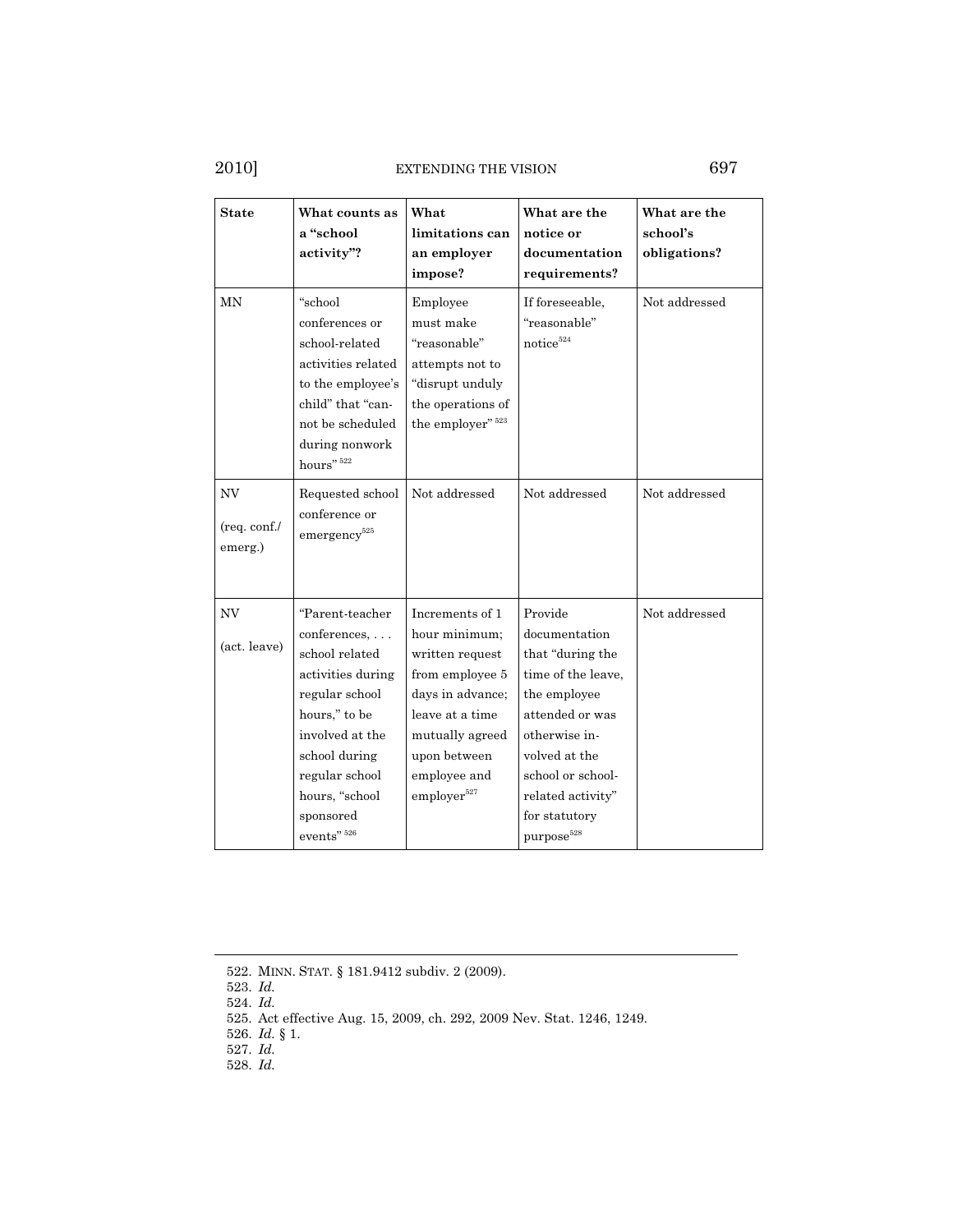| <b>State</b>                  | What counts as<br>a "school<br>activity"?                                                                                                                                                                                           | What<br>limitations can<br>an employer<br>impose?                                                                                                                                             | What are the<br>notice or<br>documentation<br>requirements?                                                                                                                                                                     | What are the<br>school's<br>obligations? |
|-------------------------------|-------------------------------------------------------------------------------------------------------------------------------------------------------------------------------------------------------------------------------------|-----------------------------------------------------------------------------------------------------------------------------------------------------------------------------------------------|---------------------------------------------------------------------------------------------------------------------------------------------------------------------------------------------------------------------------------|------------------------------------------|
| MN                            | "school<br>conferences or<br>school-related<br>activities related<br>to the employee's<br>child" that "can-<br>not be scheduled<br>during nonwork<br>hours" $522$                                                                   | Employee<br>must make<br>"reasonable"<br>attempts not to<br>"disrupt unduly<br>the operations of<br>the employer" 523                                                                         | If foreseeable,<br>"reasonable"<br>$\mathrm{notice}^{524}$                                                                                                                                                                      | Not addressed                            |
| NV<br>(req. conf./<br>emerg.) | Requested school<br>conference or<br>emergency <sup>525</sup>                                                                                                                                                                       | Not addressed                                                                                                                                                                                 | Not addressed                                                                                                                                                                                                                   | Not addressed                            |
| <b>NV</b><br>(act. leave)     | "Parent-teacher<br>conferences,<br>school related<br>activities during<br>regular school<br>hours," to be<br>involved at the<br>school during<br>regular school<br>hours, "school<br>sponsored<br>$\rm{events}^{\prime\prime\ 526}$ | Increments of 1<br>hour minimum;<br>written request<br>from employee 5<br>days in advance;<br>leave at a time<br>mutually agreed<br>upon between<br>employee and<br>$emplayer$ <sup>527</sup> | Provide<br>documentation<br>that "during the<br>time of the leave.<br>the employee<br>attended or was<br>otherwise in-<br>volved at the<br>school or school-<br>related activity"<br>for statutory<br>$\rm{purpose}^{\rm{528}}$ | Not addressed                            |

528. *Id.*

<sup>522.</sup> MINN. STAT. § 181.9412 subdiv. 2 (2009).

<sup>523.</sup> *Id.*

<sup>524.</sup> *Id.*

<sup>525.</sup> Act effective Aug. 15, 2009, ch. 292, 2009 Nev. Stat. 1246, 1249.

<sup>526.</sup> *Id.* § 1.

<sup>527.</sup> *Id.*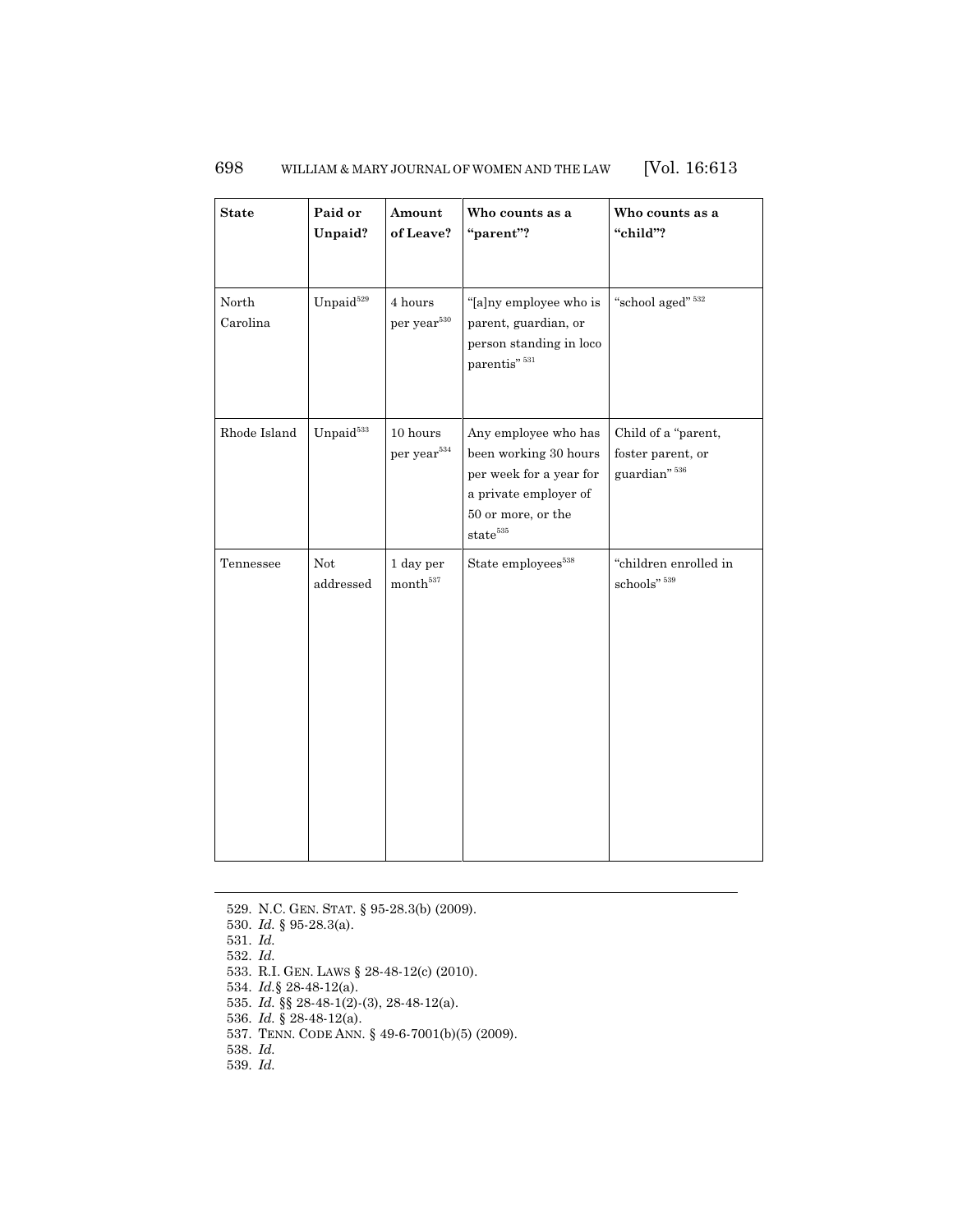| <b>State</b>      | Paid or<br>Unpaid?    | Amount<br>of Leave?                       | Who counts as a<br>"parent"?                                                                                                                 | Who counts as a<br>"child"?                               |
|-------------------|-----------------------|-------------------------------------------|----------------------------------------------------------------------------------------------------------------------------------------------|-----------------------------------------------------------|
| North<br>Carolina | Unpaid <sup>529</sup> | $4$ hours $\,$<br>per year <sup>530</sup> | "[a]ny employee who is<br>parent, guardian, or<br>person standing in loco<br>parentis" <sup>531</sup>                                        | "school aged" 532                                         |
| Rhode Island      | Unpaid <sup>533</sup> | 10 hours<br>per year <sup>534</sup>       | Any employee who has<br>been working 30 hours<br>per week for a year for<br>a private employer of<br>50 or more, or the<br>$\rm state^{535}$ | Child of a "parent,<br>foster parent, or<br>guardian" 536 |
| Tennessee         | Not<br>addressed      | 1 day per<br>$\mathrm{month}^{537}$       | State employees <sup>538</sup>                                                                                                               | "children enrolled in<br>$\mathrm{schools}^{n~539}$       |

529. N.C. GEN. STAT. § 95-28.3(b) (2009).

530. *Id.* § 95-28.3(a).

531. *Id.*

532. *Id.*

533. R.I. GEN. LAWS § 28-48-12(c) (2010).

534. *Id.*§ 28-48-12(a).

535. *Id.* §§ 28-48-1(2)-(3), 28-48-12(a).

536. *Id.* § 28-48-12(a).

537. TENN. CODE ANN. § 49-6-7001(b)(5) (2009).

538. *Id.*

539. *Id.*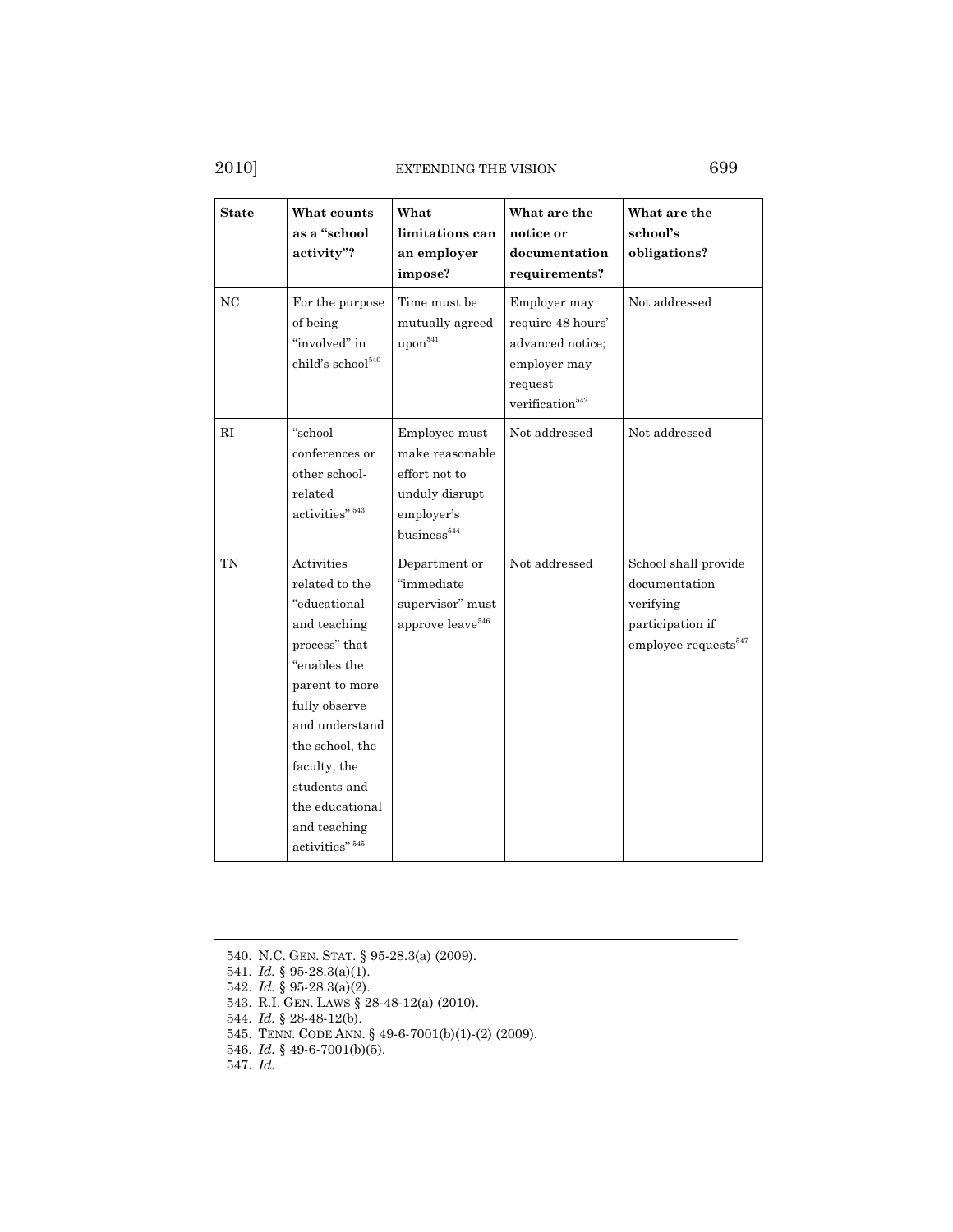| <b>State</b> | What counts<br>as a "school<br>activity"?                                                                                                                                                                                                                   | What<br>limitations can<br>an employer<br>impose?                                                            | What are the<br>notice or<br>documentation<br>requirements?                                                     | What are the<br>school's<br>obligations?                                                                   |
|--------------|-------------------------------------------------------------------------------------------------------------------------------------------------------------------------------------------------------------------------------------------------------------|--------------------------------------------------------------------------------------------------------------|-----------------------------------------------------------------------------------------------------------------|------------------------------------------------------------------------------------------------------------|
| NC           | For the purpose<br>of being<br>"involved" in<br>child's school <sup>540</sup>                                                                                                                                                                               | Time must be<br>mutually agreed<br>$\text{upon}^{541}$                                                       | Employer may<br>require 48 hours'<br>advanced notice;<br>employer may<br>request<br>verification <sup>542</sup> | Not addressed                                                                                              |
| RI           | "school<br>conferences or<br>other school-<br>related<br>$\,$ activities" $^{543}$                                                                                                                                                                          | Employee must<br>make reasonable<br>effort not to<br>unduly disrupt<br>employer's<br>business <sup>544</sup> | Not addressed                                                                                                   | Not addressed                                                                                              |
| TN           | Activities<br>related to the<br>"educational<br>and teaching<br>process" that<br>"enables the<br>parent to more<br>fully observe<br>and understand<br>the school, the<br>faculty, the<br>students and<br>the educational<br>and teaching<br>activities" 545 | Department or<br>"immediate<br>supervisor" must<br>approve leave <sup>546</sup>                              | Not addressed                                                                                                   | School shall provide<br>documentation<br>verifying<br>participation if<br>employee requests <sup>547</sup> |

- 540. N.C. GEN. STAT. § 95-28.3(a) (2009).
- 541. *Id.* § 95-28.3(a)(1).
- 542. *Id.* § 95-28.3(a)(2).
- 543. R.I. GEN. LAWS § 28-48-12(a) (2010).
- 544. *Id.* § 28-48-12(b).
- 545. TENN. CODE ANN. § 49-6-7001(b)(1)-(2) (2009).
- 546. *Id.* § 49-6-7001(b)(5).
- 547. *Id.*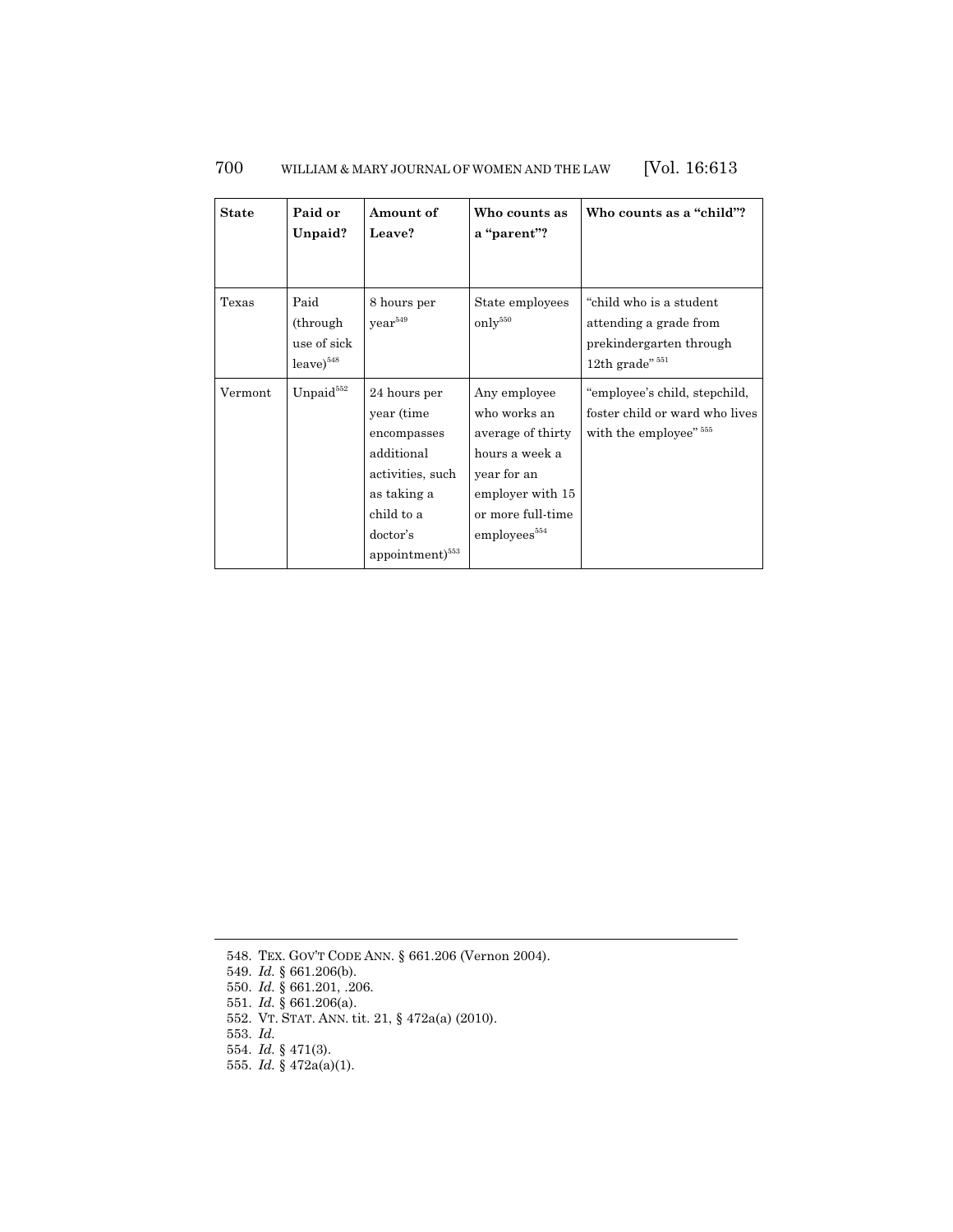| [Vol. 16:613]<br>700<br>WILLIAM & MARY JOURNAL OF WOMEN AND THE LAW |
|---------------------------------------------------------------------|
|---------------------------------------------------------------------|

| <b>State</b> | Paid or<br>Unpaid?                                 | Amount of<br>Leave?                                                                                                                                 | Who counts as<br>a "parent"?                                                                                                                            | Who counts as a "child"?                                                                             |
|--------------|----------------------------------------------------|-----------------------------------------------------------------------------------------------------------------------------------------------------|---------------------------------------------------------------------------------------------------------------------------------------------------------|------------------------------------------------------------------------------------------------------|
| Texas        | Paid<br>(through)<br>use of sick<br>$leave)^{548}$ | 8 hours per<br>year <sup>549</sup>                                                                                                                  | State employees<br>only550                                                                                                                              | "child who is a student<br>attending a grade from<br>prekindergarten through<br>12th grade" $551$    |
| Vermont      | Unpaid <sup>552</sup>                              | 24 hours per<br>year (time<br>encompasses<br>additional<br>activities, such<br>as taking a<br>child to a<br>doctor's<br>appointment) <sup>553</sup> | Any employee<br>who works an<br>average of thirty<br>hours a week a<br>year for an<br>employer with 15<br>or more full-time<br>employees <sup>554</sup> | "employee's child, stepchild,<br>foster child or ward who lives<br>with the employee" <sup>555</sup> |

548. TEX. GOV'T CODE ANN. § 661.206 (Vernon 2004).

549. *Id.* § 661.206(b).

550. *Id.* § 661.201, .206.

551. *Id.* § 661.206(a).

548549550551552553554555

552. VT. STAT. ANN. tit. 21, § 472a(a) (2010).

553. *Id.*

554. *Id.* § 471(3).

555. *Id.* § 472a(a)(1).